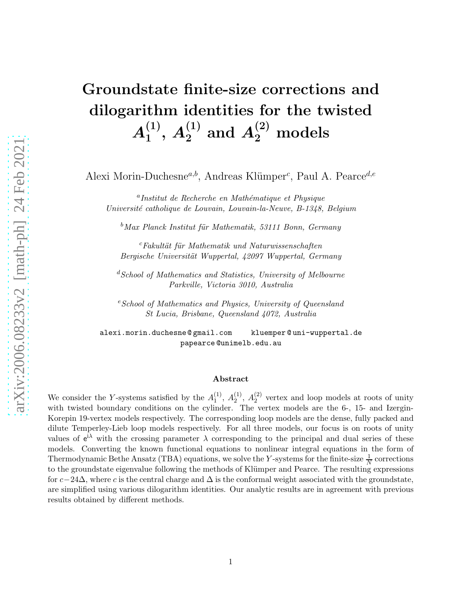# Groundstate finite-size corrections and dilogarithm identities for the twisted  $\boldsymbol{A_1^{(1)}}$  $\mathcal{A}_1^{(1)}, \, \mathcal{A}_2^{(1)} \, \, \mathrm{and} \, \, \mathcal{A}_2^{(2)} \, \, \mathrm{models}$

Alexi Morin-Duchesne<sup>a,b</sup>, Andreas Klümper<sup>c</sup>, Paul A. Pearce<sup>d,e</sup>

<sup>a</sup>Institut de Recherche en Mathématique et Physique Université catholique de Louvain, Louvain-la-Neuve, B-1348, Belgium

 $b$ Max Planck Institut für Mathematik, 53111 Bonn, Germany

 $c$ Fakultät für Mathematik und Naturwissenschaften Bergische Universität Wuppertal, 42097 Wuppertal, Germany

 ${}^{d}S$ chool of Mathematics and Statistics, University of Melbourne Parkville, Victoria 3010, Australia

 $e<sup>e</sup> School of Mathematics and Physics, University of Queensland$ St Lucia, Brisbane, Queensland 4072, Australia

alexi.morin.duchesne @ gmail.com kluemper @ uni-wuppertal.de papearce @unimelb.edu.au

#### Abstract

We consider the Y-systems satisfied by the  $A_1^{(1)}$  $\binom{1}{1}, A_2^{(1)}$  $\binom{1}{2}$ ,  $A_2^{(2)}$  $_2^{(2)}$  vertex and loop models at roots of unity with twisted boundary conditions on the cylinder. The vertex models are the 6-, 15- and Izergin-Korepin 19-vertex models respectively. The corresponding loop models are the dense, fully packed and dilute Temperley-Lieb loop models respectively. For all three models, our focus is on roots of unity values of  $e^{i\lambda}$  with the crossing parameter  $\lambda$  corresponding to the principal and dual series of these models. Converting the known functional equations to nonlinear integral equations in the form of Thermodynamic Bethe Ansatz (TBA) equations, we solve the Y-systems for the finite-size  $\frac{1}{N}$  corrections to the groundstate eigenvalue following the methods of Klümper and Pearce. The resulting expressions for  $c-24\Delta$ , where c is the central charge and  $\Delta$  is the conformal weight associated with the groundstate, are simplified using various dilogarithm identities. Our analytic results are in agreement with previous results obtained by different methods.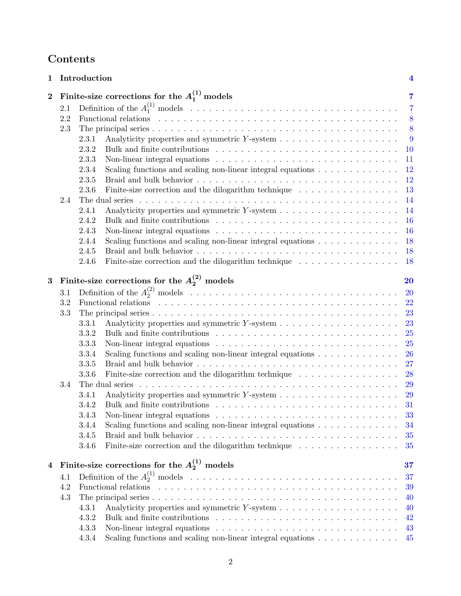# Contents

| $\mathbf{1}$   |     | Introduction                                                                                                     |  | $\overline{\mathbf{4}}$ |
|----------------|-----|------------------------------------------------------------------------------------------------------------------|--|-------------------------|
| $\overline{2}$ |     | Finite-size corrections for the $A_1^{(1)}$ models                                                               |  | 7                       |
|                | 2.1 |                                                                                                                  |  | $\overline{7}$          |
|                | 2.2 |                                                                                                                  |  | 8                       |
|                | 2.3 |                                                                                                                  |  | 8                       |
|                |     | 2.3.1                                                                                                            |  | 9                       |
|                |     | 2.3.2                                                                                                            |  | 10                      |
|                |     | 2.3.3                                                                                                            |  | 11                      |
|                |     | 2.3.4<br>Scaling functions and scaling non-linear integral equations $\dots \dots \dots \dots$                   |  | 12                      |
|                |     | 2.3.5                                                                                                            |  | 12                      |
|                |     | Finite-size correction and the dilogarithm technique $\ldots \ldots \ldots \ldots \ldots$<br>2.3.6               |  | 13                      |
|                | 2.4 |                                                                                                                  |  | 14                      |
|                |     | 2.4.1                                                                                                            |  | 14                      |
|                |     | 2.4.2                                                                                                            |  | 16                      |
|                |     | 2.4.3<br>Non-linear integral equations $\dots \dots \dots \dots \dots \dots \dots \dots \dots \dots \dots \dots$ |  | 16                      |
|                |     | 2.4.4<br>Scaling functions and scaling non-linear integral equations $\dots \dots \dots \dots$                   |  | 18                      |
|                |     | 2.4.5                                                                                                            |  | 18                      |
|                |     | Finite-size correction and the dilogarithm technique $\ldots \ldots \ldots \ldots \ldots$<br>2.4.6               |  | 18                      |
|                |     |                                                                                                                  |  |                         |
| $\bf{3}$       |     | Finite-size corrections for the $A_2^{(2)}$ models                                                               |  | <b>20</b>               |
|                | 3.1 |                                                                                                                  |  | 20                      |
|                | 3.2 |                                                                                                                  |  | 22                      |
|                | 3.3 |                                                                                                                  |  | 23                      |
|                |     | 3.3.1                                                                                                            |  | 23                      |
|                |     | 3.3.2                                                                                                            |  | 25                      |
|                |     | 3.3.3<br>Non-linear integral equations $\dots \dots \dots \dots \dots \dots \dots \dots \dots \dots \dots \dots$ |  | 25                      |
|                |     | Scaling functions and scaling non-linear integral equations $\ldots \ldots \ldots \ldots$<br>3.3.4               |  | 26                      |
|                |     | 3.3.5                                                                                                            |  | 27                      |
|                |     | 3.3.6<br>Finite-size correction and the dilogarithm technique $\dots \dots \dots \dots \dots$                    |  | 28                      |
|                | 3.4 | The dual series                                                                                                  |  | 29                      |
|                |     | 3.4.1                                                                                                            |  | 29                      |
|                |     | 3.4.2                                                                                                            |  | 31                      |
|                |     | 3.4.3<br>Non-linear integral equations $\ldots \ldots \ldots \ldots \ldots \ldots \ldots \ldots \ldots \ldots$   |  | 33                      |
|                |     | Scaling functions and scaling non-linear integral equations $\dots \dots \dots \dots$<br>3.4.4                   |  | 34                      |
|                |     | 3.4.5                                                                                                            |  | 35                      |
|                |     | Finite-size correction and the dilogarithm technique<br>3.4.6                                                    |  | 35                      |
|                |     |                                                                                                                  |  |                         |
| 4              |     | Finite-size corrections for the $A_2^{(1)}$ models                                                               |  | 37                      |
|                | 4.1 |                                                                                                                  |  | 37                      |
|                | 4.2 | Functional relations                                                                                             |  | 39                      |
|                | 4.3 |                                                                                                                  |  | 40                      |
|                |     | 4.3.1                                                                                                            |  | 40                      |
|                |     | 4.3.2                                                                                                            |  | 42                      |
|                |     | 4.3.3<br>Non-linear integral equations $\dots \dots \dots \dots \dots \dots \dots \dots \dots \dots \dots \dots$ |  | 43                      |
|                |     | Scaling functions and scaling non-linear integral equations $\ldots \ldots \ldots \ldots$<br>4.3.4               |  | 45                      |
|                |     |                                                                                                                  |  |                         |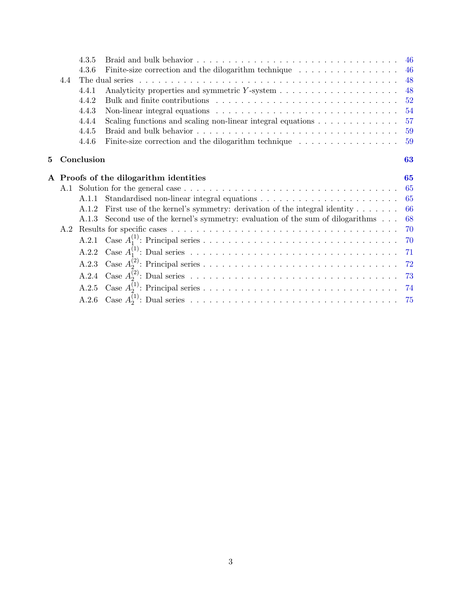|   |     | 4.3.5                                  |                                                                                                         |    |
|---|-----|----------------------------------------|---------------------------------------------------------------------------------------------------------|----|
|   |     | 4.3.6                                  | Finite-size correction and the dilogarithm technique $\ldots \ldots \ldots \ldots \ldots$               | 46 |
|   | 4.4 |                                        |                                                                                                         | 48 |
|   |     | 4.4.1                                  |                                                                                                         | 48 |
|   |     | 4.4.2                                  |                                                                                                         | 52 |
|   |     | 4.4.3                                  | Non-linear integral equations $\dots \dots \dots \dots \dots \dots \dots \dots \dots \dots \dots \dots$ | 54 |
|   |     | 4.4.4                                  | Scaling functions and scaling non-linear integral equations $\dots \dots \dots \dots$                   | 57 |
|   |     | 4.4.5                                  |                                                                                                         | 59 |
|   |     | 4.4.6                                  | Finite-size correction and the dilogarithm technique $\dots \dots \dots \dots \dots$                    | 59 |
| 5 |     | Conclusion                             |                                                                                                         | 63 |
|   |     | A Proofs of the dilogarithm identities |                                                                                                         |    |
|   |     |                                        |                                                                                                         | 65 |
|   |     | A.1.1                                  |                                                                                                         | 65 |
|   |     | A.1.2                                  | First use of the kernel's symmetry: derivation of the integral identity $\dots \dots$                   | 66 |
|   |     | A.1.3                                  | Second use of the kernel's symmetry: evaluation of the sum of dilogarithms                              | 68 |
|   | A.2 |                                        |                                                                                                         | 70 |
|   |     |                                        |                                                                                                         | 70 |
|   |     | A.2.2                                  |                                                                                                         |    |
|   |     | A.2.3                                  |                                                                                                         |    |
|   |     | A.2.4                                  |                                                                                                         |    |
|   |     | A.2.5                                  |                                                                                                         |    |
|   |     |                                        |                                                                                                         |    |
|   |     |                                        |                                                                                                         |    |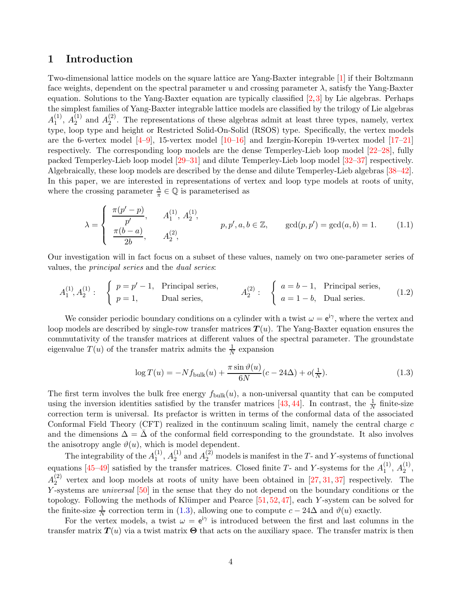# <span id="page-3-0"></span>1 Introduction

Two-dimensional lattice models on the square lattice are Yang-Baxter integrable [\[1\]](#page-76-0) if their Boltzmann face weights, dependent on the spectral parameter u and crossing parameter  $\lambda$ , satisfy the Yang-Baxter equation. Solutions to the Yang-Baxter equation are typically classified [\[2,](#page-76-1)[3\]](#page-76-2) by Lie algebras. Perhaps the simplest families of Yang-Baxter integrable lattice models are classified by the trilogy of Lie algebras  $A_1^{(1)}$  $\binom{1}{1}, A_2^{(1)}$  $_2^{(1)}$  and  $A_2^{(2)}$  $2<sup>(2)</sup>$ . The representations of these algebras admit at least three types, namely, vertex type, loop type and height or Restricted Solid-On-Solid (RSOS) type. Specifically, the vertex models are the 6-vertex model  $[4-9]$  $[4-9]$ , 15-vertex model  $[10-16]$  and Izergin-Korepin 19-vertex model  $[17-21]$  $[17-21]$ respectively. The corresponding loop models are the dense Temperley-Lieb loop model [\[22–](#page-77-2)[28\]](#page-77-3), fully packed Temperley-Lieb loop model [\[29](#page-77-4)[–31\]](#page-77-5) and dilute Temperley-Lieb loop model [\[32–](#page-77-6)[37\]](#page-78-0) respectively. Algebraically, these loop models are described by the dense and dilute Temperley-Lieb algebras [\[38–](#page-78-1)[42\]](#page-78-2). In this paper, we are interested in representations of vertex and loop type models at roots of unity, where the crossing parameter  $\frac{\lambda}{\pi} \in \mathbb{Q}$  is parameterised as

$$
\lambda = \begin{cases} \frac{\pi(p'-p)}{p'}, & A_1^{(1)}, A_2^{(1)}, \\ \frac{\pi(b-a)}{2b}, & A_2^{(2)}, \end{cases} \qquad p, p', a, b \in \mathbb{Z}, \qquad \gcd(p, p') = \gcd(a, b) = 1. \tag{1.1}
$$

Our investigation will in fact focus on a subset of these values, namely on two one-parameter series of values, the principal series and the dual series:

$$
A_1^{(1)}, A_2^{(1)}: \begin{cases} p = p'-1, & \text{Principal series,} \\ p = 1, & \text{Dual series,} \end{cases} A_2^{(2)}: \begin{cases} a = b-1, & \text{Principal series,} \\ a = 1-b, & \text{Dual series.} \end{cases} (1.2)
$$

We consider periodic boundary conditions on a cylinder with a twist  $\omega = e^{i\gamma}$ , where the vertex and loop models are described by single-row transfer matrices  $T(u)$ . The Yang-Baxter equation ensures the commutativity of the transfer matrices at different values of the spectral parameter. The groundstate eigenvalue  $T(u)$  of the transfer matrix admits the  $\frac{1}{N}$  expansion

<span id="page-3-1"></span>
$$
\log T(u) = -N f_{\text{bulk}}(u) + \frac{\pi \sin \vartheta(u)}{6N} (c - 24\Delta) + o(\frac{1}{N}).
$$
\n(1.3)

The first term involves the bulk free energy  $f_{\text{bulk}}(u)$ , a non-universal quantity that can be computed using the inversion identities satisfied by the transfer matrices [\[43,](#page-78-3) [44\]](#page-78-4). In contrast, the  $\frac{1}{N}$  finite-size correction term is universal. Its prefactor is written in terms of the conformal data of the associated Conformal Field Theory (CFT) realized in the continuum scaling limit, namely the central charge  $c$ and the dimensions  $\Delta = \overline{\Delta}$  of the conformal field corresponding to the groundstate. It also involves the anisotropy angle  $\vartheta(u)$ , which is model dependent.

The integrability of the  $A_1^{(1)}$  $\binom{11}{1}, A_2^{(1)}$  $\chi_2^{(1)}$  and  $A_2^{(2)}$  models is manifest in the T- and Y-systems of functional equations [\[45–](#page-78-5)[49\]](#page-78-6) satisfied by the transfer matrices. Closed finite T- and Y-systems for the  $A_1^{(1)}$  $\binom{11}{1}, A_2^{(1)}$  $\frac{1}{2}$ ,  $A_2^{(2)}$  $_2^{(2)}$  vertex and loop models at roots of unity have been obtained in [\[27,](#page-77-7) [31,](#page-77-5) [37\]](#page-78-0) respectively. The Y-systems are *universal* [\[50\]](#page-78-7) in the sense that they do not depend on the boundary conditions or the topology. Following the methods of Klümper and Pearce  $[51, 52, 47]$  $[51, 52, 47]$  $[51, 52, 47]$  $[51, 52, 47]$ , each Y-system can be solved for the finite-size  $\frac{1}{N}$  correction term in [\(1.3\)](#page-3-1), allowing one to compute  $c - 24\Delta$  and  $\vartheta(u)$  exactly.

For the vertex models, a twist  $\omega = e^{i\gamma}$  is introduced between the first and last columns in the transfer matrix  $T(u)$  via a twist matrix  $\Theta$  that acts on the auxiliary space. The transfer matrix is then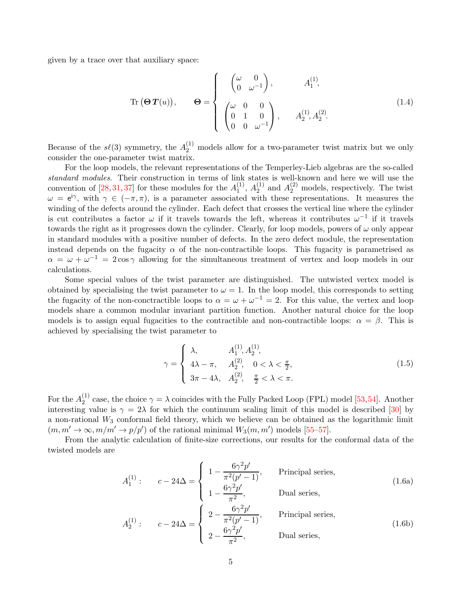given by a trace over that auxiliary space:

<span id="page-4-0"></span>Tr 
$$
(\Theta T(u))
$$
,  $\Theta = \begin{cases} \begin{pmatrix} \omega & 0 \\ 0 & \omega^{-1} \end{pmatrix}, & A_1^{(1)}, \\ \begin{pmatrix} \omega & 0 & 0 \\ 0 & 1 & 0 \\ 0 & 0 & \omega^{-1} \end{pmatrix}, & A_2^{(1)}, A_2^{(2)}. \end{cases}$  (1.4)

Because of the  $s\ell(3)$  symmetry, the  $A_2^{(1)}$  models allow for a two-parameter twist matrix but we only consider the one-parameter twist matrix.

For the loop models, the relevant representations of the Temperley-Lieb algebras are the so-called standard modules. Their construction in terms of link states is well-known and here we will use the convention of [\[28,](#page-77-3) [31,](#page-77-5) [37\]](#page-78-0) for these modules for the  $A_1^{(1)}$  $\binom{11}{1}, A_2^{(1)}$  $\chi_2^{(1)}$  and  $A_2^{(2)}$  models, respectively. The twist  $\omega = e^{i\gamma}$ , with  $\gamma \in (-\pi, \pi)$ , is a parameter associated with these representations. It measures the winding of the defects around the cylinder. Each defect that crosses the vertical line where the cylinder is cut contributes a factor  $\omega$  if it travels towards the left, whereas it contributes  $\omega^{-1}$  if it travels towards the right as it progresses down the cylinder. Clearly, for loop models, powers of  $\omega$  only appear in standard modules with a positive number of defects. In the zero defect module, the representation instead depends on the fugacity  $\alpha$  of the non-contractible loops. This fugacity is parametrised as  $\alpha = \omega + \omega^{-1} = 2\cos\gamma$  allowing for the simultaneous treatment of vertex and loop models in our calculations.

Some special values of the twist parameter are distinguished. The untwisted vertex model is obtained by specialising the twist parameter to  $\omega = 1$ . In the loop model, this corresponds to setting the fugacity of the non-conctractible loops to  $\alpha = \omega + \omega^{-1} = 2$ . For this value, the vertex and loop models share a common modular invariant partition function. Another natural choice for the loop models is to assign equal fugacities to the contractible and non-contractible loops:  $\alpha = \beta$ . This is achieved by specialising the twist parameter to

$$
\gamma = \begin{cases} \lambda, & A_1^{(1)}, A_2^{(1)}, \\ 4\lambda - \pi, & A_2^{(2)}, \quad 0 < \lambda < \frac{\pi}{2}, \\ 3\pi - 4\lambda, & A_2^{(2)}, \quad \frac{\pi}{2} < \lambda < \pi. \end{cases}
$$
(1.5)

For the  $A_2^{(1)}$  $2^{(1)}$  case, the choice  $\gamma = \lambda$  coincides with the Fully Packed Loop (FPL) model [\[53,](#page-79-2)[54\]](#page-79-3). Another interesting value is  $\gamma = 2\lambda$  for which the continuum scaling limit of this model is described [\[30\]](#page-77-8) by a non-rational  $W_3$  conformal field theory, which we believe can be obtained as the logarithmic limit  $(m, m' \rightarrow \infty, m/m' \rightarrow p/p')$  of the rational minimal  $W_3(m, m')$  models [\[55–](#page-79-4)[57\]](#page-79-5).

From the analytic calculation of finite-size corrections, our results for the conformal data of the twisted models are

$$
A_1^{(1)}: \t c-24\Delta = \begin{cases} 1 - \frac{6\gamma^2 p'}{\pi^2 (p'-1)}, & \text{Principal series,} \\ 1 - \frac{6\gamma^2 p'}{\pi^2}, & \text{Dual series,} \end{cases}
$$
\n
$$
A_2^{(1)}: \t c-24\Delta = \begin{cases} 2 - \frac{6\gamma^2 p'}{\pi^2 (p'-1)}, & \text{Principal series,} \\ 2 - \frac{6\gamma^2 p'}{\pi^2}, & \text{Dual series,} \end{cases}
$$
\n
$$
(1.6b)
$$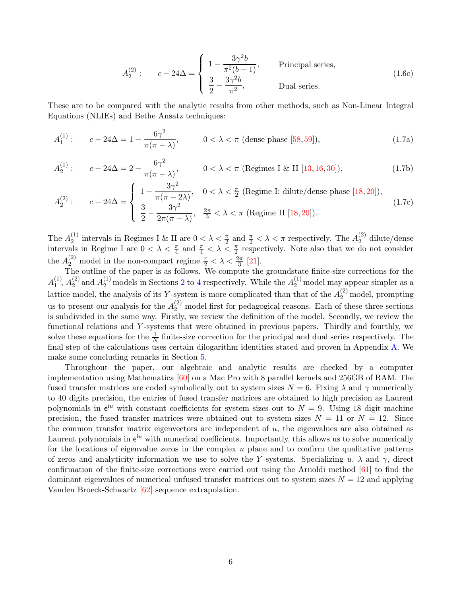$$
A_2^{(2)}: \qquad c - 24\Delta = \begin{cases} 1 - \frac{3\gamma^2 b}{\pi^2 (b - 1)}, & \text{Principal series,} \\ \frac{3}{2} - \frac{3\gamma^2 b}{\pi^2}, & \text{Dual series.} \end{cases}
$$
(1.6c)

These are to be compared with the analytic results from other methods, such as Non-Linear Integral Equations (NLIEs) and Bethe Ansatz techniques:

$$
A_1^{(1)}: \t c - 24\Delta = 1 - \frac{6\gamma^2}{\pi(\pi - \lambda)}, \t 0 < \lambda < \pi \text{ (dense phase [58, 59]), } \t (1.7a)
$$

$$
A_2^{(1)}: \qquad c - 24\Delta = 2 - \frac{6\gamma^2}{\pi(\pi - \lambda)}, \qquad 0 < \lambda < \pi \text{ (Regimes I & II [13, 16, 30]),} \tag{1.7b}
$$

$$
A_2^{(2)}: \t c - 24\Delta = \begin{cases} 1 - \frac{3\gamma^2}{\pi(\pi - 2\lambda)}, & 0 < \lambda < \frac{\pi}{2} \text{ (Regime I: dilute/dense phase [18, 20]),} \\ \frac{3}{2} - \frac{3\gamma^2}{2\pi(\pi - \lambda)}, & \frac{2\pi}{3} < \lambda < \pi \text{ (Regime II [18, 20]).} \end{cases}
$$
(1.7c)

The  $A_2^{(1)}$ <sup>(1)</sup> intervals in Regimes I & II are  $0 < \lambda < \frac{\pi}{2}$  and  $\frac{\pi}{2} < \lambda < \pi$  respectively. The  $A_2^{(2)}$  $2^{(2)}$  dilute/dense intervals in Regime I are  $0 < \lambda < \frac{\pi}{4}$  and  $\frac{\pi}{4} < \lambda < \frac{\pi}{2}$  respectively. Note also that we do not consider the  $A_2^{(2)}$  model in the non-compact regime  $\frac{\pi}{2} < \lambda < \frac{2\pi}{3}$  [\[21\]](#page-77-1).

The outline of the paper is as follows. We compute the groundstate finite-size corrections for the  $A_1^{(1)}$  $\binom{11}{1}, A_2^{(2)}$  $\chi_2^{(2)}$  $\chi_2^{(2)}$  $\chi_2^{(2)}$  and  $A_2^{(1)}$  models in Sections 2 to [4](#page-36-0) respectively. While the  $A_2^{(1)}$  model may appear simpler as a lattice model, the analysis of its Y-system is more complicated than that of the  $A_2^{(2)}$  model, prompting us to present our analysis for the  $A_2^{(2)}$  model first for pedagogical reasons. Each of these three sections is subdivided in the same way. Firstly, we review the definition of the model. Secondly, we review the functional relations and Y -systems that were obtained in previous papers. Thirdly and fourthly, we solve these equations for the  $\frac{1}{N}$  finite-size correction for the principal and dual series respectively. The final step of the calculations uses certain dilogarithm identities stated and proven in Appendix [A.](#page-64-0) We make some concluding remarks in Section [5.](#page-62-0)

Throughout the paper, our algebraic and analytic results are checked by a computer implementation using Mathematica [\[60\]](#page-79-8) on a Mac Pro with 8 parallel kernels and 256GB of RAM. The fused transfer matrices are coded symbolically out to system sizes  $N = 6$ . Fixing  $\lambda$  and  $\gamma$  numerically to 40 digits precision, the entries of fused transfer matrices are obtained to high precision as Laurent polynomials in  $e^{iu}$  with constant coefficients for system sizes out to  $N = 9$ . Using 18 digit machine precision, the fused transfer matrices were obtained out to system sizes  $N = 11$  or  $N = 12$ . Since the common transfer matrix eigenvectors are independent of  $u$ , the eigenvalues are also obtained as Laurent polynomials in  $e^{iu}$  with numerical coefficients. Importantly, this allows us to solve numerically for the locations of eigenvalue zeros in the complex  $u$  plane and to confirm the qualitative patterns of zeros and analyticity information we use to solve the Y-systems. Specializing u,  $\lambda$  and  $\gamma$ , direct confirmation of the finite-size corrections were carried out using the Arnoldi method [\[61\]](#page-79-9) to find the dominant eigenvalues of numerical unfused transfer matrices out to system sizes  $N = 12$  and applying Vanden Broeck-Schwartz [\[62\]](#page-79-10) sequence extrapolation.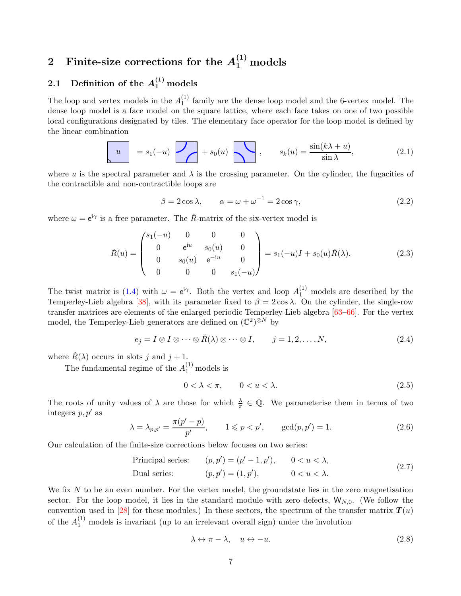# <span id="page-6-0"></span>2 Finite-size corrections for the  $A_1^{(1)}$  models

# <span id="page-6-1"></span>2.1 Definition of the  $A_1^{(1)}$  models

The loop and vertex models in the  $A_1^{(1)}$  $_1^{(1)}$  family are the dense loop model and the 6-vertex model. The dense loop model is a face model on the square lattice, where each face takes on one of two possible local configurations designated by tiles. The elementary face operator for the loop model is defined by the linear combination

$$
u = s_1(-u) \t\t + s_0(u) \t\t s_k(u) = \frac{\sin(k\lambda + u)}{\sin \lambda}, \t\t (2.1)
$$

where u is the spectral parameter and  $\lambda$  is the crossing parameter. On the cylinder, the fugacities of the contractible and non-contractible loops are

$$
\beta = 2\cos\lambda, \qquad \alpha = \omega + \omega^{-1} = 2\cos\gamma,
$$
\n(2.2)

where  $\omega = e^{i\gamma}$  is a free parameter. The  $\check{R}$ -matrix of the six-vertex model is

$$
\check{R}(u) = \begin{pmatrix} s_1(-u) & 0 & 0 & 0 \\ 0 & e^{iu} & s_0(u) & 0 \\ 0 & s_0(u) & e^{-iu} & 0 \\ 0 & 0 & 0 & s_1(-u) \end{pmatrix} = s_1(-u)I + s_0(u)\check{R}(\lambda).
$$
 (2.3)

The twist matrix is [\(1.4\)](#page-4-0) with  $\omega = e^{i\gamma}$ . Both the vertex and loop  $A_1^{(1)}$  models are described by the Temperley-Lieb algebra [\[38\]](#page-78-1), with its parameter fixed to  $\beta = 2 \cos \lambda$ . On the cylinder, the single-row transfer matrices are elements of the enlarged periodic Temperley-Lieb algebra [\[63](#page-79-11)[–66\]](#page-79-12). For the vertex model, the Temperley-Lieb generators are defined on  $(\mathbb{C}^2)^{\otimes N}$  by

$$
e_j = I \otimes I \otimes \cdots \otimes \check{R}(\lambda) \otimes \cdots \otimes I, \qquad j = 1, 2, \ldots, N,
$$
\n(2.4)

where  $\check{R}(\lambda)$  occurs in slots j and  $j + 1$ .

The fundamental regime of the  $A_1^{(1)}$  models is

$$
0 < \lambda < \pi, \qquad 0 < u < \lambda. \tag{2.5}
$$

The roots of unity values of  $\lambda$  are those for which  $\frac{\lambda}{\pi} \in \mathbb{Q}$ . We parameterise them in terms of two integers  $p, p'$  as

$$
\lambda = \lambda_{p,p'} = \frac{\pi(p'-p)}{p'}, \qquad 1 \leq p < p', \qquad \gcd(p,p') = 1.
$$
\n(2.6)

Our calculation of the finite-size corrections below focuses on two series:

Principal series: 
$$
(p, p') = (p' - 1, p'), \quad 0 < u < \lambda,
$$
  
Dual series:  $(p, p') = (1, p'), \quad 0 < u < \lambda.$  (2.7)

We fix  $N$  to be an even number. For the vertex model, the groundstate lies in the zero magnetisation sector. For the loop model, it lies in the standard module with zero defects,  $W_{N,0}$ . (We follow the convention used in [\[28\]](#page-77-3) for these modules.) In these sectors, the spectrum of the transfer matrix  $T(u)$ of the  $A_1^{(1)}$  models is invariant (up to an irrelevant overall sign) under the involution

$$
\lambda \leftrightarrow \pi - \lambda, \quad u \leftrightarrow -u. \tag{2.8}
$$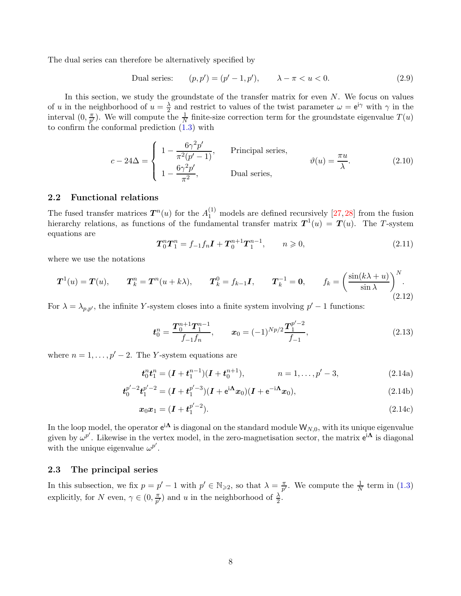The dual series can therefore be alternatively specified by

Dual series:  $) = (p' - 1, p'), \qquad \lambda - \pi < u < 0.$  (2.9)

In this section, we study the groundstate of the transfer matrix for even  $N$ . We focus on values of u in the neighborhood of  $u = \frac{\lambda}{2}$  $\frac{\lambda}{2}$  and restrict to values of the twist parameter  $\omega = e^{i\gamma}$  with  $\gamma$  in the interval  $(0, \frac{\pi}{n^{\prime}})$  $(\frac{\pi}{p'})$ . We will compute the  $\frac{1}{N}$  finite-size correction term for the groundstate eigenvalue  $T(u)$ to confirm the conformal prediction [\(1.3\)](#page-3-1) with

<span id="page-7-2"></span>
$$
c - 24\Delta = \begin{cases} 1 - \frac{6\gamma^2 p'}{\pi^2 (p' - 1)}, & \text{Principal series,} \\ 1 - \frac{6\gamma^2 p'}{\pi^2}, & \text{Dual series,} \end{cases} \qquad \vartheta(u) = \frac{\pi u}{\lambda}.
$$
 (2.10)

#### <span id="page-7-0"></span>2.2 Functional relations

The fused transfer matrices  $T^n(u)$  for the  $A_1^{(1)}$  models are defined recursively [\[27,](#page-77-7) [28\]](#page-77-3) from the fusion hierarchy relations, as functions of the fundamental transfer matrix  $T^1(u) = T(u)$ . The T-system equations are

$$
T_0^n T_1^n = f_{-1} f_n I + T_0^{n+1} T_1^{n-1}, \qquad n \geqslant 0,
$$
\n(2.11)

where we use the notations

$$
\boldsymbol{T}^{1}(u) = \boldsymbol{T}(u), \qquad \boldsymbol{T}_{k}^{n} = \boldsymbol{T}^{n}(u + k\lambda), \qquad \boldsymbol{T}_{k}^{0} = f_{k-1}\boldsymbol{I}, \qquad \boldsymbol{T}_{k}^{-1} = \boldsymbol{0}, \qquad f_{k} = \left(\frac{\sin(k\lambda + u)}{\sin\lambda}\right)^{N}.
$$
\n(2.12)

For  $\lambda = \lambda_{p,p'}$ , the infinite Y-system closes into a finite system involving  $p' - 1$  functions:

$$
\boldsymbol{t}_0^n = \frac{\boldsymbol{T}_0^{n+1} \boldsymbol{T}_1^{n-1}}{f_{-1} f_n}, \qquad \boldsymbol{x}_0 = (-1)^{Np/2} \frac{\boldsymbol{T}_1^{p'-2}}{f_{-1}}, \tag{2.13}
$$

where  $n = 1, \ldots, p' - 2$ . The Y-system equations are

$$
t_0^n t_1^n = (I + t_1^{n-1})(I + t_0^{n+1}), \qquad n = 1, \dots, p'-3,
$$
\n(2.14a)

$$
\boldsymbol{t}_{0}^{p'-2}\boldsymbol{t}_{1}^{p'-2} = (\boldsymbol{I} + \boldsymbol{t}_{1}^{p'-3})(\boldsymbol{I} + e^{i\boldsymbol{\Lambda}}\boldsymbol{x}_{0})(\boldsymbol{I} + e^{-i\boldsymbol{\Lambda}}\boldsymbol{x}_{0}),
$$
\n(2.14b)

$$
x_0 x_1 = (I + t_1^{p'-2}). \tag{2.14c}
$$

In the loop model, the operator  $e^{i\mathbf{\Lambda}}$  is diagonal on the standard module  $\mathsf{W}_{N,0},$  with its unique eigenvalue given by  $\omega^{p'}$ . Likewise in the vertex model, in the zero-magnetisation sector, the matrix  $e^{i\mathbf{\Lambda}}$  is diagonal with the unique eigenvalue  $\omega^{p'}$ .

#### <span id="page-7-1"></span>2.3 The principal series

In this subsection, we fix  $p = p' - 1$  with  $p' \in \mathbb{N}_{\geqslant 2}$ , so that  $\lambda = \frac{\pi}{p'}$  $\frac{\pi}{p'}$ . We compute the  $\frac{1}{N}$  term in [\(1.3\)](#page-3-1) explicitly, for N even,  $\gamma \in (0, \frac{\pi}{p'}$  $\frac{\pi}{p'}$ ) and u in the neighborhood of  $\frac{\lambda}{2}$ .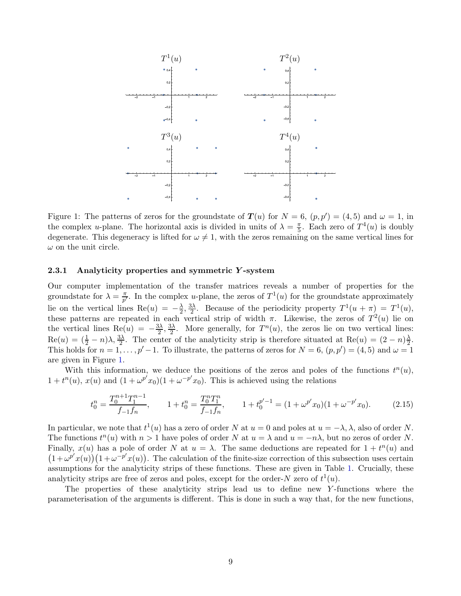

<span id="page-8-1"></span>Figure 1: The patterns of zeros for the groundstate of  $T(u)$  for  $N = 6$ ,  $(p, p') = (4, 5)$  and  $\omega = 1$ , in the complex *u*-plane. The horizontal axis is divided in units of  $\lambda = \frac{\pi}{5}$ . Each zero of  $T^4(u)$  is doubly degenerate. This degeneracy is lifted for  $\omega \neq 1$ , with the zeros remaining on the same vertical lines for  $\omega$  on the unit circle.

#### <span id="page-8-0"></span>2.3.1 Analyticity properties and symmetric Y -system

Our computer implementation of the transfer matrices reveals a number of properties for the groundstate for  $\lambda = \frac{\pi}{n'}$  $\frac{\pi}{p'}$ . In the complex *u*-plane, the zeros of  $T^1(u)$  for the groundstate approximately lie on the vertical lines  $\text{Re}(u) = -\frac{\lambda}{2}$  $\frac{\lambda}{2}, \frac{3\lambda}{2}$  $\frac{3\lambda}{2}$ . Because of the periodicity property  $T^1(u + \pi) = T^1(u)$ , these patterns are repeated in each vertical strip of width  $\pi$ . Likewise, the zeros of  $T^2(u)$  lie on the vertical lines  $\text{Re}(u) = -\frac{3\lambda}{2}, \frac{3\lambda}{2}$  $\frac{3\lambda}{2}$ . More generally, for  $T^n(u)$ , the zeros lie on two vertical lines:  $\text{Re}(u) = (\frac{1}{2} - n)\lambda, \frac{3\lambda}{2}$ . The center of the analyticity strip is therefore situated at  $\text{Re}(u) = (2 - n)\frac{\lambda}{2}$  $\frac{\lambda}{2}$ . This holds for  $n = 1, ..., p' - 1$ . To illustrate, the patterns of zeros for  $N = 6, (p, p') = (4, 5)$  and  $\omega = 1$ are given in Figure [1.](#page-8-1)

With this information, we deduce the positions of the zeros and poles of the functions  $t^n(u)$ ,  $1+t^n(u)$ ,  $x(u)$  and  $(1+\omega^{p'}x_0)(1+\omega^{-p'}x_0)$ . This is achieved using the relations

<span id="page-8-2"></span>
$$
t_0^n = \frac{T_0^{n+1} T_1^{n-1}}{f_{-1} f_n}, \qquad 1 + t_0^n = \frac{T_0^n T_1^n}{f_{-1} f_n}, \qquad 1 + t_0^{p'-1} = (1 + \omega^{p'} x_0)(1 + \omega^{-p'} x_0). \tag{2.15}
$$

In particular, we note that  $t^1(u)$  has a zero of order N at  $u = 0$  and poles at  $u = -\lambda, \lambda$ , also of order N. The functions  $t^n(u)$  with  $n > 1$  have poles of order N at  $u = \lambda$  and  $u = -n\lambda$ , but no zeros of order N. Finally,  $x(u)$  has a pole of order N at  $u = \lambda$ . The same deductions are repeated for  $1 + t<sup>n</sup>(u)$  and  $(1+\omega^{p'}x(u))(1+\omega^{-p'}x(u))$ . The calculation of the finite-size correction of this subsection uses certain assumptions for the analyticity strips of these functions. These are given in Table [1.](#page-9-1) Crucially, these analyticity strips are free of zeros and poles, except for the order-N zero of  $t^1(u)$ .

The properties of these analyticity strips lead us to define new Y -functions where the parameterisation of the arguments is different. This is done in such a way that, for the new functions,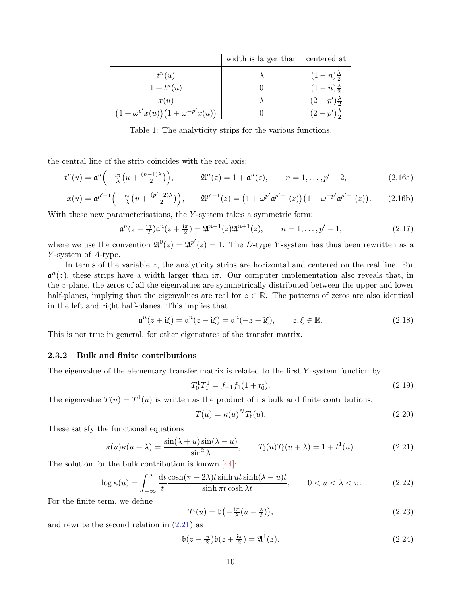|                                           | width is larger than centered at |                                                                                                                |
|-------------------------------------------|----------------------------------|----------------------------------------------------------------------------------------------------------------|
| $t^n(u)$                                  |                                  |                                                                                                                |
| $1+t^n(u)$                                |                                  |                                                                                                                |
| x(u)                                      |                                  |                                                                                                                |
| $(1+\omega^{p'}x(u))(1+\omega^{-p'}x(u))$ |                                  | $(1-n)\frac{\lambda}{2}$<br>$(1-n)\frac{\lambda}{2}$<br>$(2-p')\frac{\lambda}{2}$<br>$(2-p')\frac{\lambda}{2}$ |

<span id="page-9-1"></span>Table 1: The analyticity strips for the various functions.

the central line of the strip coincides with the real axis:

$$
t^{n}(u) = \mathfrak{a}^{n}\left(-\frac{\mathrm{i}\pi}{\lambda}\left(u + \frac{(n-1)\lambda}{2}\right)\right), \qquad \mathfrak{A}^{n}(z) = 1 + \mathfrak{a}^{n}(z), \qquad n = 1, \ldots, p'-2, \tag{2.16a}
$$

$$
x(u) = \mathfrak{a}^{p'-1} \Big( -\frac{\mathrm{i}\pi}{\lambda} \big( u + \frac{(p'-2)\lambda}{2} \big) \Big), \qquad \mathfrak{A}^{p'-1}(z) = \big( 1 + \omega^{p'} \mathfrak{a}^{p'-1}(z) \big) \big( 1 + \omega^{-p'} \mathfrak{a}^{p'-1}(z) \big). \tag{2.16b}
$$

With these new parameterisations, the  $Y$ -system takes a symmetric form:

$$
\mathfrak{a}^{n}(z - \frac{\mathrm{i}\pi}{2})\mathfrak{a}^{n}(z + \frac{\mathrm{i}\pi}{2}) = \mathfrak{A}^{n-1}(z)\mathfrak{A}^{n+1}(z), \qquad n = 1, \dots, p'-1,
$$
\n(2.17)

where we use the convention  $\mathfrak{A}^0(z) = \mathfrak{A}^{p'}(z) = 1$ . The D-type Y-system has thus been rewritten as a Y -system of A-type.

In terms of the variable z, the analyticity strips are horizontal and centered on the real line. For  $\mathfrak{a}^n(z)$ , these strips have a width larger than i $\pi$ . Our computer implementation also reveals that, in the z-plane, the zeros of all the eigenvalues are symmetrically distributed between the upper and lower half-planes, implying that the eigenvalues are real for  $z \in \mathbb{R}$ . The patterns of zeros are also identical in the left and right half-planes. This implies that

$$
\mathfrak{a}^n(z + i\xi) = \mathfrak{a}^n(z - i\xi) = \mathfrak{a}^n(-z + i\xi), \qquad z, \xi \in \mathbb{R}.
$$
 (2.18)

<span id="page-9-0"></span>This is not true in general, for other eigenstates of the transfer matrix.

## 2.3.2 Bulk and finite contributions

The eigenvalue of the elementary transfer matrix is related to the first Y-system function by

$$
T_0^1 T_1^1 = f_{-1} f_1 (1 + t_0^1). \tag{2.19}
$$

The eigenvalue  $T(u) = T<sup>1</sup>(u)$  is written as the product of its bulk and finite contributions:

$$
T(u) = \kappa(u)^N T_f(u). \tag{2.20}
$$

These satisfy the functional equations

<span id="page-9-2"></span>
$$
\kappa(u)\kappa(u+\lambda) = \frac{\sin(\lambda+u)\sin(\lambda-u)}{\sin^2\lambda}, \qquad T_f(u)T_f(u+\lambda) = 1 + t^1(u). \tag{2.21}
$$

The solution for the bulk contribution is known [\[44\]](#page-78-4):

$$
\log \kappa(u) = \int_{-\infty}^{\infty} \frac{dt}{t} \frac{\cosh(\pi - 2\lambda)t \sinh ut \sinh(\lambda - u)t}{\sinh \pi t \cosh \lambda t}, \qquad 0 < u < \lambda < \pi. \tag{2.22}
$$

For the finite term, we define

$$
T_{\rm f}(u) = \mathfrak{b}\left(-\frac{\mathrm{i}\pi}{\lambda}(u - \frac{\lambda}{2})\right),\tag{2.23}
$$

and rewrite the second relation in  $(2.21)$  as

<span id="page-9-3"></span>
$$
\mathfrak{b}(z - \frac{\mathrm{i}\pi}{2})\mathfrak{b}(z + \frac{\mathrm{i}\pi}{2}) = \mathfrak{A}^1(z). \tag{2.24}
$$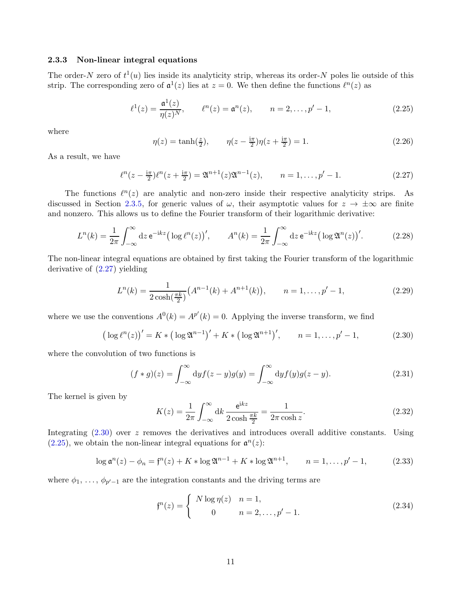# <span id="page-10-0"></span>2.3.3 Non-linear integral equations

The order-N zero of  $t^1(u)$  lies inside its analyticity strip, whereas its order-N poles lie outside of this strip. The corresponding zero of  $\mathfrak{a}^1(z)$  lies at  $z = 0$ . We then define the functions  $\ell^n(z)$  as

<span id="page-10-3"></span>
$$
\ell^{1}(z) = \frac{\mathfrak{a}^{1}(z)}{\eta(z)^{N}}, \qquad \ell^{n}(z) = \mathfrak{a}^{n}(z), \qquad n = 2, \dots, p' - 1,
$$
\n(2.25)

where

$$
\eta(z) = \tanh(\frac{z}{2}), \qquad \eta(z - \frac{i\pi}{2})\eta(z + \frac{i\pi}{2}) = 1.
$$
 (2.26)

As a result, we have

<span id="page-10-1"></span>
$$
\ell^{n}(z - \frac{\mathrm{i}\pi}{2})\ell^{n}(z + \frac{\mathrm{i}\pi}{2}) = \mathfrak{A}^{n+1}(z)\mathfrak{A}^{n-1}(z), \qquad n = 1, \dots, p'-1. \tag{2.27}
$$

The functions  $\ell^n(z)$  are analytic and non-zero inside their respective analyticity strips. As discussed in Section [2.3.5,](#page-11-1) for generic values of  $\omega$ , their asymptotic values for  $z \to \pm \infty$  are finite and nonzero. This allows us to define the Fourier transform of their logarithmic derivative:

<span id="page-10-5"></span>
$$
L^{n}(k) = \frac{1}{2\pi} \int_{-\infty}^{\infty} dz \, \mathrm{e}^{-\mathrm{i}kz} \big( \log \ell^{n}(z) \big)', \qquad A^{n}(k) = \frac{1}{2\pi} \int_{-\infty}^{\infty} dz \, \mathrm{e}^{-\mathrm{i}kz} \big( \log \mathfrak{A}^{n}(z) \big)'.
$$
 (2.28)

The non-linear integral equations are obtained by first taking the Fourier transform of the logarithmic derivative of [\(2.27\)](#page-10-1) yielding

$$
L^{n}(k) = \frac{1}{2\cosh(\frac{\pi k}{2})} \left( A^{n-1}(k) + A^{n+1}(k) \right), \qquad n = 1, \dots, p'-1,
$$
\n(2.29)

where we use the conventions  $A^0(k) = A^{p'}(k) = 0$ . Applying the inverse transform, we find

<span id="page-10-2"></span>
$$
(\log \ell^{n}(z))' = K * (\log \mathfrak{A}^{n-1})' + K * (\log \mathfrak{A}^{n+1})', \qquad n = 1, ..., p' - 1,
$$
 (2.30)

where the convolution of two functions is

<span id="page-10-6"></span>
$$
(f * g)(z) = \int_{-\infty}^{\infty} dy f(z - y)g(y) = \int_{-\infty}^{\infty} dy f(y)g(z - y).
$$
 (2.31)

The kernel is given by

$$
K(z) = \frac{1}{2\pi} \int_{-\infty}^{\infty} dk \, \frac{e^{ikz}}{2\cosh\frac{\pi k}{2}} = \frac{1}{2\pi \cosh z}.
$$
 (2.32)

Integrating  $(2.30)$  over z removes the derivatives and introduces overall additive constants. Using  $(2.25)$ , we obtain the non-linear integral equations for  $\mathfrak{a}^n(z)$ :

<span id="page-10-4"></span>
$$
\log \mathfrak{a}^n(z) - \phi_n = \mathfrak{f}^n(z) + K * \log \mathfrak{A}^{n-1} + K * \log \mathfrak{A}^{n+1}, \qquad n = 1, \dots, p'-1,
$$
 (2.33)

where  $\phi_1, \ldots, \phi_{p'-1}$  are the integration constants and the driving terms are

$$
f^{n}(z) = \begin{cases} N \log \eta(z) & n = 1, \\ 0 & n = 2, ..., p' - 1. \end{cases}
$$
 (2.34)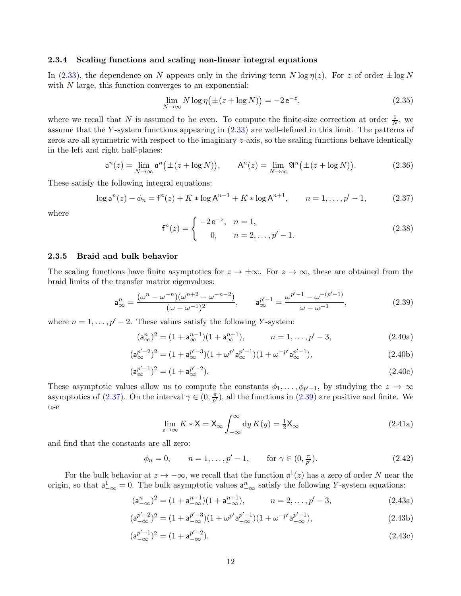#### <span id="page-11-0"></span>2.3.4 Scaling functions and scaling non-linear integral equations

In [\(2.33\)](#page-10-4), the dependence on N appears only in the driving term  $N \log \eta(z)$ . For z of order  $\pm \log N$ with  $N$  large, this function converges to an exponential:

$$
\lim_{N \to \infty} N \log \eta \left( \pm (z + \log N) \right) = -2 e^{-z},\tag{2.35}
$$

where we recall that N is assumed to be even. To compute the finite-size correction at order  $\frac{1}{N}$ , we assume that the Y -system functions appearing in [\(2.33\)](#page-10-4) are well-defined in this limit. The patterns of zeros are all symmetric with respect to the imaginary z-axis, so the scaling functions behave identically in the left and right half-planes:

$$
\mathsf{a}^n(z) = \lim_{N \to \infty} \mathsf{a}^n(\pm(z + \log N)), \qquad \mathsf{A}^n(z) = \lim_{N \to \infty} \mathfrak{A}^n(\pm(z + \log N)). \tag{2.36}
$$

These satisfy the following integral equations:

<span id="page-11-2"></span>
$$
\log \mathsf{a}^n(z) - \phi_n = \mathsf{f}^n(z) + K * \log \mathsf{A}^{n-1} + K * \log \mathsf{A}^{n+1}, \qquad n = 1, \dots, p' - 1,\tag{2.37}
$$

where

$$
f^{n}(z) = \begin{cases} -2e^{-z}, & n = 1, \\ 0, & n = 2, \dots, p'-1. \end{cases}
$$
 (2.38)

#### <span id="page-11-1"></span>2.3.5 Braid and bulk behavior

The scaling functions have finite asymptotics for  $z \to \pm \infty$ . For  $z \to \infty$ , these are obtained from the braid limits of the transfer matrix eigenvalues:

<span id="page-11-3"></span>
$$
a_{\infty}^{n} = \frac{(\omega^{n} - \omega^{-n})(\omega^{n+2} - \omega^{-n-2})}{(\omega - \omega^{-1})^{2}}, \qquad a_{\infty}^{p'-1} = \frac{\omega^{p'-1} - \omega^{-(p'-1)}}{\omega - \omega^{-1}},
$$
(2.39)

where  $n = 1, \ldots, p' - 2$ . These values satisfy the following Y-system:

$$
(\mathsf{a}_{\infty}^n)^2 = (1 + \mathsf{a}_{\infty}^{n-1})(1 + \mathsf{a}_{\infty}^{n+1}), \qquad n = 1, \dots, p' - 3,
$$
 (2.40a)

$$
(\mathsf{a}_{\infty}^{p'-2})^2 = (1 + \mathsf{a}_{\infty}^{p'-3})(1 + \omega^{p'} \mathsf{a}_{\infty}^{p'-1})(1 + \omega^{-p'} \mathsf{a}_{\infty}^{p'-1}),\tag{2.40b}
$$

$$
(\mathsf{a}_{\infty}^{p'-1})^2 = (1 + \mathsf{a}_{\infty}^{p'-2}).\tag{2.40c}
$$

These asymptotic values allow us to compute the constants  $\phi_1, \ldots, \phi_{p'-1}$ , by studying the  $z \to \infty$ asymptotics of [\(2.37\)](#page-11-2). On the interval  $\gamma \in (0, \frac{\pi}{p'}$  $(\frac{\pi}{p'})$ , all the functions in [\(2.39\)](#page-11-3) are positive and finite. We use

<span id="page-11-5"></span><span id="page-11-4"></span>
$$
\lim_{z \to \infty} K * \mathsf{X} = \mathsf{X}_{\infty} \int_{-\infty}^{\infty} \mathrm{d}y \, K(y) = \frac{1}{2} \mathsf{X}_{\infty} \tag{2.41a}
$$

and find that the constants are all zero:

 $\phi_n = 0, \quad n = 1, \dots, p' - 1, \quad \text{for } \gamma \in (0, \frac{\pi}{p'}$ p  $(2.42)$ 

For the bulk behavior at  $z \to -\infty$ , we recall that the function  $\mathfrak{a}^1(z)$  has a zero of order N near the origin, so that  $a_{-\infty}^1 = 0$ . The bulk asymptotic values  $a_{-\infty}^n$  satisfy the following Y-system equations:

$$
(\mathsf{a}_{-\infty}^n)^2 = (1 + \mathsf{a}_{-\infty}^{n-1})(1 + \mathsf{a}_{-\infty}^{n+1}), \qquad n = 2, \dots, p' - 3,
$$
 (2.43a)

$$
(\mathsf{a}_{-\infty}^{p'-2})^2 = (1 + \mathsf{a}_{-\infty}^{p'-3})(1 + \omega^{p'} \mathsf{a}_{-\infty}^{p'-1})(1 + \omega^{-p'} \mathsf{a}_{-\infty}^{p'-1}),\tag{2.43b}
$$

$$
(\mathsf{a}_{-\infty}^{p'-1})^2 = (1 + \mathsf{a}_{-\infty}^{p'-2}).\tag{2.43c}
$$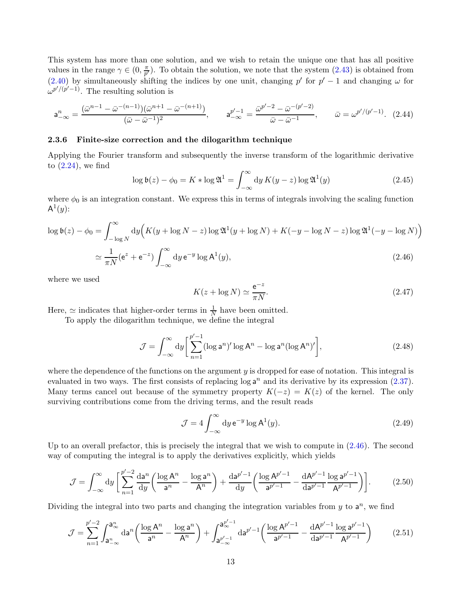This system has more than one solution, and we wish to retain the unique one that has all positive values in the range  $\gamma \in (0, \frac{\pi}{p'}$  $\frac{\pi}{p'}$ ). To obtain the solution, we note that the system  $(2.43)$  is obtained from [\(2.40\)](#page-11-5) by simultaneously shifting the indices by one unit, changing p' for  $p' - 1$  and changing  $\omega$  for  $\omega^{p'/(p'-1)}$ . The resulting solution is

$$
\mathsf{a}_{-\infty}^{n} = \frac{(\bar{\omega}^{n-1} - \bar{\omega}^{-(n-1)})(\bar{\omega}^{n+1} - \bar{\omega}^{-(n+1)})}{(\bar{\omega} - \bar{\omega}^{-1})^{2}}, \qquad \mathsf{a}_{-\infty}^{p'-1} = \frac{\bar{\omega}^{p'-2} - \bar{\omega}^{-(p'-2)}}{\bar{\omega} - \bar{\omega}^{-1}}, \qquad \bar{\omega} = \omega^{p'/(p'-1)}.
$$
 (2.44)

# <span id="page-12-0"></span>2.3.6 Finite-size correction and the dilogarithm technique

Applying the Fourier transform and subsequently the inverse transform of the logarithmic derivative to  $(2.24)$ , we find

$$
\log \mathfrak{b}(z) - \phi_0 = K * \log \mathfrak{A}^1 = \int_{-\infty}^{\infty} \mathrm{d}y \, K(y - z) \log \mathfrak{A}^1(y) \tag{2.45}
$$

where  $\phi_0$  is an integration constant. We express this in terms of integrals involving the scaling function  $\mathsf{A}^1(y)$ :

$$
\log \mathfrak{b}(z) - \phi_0 = \int_{-\log N}^{\infty} dy \Big( K(y + \log N - z) \log \mathfrak{A}^1(y + \log N) + K(-y - \log N - z) \log \mathfrak{A}^1(-y - \log N) \Big)
$$
  

$$
\simeq \frac{1}{\pi N} (e^z + e^{-z}) \int_{-\infty}^{\infty} dy e^{-y} \log A^1(y), \tag{2.46}
$$

where we used

<span id="page-12-1"></span>
$$
K(z + \log N) \simeq \frac{e^{-z}}{\pi N}.
$$
\n(2.47)

Here,  $\simeq$  indicates that higher-order terms in  $\frac{1}{N}$  have been omitted.

To apply the dilogarithm technique, we define the integral

$$
\mathcal{J} = \int_{-\infty}^{\infty} dy \left[ \sum_{n=1}^{p'-1} (\log \mathsf{a}^n)' \log \mathsf{A}^n - \log \mathsf{a}^n (\log \mathsf{A}^n)' \right],\tag{2.48}
$$

where the dependence of the functions on the argument  $y$  is dropped for ease of notation. This integral is evaluated in two ways. The first consists of replacing  $\log a^n$  and its derivative by its expression  $(2.37)$ . Many terms cancel out because of the symmetry property  $K(-z) = K(z)$  of the kernel. The only surviving contributions come from the driving terms, and the result reads

$$
\mathcal{J} = 4 \int_{-\infty}^{\infty} dy \, \mathrm{e}^{-y} \log \mathrm{A}^1(y). \tag{2.49}
$$

Up to an overall prefactor, this is precisely the integral that we wish to compute in [\(2.46\)](#page-12-1). The second way of computing the integral is to apply the derivatives explicitly, which yields

$$
\mathcal{J} = \int_{-\infty}^{\infty} dy \left[ \sum_{n=1}^{p'-2} \frac{da^n}{dy} \left( \frac{\log A^n}{a^n} - \frac{\log a^n}{A^n} \right) + \frac{da^{p'-1}}{dy} \left( \frac{\log A^{p'-1}}{a^{p'-1}} - \frac{dA^{p'-1}}{da^{p'-1}} \frac{\log a^{p'-1}}{A^{p'-1}} \right) \right].
$$
 (2.50)

Dividing the integral into two parts and changing the integration variables from  $y$  to  $a^n$ , we find

$$
\mathcal{J} = \sum_{n=1}^{p'-2} \int_{\mathbf{a}_{-\infty}^n}^{\mathbf{a}_{\infty}^n} d\mathbf{a}^n \left( \frac{\log \mathbf{A}^n}{\mathbf{a}^n} - \frac{\log \mathbf{a}^n}{\mathbf{A}^n} \right) + \int_{\mathbf{a}_{-\infty}^{p'-1}}^{\mathbf{a}_{\infty}^{p'-1}} d\mathbf{a}^{p'-1} \left( \frac{\log \mathbf{A}^{p'-1}}{\mathbf{a}^{p'-1}} - \frac{d\mathbf{A}^{p'-1}}{d\mathbf{a}^{p'-1}} \frac{\log \mathbf{a}^{p'-1}}{\mathbf{A}^{p'-1}} \right) \tag{2.51}
$$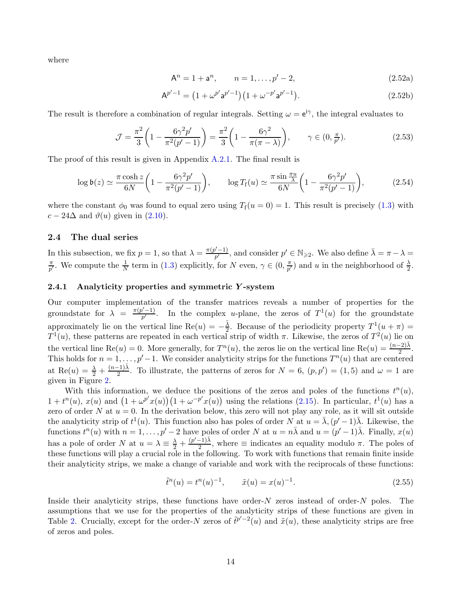where

$$
A^n = 1 + a^n, \qquad n = 1, \dots, p' - 2,
$$
\n(2.52a)

$$
A^{p'-1} = (1 + \omega^{p'} a^{p'-1}) (1 + \omega^{-p'} a^{p'-1}).
$$
\n(2.52b)

The result is therefore a combination of regular integrals. Setting  $\omega = e^{i\gamma}$ , the integral evaluates to

$$
\mathcal{J} = \frac{\pi^2}{3} \left( 1 - \frac{6\gamma^2 p'}{\pi^2 (p' - 1)} \right) = \frac{\pi^2}{3} \left( 1 - \frac{6\gamma^2}{\pi (\pi - \lambda)} \right), \qquad \gamma \in (0, \frac{\pi}{p'}). \tag{2.53}
$$

The proof of this result is given in Appendix [A.2.1.](#page-69-1) The final result is

$$
\log \mathfrak{b}(z) \simeq \frac{\pi \cosh z}{6N} \bigg( 1 - \frac{6\gamma^2 p'}{\pi^2 (p'-1)} \bigg), \qquad \log T_{\rm f}(u) \simeq \frac{\pi \sin \frac{\pi u}{\lambda}}{6N} \bigg( 1 - \frac{6\gamma^2 p'}{\pi^2 (p'-1)} \bigg), \tag{2.54}
$$

where the constant  $\phi_0$  was found to equal zero using  $T_f(u=0) = 1$ . This result is precisely [\(1.3\)](#page-3-1) with  $c - 24\Delta$  and  $\vartheta(u)$  given in [\(2.10\)](#page-7-2).

# <span id="page-13-0"></span>2.4 The dual series

In this subsection, we fix  $p = 1$ , so that  $\lambda = \frac{\pi(p'-1)}{p'}$  $p'$ <sup>-1</sup>, and consider  $p' \in \mathbb{N}_{\geqslant 2}$ . We also define  $\bar{\lambda} = \pi - \lambda =$ π  $\frac{\pi}{p'}$ . We compute the  $\frac{1}{N}$  term in [\(1.3\)](#page-3-1) explicitly, for N even,  $\gamma \in (0, \frac{\pi}{p'}$  $\frac{\pi}{p'}$ ) and u in the neighborhood of  $\frac{\lambda}{2}$ .

#### <span id="page-13-1"></span>2.4.1 Analyticity properties and symmetric Y -system

Our computer implementation of the transfer matrices reveals a number of properties for the groundstate for  $\lambda = \frac{\pi(p'-1)}{p'}$  $\frac{p^{y}-1}{p^{y}}$ . In the complex u-plane, the zeros of  $T^{1}(u)$  for the groundstate approximately lie on the vertical line  $\text{Re}(u) = -\frac{\bar{\lambda}}{2}$  $\frac{\lambda}{2}$ . Because of the periodicity property  $T^1(u + \pi) =$  $T^1(u)$ , these patterns are repeated in each vertical strip of width π. Likewise, the zeros of  $T^2(u)$  lie on the vertical line  $\text{Re}(u) = 0$ . More generally, for  $T^n(u)$ , the zeros lie on the vertical line  $\text{Re}(u) = \frac{(n-2)\bar{\lambda}}{2}$ . This holds for  $n = 1, \ldots, p' - 1$ . We consider analyticity strips for the functions  $T<sup>n</sup>(u)$  that are centered at Re(u) =  $\frac{\lambda}{2} + \frac{(n-1)\overline{\lambda}}{2}$  $\frac{(-1)\lambda}{2}$ . To illustrate, the patterns of zeros for  $N = 6$ ,  $(p, p') = (1, 5)$  and  $\omega = 1$  are given in Figure [2.](#page-14-0)

With this information, we deduce the positions of the zeros and poles of the functions  $t^n(u)$ ,  $1+t^n(u)$ ,  $x(u)$  and  $(1+\omega^{p'}x(u))(1+\omega^{-p'}x(u))$  using the relations [\(2.15\)](#page-8-2). In particular,  $t^1(u)$  has a zero of order N at  $u = 0$ . In the derivation below, this zero will not play any role, as it will sit outside the analyticity strip of  $t^1(u)$ . This function also has poles of order  $N$  at  $u = \overline{\lambda}, (p' - 1)\overline{\lambda}$ . Likewise, the functions  $t^n(u)$  with  $n = 1, \ldots, p' - 2$  have poles of order N at  $u = n\overline{\lambda}$  and  $u = (p' - 1)\overline{\lambda}$ . Finally,  $x(u)$ has a pole of order N at  $u = \lambda \equiv \frac{\lambda}{2} + \frac{(p'-1)\overline{\lambda}}{2}$  $\frac{(-1)}{2}$ , where  $\equiv$  indicates an equality modulo  $\pi$ . The poles of these functions will play a crucial role in the following. To work with functions that remain finite inside their analyticity strips, we make a change of variable and work with the reciprocals of these functions:

$$
\tilde{t}^{n}(u) = t^{n}(u)^{-1}, \qquad \tilde{x}(u) = x(u)^{-1}.
$$
\n(2.55)

Inside their analyticity strips, these functions have order- $N$  zeros instead of order- $N$  poles. The assumptions that we use for the properties of the analyticity strips of these functions are given in Table [2.](#page-15-2) Crucially, except for the order-N zeros of  $\tilde{t}^{p'-2}(u)$  and  $\tilde{x}(u)$ , these analyticity strips are free of zeros and poles.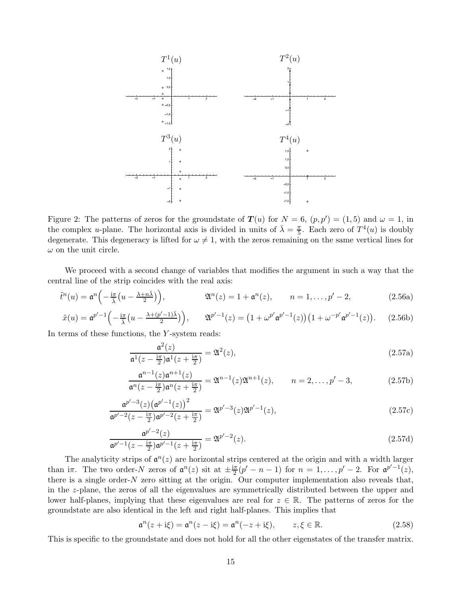

<span id="page-14-0"></span>Figure 2: The patterns of zeros for the groundstate of  $T(u)$  for  $N = 6$ ,  $(p, p') = (1, 5)$  and  $\omega = 1$ , in the complex *u*-plane. The horizontal axis is divided in units of  $\bar{\lambda} = \frac{\pi}{5}$  $\frac{\pi}{5}$ . Each zero of  $T^4(u)$  is doubly degenerate. This degeneracy is lifted for  $\omega \neq 1$ , with the zeros remaining on the same vertical lines for  $\omega$  on the unit circle.

We proceed with a second change of variables that modifies the argument in such a way that the central line of the strip coincides with the real axis:

$$
\tilde{t}^n(u) = \mathfrak{a}^n\left(-\frac{\mathrm{i}\pi}{\bar{\lambda}}\left(u - \frac{\lambda + n\bar{\lambda}}{2}\right)\right), \qquad \mathfrak{A}^n(z) = 1 + \mathfrak{a}^n(z), \qquad n = 1, \dots, p'-2, \qquad (2.56a)
$$

$$
\tilde{x}(u) = \mathfrak{a}^{p'-1} \left( -\frac{i\pi}{\bar{\lambda}} \left( u - \frac{\lambda + (p'-1)\bar{\lambda}}{2} \right) \right), \qquad \mathfrak{A}^{p'-1}(z) = \left( 1 + \omega^{p'} \mathfrak{a}^{p'-1}(z) \right) \left( 1 + \omega^{-p'} \mathfrak{a}^{p'-1}(z) \right). \tag{2.56b}
$$

In terms of these functions, the Y -system reads:

<span id="page-14-1"></span>
$$
\frac{\mathfrak{a}^2(z)}{\mathfrak{a}^1(z-\frac{i\pi}{2})\mathfrak{a}^1(z+\frac{i\pi}{2})} = \mathfrak{A}^2(z),\tag{2.57a}
$$

$$
\frac{\mathfrak{a}^{n-1}(z)\mathfrak{a}^{n+1}(z)}{\mathfrak{a}^n(z-\frac{i\pi}{2})\mathfrak{a}^n(z+\frac{i\pi}{2})} = \mathfrak{A}^{n-1}(z)\mathfrak{A}^{n+1}(z), \qquad n = 2, \dots, p'-3,
$$
\n(2.57b)

$$
\frac{\mathfrak{a}^{p'-3}(z)(\mathfrak{a}^{p'-1}(z))^2}{\mathfrak{a}^{p'-2}(z-\frac{\mathrm{i}\pi}{2})\mathfrak{a}^{p'-2}(z+\frac{\mathrm{i}\pi}{2})} = \mathfrak{A}^{p'-3}(z)\mathfrak{A}^{p'-1}(z),\tag{2.57c}
$$

$$
\frac{\mathfrak{a}^{p'-2}(z)}{\mathfrak{a}^{p'-1}(z-\frac{i\pi}{2})\mathfrak{a}^{p'-1}(z+\frac{i\pi}{2})} = \mathfrak{A}^{p'-2}(z). \tag{2.57d}
$$

The analyticity strips of  $\mathfrak{a}^n(z)$  are horizontal strips centered at the origin and with a width larger than i $\pi$ . The two order-N zeros of  $\mathfrak{a}^n(z)$  sit at  $\pm \frac{i\pi}{2}$  $\frac{\pi}{2}(p'-n-1)$  for  $n=1,\ldots,p'-2$ . For  $\mathfrak{a}^{p'-1}(z)$ , there is a single order- $N$  zero sitting at the origin. Our computer implementation also reveals that, in the z-plane, the zeros of all the eigenvalues are symmetrically distributed between the upper and lower half-planes, implying that these eigenvalues are real for  $z \in \mathbb{R}$ . The patterns of zeros for the groundstate are also identical in the left and right half-planes. This implies that

$$
\mathfrak{a}^n(z + i\xi) = \mathfrak{a}^n(z - i\xi) = \mathfrak{a}^n(-z + i\xi), \qquad z, \xi \in \mathbb{R}.
$$
 (2.58)

This is specific to the groundstate and does not hold for all the other eigenstates of the transfer matrix.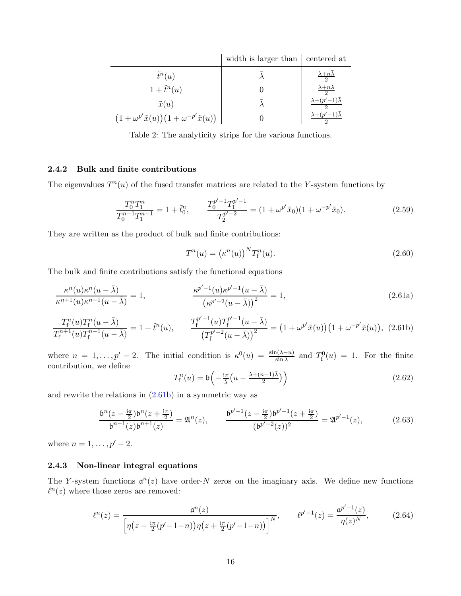|                                                           | width is larger than eentered at |                                         |
|-----------------------------------------------------------|----------------------------------|-----------------------------------------|
| $\tilde{t}^n(u)$                                          |                                  | $\frac{\lambda+n\lambda}{2}$            |
| $1+\tilde{t}^n(u)$                                        |                                  | $\frac{\lambda+n\overline{\lambda}}{2}$ |
| $\tilde{x}(u)$                                            |                                  | $\lambda+(p'-1)\bar{\lambda}$           |
| $(1+\omega^{p'}\tilde{x}(u))(1+\omega^{-p'}\tilde{x}(u))$ |                                  | $\lambda+(p'-1)\overline{\lambda}$      |

<span id="page-15-2"></span>Table 2: The analyticity strips for the various functions.

# <span id="page-15-0"></span>2.4.2 Bulk and finite contributions

The eigenvalues  $T^n(u)$  of the fused transfer matrices are related to the Y-system functions by

$$
\frac{T_0^n T_1^n}{T_0^{n+1} T_1^{n-1}} = 1 + \tilde{t}_0^n, \qquad \frac{T_0^{p'-1} T_1^{p'-1}}{T_2^{p'-2}} = (1 + \omega^{p'} \tilde{x}_0)(1 + \omega^{-p'} \tilde{x}_0). \tag{2.59}
$$

They are written as the product of bulk and finite contributions:

<span id="page-15-3"></span>
$$
T^n(u) = \left(\kappa^n(u)\right)^N T_\mathrm{f}^n(u). \tag{2.60}
$$

The bulk and finite contributions satisfy the functional equations

$$
\frac{\kappa^{n}(u)\kappa^{n}(u-\bar{\lambda})}{\kappa^{n+1}(u)\kappa^{n-1}(u-\bar{\lambda})}=1, \qquad \frac{\kappa^{p'-1}(u)\kappa^{p'-1}(u-\bar{\lambda})}{(\kappa^{p'-2}(u-\bar{\lambda}))^{2}}=1, \qquad (2.61a)
$$

$$
\frac{T_{\rm f}^n(u)T_{\rm f}^n(u-\bar{\lambda})}{T_{\rm f}^{n+1}(u)T_{\rm f}^{n-1}(u-\bar{\lambda})}=1+\tilde{t}^n(u),\qquad \frac{T_{\rm f}^{p'-1}(u)T_{\rm f}^{p'-1}(u-\bar{\lambda})}{\left(T_{\rm f}^{p'-2}(u-\bar{\lambda})\right)^2}=\left(1+\omega^{p'}\tilde{x}(u)\right)\left(1+\omega^{-p'}\tilde{x}(u)\right),\tag{2.61b}
$$

where  $n = 1, \ldots, p' - 2$ . The initial condition is  $\kappa^0(u) = \frac{\sin(\lambda - u)}{\sin \lambda}$  and  $T_f^0(u) = 1$ . For the finite contribution, we define

$$
T_{\rm f}^n(u) = \mathfrak{b}\left(-\frac{\mathrm{i}\pi}{\bar{\lambda}}\left(u - \frac{\lambda + (n-1)\bar{\lambda}}{2}\right)\right) \tag{2.62}
$$

and rewrite the relations in [\(2.61b\)](#page-15-3) in a symmetric way as

<span id="page-15-5"></span>
$$
\frac{\mathfrak{b}^n(z-\frac{i\pi}{2})\mathfrak{b}^n(z+\frac{i\pi}{2})}{\mathfrak{b}^{n-1}(z)\mathfrak{b}^{n+1}(z)} = \mathfrak{A}^n(z), \qquad \frac{\mathfrak{b}^{p'-1}(z-\frac{i\pi}{2})\mathfrak{b}^{p'-1}(z+\frac{i\pi}{2})}{(\mathfrak{b}^{p'-2}(z))^2} = \mathfrak{A}^{p'-1}(z), \tag{2.63}
$$

where  $n = 1, ..., p' - 2$ .

# <span id="page-15-1"></span>2.4.3 Non-linear integral equations

The Y-system functions  $\mathfrak{a}^n(z)$  have order-N zeros on the imaginary axis. We define new functions  $\ell^n(z)$  where those zeros are removed:

<span id="page-15-4"></span>
$$
\ell^{n}(z) = \frac{\mathfrak{a}^{n}(z)}{\left[\eta(z - \frac{\mathrm{i}\pi}{2}(p'-1-n))\eta(z + \frac{\mathrm{i}\pi}{2}(p'-1-n))\right]^{N}}, \qquad \ell^{p'-1}(z) = \frac{\mathfrak{a}^{p'-1}(z)}{\eta(z)^{N}}, \tag{2.64}
$$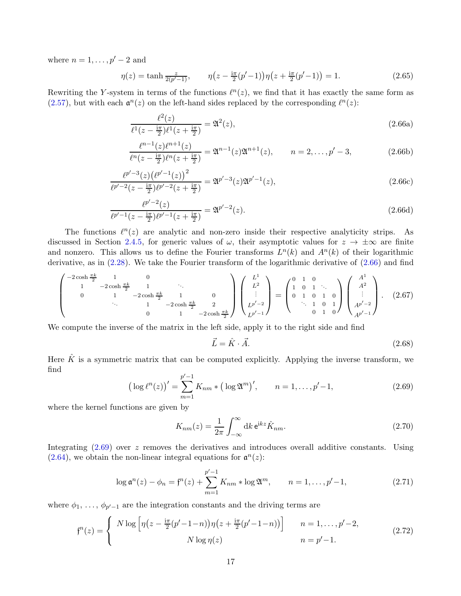where  $n = 1, \ldots, p' - 2$  and

$$
\eta(z) = \tanh \frac{z}{2(p'-1)}, \qquad \eta(z - \frac{i\pi}{2}(p'-1))\eta(z + \frac{i\pi}{2}(p'-1)) = 1.
$$
 (2.65)

Rewriting the Y-system in terms of the functions  $\ell^{n}(z)$ , we find that it has exactly the same form as [\(2.57\)](#page-14-1), but with each  $\mathfrak{a}^n(z)$  on the left-hand sides replaced by the corresponding  $\ell^n(z)$ :

<span id="page-16-0"></span>
$$
\frac{\ell^2(z)}{\ell^1(z - \frac{i\pi}{2})\ell^1(z + \frac{i\pi}{2})} = \mathfrak{A}^2(z),\tag{2.66a}
$$

$$
\frac{\ell^{n-1}(z)\ell^{n+1}(z)}{\ell^n(z-\frac{i\pi}{2})\ell^n(z+\frac{i\pi}{2})} = \mathfrak{A}^{n-1}(z)\mathfrak{A}^{n+1}(z), \qquad n = 2,\ldots,p'-3,
$$
\n(2.66b)

$$
\frac{\ell^{p'-3}(z)\left(\ell^{p'-1}(z)\right)^2}{\ell^{p'-2}(z-\frac{i\pi}{2})\ell^{p'-2}(z+\frac{i\pi}{2})} = \mathfrak{A}^{p'-3}(z)\mathfrak{A}^{p'-1}(z),\tag{2.66c}
$$

$$
\frac{\ell^{p'-2}(z)}{\ell^{p'-1}(z-\frac{i\pi}{2})\ell^{p'-1}(z+\frac{i\pi}{2})} = \mathfrak{A}^{p'-2}(z). \tag{2.66d}
$$

The functions  $\ell^n(z)$  are analytic and non-zero inside their respective analyticity strips. As discussed in Section [2.4.5,](#page-17-1) for generic values of  $\omega$ , their asymptotic values for  $z \to \pm \infty$  are finite and nonzero. This allows us to define the Fourier transforms  $L^n(k)$  and  $A^n(k)$  of their logarithmic derivative, as in [\(2.28\)](#page-10-5). We take the Fourier transform of the logarithmic derivative of [\(2.66\)](#page-16-0) and find

$$
\begin{pmatrix}\n-2\cosh\frac{\pi k}{2} & 1 & 0 \\
1 & -2\cosh\frac{\pi k}{2} & 1 & \cdots \\
0 & 1 & -2\cosh\frac{\pi k}{2} & 1 & 0 \\
& & 1 & -2\cosh\frac{\pi k}{2} & 2 \\
& & & 0 & 1 & -2\cosh\frac{\pi k}{2}\n\end{pmatrix}\n\begin{pmatrix}\nL^1 \\
L^2 \\
\vdots \\
L^{p'-2} \\
L^{p'-1}\n\end{pmatrix} = \begin{pmatrix}\n0 & 1 & 0 \\
1 & 0 & 1 \\
0 & 1 & 0 & 1 \\
\cdots & 1 & 0 & 1 \\
0 & 1 & 0 & 1\n\end{pmatrix}\n\begin{pmatrix}\nA^1 \\
A^2 \\
\vdots \\
A^{p'-2} \\
A^{p'-1}\n\end{pmatrix}.\n\tag{2.67}
$$

We compute the inverse of the matrix in the left side, apply it to the right side and find

$$
\vec{L} = \hat{K} \cdot \vec{A}.\tag{2.68}
$$

Here  $\hat{K}$  is a symmetric matrix that can be computed explicitly. Applying the inverse transform, we find

<span id="page-16-1"></span>
$$
\left(\log \ell^{n}(z)\right)' = \sum_{m=1}^{p'-1} K_{nm} * \left(\log \mathfrak{A}^{m}\right)', \qquad n = 1, \ldots, p'-1,
$$
\n(2.69)

where the kernel functions are given by

<span id="page-16-3"></span>
$$
K_{nm}(z) = \frac{1}{2\pi} \int_{-\infty}^{\infty} dk \, \mathrm{e}^{\mathrm{i}kz} \hat{K}_{nm}.
$$
 (2.70)

Integrating  $(2.69)$  over z removes the derivatives and introduces overall additive constants. Using [\(2.64\)](#page-15-4), we obtain the non-linear integral equations for  $\mathfrak{a}^n(z)$ :

<span id="page-16-2"></span>
$$
\log \mathfrak{a}^n(z) - \phi_n = \mathfrak{f}^n(z) + \sum_{m=1}^{p'-1} K_{nm} * \log \mathfrak{A}^m, \qquad n = 1, \dots, p'-1,
$$
 (2.71)

where  $\phi_1, \ldots, \phi_{p'-1}$  are the integration constants and the driving terms are

$$
f^{n}(z) = \begin{cases} N \log \left[ \eta \left( z - \frac{i\pi}{2} (p' - 1 - n) \right) \eta \left( z + \frac{i\pi}{2} (p' - 1 - n) \right) \right] & n = 1, \dots, p' - 2, \\ N \log \eta(z) & n = p' - 1. \end{cases}
$$
(2.72)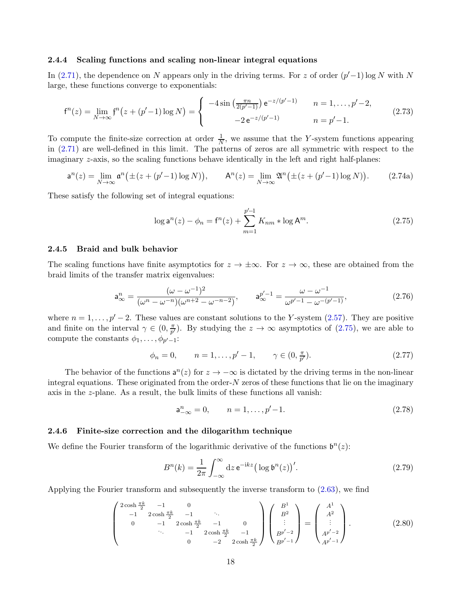#### <span id="page-17-0"></span>2.4.4 Scaling functions and scaling non-linear integral equations

In [\(2.71\)](#page-16-2), the dependence on N appears only in the driving terms. For z of order  $(p'-1)$  log N with N large, these functions converge to exponentials:

$$
f^{n}(z) = \lim_{N \to \infty} f^{n}(z + (p'-1)\log N) = \begin{cases} -4\sin\left(\frac{\pi n}{2(p'-1)}\right)e^{-z/(p'-1)} & n = 1, \dots, p'-2, \\ -2e^{-z/(p'-1)} & n = p'-1. \end{cases}
$$
(2.73)

To compute the finite-size correction at order  $\frac{1}{N}$ , we assume that the Y-system functions appearing in [\(2.71\)](#page-16-2) are well-defined in this limit. The patterns of zeros are all symmetric with respect to the imaginary z-axis, so the scaling functions behave identically in the left and right half-planes:

$$
\mathsf{a}^{n}(z) = \lim_{N \to \infty} \mathsf{a}^{n}(\pm (z + (p' - 1) \log N)), \qquad \mathsf{A}^{n}(z) = \lim_{N \to \infty} \mathfrak{A}^{n}(\pm (z + (p' - 1) \log N)). \tag{2.74a}
$$

These satisfy the following set of integral equations:

<span id="page-17-3"></span>
$$
\log \mathsf{a}^n(z) - \phi_n = \mathsf{f}^n(z) + \sum_{m=1}^{p'-1} K_{nm} * \log \mathsf{A}^m.
$$
 (2.75)

#### <span id="page-17-1"></span>2.4.5 Braid and bulk behavior

The scaling functions have finite asymptotics for  $z \to \pm \infty$ . For  $z \to \infty$ , these are obtained from the braid limits of the transfer matrix eigenvalues:

<span id="page-17-4"></span>
$$
a_{\infty}^{n} = \frac{(\omega - \omega^{-1})^{2}}{(\omega^{n} - \omega^{-n})(\omega^{n+2} - \omega^{-n-2})}, \qquad a_{\infty}^{p'-1} = \frac{\omega - \omega^{-1}}{\omega^{p'-1} - \omega^{-(p'-1)}},
$$
(2.76)

where  $n = 1, \ldots, p' - 2$ . These values are constant solutions to the Y-system [\(2.57\)](#page-14-1). They are positive and finite on the interval  $\gamma \in (0, \frac{\pi}{p'}$  $\frac{\pi}{p'}$ ). By studying the  $z \to \infty$  asymptotics of [\(2.75\)](#page-17-3), we are able to compute the constants  $\phi_1, \ldots, \phi_{p'-1}$ :

$$
\phi_n = 0, \qquad n = 1, \dots, p' - 1, \qquad \gamma \in (0, \frac{\pi}{p'}). \tag{2.77}
$$

The behavior of the functions  $a^n(z)$  for  $z \to -\infty$  is dictated by the driving terms in the non-linear integral equations. These originated from the order- $N$  zeros of these functions that lie on the imaginary axis in the z-plane. As a result, the bulk limits of these functions all vanish:

<span id="page-17-5"></span>
$$
a_{-\infty}^n = 0, \qquad n = 1, \dots, p'-1. \tag{2.78}
$$

#### <span id="page-17-2"></span>2.4.6 Finite-size correction and the dilogarithm technique

We define the Fourier transform of the logarithmic derivative of the functions  $\mathfrak{b}^n(z)$ :

$$
B^{n}(k) = \frac{1}{2\pi} \int_{-\infty}^{\infty} dz \, \mathrm{e}^{-\mathrm{i}kz} \big( \log \mathfrak{b}^{n}(z) \big)^{\prime} . \tag{2.79}
$$

Applying the Fourier transform and subsequently the inverse transform to [\(2.63\)](#page-15-5), we find

$$
\begin{pmatrix}\n2\cosh\frac{\pi k}{2} & -1 & 0 \\
-1 & 2\cosh\frac{\pi k}{2} & -1 & \cdot \\
0 & -1 & 2\cosh\frac{\pi k}{2} & -1 & 0 \\
\cdot & \cdot & -1 & 2\cosh\frac{\pi k}{2} & -1 \\
0 & -2 & 2\cosh\frac{\pi k}{2} & \cdot\n\end{pmatrix}\n\begin{pmatrix}\nB^1 \\
B^2 \\
\vdots \\
B^{p'-2} \\
B^{p'-1}\n\end{pmatrix} = \begin{pmatrix}\nA^1 \\
A^2 \\
\vdots \\
A^{p'-2} \\
A^{p'-1}\n\end{pmatrix}.
$$
\n(2.80)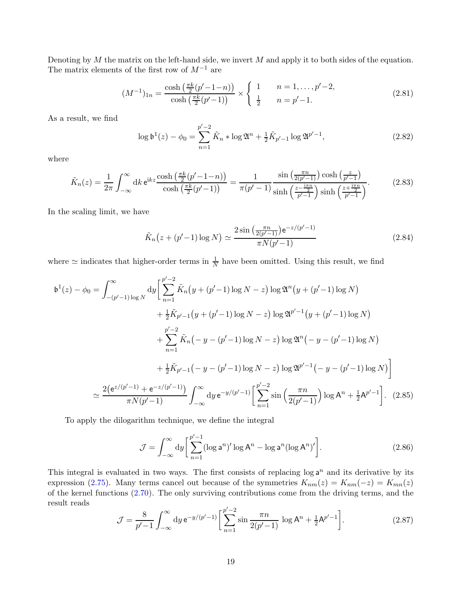Denoting by  $M$  the matrix on the left-hand side, we invert  $M$  and apply it to both sides of the equation. The matrix elements of the first row of  $M^{-1}$  are

$$
(M^{-1})_{1n} = \frac{\cosh\left(\frac{\pi k}{2}(p'-1-n)\right)}{\cosh\left(\frac{\pi k}{2}(p'-1)\right)} \times \begin{cases} 1 & n = 1, \dots, p'-2, \\ \frac{1}{2} & n = p'-1. \end{cases}
$$
 (2.81)

As a result, we find

$$
\log \mathfrak{b}^1(z) - \phi_0 = \sum_{n=1}^{p'-2} \tilde{K}_n * \log \mathfrak{A}^n + \frac{1}{2} \tilde{K}_{p'-1} \log \mathfrak{A}^{p'-1},\tag{2.82}
$$

where

$$
\tilde{K}_n(z) = \frac{1}{2\pi} \int_{-\infty}^{\infty} dk \, \mathrm{e}^{\mathrm{i}kz} \frac{\cosh\left(\frac{\pi k}{2}(p'-1-n)\right)}{\cosh\left(\frac{\pi k}{2}(p'-1)\right)} = \frac{1}{\pi(p'-1)} \frac{\sin\left(\frac{\pi n}{2(p'-1)}\right)\cosh\left(\frac{z}{p'-1}\right)}{\sinh\left(\frac{z-\frac{\mathrm{i}\pi n}{2}}{p'-1}\right)\sinh\left(\frac{z+\frac{\mathrm{i}\pi n}{2}}{p'-1}\right)}.
$$
\n(2.83)

In the scaling limit, we have

$$
\tilde{K}_n(z + (p'-1)\log N) \simeq \frac{2\sin\left(\frac{\pi n}{2(p'-1)}\right)e^{-z/(p'-1)}}{\pi N(p'-1)}
$$
\n(2.84)

where  $\simeq$  indicates that higher-order terms in  $\frac{1}{N}$  have been omitted. Using this result, we find

$$
\mathfrak{b}^{1}(z) - \phi_{0} = \int_{-(p'-1)\log N}^{\infty} dy \left[ \sum_{n=1}^{p'-2} \tilde{K}_{n}(y + (p'-1)\log N - z) \log \mathfrak{A}^{n}(y + (p'-1)\log N) + \frac{1}{2} \tilde{K}_{p'-1}(y + (p'-1)\log N - z) \log \mathfrak{A}^{p'-1}(y + (p'-1)\log N) + \sum_{n=1}^{p'-2} \tilde{K}_{n}(-y - (p'-1)\log N - z) \log \mathfrak{A}^{n}(-y - (p'-1)\log N) + \frac{1}{2} \tilde{K}_{p'-1}(-y - (p'-1)\log N - z) \log \mathfrak{A}^{p'-1}(-y - (p'-1)\log N) \right]
$$
  

$$
\simeq \frac{2(e^{z/(p'-1)} + e^{-z/(p'-1)})}{\pi N(p'-1)} \int_{-\infty}^{\infty} dy \, e^{-y/(p'-1)} \left[ \sum_{n=1}^{p'-2} \sin\left(\frac{\pi n}{2(p'-1)}\right) \log A^{n} + \frac{1}{2}A^{p'-1} \right]. \tag{2.85}
$$

To apply the dilogarithm technique, we define the integral

<span id="page-18-0"></span>
$$
\mathcal{J} = \int_{-\infty}^{\infty} dy \left[ \sum_{n=1}^{p'-1} (\log \mathsf{a}^n)' \log \mathsf{A}^n - \log \mathsf{a}^n (\log \mathsf{A}^n)' \right]. \tag{2.86}
$$

This integral is evaluated in two ways. The first consists of replacing  $\log a^n$  and its derivative by its expression [\(2.75\)](#page-17-3). Many terms cancel out because of the symmetries  $K_{nm}(z) = K_{nm}(-z) = K_{mn}(z)$ of the kernel functions [\(2.70\)](#page-16-3). The only surviving contributions come from the driving terms, and the result reads

$$
\mathcal{J} = \frac{8}{p'-1} \int_{-\infty}^{\infty} dy \, e^{-y/(p'-1)} \left[ \sum_{n=1}^{p'-2} \sin \frac{\pi n}{2(p'-1)} \log A^n + \frac{1}{2} A^{p'-1} \right]. \tag{2.87}
$$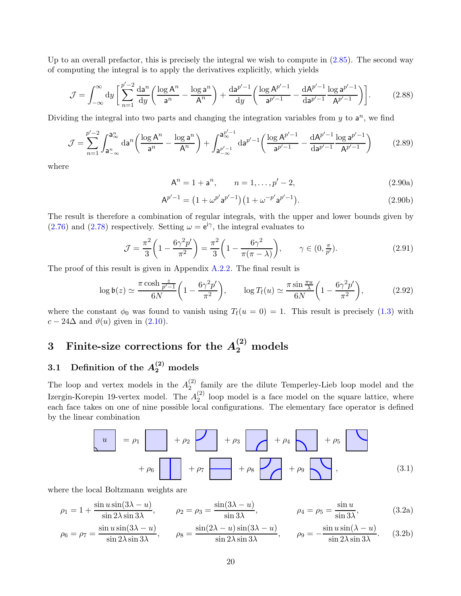Up to an overall prefactor, this is precisely the integral we wish to compute in [\(2.85\)](#page-18-0). The second way of computing the integral is to apply the derivatives explicitly, which yields

$$
\mathcal{J} = \int_{-\infty}^{\infty} dy \left[ \sum_{n=1}^{p'-2} \frac{da^n}{dy} \left( \frac{\log A^n}{a^n} - \frac{\log a^n}{A^n} \right) + \frac{da^{p'-1}}{dy} \left( \frac{\log A^{p'-1}}{a^{p'-1}} - \frac{dA^{p'-1}}{da^{p'-1}} \frac{\log a^{p'-1}}{A^{p'-1}} \right) \right].
$$
 (2.88)

Dividing the integral into two parts and changing the integration variables from  $y$  to  $a^n$ , we find

$$
\mathcal{J} = \sum_{n=1}^{p'-2} \int_{\mathbf{a}_{-\infty}^n}^{\mathbf{a}_{\infty}^n} d\mathbf{a}^n \left( \frac{\log \mathbf{A}^n}{\mathbf{a}^n} - \frac{\log \mathbf{a}^n}{\mathbf{A}^n} \right) + \int_{\mathbf{a}_{-\infty}^{p'-1}}^{\mathbf{a}_{\infty}^{p'-1}} d\mathbf{a}^{p'-1} \left( \frac{\log \mathbf{A}^{p'-1}}{\mathbf{a}^{p'-1}} - \frac{d\mathbf{A}^{p'-1}}{d\mathbf{a}^{p'-1}} \frac{\log \mathbf{a}^{p'-1}}{\mathbf{A}^{p'-1}} \right) \tag{2.89}
$$

where

$$
A^n = 1 + a^n, \qquad n = 1, \dots, p' - 2,
$$
\n(2.90a)

$$
A^{p'-1} = (1 + \omega^{p'} a^{p'-1})(1 + \omega^{-p'} a^{p'-1}).
$$
\n(2.90b)

The result is therefore a combination of regular integrals, with the upper and lower bounds given by  $(2.76)$  and  $(2.78)$  respectively. Setting  $\omega = e^{i\gamma}$ , the integral evaluates to

$$
\mathcal{J} = \frac{\pi^2}{3} \left( 1 - \frac{6\gamma^2 p'}{\pi^2} \right) = \frac{\pi^2}{3} \left( 1 - \frac{6\gamma^2}{\pi(\pi - \lambda)} \right), \qquad \gamma \in (0, \frac{\pi}{p'}). \tag{2.91}
$$

The proof of this result is given in Appendix [A.2.2.](#page-70-0) The final result is

$$
\log \mathfrak{b}(z) \simeq \frac{\pi \cosh \frac{z}{p'-1}}{6N} \left(1 - \frac{6\gamma^2 p'}{\pi^2}\right), \qquad \log T_{\rm f}(u) \simeq \frac{\pi \sin \frac{\pi u}{\lambda}}{6N} \left(1 - \frac{6\gamma^2 p'}{\pi^2}\right),\tag{2.92}
$$

where the constant  $\phi_0$  was found to vanish using  $T_f(u = 0) = 1$ . This result is precisely [\(1.3\)](#page-3-1) with  $c - 24\Delta$  and  $\vartheta(u)$  given in [\(2.10\)](#page-7-2).

# <span id="page-19-0"></span>3 Finite-size corrections for the  $A_2^{(2)}$  models

# <span id="page-19-1"></span> $3.1$  Definition of the  $A_2^{(2)}$  models

The loop and vertex models in the  $A_2^{(2)}$  $\binom{2}{2}$  family are the dilute Temperley-Lieb loop model and the Izergin-Korepin 19-vertex model. The  $A_2^{(2)}$  $\binom{2}{2}$  loop model is a face model on the square lattice, where each face takes on one of nine possible local configurations. The elementary face operator is defined by the linear combination

<span id="page-19-2"></span>
$$
\begin{array}{|c|c|c|c|c|c|}\n\hline\nu & = & \rho_1 & + & \rho_2 & + & \rho_3 & + & \rho_4 & + & \rho_5 & + & \rho_6 & + & \rho_7 & + & \rho_8 & + & \rho_9 & + & \rho_9 & + & \rho_9 & + & \rho_9 & + & \rho_9 & + & \rho_9 & + & \rho_9 & + & \rho_9 & + & \rho_9 & + & \rho_9 & + & \rho_9 & + & \rho_9 & + & \rho_9 & + & \rho_9 & + & \rho_9 & + & \rho_9 & + & \rho_9 & + & \rho_9 & + & \rho_9 & + & \rho_9 & + & \rho_9 & + & \rho_9 & + & \rho_9 & + & \rho_9 & + & \rho_9 & + & \rho_9 & + & \rho_9 & + & \rho_9 & + & \rho_9 & + & \rho_9 & + & \rho_9 & + & \rho_9 & + & \rho_9 & + & \rho_9 & + & \rho_9 & + & \rho_9 & + & \rho_9 & + & \rho_9 & + & \rho_9 & + & \rho_9 & + & \rho_9 & + & \rho_9 & + & \rho_9 & + & \rho_9 & + & \rho_9 & + & \rho_9 & + & \rho_9 & + & \rho_9 & + & \rho_9 & + & \rho_9 & + & \rho_9 & + & \rho_9 & + & \rho_9 & + & \rho_9 & + & \rho_9 & + & \rho_9 & + & \rho_9 & + & \rho_9 & + & \rho_9 & + & \rho_9 & + & \rho_9 & + & \rho_9 & + & \rho_9 & + & \rho_9 & + & \rho_9 & + & \rho_9 & + & \rho_9 & + & \rho_9 & + & \rho_9 & + & \rho_9 & + & \rho_9 & + & \rho_9 & + & \rho_9 & + & \rho_9 & + & \rho_9 & + & \rho_9 & + & \rho_9 & + & \rho_9 & + & \rho_9 & + & \rho_9 & + & \rho_9 & + & \rho_9 & + & \rho_9 & + & \rho_9 & + & \rho_9 & + & \rho_9 & + & \rho_9 & + & \rho_9 & + & \rho_9 & + & \rho_9 & + & \rho_9 & + & \rho_9 & + & \rho_9 & + & \rho_9 & + & \rho_9 & + & \rho_9 & + & \rho_9
$$

where the local Boltzmann weights are

$$
\rho_1 = 1 + \frac{\sin u \sin(3\lambda - u)}{\sin 2\lambda \sin 3\lambda}, \qquad \rho_2 = \rho_3 = \frac{\sin(3\lambda - u)}{\sin 3\lambda}, \qquad \rho_4 = \rho_5 = \frac{\sin u}{\sin 3\lambda}, \qquad (3.2a)
$$

$$
\rho_6 = \rho_7 = \frac{\sin u \sin(3\lambda - u)}{\sin 2\lambda \sin 3\lambda}, \qquad \rho_8 = \frac{\sin(2\lambda - u) \sin(3\lambda - u)}{\sin 2\lambda \sin 3\lambda}, \qquad \rho_9 = -\frac{\sin u \sin(\lambda - u)}{\sin 2\lambda \sin 3\lambda}.
$$
(3.2b)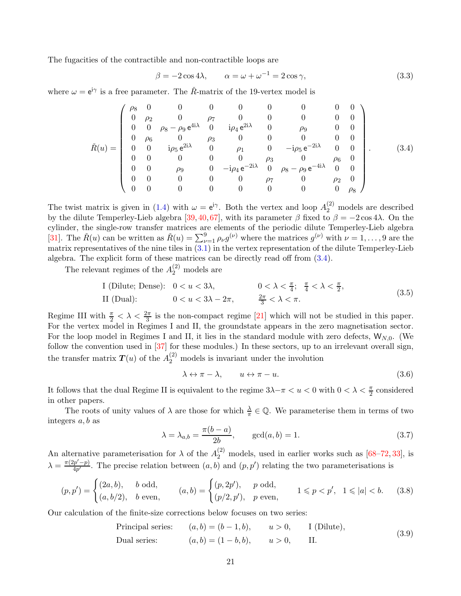The fugacities of the contractible and non-contractible loops are

$$
\beta = -2\cos 4\lambda, \qquad \alpha = \omega + \omega^{-1} = 2\cos \gamma,
$$
\n(3.3)

where  $\omega = e^{i\gamma}$  is a free parameter. The  $\tilde{R}$ -matrix of the 19-vertex model is

<span id="page-20-0"></span>
$$
\check{R}(u) = \begin{pmatrix}\n\rho_8 & 0 & 0 & 0 & 0 & 0 & 0 & 0 & 0 & 0 \\
0 & \rho_2 & 0 & \rho_7 & 0 & 0 & 0 & 0 & 0 \\
0 & 0 & \rho_8 - \rho_9 e^{4i\lambda} & 0 & i\rho_4 e^{2i\lambda} & 0 & \rho_9 & 0 & 0 \\
0 & \rho_6 & 0 & \rho_3 & 0 & 0 & 0 & 0 & 0 \\
0 & 0 & i\rho_5 e^{2i\lambda} & 0 & \rho_1 & 0 & -i\rho_5 e^{-2i\lambda} & 0 & 0 \\
0 & 0 & 0 & 0 & 0 & \rho_3 & 0 & \rho_6 & 0 \\
0 & 0 & \rho_9 & 0 & -i\rho_4 e^{-2i\lambda} & 0 & \rho_8 - \rho_9 e^{-4i\lambda} & 0 & 0 \\
0 & 0 & 0 & 0 & 0 & \rho_7 & 0 & \rho_2 & 0 \\
0 & 0 & 0 & 0 & 0 & 0 & 0 & 0 & \rho_8\n\end{pmatrix}.
$$
\n(3.4)

The twist matrix is given in [\(1.4\)](#page-4-0) with  $\omega = e^{i\gamma}$ . Both the vertex and loop  $A_2^{(2)}$  models are described by the dilute Temperley-Lieb algebra [\[39,](#page-78-9) [40,](#page-78-10) [67\]](#page-79-13), with its parameter  $\beta$  fixed to  $\beta = -2 \cos 4\lambda$ . On the cylinder, the single-row transfer matrices are elements of the periodic dilute Temperley-Lieb algebra [\[31\]](#page-77-5). The  $\check{R}(u)$  can be written as  $\check{R}(u) = \sum_{\nu=1}^{9} \rho_{\nu} g^{(\nu)}$  where the matrices  $g^{(\nu)}$  with  $\nu = 1, \ldots, 9$  are the matrix representatives of the nine tiles in [\(3.1\)](#page-19-2) in the vertex representation of the dilute Temperley-Lieb algebra. The explicit form of these matrices can be directly read off from [\(3.4\)](#page-20-0).

The relevant regimes of the  $A_2^{(2)}$  models are

I (Dilute; Dense): 
$$
0 < u < 3\lambda
$$
,  $0 < \lambda < \frac{\pi}{4}$ ;  $\frac{\pi}{4} < \lambda < \frac{\pi}{2}$ ,  $II$  (Dual):  $0 < u < 3\lambda - 2\pi$ ,  $\frac{2\pi}{3} < \lambda < \pi$ .  $(3.5)$ 

Regime III with  $\frac{\pi}{2} < \lambda < \frac{2\pi}{3}$  is the non-compact regime [\[21\]](#page-77-1) which will not be studied in this paper. For the vertex model in Regimes I and II, the groundstate appears in the zero magnetisation sector. For the loop model in Regimes I and II, it lies in the standard module with zero defects,  $W_{N,0}$ . (We follow the convention used in [\[37\]](#page-78-0) for these modules.) In these sectors, up to an irrelevant overall sign, the transfer matrix  $T(u)$  of the  $A_2^{(2)}$  models is invariant under the involution

<span id="page-20-1"></span>
$$
\lambda \leftrightarrow \pi - \lambda, \qquad u \leftrightarrow \pi - u. \tag{3.6}
$$

It follows that the dual Regime II is equivalent to the regime  $3\lambda - \pi < u < 0$  with  $0 < \lambda < \frac{\pi}{2}$  considered in other papers.

The roots of unity values of  $\lambda$  are those for which  $\frac{\lambda}{\pi} \in \mathbb{Q}$ . We parameterise them in terms of two integers  $a, b$  as

$$
\lambda = \lambda_{a,b} = \frac{\pi(b-a)}{2b}, \quad \gcd(a,b) = 1.
$$
\n(3.7)

An alternative parameterisation for  $\lambda$  of the  $A_2^{(2)}$  models, used in earlier works such as [\[68–](#page-80-0)[72,](#page-80-1) [33\]](#page-77-11), is  $\lambda = \frac{\pi (2p'-p)}{4p'}$  $\frac{(p'-p)}{4p'}$ . The precise relation between  $(a, b)$  and  $(p, p')$  relating the two parameterisations is

$$
(p, p') = \begin{cases} (2a, b), & b \text{ odd}, \\ (a, b/2), & b \text{ even}, \end{cases} \qquad (a, b) = \begin{cases} (p, 2p'), & p \text{ odd}, \\ (p/2, p'), & p \text{ even}, \end{cases} \qquad 1 \leq p < p', \quad 1 \leq |a| < b. \tag{3.8}
$$

Our calculation of the finite-size corrections below focuses on two series:

Principal series:  $(a, b) = (b - 1, b), \quad u > 0, \quad I$  (Dilute), Dual series:  $(a, b) = (1 - b, b), \quad u > 0, \quad \text{II}.$ (3.9)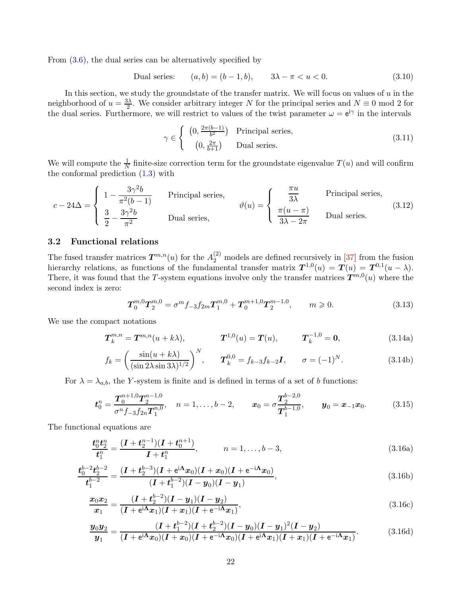From  $(3.6)$ , the dual series can be alternatively specified by

Dual series:  $(a, b) = (b - 1, b), \quad 3\lambda - \pi < u < 0.$  (3.10)

In this section, we study the groundstate of the transfer matrix. We will focus on values of  $u$  in the neighborhood of  $u = \frac{3\lambda}{2}$  $\frac{3\lambda}{2}$ . We consider arbitrary integer N for the principal series and  $N \equiv 0 \mod 2$  for the dual series. Furthermore, we will restrict to values of the twist parameter  $\omega = e^{i\gamma}$  in the intervals

$$
\gamma \in \begin{cases} (0, \frac{2\pi(b-1)}{b^2}) & \text{Principal series,} \\ (0, \frac{2\pi}{b+1}) & \text{Dual series.} \end{cases} \tag{3.11}
$$

We will compute the  $\frac{1}{N}$  finite-size correction term for the groundstate eigenvalue  $T(u)$  and will confirm the conformal prediction [\(1.3\)](#page-3-1) with

<span id="page-21-1"></span>
$$
c - 24\Delta = \begin{cases} 1 - \frac{3\gamma^2 b}{\pi^2 (b - 1)} & \text{Principal series,} \\ \frac{3}{2} - \frac{3\gamma^2 b}{\pi^2} & \text{Dual series,} \end{cases} \qquad \vartheta(u) = \begin{cases} \frac{\pi u}{3\lambda} & \text{Principal series,} \\ \frac{\pi (u - \pi)}{3\lambda - 2\pi} & \text{Dual series.} \end{cases} \qquad (3.12)
$$

# <span id="page-21-0"></span>3.2 Functional relations

The fused transfer matrices  $T^{m,n}(u)$  for the  $A_2^{(2)}$  models are defined recursively in [\[37\]](#page-78-0) from the fusion hierarchy relations, as functions of the fundamental transfer matrix  $T^{1,0}(u) = T(u) = T^{0,1}(u - \lambda)$ . There, it was found that the T-system equations involve only the transfer matrices  $T^{m,0}(u)$  where the second index is zero:

$$
T_0^{m,0}T_2^{m,0} = \sigma^m f_{-3} f_{2m} T_1^{m,0} + T_0^{m+1,0} T_2^{m-1,0}, \qquad m \geqslant 0. \tag{3.13}
$$

We use the compact notations

$$
T_k^{m,n} = T^{m,n}(u+k\lambda), \qquad T^{1,0}(u) = T(u), \qquad T_k^{-1,0} = 0,
$$
\n(3.14a)

$$
f_k = \left(\frac{\sin(u+k\lambda)}{(\sin 2\lambda \sin 3\lambda)^{1/2}}\right)^N, \qquad \mathbf{T}_k^{0,0} = f_{k-3}f_{k-2}\mathbf{I}, \qquad \sigma = (-1)^N. \tag{3.14b}
$$

For  $\lambda = \lambda_{a,b}$ , the Y-system is finite and is defined in terms of a set of b functions:

$$
\boldsymbol{t}_0^n = \frac{\boldsymbol{T}_0^{n+1,0} \boldsymbol{T}_2^{n-1,0}}{\sigma^n f_{-3} f_{2n} \boldsymbol{T}_1^{n,0}}, \quad n = 1, \ldots, b-2, \qquad \boldsymbol{x}_0 = \sigma \frac{\boldsymbol{T}_2^{b-2,0}}{\boldsymbol{T}_1^{b-1,0}}, \qquad \boldsymbol{y}_0 = \boldsymbol{x}_{-1} \boldsymbol{x}_0. \tag{3.15}
$$

The functional equations are

$$
\frac{\boldsymbol{t}_0^n \boldsymbol{t}_2^n}{\boldsymbol{t}_1^n} = \frac{(\boldsymbol{I} + \boldsymbol{t}_2^{n-1})(\boldsymbol{I} + \boldsymbol{t}_0^{n+1})}{\boldsymbol{I} + \boldsymbol{t}_1^n}, \qquad n = 1, \dots, b-3,
$$
\n(3.16a)

$$
\frac{t_0^{b-2}t_2^{b-2}}{t_1^{b-2}} = \frac{(I + t_2^{b-3})(I + e^{i\Lambda}x_0)(I + x_0)(I + e^{-i\Lambda}x_0)}{(I + t_1^{b-2})(I - y_0)(I - y_1)},
$$
\n(3.16b)

$$
\frac{x_0 x_2}{x_1} = \frac{(I + t_2^{b-2})(I - y_1)(I - y_2)}{(I + e^{i\Lambda}x_1)(I + x_1)(I + e^{-i\Lambda}x_1)},
$$
\n(3.16c)

$$
\frac{y_0 y_2}{y_1} = \frac{(I + t_1^{b-2})(I + t_2^{b-2})(I - y_0)(I - y_1)^2 (I - y_2)}{(I + e^{i\Lambda}x_0)(I + x_0)(I + e^{-i\Lambda}x_0)(I + e^{i\Lambda}x_1)(I + x_1)(I + e^{-i\Lambda}x_1)}.
$$
(3.16d)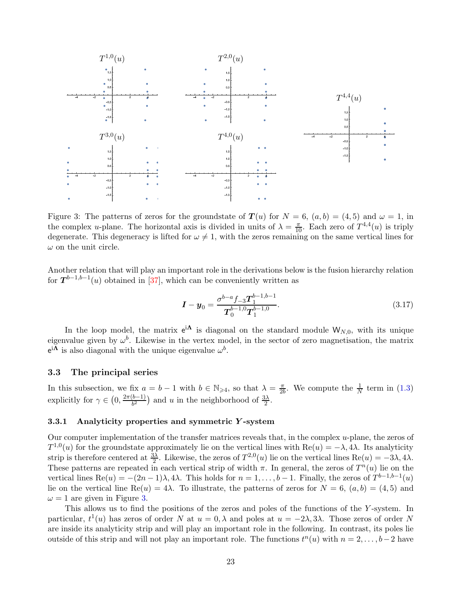

<span id="page-22-2"></span>Figure 3: The patterns of zeros for the groundstate of  $T(u)$  for  $N = 6$ ,  $(a, b) = (4, 5)$  and  $\omega = 1$ , in the complex *u*-plane. The horizontal axis is divided in units of  $\lambda = \frac{\pi}{10}$ . Each zero of  $T^{4,4}(u)$  is triply degenerate. This degeneracy is lifted for  $\omega \neq 1$ , with the zeros remaining on the same vertical lines for  $\omega$  on the unit circle.

Another relation that will play an important role in the derivations below is the fusion hierarchy relation for  $T^{b-1,b-1}(u)$  obtained in [\[37\]](#page-78-0), which can be conveniently written as

$$
\boldsymbol{I} - \boldsymbol{y}_0 = \frac{\sigma^{b-a} f_{-3} \boldsymbol{T}_1^{b-1,b-1}}{\boldsymbol{T}_0^{b-1,0} \boldsymbol{T}_1^{b-1,0}}.
$$
\n(3.17)

In the loop model, the matrix  $e^{i\Lambda}$  is diagonal on the standard module  $W_{N,0}$ , with its unique eigenvalue given by  $\omega^b$ . Likewise in the vertex model, in the sector of zero magnetisation, the matrix  $e^{i\Lambda}$  is also diagonal with the unique eigenvalue  $\omega^b$ .

### <span id="page-22-0"></span>3.3 The principal series

In this subsection, we fix  $a = b - 1$  with  $b \in \mathbb{N}_{\geqslant 4}$ , so that  $\lambda = \frac{\pi}{2l}$  $\frac{\pi}{2b}$ . We compute the  $\frac{1}{N}$  term in [\(1.3\)](#page-3-1) explicitly for  $\gamma \in \left(0, \frac{2\pi(b-1)}{b^2}\right)$  $\frac{(b-1)}{b^2}$  and u in the neighborhood of  $\frac{3\lambda}{2}$ .

# <span id="page-22-1"></span>3.3.1 Analyticity properties and symmetric Y -system

Our computer implementation of the transfer matrices reveals that, in the complex u-plane, the zeros of  $T^{1,0}(u)$  for the groundstate approximately lie on the vertical lines with Re(u) =  $-\lambda$ , 4 $\lambda$ . Its analyticity strip is therefore centered at  $\frac{3\lambda}{2}$ . Likewise, the zeros of  $T^{2,0}(u)$  lie on the vertical lines  $\text{Re}(u) = -3\lambda, 4\lambda$ . These patterns are repeated in each vertical strip of width  $\pi$ . In general, the zeros of  $T^n(u)$  lie on the vertical lines  $\text{Re}(u) = -(2n-1)\lambda, 4\lambda$ . This holds for  $n = 1, \ldots, b-1$ . Finally, the zeros of  $T^{b-1,b-1}(u)$ lie on the vertical line Re(u) = 4 $\lambda$ . To illustrate, the patterns of zeros for  $N = 6$ ,  $(a, b) = (4, 5)$  and  $\omega = 1$  are given in Figure [3.](#page-22-2)

This allows us to find the positions of the zeros and poles of the functions of the Y-system. In particular,  $t^1(u)$  has zeros of order N at  $u = 0, \lambda$  and poles at  $u = -2\lambda, 3\lambda$ . Those zeros of order N are inside its analyticity strip and will play an important role in the following. In contrast, its poles lie outside of this strip and will not play an important role. The functions  $t^n(u)$  with  $n = 2, \ldots, b-2$  have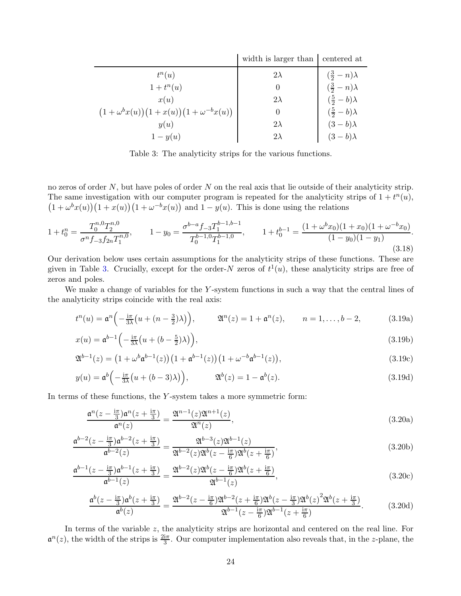|                                                 | width is larger than | centered at              |
|-------------------------------------------------|----------------------|--------------------------|
| $t^n(u)$                                        | $2\lambda$           | $(\frac{3}{2}-n)\lambda$ |
| $1+t^n(u)$                                      | $\theta$             | $(\frac{3}{2}-n)\lambda$ |
| x(u)                                            | $2\lambda$           | $(\frac{5}{2}-b)\lambda$ |
| $(1+\omega^{b}x(u))(1+x(u))(1+\omega^{-b}x(u))$ | $\theta$             | $(\frac{5}{2}-b)\lambda$ |
| y(u)                                            | $2\lambda$           | $(3-b)\lambda$           |
| $1-y(u)$                                        | $2\lambda$           | $(3-b)\lambda$           |

<span id="page-23-0"></span>Table 3: The analyticity strips for the various functions.

no zeros of order  $N$ , but have poles of order  $N$  on the real axis that lie outside of their analyticity strip. The same investigation with our computer program is repeated for the analyticity strips of  $1 + t<sup>n</sup>(u)$ ,  $(1 + \omega^b x(u))(1 + x(u))(1 + \omega^{-b} x(u))$  and  $1 - y(u)$ . This is done using the relations

<span id="page-23-2"></span>
$$
1 + t_0^n = \frac{T_0^{n,0} T_2^{n,0}}{\sigma^n f_{-3} f_{2n} T_1^{n,0}}, \qquad 1 - y_0 = \frac{\sigma^{b-a} f_{-3} T_1^{b-1,b-1}}{T_0^{b-1,0} T_1^{b-1,0}}, \qquad 1 + t_0^{b-1} = \frac{(1 + \omega^b x_0)(1 + x_0)(1 + \omega^{-b} x_0)}{(1 - y_0)(1 - y_1)}.
$$
\n
$$
(3.18)
$$

Our derivation below uses certain assumptions for the analyticity strips of these functions. These are given in Table [3.](#page-23-0) Crucially, except for the order-N zeros of  $t^1(u)$ , these analyticity strips are free of zeros and poles.

We make a change of variables for the Y-system functions in such a way that the central lines of the analyticity strips coincide with the real axis:

$$
t^{n}(u) = \mathfrak{a}^{n}\left(-\frac{\mathrm{i}\pi}{3\lambda}\left(u + (n - \frac{3}{2})\lambda\right)\right), \qquad \mathfrak{A}^{n}(z) = 1 + \mathfrak{a}^{n}(z), \qquad n = 1, \ldots, b - 2,
$$
 (3.19a)

$$
x(u) = \mathfrak{a}^{b-1} \left( -\frac{i\pi}{3\lambda} \left( u + (b - \frac{5}{2})\lambda \right) \right),\tag{3.19b}
$$

$$
\mathfrak{A}^{b-1}(z) = (1 + \omega^b \mathfrak{a}^{b-1}(z)) (1 + \mathfrak{a}^{b-1}(z)) (1 + \omega^{-b} \mathfrak{a}^{b-1}(z)),
$$
\n(3.19c)

$$
y(u) = \mathfrak{a}^{b}\left(-\frac{\mathrm{i}\pi}{3\lambda}\big(u + (b - 3)\lambda\big)\right), \qquad \mathfrak{A}^{b}(z) = 1 - \mathfrak{a}^{b}(z).
$$
 (3.19d)

In terms of these functions, the Y -system takes a more symmetric form:

<span id="page-23-1"></span>
$$
\frac{\mathfrak{a}^n(z-\frac{i\pi}{3})\mathfrak{a}^n(z+\frac{i\pi}{3})}{\mathfrak{a}^n(z)} = \frac{\mathfrak{A}^{n-1}(z)\mathfrak{A}^{n+1}(z)}{\mathfrak{A}^n(z)},
$$
\n(3.20a)

$$
\frac{\mathfrak{a}^{b-2}(z - \frac{\mathrm{i}\pi}{3})\mathfrak{a}^{b-2}(z + \frac{\mathrm{i}\pi}{3})}{\mathfrak{a}^{b-2}(z)} = \frac{\mathfrak{A}^{b-3}(z)\mathfrak{A}^{b-1}(z)}{\mathfrak{A}^{b-2}(z)\mathfrak{A}^b(z - \frac{\mathrm{i}\pi}{6})\mathfrak{A}^b(z + \frac{\mathrm{i}\pi}{6})},\tag{3.20b}
$$

$$
\frac{\mathfrak{a}^{b-1}(z - \frac{i\pi}{3})\mathfrak{a}^{b-1}(z + \frac{i\pi}{3})}{\mathfrak{a}^{b-1}(z)} = \frac{\mathfrak{A}^{b-2}(z)\mathfrak{A}^b(z - \frac{i\pi}{6})\mathfrak{A}^b(z + \frac{i\pi}{6})}{\mathfrak{A}^{b-1}(z)},
$$
(3.20c)

$$
\frac{\mathfrak{a}^{b}(z-\frac{\mathrm{i}\pi}{3})\mathfrak{a}^{b}(z+\frac{\mathrm{i}\pi}{3})}{\mathfrak{a}^{b}(z)} = \frac{\mathfrak{A}^{b-2}(z-\frac{\mathrm{i}\pi}{6})\mathfrak{A}^{b-2}(z+\frac{\mathrm{i}\pi}{6})\mathfrak{A}^{b}(z-\frac{\mathrm{i}\pi}{3})\mathfrak{A}^{b}(z)^{2}\mathfrak{A}^{b}(z+\frac{\mathrm{i}\pi}{3})}{\mathfrak{A}^{b-1}(z-\frac{\mathrm{i}\pi}{6})\mathfrak{A}^{b-1}(z+\frac{\mathrm{i}\pi}{6})}.
$$
(3.20d)

In terms of the variable z, the analyticity strips are horizontal and centered on the real line. For  $\mathfrak{a}^n(z)$ , the width of the strips is  $\frac{2i\pi}{3}$ . Our computer implementation also reveals that, in the *z*-plane, the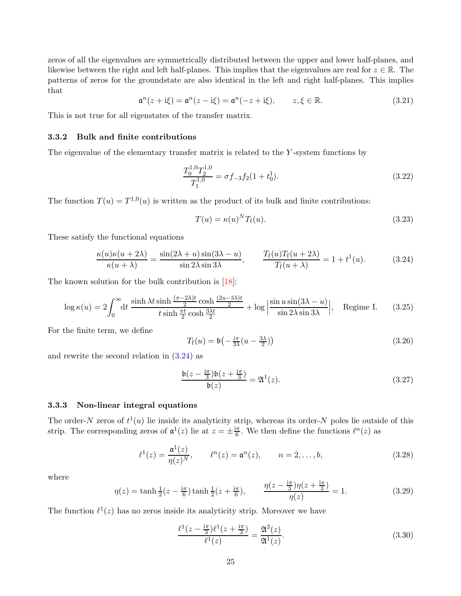zeros of all the eigenvalues are symmetrically distributed between the upper and lower half-planes, and likewise between the right and left half-planes. This implies that the eigenvalues are real for  $z \in \mathbb{R}$ . The patterns of zeros for the groundstate are also identical in the left and right half-planes. This implies that

$$
\mathfrak{a}^n(z + i\xi) = \mathfrak{a}^n(z - i\xi) = \mathfrak{a}^n(-z + i\xi), \qquad z, \xi \in \mathbb{R}.
$$
 (3.21)

<span id="page-24-0"></span>This is not true for all eigenstates of the transfer matrix.

#### 3.3.2 Bulk and finite contributions

The eigenvalue of the elementary transfer matrix is related to the Y-system functions by

$$
\frac{T_0^{1,0}T_2^{1,0}}{T_1^{1,0}} = \sigma f_{-3} f_2 (1 + t_0^1).
$$
\n(3.22)

The function  $T(u) = T^{1,0}(u)$  is written as the product of its bulk and finite contributions:

$$
T(u) = \kappa(u)^N T_f(u). \tag{3.23}
$$

These satisfy the functional equations

<span id="page-24-2"></span>
$$
\frac{\kappa(u)\kappa(u+2\lambda)}{\kappa(u+\lambda)} = \frac{\sin(2\lambda+u)\sin(3\lambda-u)}{\sin 2\lambda \sin 3\lambda}, \qquad \frac{T_f(u)T_f(u+2\lambda)}{T_f(u+\lambda)} = 1 + t^1(u). \tag{3.24}
$$

The known solution for the bulk contribution is [\[18\]](#page-77-9):

$$
\log \kappa(u) = 2 \int_0^\infty dt \, \frac{\sinh \lambda t \sinh \frac{(\pi - 2\lambda)t}{2} \cosh \frac{(2u - 3\lambda)t}{2}}{t \sinh \frac{\pi t}{2} \cosh \frac{3\lambda t}{2}} + \log \left| \frac{\sin u \sin(3\lambda - u)}{\sin 2\lambda \sin 3\lambda} \right|, \quad \text{Regime I.} \tag{3.25}
$$

For the finite term, we define

$$
T_{\rm f}(u) = \mathfrak{b}\left(-\frac{\mathrm{i}\pi}{3\lambda}(u - \frac{3\lambda}{2})\right) \tag{3.26}
$$

and rewrite the second relation in [\(3.24\)](#page-24-2) as

<span id="page-24-4"></span>
$$
\frac{\mathfrak{b}(z - \frac{\mathrm{i}\pi}{3})\mathfrak{b}(z + \frac{\mathrm{i}\pi}{3})}{\mathfrak{b}(z)} = \mathfrak{A}^1(z). \tag{3.27}
$$

# <span id="page-24-1"></span>3.3.3 Non-linear integral equations

The order-N zeros of  $t^1(u)$  lie inside its analyticity strip, whereas its order-N poles lie outside of this strip. The corresponding zeros of  $\mathfrak{a}^1(z)$  lie at  $z = \pm \frac{i\pi}{6}$  $\frac{1}{6}$ . We then define the functions  $\ell^{n}(z)$  as

<span id="page-24-3"></span>
$$
\ell^{1}(z) = \frac{\mathfrak{a}^{1}(z)}{\eta(z)^{N}}, \qquad \ell^{n}(z) = \mathfrak{a}^{n}(z), \qquad n = 2, ..., b,
$$
 (3.28)

where

$$
\eta(z) = \tanh\frac{1}{2}(z - \frac{i\pi}{6})\tanh\frac{1}{2}(z + \frac{i\pi}{6}), \qquad \frac{\eta(z - \frac{i\pi}{3})\eta(z + \frac{i\pi}{3})}{\eta(z)} = 1.
$$
\n(3.29)

The function  $\ell^1(z)$  has no zeros inside its analyticity strip. Moreover we have

$$
\frac{\ell^1(z - \frac{i\pi}{3})\ell^1(z + \frac{i\pi}{3})}{\ell^1(z)} = \frac{\mathfrak{A}^2(z)}{\mathfrak{A}^1(z)}.
$$
\n(3.30)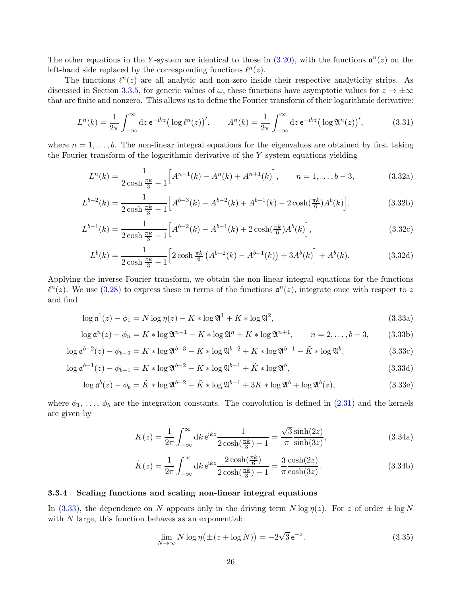The other equations in the Y-system are identical to those in  $(3.20)$ , with the functions  $\mathfrak{a}^n(z)$  on the left-hand side replaced by the corresponding functions  $\ell^{n}(z)$ .

The functions  $\ell^{n}(z)$  are all analytic and non-zero inside their respective analyticity strips. As discussed in Section [3.3.5,](#page-26-0) for generic values of  $\omega$ , these functions have asymptotic values for  $z \to \pm \infty$ that are finite and nonzero. This allows us to define the Fourier transform of their logarithmic derivative:

$$
L^{n}(k) = \frac{1}{2\pi} \int_{-\infty}^{\infty} dz \, \mathrm{e}^{-\mathrm{i}kz} \big( \log \ell^{n}(z) \big)', \qquad A^{n}(k) = \frac{1}{2\pi} \int_{-\infty}^{\infty} dz \, \mathrm{e}^{-\mathrm{i}kz} \big( \log \mathfrak{A}^{n}(z) \big)', \tag{3.31}
$$

where  $n = 1, \ldots, b$ . The non-linear integral equations for the eigenvalues are obtained by first taking the Fourier transform of the logarithmic derivative of the Y -system equations yielding

$$
L^{n}(k) = \frac{1}{2\cosh\frac{\pi k}{3} - 1} \Big[ A^{n-1}(k) - A^{n}(k) + A^{n+1}(k) \Big], \qquad n = 1, \dots, b-3,
$$
 (3.32a)

$$
L^{b-2}(k) = \frac{1}{2\cosh\frac{\pi k}{3} - 1} \Big[ A^{b-3}(k) - A^{b-2}(k) + A^{b-1}(k) - 2\cosh(\frac{\pi k}{6})A^b(k) \Big],\tag{3.32b}
$$

$$
L^{b-1}(k) = \frac{1}{2\cosh\frac{\pi k}{3} - 1} \Big[ A^{b-2}(k) - A^{b-1}(k) + 2\cosh(\frac{\pi k}{6}) A^b(k) \Big],\tag{3.32c}
$$

$$
L^{b}(k) = \frac{1}{2\cosh\frac{\pi k}{3} - 1} \left[ 2\cosh\frac{\pi k}{6} \left( A^{b-2}(k) - A^{b-1}(k) \right) + 3A^{b}(k) \right] + A^{b}(k). \tag{3.32d}
$$

Applying the inverse Fourier transform, we obtain the non-linear integral equations for the functions  $\ell^{n}(z)$ . We use [\(3.28\)](#page-24-3) to express these in terms of the functions  $\mathfrak{a}^{n}(z)$ , integrate once with respect to z and find

<span id="page-25-1"></span>
$$
\log \mathfrak{a}^1(z) - \phi_1 = N \log \eta(z) - K * \log \mathfrak{A}^1 + K * \log \mathfrak{A}^2,
$$
\n(3.33a)

$$
\log \mathfrak{a}^n(z) - \phi_n = K * \log \mathfrak{A}^{n-1} - K * \log \mathfrak{A}^n + K * \log \mathfrak{A}^{n+1}, \qquad n = 2, \dots, b-3,
$$
 (3.33b)

$$
\log \mathfrak{a}^{b-2}(z) - \phi_{b-2} = K * \log \mathfrak{A}^{b-3} - K * \log \mathfrak{A}^{b-2} + K * \log \mathfrak{A}^{b-1} - \tilde{K} * \log \mathfrak{A}^b,
$$
\n(3.33c)

$$
\log \mathfrak{a}^{b-1}(z) - \phi_{b-1} = K * \log \mathfrak{A}^{b-2} - K * \log \mathfrak{A}^{b-1} + \tilde{K} * \log \mathfrak{A}^b,
$$
\n(3.33d)

$$
\log \mathfrak{a}^b(z) - \phi_b = \tilde{K} * \log \mathfrak{A}^{b-2} - \tilde{K} * \log \mathfrak{A}^{b-1} + 3K * \log \mathfrak{A}^b + \log \mathfrak{A}^b(z),
$$
\n(3.33e)

where  $\phi_1, \ldots, \phi_b$  are the integration constants. The convolution is defined in [\(2.31\)](#page-10-6) and the kernels are given by

$$
K(z) = \frac{1}{2\pi} \int_{-\infty}^{\infty} dk \, e^{ikz} \frac{1}{2\cosh(\frac{\pi k}{3}) - 1} = \frac{\sqrt{3}}{\pi} \frac{\sinh(2z)}{\sinh(3z)},
$$
(3.34a)

$$
\tilde{K}(z) = \frac{1}{2\pi} \int_{-\infty}^{\infty} dk \, \mathrm{e}^{\mathrm{i}kz} \frac{2\cosh(\frac{\pi k}{6})}{2\cosh(\frac{\pi k}{3}) - 1} = \frac{3\cosh(2z)}{\pi \cosh(3z)}.
$$
\n(3.34b)

# <span id="page-25-0"></span>3.3.4 Scaling functions and scaling non-linear integral equations

In [\(3.33\)](#page-25-1), the dependence on N appears only in the driving term  $N \log \eta(z)$ . For z of order  $\pm \log N$ with  $N$  large, this function behaves as an exponential:

$$
\lim_{N \to \infty} N \log \eta \left( \pm (z + \log N) \right) = -2\sqrt{3} e^{-z}.
$$
\n(3.35)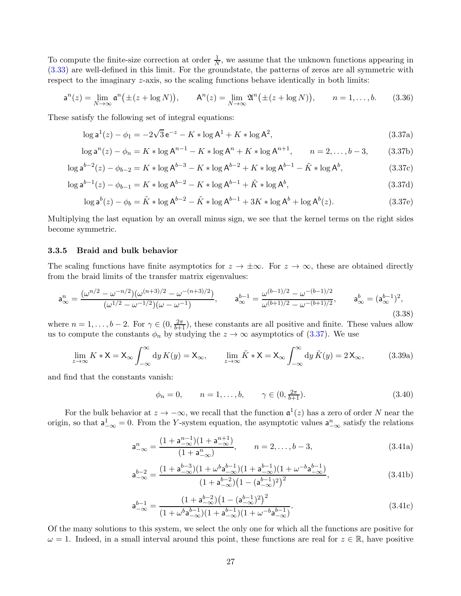To compute the finite-size correction at order  $\frac{1}{N}$ , we assume that the unknown functions appearing in [\(3.33\)](#page-25-1) are well-defined in this limit. For the groundstate, the patterns of zeros are all symmetric with respect to the imaginary *z*-axis, so the scaling functions behave identically in both limits:

$$
\mathsf{a}^n(z) = \lim_{N \to \infty} \mathsf{a}^n(\pm(z + \log N)), \qquad \mathsf{A}^n(z) = \lim_{N \to \infty} \mathfrak{A}^n(\pm(z + \log N)), \qquad n = 1, \dots, b. \tag{3.36}
$$

These satisfy the following set of integral equations:

<span id="page-26-1"></span>
$$
\log \mathsf{a}^1(z) - \phi_1 = -2\sqrt{3} \,\mathsf{e}^{-z} - K * \log \mathsf{A}^1 + K * \log \mathsf{A}^2,\tag{3.37a}
$$

$$
\log \mathsf{a}^n(z) - \phi_n = K * \log \mathsf{A}^{n-1} - K * \log \mathsf{A}^n + K * \log \mathsf{A}^{n+1}, \qquad n = 2, \dots, b-3,\tag{3.37b}
$$

$$
\log \mathsf{a}^{b-2}(z) - \phi_{b-2} = K * \log \mathsf{A}^{b-3} - K * \log \mathsf{A}^{b-2} + K * \log \mathsf{A}^{b-1} - \tilde{K} * \log \mathsf{A}^b,\tag{3.37c}
$$

$$
\log \mathsf{a}^{b-1}(z) - \phi_{b-1} = K * \log \mathsf{A}^{b-2} - K * \log \mathsf{A}^{b-1} + \tilde{K} * \log \mathsf{A}^b,\tag{3.37d}
$$

$$
\log \mathsf{a}^b(z) - \phi_b = \tilde{K} * \log \mathsf{A}^{b-2} - \tilde{K} * \log \mathsf{A}^{b-1} + 3K * \log \mathsf{A}^b + \log \mathsf{A}^b(z). \tag{3.37e}
$$

Multiplying the last equation by an overall minus sign, we see that the kernel terms on the right sides become symmetric.

#### <span id="page-26-0"></span>3.3.5 Braid and bulk behavior

The scaling functions have finite asymptotics for  $z \to \pm \infty$ . For  $z \to \infty$ , these are obtained directly from the braid limits of the transfer matrix eigenvalues:

$$
\mathbf{a}_{\infty}^{n} = \frac{(\omega^{n/2} - \omega^{-n/2})(\omega^{(n+3)/2} - \omega^{-(n+3)/2})}{(\omega^{1/2} - \omega^{-1/2})(\omega - \omega^{-1})}, \qquad \mathbf{a}_{\infty}^{b-1} = \frac{\omega^{(b-1)/2} - \omega^{-(b-1)/2}}{\omega^{(b+1)/2} - \omega^{-(b+1)/2}}, \qquad \mathbf{a}_{\infty}^{b} = (\mathbf{a}_{\infty}^{b-1})^{2},
$$
\n(3.38)

where  $n = 1, \ldots, b-2$ . For  $\gamma \in (0, \frac{2\pi}{b+1})$ , these constants are all positive and finite. These values allow us to compute the constants  $\phi_n$  by studying the  $z \to \infty$  asymptotics of [\(3.37\)](#page-26-1). We use

$$
\lim_{z \to \infty} K * X = X_{\infty} \int_{-\infty}^{\infty} dy \, K(y) = X_{\infty}, \qquad \lim_{z \to \infty} \tilde{K} * X = X_{\infty} \int_{-\infty}^{\infty} dy \, \tilde{K}(y) = 2 \, X_{\infty}, \tag{3.39a}
$$

and find that the constants vanish:

$$
\phi_n = 0,
$$
\n $n = 1, ..., b,$ \n $\gamma \in (0, \frac{2\pi}{b+1}).$ \n(3.40)

For the bulk behavior at  $z \to -\infty$ , we recall that the function  $\mathfrak{a}^1(z)$  has a zero of order N near the origin, so that  $a_{-\infty}^1 = 0$ . From the Y-system equation, the asymptotic values  $a_{-\infty}^n$  satisfy the relations

$$
a_{-\infty}^{n} = \frac{(1 + a_{-\infty}^{n-1})(1 + a_{-\infty}^{n+1})}{(1 + a_{-\infty}^{n})}, \qquad n = 2, \dots, b - 3,
$$
\n(3.41a)

$$
a_{-\infty}^{b-2} = \frac{(1 + a_{-\infty}^{b-3})(1 + \omega^b a_{-\infty}^{b-1})(1 + a_{-\infty}^{b-1})(1 + \omega^{-b} a_{-\infty}^{b-1})}{(1 + a_{-\infty}^{b-2})(1 - (a_{-\infty}^{b-1})^2)^2},
$$
(3.41b)

$$
\mathbf{a}_{-\infty}^{b-1} = \frac{(1 + \mathbf{a}_{-\infty}^{b-2})(1 - (\mathbf{a}_{-\infty}^{b-1})^2)^2}{(1 + \omega^b \mathbf{a}_{-\infty}^{b-1})(1 + \mathbf{a}_{-\infty}^{b-1})(1 + \omega^{-b} \mathbf{a}_{-\infty}^{b-1})}.
$$
(3.41c)

Of the many solutions to this system, we select the only one for which all the functions are positive for  $\omega = 1$ . Indeed, in a small interval around this point, these functions are real for  $z \in \mathbb{R}$ , have positive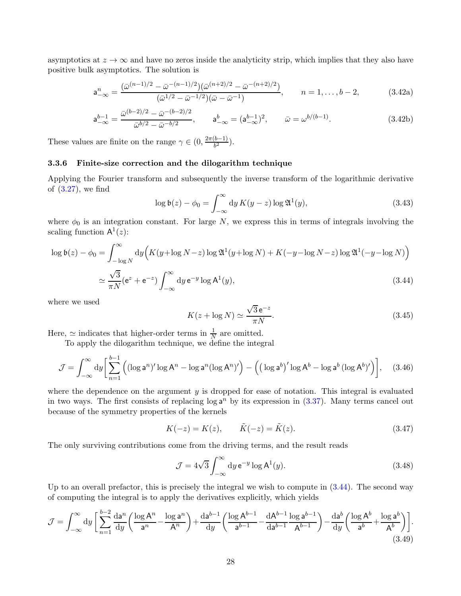asymptotics at  $z \to \infty$  and have no zeros inside the analyticity strip, which implies that they also have positive bulk asymptotics. The solution is

$$
\mathbf{a}_{-\infty}^{n} = \frac{(\bar{\omega}^{(n-1)/2} - \bar{\omega}^{-(n-1)/2})(\bar{\omega}^{(n+2)/2} - \bar{\omega}^{-(n+2)/2})}{(\bar{\omega}^{1/2} - \bar{\omega}^{-1/2})(\bar{\omega} - \bar{\omega}^{-1})}, \qquad n = 1, \dots, b-2,
$$
 (3.42a)

$$
\mathbf{a}_{-\infty}^{b-1} = \frac{\bar{\omega}^{(b-2)/2} - \bar{\omega}^{-(b-2)/2}}{\bar{\omega}^{b/2} - \bar{\omega}^{-b/2}}, \qquad \mathbf{a}_{-\infty}^b = (\mathbf{a}_{-\infty}^{b-1})^2, \qquad \bar{\omega} = \omega^{b/(b-1)}.
$$
 (3.42b)

These values are finite on the range  $\gamma \in (0, \frac{2\pi (b-1)}{b^2})$  $rac{b^{2}-1}{b^{2}}$ ).

# <span id="page-27-0"></span>3.3.6 Finite-size correction and the dilogarithm technique

Applying the Fourier transform and subsequently the inverse transform of the logarithmic derivative of [\(3.27\)](#page-24-4), we find

$$
\log \mathfrak{b}(z) - \phi_0 = \int_{-\infty}^{\infty} \mathrm{d}y \, K(y - z) \log \mathfrak{A}^1(y), \tag{3.43}
$$

where  $\phi_0$  is an integration constant. For large N, we express this in terms of integrals involving the scaling function  $A^1(z)$ :

$$
\log \mathfrak{b}(z) - \phi_0 = \int_{-\log N}^{\infty} dy \Big( K(y + \log N - z) \log \mathfrak{A}^1(y + \log N) + K(-y - \log N - z) \log \mathfrak{A}^1(-y - \log N) \Big)
$$
  

$$
\simeq \frac{\sqrt{3}}{\pi N} (e^z + e^{-z}) \int_{-\infty}^{\infty} dy e^{-y} \log A^1(y), \tag{3.44}
$$

where we used

<span id="page-27-1"></span>
$$
K(z + \log N) \simeq \frac{\sqrt{3}e^{-z}}{\pi N}.
$$
\n(3.45)

Here,  $\simeq$  indicates that higher-order terms in  $\frac{1}{N}$  are omitted.

To apply the dilogarithm technique, we define the integral

$$
\mathcal{J} = \int_{-\infty}^{\infty} dy \left[ \sum_{n=1}^{b-1} \left( (\log \mathsf{a}^n)' \log \mathsf{A}^n - \log \mathsf{a}^n (\log \mathsf{A}^n)'\right) - \left( (\log \mathsf{a}^b)' \log \mathsf{A}^b - \log \mathsf{a}^b (\log \mathsf{A}^b)'\right) \right], \quad (3.46)
$$

where the dependence on the argument  $y$  is dropped for ease of notation. This integral is evaluated in two ways. The first consists of replacing  $\log a^n$  by its expression in  $(3.37)$ . Many terms cancel out because of the symmetry properties of the kernels

$$
K(-z) = K(z), \qquad \tilde{K}(-z) = \tilde{K}(z).
$$
 (3.47)

The only surviving contributions come from the driving terms, and the result reads

$$
\mathcal{J} = 4\sqrt{3} \int_{-\infty}^{\infty} dy \, \mathrm{e}^{-y} \log \mathrm{A}^1(y). \tag{3.48}
$$

Up to an overall prefactor, this is precisely the integral we wish to compute in [\(3.44\)](#page-27-1). The second way of computing the integral is to apply the derivatives explicitly, which yields

$$
\mathcal{J} = \int_{-\infty}^{\infty} dy \left[ \sum_{n=1}^{b-2} \frac{da^n}{dy} \left( \frac{\log A^n}{a^n} - \frac{\log a^n}{A^n} \right) + \frac{da^{b-1}}{dy} \left( \frac{\log A^{b-1}}{a^{b-1}} - \frac{dA^{b-1}}{da^{b-1}} \frac{\log a^{b-1}}{A^{b-1}} \right) - \frac{da^b}{dy} \left( \frac{\log A^b}{a^b} + \frac{\log a^b}{A^b} \right) \right].
$$
\n(3.49)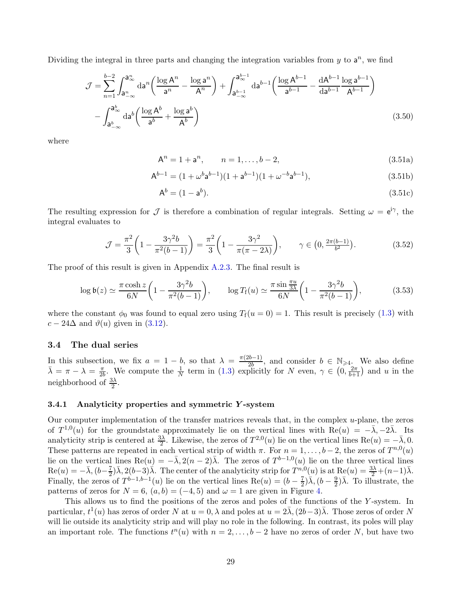Dividing the integral in three parts and changing the integration variables from  $y$  to  $a^n$ , we find

$$
\mathcal{J} = \sum_{n=1}^{b-2} \int_{a_{-\infty}^n}^{a_{\infty}^n} da^n \left( \frac{\log A^n}{a^n} - \frac{\log a^n}{A^n} \right) + \int_{a_{-\infty}^{b-1}}^{a_{\infty}^{b-1}} da^{b-1} \left( \frac{\log A^{b-1}}{a^{b-1}} - \frac{dA^{b-1}}{da^{b-1}} \frac{\log a^{b-1}}{A^{b-1}} \right) - \int_{a_{-\infty}^b}^{a_{\infty}^b} da^b \left( \frac{\log A^b}{a^b} + \frac{\log a^b}{A^b} \right)
$$
(3.50)

where

$$
A^n = 1 + a^n, \qquad n = 1, \dots, b - 2,\tag{3.51a}
$$

$$
A^{b-1} = (1 + \omega^b a^{b-1})(1 + a^{b-1})(1 + \omega^{-b} a^{b-1}),
$$
\n(3.51b)

$$
\mathsf{A}^b = (1 - \mathsf{a}^b). \tag{3.51c}
$$

The resulting expression for  $\mathcal J$  is therefore a combination of regular integrals. Setting  $\omega = e^{i\gamma}$ , the integral evaluates to

$$
\mathcal{J} = \frac{\pi^2}{3} \left( 1 - \frac{3\gamma^2 b}{\pi^2 (b - 1)} \right) = \frac{\pi^2}{3} \left( 1 - \frac{3\gamma^2}{\pi (\pi - 2\lambda)} \right), \qquad \gamma \in \left( 0, \frac{2\pi (b - 1)}{b^2} \right). \tag{3.52}
$$

The proof of this result is given in Appendix [A.2.3.](#page-71-0) The final result is

$$
\log \mathfrak{b}(z) \simeq \frac{\pi \cosh z}{6N} \left( 1 - \frac{3\gamma^2 b}{\pi^2 (b-1)} \right), \qquad \log T_{\mathbf{f}}(u) \simeq \frac{\pi \sin \frac{\pi u}{3\lambda}}{6N} \left( 1 - \frac{3\gamma^2 b}{\pi^2 (b-1)} \right), \tag{3.53}
$$

where the constant  $\phi_0$  was found to equal zero using  $T_f(u=0) = 1$ . This result is precisely [\(1.3\)](#page-3-1) with  $c - 24\Delta$  and  $\vartheta(u)$  given in [\(3.12\)](#page-21-1).

# <span id="page-28-0"></span>3.4 The dual series

In this subsection, we fix  $a = 1 - b$ , so that  $\lambda = \frac{\pi(2b-1)}{2b}$  $\frac{2b-1}{2b}$ , and consider  $b \in \mathbb{N}_{\geqslant 4}$ . We also define  $\bar{\lambda} = \pi - \lambda = \frac{\pi}{2l}$  $\frac{\pi}{2b}$ . We compute the  $\frac{1}{N}$  term in [\(1.3\)](#page-3-1) explicitly for N even,  $\gamma \in (0, \frac{2\pi}{b+1})$  and u in the neighborhood of  $\frac{3\lambda}{2}$ .

#### <span id="page-28-1"></span>3.4.1 Analyticity properties and symmetric Y -system

Our computer implementation of the transfer matrices reveals that, in the complex u-plane, the zeros of  $T^{1,0}(u)$  for the groundstate approximately lie on the vertical lines with Re(u) =  $-\overline{\lambda}$ ,  $-2\overline{\lambda}$ . Its analyticity strip is centered at  $\frac{3\lambda}{2}$ . Likewise, the zeros of  $T^{2,0}(u)$  lie on the vertical lines  $\text{Re}(u) = -\overline{\lambda}, 0$ . These patterns are repeated in each vertical strip of width  $\pi$ . For  $n = 1, \ldots, b-2$ , the zeros of  $T^{n,0}(u)$ lie on the vertical lines  $\text{Re}(u) = -\bar{\lambda}, 2(n-2)\bar{\lambda}$ . The zeros of  $T^{b-1,0}(u)$  lie on the three vertical lines  $\text{Re}(u) = -\bar{\lambda}, (b - \frac{7}{2})$  $\frac{7}{2}$ ) $\bar{\lambda}$ ,  $2(b-3)\bar{\lambda}$ . The center of the analyticity strip for  $T^{n,0}(u)$  is at  $\text{Re}(u) = \frac{3\lambda}{2} + (n-1)\bar{\lambda}$ . Finally, the zeros of  $T^{b-1,b-1}(u)$  lie on the vertical lines  $\text{Re}(u) = (b - \frac{7}{2})$  $(\frac{7}{2})\overline{\lambda}$ ,  $(b-\frac{9}{2})$  $\frac{9}{2}$ ) $\bar{\lambda}$ . To illustrate, the patterns of zeros for  $N = 6$ ,  $(a, b) = (-4, 5)$  and  $\omega = 1$  are given in Figure [4.](#page-29-0)

This allows us to find the positions of the zeros and poles of the functions of the Y -system. In particular,  $t^1(u)$  has zeros of order N at  $u = 0, \lambda$  and poles at  $u = 2\overline{\lambda}$ ,  $(2b-3)\overline{\lambda}$ . Those zeros of order N will lie outside its analyticity strip and will play no role in the following. In contrast, its poles will play an important role. The functions  $t^n(u)$  with  $n = 2, \ldots, b-2$  have no zeros of order N, but have two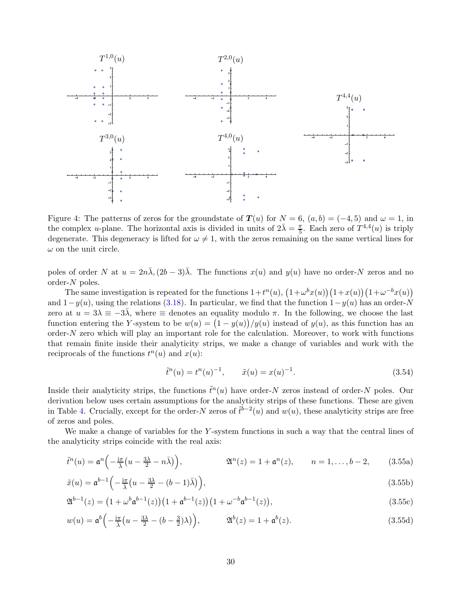

<span id="page-29-0"></span>Figure 4: The patterns of zeros for the groundstate of  $T(u)$  for  $N = 6$ ,  $(a, b) = (-4, 5)$  and  $\omega = 1$ , in the complex *u*-plane. The horizontal axis is divided in units of  $2\bar{\lambda} = \frac{\pi}{5}$  $\frac{\pi}{5}$ . Each zero of  $T^{4,4}(u)$  is triply degenerate. This degeneracy is lifted for  $\omega \neq 1$ , with the zeros remaining on the same vertical lines for  $\omega$  on the unit circle.

poles of order N at  $u = 2n\overline{\lambda}$ ,  $(2b-3)\overline{\lambda}$ . The functions  $x(u)$  and  $y(u)$  have no order-N zeros and no order-N poles.

The same investigation is repeated for the functions  $1+t^n(u)$ ,  $(1+\omega^b x(u))(1+x(u))(1+\omega^{-b} x(u))$ and  $1-y(u)$ , using the relations [\(3.18\)](#page-23-2). In particular, we find that the function  $1-y(u)$  has an order-N zero at  $u = 3\lambda \equiv -3\overline{\lambda}$ , where  $\equiv$  denotes an equality modulo  $\pi$ . In the following, we choose the last function entering the Y-system to be  $w(u) = (1 - y(u))/y(u)$  instead of  $y(u)$ , as this function has an order- $N$  zero which will play an important role for the calculation. Moreover, to work with functions that remain finite inside their analyticity strips, we make a change of variables and work with the reciprocals of the functions  $t^n(u)$  and  $x(u)$ :

$$
\tilde{t}^n(u) = t^n(u)^{-1}, \qquad \tilde{x}(u) = x(u)^{-1}.
$$
\n(3.54)

Inside their analyticity strips, the functions  $\tilde{t}^n(u)$  have order-N zeros instead of order-N poles. Our derivation below uses certain assumptions for the analyticity strips of these functions. These are given in Table [4.](#page-30-1) Crucially, except for the order-N zeros of  $\tilde{t}^{b-2}(u)$  and  $w(u)$ , these analyticity strips are free of zeros and poles.

We make a change of variables for the  $Y$ -system functions in such a way that the central lines of the analyticity strips coincide with the real axis:

$$
\tilde{t}^n(u) = \mathfrak{a}^n\left(-\frac{\mathrm{i}\pi}{\overline{\lambda}}\left(u - \frac{3\lambda}{2} - n\overline{\lambda}\right)\right), \qquad \mathfrak{A}^n(z) = 1 + \mathfrak{a}^n(z), \qquad n = 1, \dots, b-2, \qquad (3.55a)
$$

$$
\tilde{x}(u) = \mathfrak{a}^{b-1} \left( -\frac{i\pi}{\bar{\lambda}} \left( u - \frac{3\lambda}{2} - (b-1)\bar{\lambda} \right) \right),\tag{3.55b}
$$

$$
\mathfrak{A}^{b-1}(z) = \left(1 + \omega^b \mathfrak{a}^{b-1}(z)\right) \left(1 + \mathfrak{a}^{b-1}(z)\right) \left(1 + \omega^{-b} \mathfrak{a}^{b-1}(z)\right),\tag{3.55c}
$$

$$
w(u) = \mathfrak{a}^{b}\left(-\frac{\mathrm{i}\pi}{\overline{\lambda}}\left(u - \frac{3\lambda}{2} - (b - \frac{3}{2})\lambda\right)\right), \qquad \mathfrak{A}^{b}(z) = 1 + \mathfrak{a}^{b}(z).
$$
 (3.55d)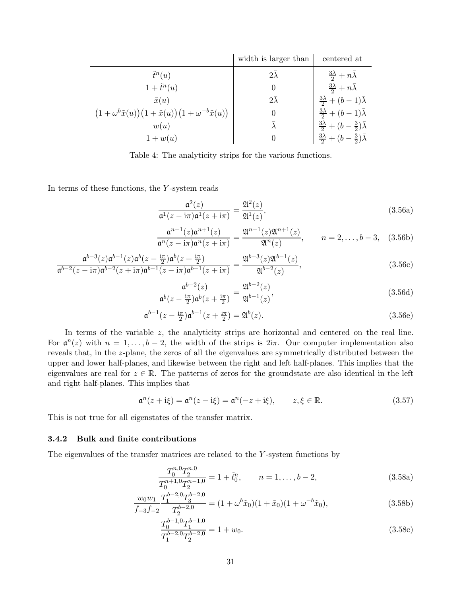|                                                                         | width is larger than | centered at                                                |
|-------------------------------------------------------------------------|----------------------|------------------------------------------------------------|
| $\tilde{t}^n(u)$                                                        | $2\lambda$           | $rac{3\lambda}{2}+n\bar{\lambda}$                          |
| $1+\tilde{t}^n(u)$                                                      | $\theta$             | $rac{3\lambda}{2}+n\bar{\lambda}$                          |
| $\tilde{x}(u)$                                                          | $2\lambda$           | $\frac{3\lambda}{2} + (b-1)\overline{\lambda}$             |
| $(1+\omega^b \tilde{x}(u))(1+\tilde{x}(u))(1+\omega^{-b} \tilde{x}(u))$ | $\Omega$             | $\frac{3\lambda}{2} + (b-1)\overline{\lambda}$             |
| w(u)                                                                    |                      | $rac{3\lambda}{2} + (b - \frac{3}{2})\overline{\lambda}$   |
| $1 + w(u)$                                                              | $\theta$             | $\frac{3\lambda}{2} + (b - \frac{3}{2})\overline{\lambda}$ |

<span id="page-30-1"></span>Table 4: The analyticity strips for the various functions.

In terms of these functions, the Y -system reads

$$
\frac{\mathfrak{a}^2(z)}{\mathfrak{a}^1(z - i\pi)\mathfrak{a}^1(z + i\pi)} = \frac{\mathfrak{A}^2(z)}{\mathfrak{A}^1(z)},\tag{3.56a}
$$

$$
\frac{\mathfrak{a}^{n-1}(z)\mathfrak{a}^{n+1}(z)}{\mathfrak{a}^n(z - i\pi)\mathfrak{a}^n(z + i\pi)} = \frac{\mathfrak{A}^{n-1}(z)\mathfrak{A}^{n+1}(z)}{\mathfrak{A}^n(z)}, \qquad n = 2, \dots, b-3, \quad (3.56b)
$$

$$
\frac{\mathfrak{a}^{b-3}(z)\mathfrak{a}^{b-1}(z)\mathfrak{a}^b(z-\frac{i\pi}{2})\mathfrak{a}^b(z+\frac{i\pi}{2})}{\mathfrak{a}^{b-2}(z-i\pi)\mathfrak{a}^{b-2}(z+i\pi)\mathfrak{a}^{b-1}(z-i\pi)\mathfrak{a}^{b-1}(z+i\pi)} = \frac{\mathfrak{A}^{b-3}(z)\mathfrak{A}^{b-1}(z)}{\mathfrak{A}^{b-2}(z)},
$$
\n(3.56c)

$$
\frac{\mathfrak{a}^{b-2}(z)}{\mathfrak{a}^b(z-\frac{i\pi}{2})\mathfrak{a}^b(z+\frac{i\pi}{2})} = \frac{\mathfrak{A}^{b-2}(z)}{\mathfrak{A}^{b-1}(z)},
$$
\n(3.56d)

$$
\mathfrak{a}^{b-1}(z-\frac{\mathrm{i}\pi}{2})\mathfrak{a}^{b-1}(z+\frac{\mathrm{i}\pi}{2})=\mathfrak{A}^b(z). \tag{3.56e}
$$

In terms of the variable  $z$ , the analyticity strips are horizontal and centered on the real line. For  $\mathfrak{a}^n(z)$  with  $n = 1, \ldots, b-2$ , the width of the strips is  $2i\pi$ . Our computer implementation also reveals that, in the z-plane, the zeros of all the eigenvalues are symmetrically distributed between the upper and lower half-planes, and likewise between the right and left half-planes. This implies that the eigenvalues are real for  $z \in \mathbb{R}$ . The patterns of zeros for the groundstate are also identical in the left and right half-planes. This implies that

$$
\mathfrak{a}^n(z + i\xi) = \mathfrak{a}^n(z - i\xi) = \mathfrak{a}^n(-z + i\xi), \qquad z, \xi \in \mathbb{R}.
$$
 (3.57)

This is not true for all eigenstates of the transfer matrix.

### <span id="page-30-0"></span>3.4.2 Bulk and finite contributions

The eigenvalues of the transfer matrices are related to the Y -system functions by

$$
\frac{T_0^{n,0}T_2^{n,0}}{T_0^{n+1,0}T_2^{n-1,0}} = 1 + \tilde{t}_0^n, \qquad n = 1, \dots, b-2,
$$
\n(3.58a)

$$
\frac{w_0 w_1}{f_{-3}f_{-2}} \frac{T_1^{b-2,0} T_3^{b-2,0}}{T_2^{b-2,0}} = (1 + \omega^b \tilde{x}_0)(1 + \tilde{x}_0)(1 + \omega^{-b} \tilde{x}_0),\tag{3.58b}
$$

$$
\frac{T_0^{b-1,0}T_1^{b-1,0}}{T_1^{b-2,0}T_2^{b-2,0}} = 1 + w_0.
$$
\n(3.58c)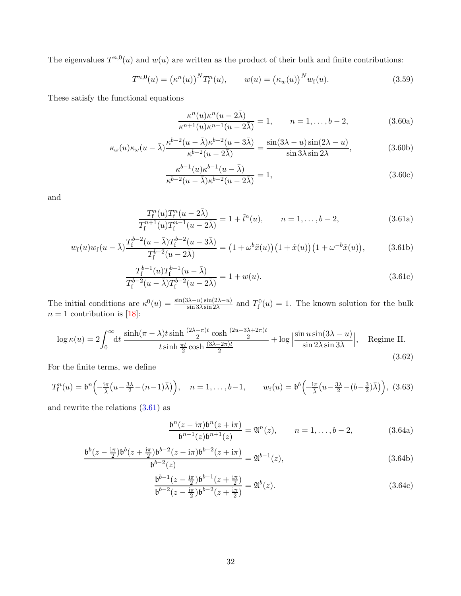The eigenvalues  $T^{n,0}(u)$  and  $w(u)$  are written as the product of their bulk and finite contributions:

$$
T^{n,0}(u) = (\kappa^n(u))^N T_f^n(u), \qquad w(u) = (\kappa_w(u))^N w_f(u).
$$
 (3.59)

These satisfy the functional equations

$$
\frac{\kappa^n(u)\kappa^n(u-2\bar{\lambda})}{\kappa^{n+1}(u)\kappa^{n-1}(u-2\bar{\lambda})} = 1, \qquad n = 1, \dots, b-2,
$$
\n(3.60a)

$$
\kappa_{\omega}(u)\kappa_{\omega}(u-\bar{\lambda})\frac{\kappa^{b-2}(u-\bar{\lambda})\kappa^{b-2}(u-3\bar{\lambda})}{\kappa^{b-2}(u-2\bar{\lambda})}=\frac{\sin(3\lambda-u)\sin(2\lambda-u)}{\sin 3\lambda\sin 2\lambda},\tag{3.60b}
$$

$$
\frac{\kappa^{b-1}(u)\kappa^{b-1}(u-\bar{\lambda})}{\kappa^{b-2}(u-\bar{\lambda})\kappa^{b-2}(u-2\bar{\lambda})} = 1,
$$
\n(3.60c)

<span id="page-31-0"></span>and

$$
\frac{T_{\rm f}^n(u)T_{\rm f}^n(u-2\bar{\lambda})}{T_{\rm f}^{n+1}(u)T_{\rm f}^{n-1}(u-2\bar{\lambda})} = 1 + \tilde{t}^n(u), \qquad n = 1, \ldots, b-2,
$$
\n(3.61a)

$$
w_{\rm f}(u)w_{\rm f}(u-\bar{\lambda})\frac{T_{\rm f}^{b-2}(u-\bar{\lambda})T_{\rm f}^{b-2}(u-3\bar{\lambda})}{T_{\rm f}^{b-2}(u-2\bar{\lambda})} = (1+\omega^b\tilde{x}(u))(1+\tilde{x}(u))(1+\omega^{-b}\tilde{x}(u)),\tag{3.61b}
$$

$$
\frac{T_{\rm f}^{b-1}(u)T_{\rm f}^{b-1}(u-\bar{\lambda})}{T_{\rm f}^{b-2}(u-\bar{\lambda})T_{\rm f}^{b-2}(u-2\bar{\lambda})} = 1 + w(u). \tag{3.61c}
$$

The initial conditions are  $\kappa^0(u) = \frac{\sin(3\lambda - u)\sin(2\lambda - u)}{\sin 3\lambda \sin 2\lambda}$  and  $T_f^0(u) = 1$ . The known solution for the bulk  $n = 1$  contribution is [\[18\]](#page-77-9):

$$
\log \kappa(u) = 2 \int_0^\infty dt \, \frac{\sinh(\pi - \lambda)t \sinh\frac{(2\lambda - \pi)t}{2} \cosh\frac{(2u - 3\lambda + 2\pi)t}{2}}{t \sinh\frac{\pi t}{2} \cosh\frac{(3\lambda - 2\pi)t}{2}} + \log \left| \frac{\sin u \sin(3\lambda - u)}{\sin 2\lambda \sin 3\lambda} \right|, \quad \text{Regime II.}
$$
\n(3.62)

For the finite terms, we define

$$
T_{\mathbf{f}}^n(u) = \mathfrak{b}^n \left( -\frac{\mathfrak{i}\pi}{\overline{\lambda}} \left( u - \frac{3\lambda}{2} - (n-1)\overline{\lambda} \right) \right), \quad n = 1, \dots, b-1, \qquad w_{\mathbf{f}}(u) = \mathfrak{b}^b \left( -\frac{\mathfrak{i}\pi}{\overline{\lambda}} \left( u - \frac{3\lambda}{2} - (b - \frac{3}{2})\overline{\lambda} \right) \right), \tag{3.63}
$$

and rewrite the relations  $(3.61)$  as

<span id="page-31-1"></span>
$$
\frac{\mathfrak{b}^n(z - \mathrm{i}\pi)\mathfrak{b}^n(z + \mathrm{i}\pi)}{\mathfrak{b}^{n-1}(z)\mathfrak{b}^{n+1}(z)} = \mathfrak{A}^n(z), \qquad n = 1, \dots, b-2,
$$
 (3.64a)

$$
\frac{\mathfrak{b}^{b}(z - \frac{\mathrm{i}\pi}{2})\mathfrak{b}^{b}(z + \frac{\mathrm{i}\pi}{2})\mathfrak{b}^{b-2}(z - \mathrm{i}\pi)\mathfrak{b}^{b-2}(z + \mathrm{i}\pi)}{\mathfrak{b}^{b-2}(z)} = \mathfrak{A}^{b-1}(z),\tag{3.64b}
$$

$$
\frac{\mathfrak{b}^{b-1}(z - \frac{\mathrm{i}\pi}{2})\mathfrak{b}^{b-1}(z + \frac{\mathrm{i}\pi}{2})}{\mathfrak{b}^{b-2}(z - \frac{\mathrm{i}\pi}{2})\mathfrak{b}^{b-2}(z + \frac{\mathrm{i}\pi}{2})} = \mathfrak{A}^b(z).
$$
\n(3.64c)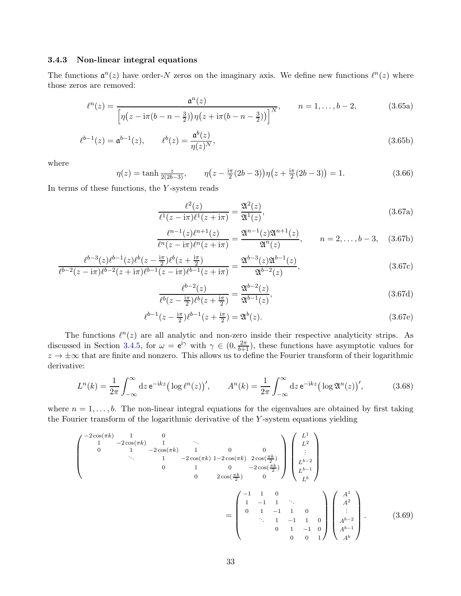# <span id="page-32-0"></span>3.4.3 Non-linear integral equations

The functions  $\mathfrak{a}^n(z)$  have order-N zeros on the imaginary axis. We define new functions  $\ell^n(z)$  where those zeros are removed:

<span id="page-32-1"></span>
$$
\ell^{n}(z) = \frac{\mathfrak{a}^{n}(z)}{\left[\eta(z - i\pi(b - n - \frac{3}{2}))\eta(z + i\pi(b - n - \frac{3}{2}))\right]^{N}}, \qquad n = 1, \dots, b - 2,
$$
 (3.65a)

$$
\ell^{b-1}(z) = \mathfrak{a}^{b-1}(z), \qquad \ell^b(z) = \frac{\mathfrak{a}^b(z)}{\eta(z)^N}, \tag{3.65b}
$$

where

$$
\eta(z) = \tanh \frac{z}{2(2b-3)}, \qquad \eta(z - \frac{i\pi}{2}(2b-3))\eta(z + \frac{i\pi}{2}(2b-3)) = 1.
$$
\n(3.66)

In terms of these functions, the  $Y$ -system reads

$$
\frac{\ell^2(z)}{\ell^1(z - i\pi)\ell^1(z + i\pi)} = \frac{\mathfrak{A}^2(z)}{\mathfrak{A}^1(z)},\tag{3.67a}
$$

$$
\frac{\ell^{n-1}(z)\ell^{n+1}(z)}{\ell^n(z-\mathrm{i}\pi)\ell^n(z+\mathrm{i}\pi)} = \frac{\mathfrak{A}^{n-1}(z)\mathfrak{A}^{n+1}(z)}{\mathfrak{A}^n(z)}, \qquad n = 2, \dots, b-3, \quad (3.67b)
$$

$$
\frac{\ell^{b-3}(z)\ell^{b-1}(z)\ell^b(z-\frac{i\pi}{2})\ell^b(z+\frac{i\pi}{2})}{\ell^{b-2}(z-i\pi)\ell^{b-2}(z+i\pi)\ell^{b-1}(z-i\pi)\ell^{b-1}(z+i\pi)} = \frac{\mathfrak{A}^{b-3}(z)\mathfrak{A}^{b-1}(z)}{\mathfrak{A}^{b-2}(z)},
$$
\n(3.67c)

$$
\frac{\ell^{b-2}(z)}{\ell^b(z-\frac{i\pi}{2})\ell^b(z+\frac{i\pi}{2})} = \frac{\mathfrak{A}^{b-2}(z)}{\mathfrak{A}^{b-1}(z)},\tag{3.67d}
$$

$$
\ell^{b-1}(z - \frac{i\pi}{2})\ell^{b-1}(z + \frac{i\pi}{2}) = \mathfrak{A}^b(z). \tag{3.67e}
$$

The functions  $\ell^{n}(z)$  are all analytic and non-zero inside their respective analyticity strips. As discussed in Section [3.4.5,](#page-34-0) for  $\omega = e^{i\gamma}$  with  $\gamma \in (0, \frac{2\pi}{b+1})$ , these functions have asymptotic values for  $z \to \pm \infty$  that are finite and nonzero. This allows us to define the Fourier transform of their logarithmic derivative:

$$
L^{n}(k) = \frac{1}{2\pi} \int_{-\infty}^{\infty} dz \, \mathrm{e}^{-\mathrm{i}kz} \big( \log \ell^{n}(z) \big)', \qquad A^{n}(k) = \frac{1}{2\pi} \int_{-\infty}^{\infty} dz \, \mathrm{e}^{-\mathrm{i}kz} \big( \log \mathfrak{A}^{n}(z) \big)', \tag{3.68}
$$

where  $n = 1, \ldots, b$ . The non-linear integral equations for the eigenvalues are obtained by first taking the Fourier transform of the logarithmic derivative of the Y -system equations yielding

$$
\begin{pmatrix}\n-2\cos(\pi k) & 1 & 0 & & \\
1 & -2\cos(\pi k) & 1 & 0 & 0 \\
& \ddots & 1 & -2\cos(\pi k) & 1 - 2\cos(\pi k) & 2\cos(\frac{\pi k}{2}) \\
& & 0 & 1 & 0 & -2\cos(\frac{\pi k}{2}) \\
& & & 0 & 2\cos(\frac{\pi k}{2}) & 0\n\end{pmatrix}\n\begin{pmatrix}\nL^1 \\
L^2 \\
\vdots \\
L^{b-2} \\
L^{b-1} \\
L^{b-1} \\
L^{b}\n\end{pmatrix}
$$
\n
$$
= \begin{pmatrix}\n-1 & 1 & 0 & & \\
1 & -1 & 1 & \ddots & \\
& & \ddots & 1 & -1 & 1 & 0 \\
& & & \ddots & 1 & -1 & 1 & 0 \\
& & & & 0 & 0 & 1\n\end{pmatrix}\n\begin{pmatrix}\nA^1 \\
A^2 \\
A^{b-2} \\
A^{b-1} \\
A^{b-1}\n\end{pmatrix}.
$$
\n(3.69)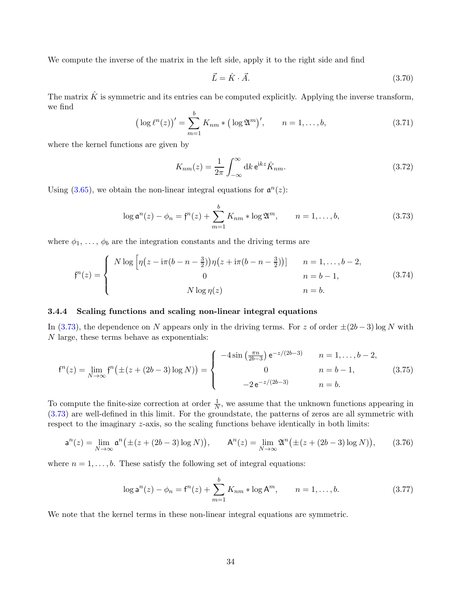We compute the inverse of the matrix in the left side, apply it to the right side and find

$$
\vec{L} = \hat{K} \cdot \vec{A}.\tag{3.70}
$$

The matrix  $\hat{K}$  is symmetric and its entries can be computed explicitly. Applying the inverse transform, we find b

$$
\left(\log \ell^{n}(z)\right)' = \sum_{m=1}^{0} K_{nm} * \left(\log \mathfrak{A}^{m}\right)', \qquad n = 1, \ldots, b,
$$
\n(3.71)

where the kernel functions are given by

<span id="page-33-3"></span>
$$
K_{nm}(z) = \frac{1}{2\pi} \int_{-\infty}^{\infty} dk \,\mathrm{e}^{\mathrm{i}kz} \hat{K}_{nm}.\tag{3.72}
$$

Using  $(3.65)$ , we obtain the non-linear integral equations for  $\mathfrak{a}^n(z)$ :

<span id="page-33-1"></span>
$$
\log \mathfrak{a}^n(z) - \phi_n = \mathfrak{f}^n(z) + \sum_{m=1}^b K_{nm} * \log \mathfrak{A}^m, \qquad n = 1, ..., b,
$$
 (3.73)

where  $\phi_1, \ldots, \phi_b$  are the integration constants and the driving terms are

$$
f^{n}(z) = \begin{cases} N \log \left[ \eta \left( z - i\pi (b - n - \frac{3}{2}) \right) \eta \left( z + i\pi (b - n - \frac{3}{2}) \right) \right] & n = 1, ..., b - 2, \\ 0 & n = b - 1, \\ N \log \eta(z) & n = b. \end{cases}
$$
 (3.74)

#### <span id="page-33-0"></span>3.4.4 Scaling functions and scaling non-linear integral equations

In [\(3.73\)](#page-33-1), the dependence on N appears only in the driving terms. For z of order  $\pm(2b-3)\log N$  with N large, these terms behave as exponentials:

$$
f^{n}(z) = \lim_{N \to \infty} f^{n}(\pm (z + (2b - 3) \log N)) = \begin{cases} -4\sin\left(\frac{\pi n}{2b - 3}\right) e^{-z/(2b - 3)} & n = 1, ..., b - 2, \\ 0 & n = b - 1, \\ -2e^{-z/(2b - 3)} & n = b. \end{cases}
$$
(3.75)

To compute the finite-size correction at order  $\frac{1}{N}$ , we assume that the unknown functions appearing in [\(3.73\)](#page-33-1) are well-defined in this limit. For the groundstate, the patterns of zeros are all symmetric with respect to the imaginary z-axis, so the scaling functions behave identically in both limits:

$$
a^{n}(z) = \lim_{N \to \infty} a^{n}(\pm (z + (2b - 3) \log N)), \qquad A^{n}(z) = \lim_{N \to \infty} \mathfrak{A}^{n}(\pm (z + (2b - 3) \log N)), \qquad (3.76)
$$

where  $n = 1, \ldots, b$ . These satisfy the following set of integral equations:

<span id="page-33-2"></span>
$$
\log \mathsf{a}^n(z) - \phi_n = \mathsf{f}^n(z) + \sum_{m=1}^b K_{nm} * \log \mathsf{A}^m, \qquad n = 1, \dots, b. \tag{3.77}
$$

We note that the kernel terms in these non-linear integral equations are symmetric.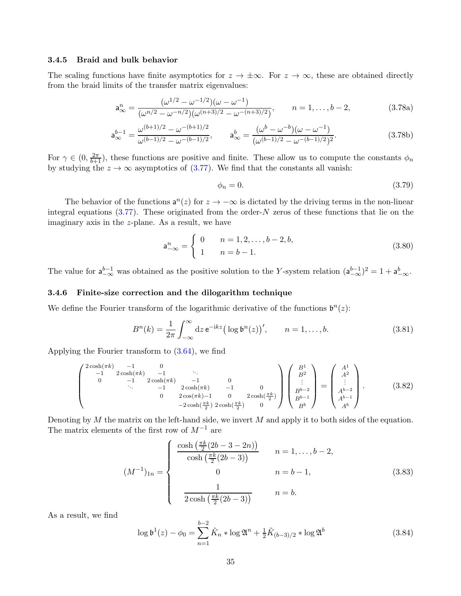#### <span id="page-34-0"></span>3.4.5 Braid and bulk behavior

The scaling functions have finite asymptotics for  $z \to \pm \infty$ . For  $z \to \infty$ , these are obtained directly from the braid limits of the transfer matrix eigenvalues:

$$
\mathbf{a}_{\infty}^{n} = \frac{(\omega^{1/2} - \omega^{-1/2})(\omega - \omega^{-1})}{(\omega^{n/2} - \omega^{-n/2})(\omega^{(n+3)/2} - \omega^{-(n+3)/2})}, \qquad n = 1, \dots, b-2,
$$
 (3.78a)

$$
\mathbf{a}_{\infty}^{b-1} = \frac{\omega^{(b+1)/2} - \omega^{-(b+1)/2}}{\omega^{(b-1)/2} - \omega^{-(b-1)/2}}, \qquad \mathbf{a}_{\infty}^b = \frac{(\omega^b - \omega^{-b})(\omega - \omega^{-1})}{(\omega^{(b-1)/2} - \omega^{-(b-1)/2})^2}.
$$
 (3.78b)

For  $\gamma \in (0, \frac{2\pi}{b+1})$ , these functions are positive and finite. These allow us to compute the constants  $\phi_n$ by studying the  $z \to \infty$  asymptotics of [\(3.77\)](#page-33-2). We find that the constants all vanish:

$$
\phi_n = 0. \tag{3.79}
$$

The behavior of the functions  $a^n(z)$  for  $z \to -\infty$  is dictated by the driving terms in the non-linear integral equations  $(3.77)$ . These originated from the order-N zeros of these functions that lie on the imaginary axis in the z-plane. As a result, we have

$$
\mathsf{a}_{-\infty}^{n} = \begin{cases} 0 & n = 1, 2, \dots, b - 2, b, \\ 1 & n = b - 1. \end{cases}
$$
 (3.80)

The value for  $a_{-\infty}^{b-1}$  was obtained as the positive solution to the Y-system relation  $(a_{-\infty}^{b-1})^2 = 1 + a_{-\infty}^b$ .

# <span id="page-34-1"></span>3.4.6 Finite-size correction and the dilogarithm technique

We define the Fourier transform of the logarithmic derivative of the functions  $\mathfrak{b}^n(z)$ :

$$
B^{n}(k) = \frac{1}{2\pi} \int_{-\infty}^{\infty} dz \, \mathrm{e}^{-\mathrm{i}kz} \big( \log \mathfrak{b}^{n}(z) \big)', \qquad n = 1, \dots, b. \tag{3.81}
$$

Applying the Fourier transform to [\(3.64\)](#page-31-1), we find

$$
\begin{pmatrix}\n2\cosh(\pi k) & -1 & 0 & & \\
-1 & 2\cosh(\pi k) & -1 & & \\
0 & -1 & 2\cosh(\pi k) & -1 & 0 & \\
& \ddots & -1 & 2\cosh(\pi k) & -1 & 0 \\
& & 0 & 2\cos(\pi k) - 1 & 0 & 2\cosh(\frac{\pi k}{2}) \\
& & & -2\cosh(\frac{\pi k}{2}) & 2\cosh(\frac{\pi k}{2}) & 0\n\end{pmatrix}\n\begin{pmatrix}\nB^1 \\
B^2 \\
\vdots \\
B^{b-2} \\
B^{b-1} \\
B^b\n\end{pmatrix} = \begin{pmatrix}\nA^1 \\
A^2 \\
\vdots \\
A^{b-2} \\
A^{b-1} \\
A^b\n\end{pmatrix}.
$$
\n(3.82)

Denoting by  $M$  the matrix on the left-hand side, we invert  $M$  and apply it to both sides of the equation. The matrix elements of the first row of  $M^{-1}$  are

$$
(M^{-1})_{1n} = \begin{cases} \frac{\cosh\left(\frac{\pi k}{2}(2b-3-2n)\right)}{\cosh\left(\frac{\pi k}{2}(2b-3)\right)} & n = 1, \dots, b-2, \\ 0 & n = b-1, \\ \frac{1}{2\cosh\left(\frac{\pi k}{2}(2b-3)\right)} & n = b. \end{cases}
$$
(3.83)

As a result, we find

$$
\log \mathfrak{b}^1(z) - \phi_0 = \sum_{n=1}^{b-2} \tilde{K}_n * \log \mathfrak{A}^n + \frac{1}{2} \tilde{K}_{(b-3)/2} * \log \mathfrak{A}^b
$$
 (3.84)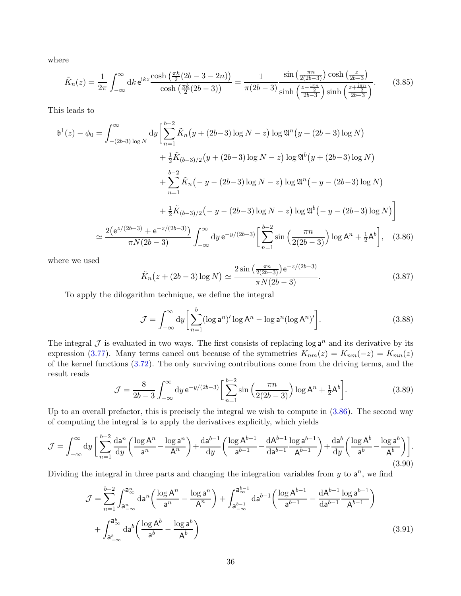where

$$
\tilde{K}_n(z) = \frac{1}{2\pi} \int_{-\infty}^{\infty} dk \, \mathrm{e}^{ikz} \frac{\cosh\left(\frac{\pi k}{2}(2b - 3 - 2n)\right)}{\cosh\left(\frac{\pi k}{2}(2b - 3)\right)} = \frac{1}{\pi(2b - 3)} \frac{\sin\left(\frac{\pi n}{2(2b - 3)}\right) \cosh\left(\frac{z}{2b - 3}\right)}{\sinh\left(\frac{z - \frac{\pi n}{2}}{2b - 3}\right) \sinh\left(\frac{z + \frac{\pi n}{2}}{2b - 3}\right)}.
$$
\n(3.85)

This leads to

$$
\mathfrak{b}^{1}(z) - \phi_{0} = \int_{-(2b-3)\log N}^{\infty} dy \left[ \sum_{n=1}^{b-2} \tilde{K}_{n}(y + (2b-3)\log N - z) \log \mathfrak{A}^{n}(y + (2b-3)\log N) + \frac{1}{2} \tilde{K}_{(b-3)/2}(y + (2b-3)\log N - z) \log \mathfrak{A}^{b}(y + (2b-3)\log N) + \sum_{n=1}^{b-2} \tilde{K}_{n}(-y - (2b-3)\log N - z) \log \mathfrak{A}^{n}(-y - (2b-3)\log N) + \frac{1}{2} \tilde{K}_{(b-3)/2}(-y - (2b-3)\log N - z) \log \mathfrak{A}^{b}(-y - (2b-3)\log N) \right]
$$
  

$$
\simeq \frac{2(e^{z/(2b-3)} + e^{-z/(2b-3)})}{\pi N(2b-3)} \int_{-\infty}^{\infty} dy e^{-y/(2b-3)} \left[ \sum_{n=1}^{b-2} \sin \left( \frac{\pi n}{2(2b-3)} \right) \log A^{n} + \frac{1}{2} A^{b} \right], \quad (3.86)
$$

where we used

<span id="page-35-0"></span>
$$
\tilde{K}_n(z + (2b - 3)\log N) \simeq \frac{2\sin\left(\frac{\pi n}{2(2b - 3)}\right)e^{-z/(2b - 3)}}{\pi N(2b - 3)}.
$$
\n(3.87)

To apply the dilogarithm technique, we define the integral

$$
\mathcal{J} = \int_{-\infty}^{\infty} dy \left[ \sum_{n=1}^{b} (\log \mathsf{a}^n)' \log \mathsf{A}^n - \log \mathsf{a}^n (\log \mathsf{A}^n)' \right]. \tag{3.88}
$$

The integral  $\mathcal J$  is evaluated in two ways. The first consists of replacing log  $a^n$  and its derivative by its expression [\(3.77\)](#page-33-2). Many terms cancel out because of the symmetries  $K_{nm}(z) = K_{nm}(-z) = K_{mn}(z)$ of the kernel functions [\(3.72\)](#page-33-3). The only surviving contributions come from the driving terms, and the result reads

$$
\mathcal{J} = \frac{8}{2b-3} \int_{-\infty}^{\infty} dy \, e^{-y/(2b-3)} \left[ \sum_{n=1}^{b-2} \sin \left( \frac{\pi n}{2(2b-3)} \right) \log A^n + \frac{1}{2} A^b \right]. \tag{3.89}
$$

Up to an overall prefactor, this is precisely the integral we wish to compute in [\(3.86\)](#page-35-0). The second way of computing the integral is to apply the derivatives explicitly, which yields

$$
\mathcal{J} = \int_{-\infty}^{\infty} dy \left[ \sum_{n=1}^{b-2} \frac{da^n}{dy} \left( \frac{\log A^n}{a^n} - \frac{\log a^n}{A^n} \right) + \frac{da^{b-1}}{dy} \left( \frac{\log A^{b-1}}{a^{b-1}} - \frac{dA^{b-1}}{da^{b-1}} \frac{\log a^{b-1}}{A^{b-1}} \right) + \frac{da^b}{dy} \left( \frac{\log A^b}{a^b} - \frac{\log a^b}{A^b} \right) \right].
$$
\n(3.90)

Dividing the integral in three parts and changing the integration variables from  $y$  to  $a^n$ , we find

$$
\mathcal{J} = \sum_{n=1}^{b-2} \int_{a_{-\infty}^n}^{a_{\infty}^n} da^n \left( \frac{\log A^n}{a^n} - \frac{\log a^n}{A^n} \right) + \int_{a_{-\infty}^{b-1}}^{a_{\infty}^{b-1}} da^{b-1} \left( \frac{\log A^{b-1}}{a^{b-1}} - \frac{dA^{b-1}}{da^{b-1}} \frac{\log a^{b-1}}{A^{b-1}} \right) + \int_{a_{-\infty}^b}^{a_{\infty}^b} da^b \left( \frac{\log A^b}{a^b} - \frac{\log a^b}{A^b} \right)
$$
\n
$$
(3.91)
$$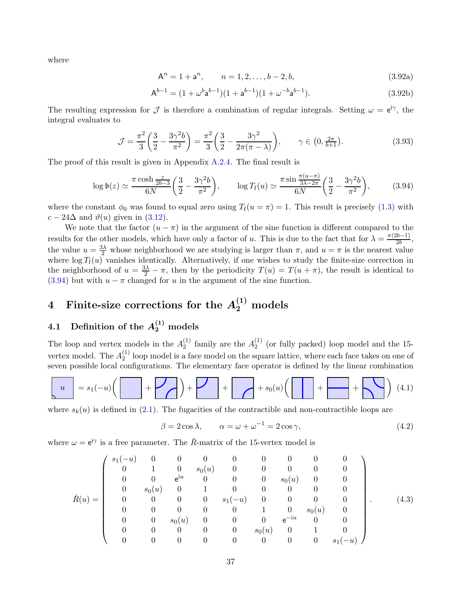where

$$
A^n = 1 + a^n, \qquad n = 1, 2, \dots, b - 2, b,
$$
\n(3.92a)

$$
A^{b-1} = (1 + \omega^b a^{b-1})(1 + a^{b-1})(1 + \omega^{-b} a^{b-1}).
$$
\n(3.92b)

The resulting expression for  $\mathcal J$  is therefore a combination of regular integrals. Setting  $\omega = e^{i\gamma}$ , the integral evaluates to

$$
\mathcal{J} = \frac{\pi^2}{3} \left( \frac{3}{2} - \frac{3\gamma^2 b}{\pi^2} \right) = \frac{\pi^2}{3} \left( \frac{3}{2} - \frac{3\gamma^2}{2\pi(\pi - \lambda)} \right), \qquad \gamma \in (0, \frac{2\pi}{b+1}).
$$
\n(3.93)

The proof of this result is given in Appendix [A.2.4.](#page-72-0) The final result is

<span id="page-36-0"></span>
$$
\log \mathfrak{b}(z) \simeq \frac{\pi \cosh \frac{z}{2b-3}}{6N} \left( \frac{3}{2} - \frac{3\gamma^2 b}{\pi^2} \right), \qquad \log T_{\rm f}(u) \simeq \frac{\pi \sin \frac{\pi (u-\pi)}{3\lambda - 2\pi}}{6N} \left( \frac{3}{2} - \frac{3\gamma^2 b}{\pi^2} \right), \tag{3.94}
$$

where the constant  $\phi_0$  was found to equal zero using  $T_f(u = \pi) = 1$ . This result is precisely [\(1.3\)](#page-3-0) with  $c - 24\Delta$  and  $\vartheta(u)$  given in [\(3.12\)](#page-21-0).

We note that the factor  $(u - \pi)$  in the argument of the sine function is different compared to the results for the other models, which have only a factor of u. This is due to the fact that for  $\lambda = \frac{\pi(2b-1)}{2b}$  $\frac{2b-1)}{2b},$ the value  $u = \frac{3\lambda}{2}$  whose neighborhood we are studying is larger than  $\pi$ , and  $u = \pi$  is the nearest value where  $\log T_f(u)$  vanishes identically. Alternatively, if one wishes to study the finite-size correction in the neighborhood of  $u = \frac{3\lambda}{2} - \pi$ , then by the periodicity  $T(u) = T(u + \pi)$ , the result is identical to [\(3.94\)](#page-36-0) but with  $u - \pi$  changed for u in the argument of the sine function.

# <span id="page-36-1"></span>4 Finite-size corrections for the  $A_2^{(1)}$  models

## 4.1 Definition of the  $A_2^{(1)}$  models

The loop and vertex models in the  $A_2^{(1)}$  $_2^{(1)}$  family are the  $A_2^{(1)}$  $_{2}^{(1)}$  (or fully packed) loop model and the 15vertex model. The  $A_2^{(1)}$  $2^{1/2}$  loop model is a face model on the square lattice, where each face takes on one of seven possible local configurations. The elementary face operator is defined by the linear combination

$$
u = s_1(-u)\left(\left[\begin{array}{c}1\end{array}\right] + \left[\begin{array}{c}1\end{array}\right] + \left[\begin{array}{c}1\end{array}\right] + s_0(u)\left(\left[\begin{array}{c}1\end{array}\right] + \left[\begin{array}{c}1\end{array}\right] + \left[\begin{array}{c}1\end{array}\right] \right) (4.1)
$$

where  $s_k(u)$  is defined in [\(2.1\)](#page-6-0). The fugacities of the contractible and non-contractible loops are

$$
\beta = 2\cos\lambda, \qquad \alpha = \omega + \omega^{-1} = 2\cos\gamma,
$$
\n(4.2)

where  $\omega = e^{i\gamma}$  is a free parameter. The  $\tilde{R}$ -matrix of the 15-vertex model is

$$
\check{R}(u) = \left(\begin{array}{ccccccccccccc} s_1(-u) & 0 & 0 & 0 & 0 & 0 & 0 & 0 & 0 & 0 \\ 0 & 1 & 0 & s_0(u) & 0 & 0 & 0 & 0 & 0 & 0 \\ 0 & 0 & \mathrm{e}^{iu} & 0 & 0 & 0 & s_0(u) & 0 & 0 \\ 0 & s_0(u) & 0 & 1 & 0 & 0 & 0 & 0 & 0 \\ 0 & 0 & 0 & 0 & s_1(-u) & 0 & 0 & 0 & 0 \\ 0 & 0 & 0 & 0 & 0 & 1 & 0 & s_0(u) & 0 \\ 0 & 0 & s_0(u) & 0 & 0 & 0 & \mathrm{e}^{-iu} & 0 & 0 \\ 0 & 0 & 0 & 0 & 0 & 0 & 0 & 0 & s_1(-u) \end{array}\right). \tag{4.3}
$$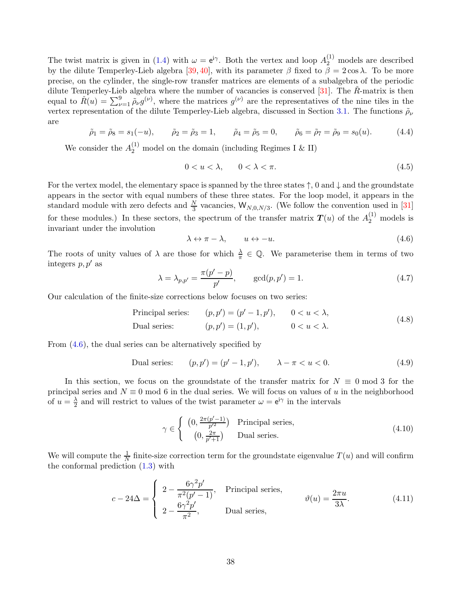The twist matrix is given in [\(1.4\)](#page-4-0) with  $\omega = e^{i\gamma}$ . Both the vertex and loop  $A_2^{(1)}$  models are described by the dilute Temperley-Lieb algebra [\[39,](#page-78-0) [40\]](#page-78-1), with its parameter  $\beta$  fixed to  $\beta = 2 \cos \lambda$ . To be more precise, on the cylinder, the single-row transfer matrices are elements of a subalgebra of the periodic dilute Temperley-Lieb algebra where the number of vacancies is conserved  $[31]$ . The  $\check{R}$ -matrix is then equal to  $\check{R}(u) = \sum_{\nu=1}^{9} \tilde{\rho}_{\nu} g^{(\nu)}$ , where the matrices  $g^{(\nu)}$  are the representatives of the nine tiles in the vertex representation of the dilute Temperley-Lieb algebra, discussed in Section [3.1.](#page-19-0) The functions  $\tilde{\rho}_{\nu}$ are

$$
\tilde{\rho}_1 = \tilde{\rho}_8 = s_1(-u),
$$
  $\tilde{\rho}_2 = \tilde{\rho}_3 = 1,$   $\tilde{\rho}_4 = \tilde{\rho}_5 = 0,$   $\tilde{\rho}_6 = \tilde{\rho}_7 = \tilde{\rho}_9 = s_0(u).$  (4.4)

We consider the  $A_2^{(1)}$  model on the domain (including Regimes I & II)

$$
0 < u < \lambda, \qquad 0 < \lambda < \pi. \tag{4.5}
$$

For the vertex model, the elementary space is spanned by the three states  $\uparrow$ , 0 and  $\downarrow$  and the groundstate appears in the sector with equal numbers of these three states. For the loop model, it appears in the standard module with zero defects and  $\frac{N}{3}$  vacancies,  $W_{N,0,N/3}$ . (We follow the convention used in [\[31\]](#page-77-0) for these modules.) In these sectors, the spectrum of the transfer matrix  $T(u)$  of the  $A_2^{(1)}$  models is invariant under the involution

<span id="page-37-0"></span>
$$
\lambda \leftrightarrow \pi - \lambda, \qquad u \leftrightarrow -u. \tag{4.6}
$$

The roots of unity values of  $\lambda$  are those for which  $\frac{\lambda}{\pi} \in \mathbb{Q}$ . We parameterise them in terms of two integers  $p, p'$  as

$$
\lambda = \lambda_{p,p'} = \frac{\pi(p'-p)}{p'}, \quad \gcd(p,p') = 1.
$$
\n(4.7)

Our calculation of the finite-size corrections below focuses on two series:

Principal series: 
$$
(p, p') = (p' - 1, p'), \quad 0 < u < \lambda,
$$
  
Dual series:  $(p, p') = (1, p'), \quad 0 < u < \lambda.$  (4.8)

From  $(4.6)$ , the dual series can be alternatively specified by

Dual series: 
$$
(p, p') = (p' - 1, p'), \qquad \lambda - \pi < u < 0.
$$
 (4.9)

In this section, we focus on the groundstate of the transfer matrix for  $N \equiv 0 \text{ mod } 3$  for the principal series and  $N \equiv 0 \mod 6$  in the dual series. We will focus on values of u in the neighborhood of  $u=\frac{\lambda}{2}$  $\frac{\lambda}{2}$  and will restrict to values of the twist parameter  $\omega = e^{i\gamma}$  in the intervals

$$
\gamma \in \begin{cases} \left(0, \frac{2\pi(p'-1)}{p'^2}\right) & \text{Principal series,} \\ \left(0, \frac{2\pi}{p'+1}\right) & \text{Dual series.} \end{cases} \tag{4.10}
$$

We will compute the  $\frac{1}{N}$  finite-size correction term for the groundstate eigenvalue  $T(u)$  and will confirm the conformal prediction [\(1.3\)](#page-3-0) with

<span id="page-37-1"></span>
$$
c - 24\Delta = \begin{cases} 2 - \frac{6\gamma^2 p'}{\pi^2 (p' - 1)}, & \text{Principal series,} \\ 2 - \frac{6\gamma^2 p'}{\pi^2}, & \text{Dual series,} \end{cases} \qquad \vartheta(u) = \frac{2\pi u}{3\lambda}.
$$
 (4.11)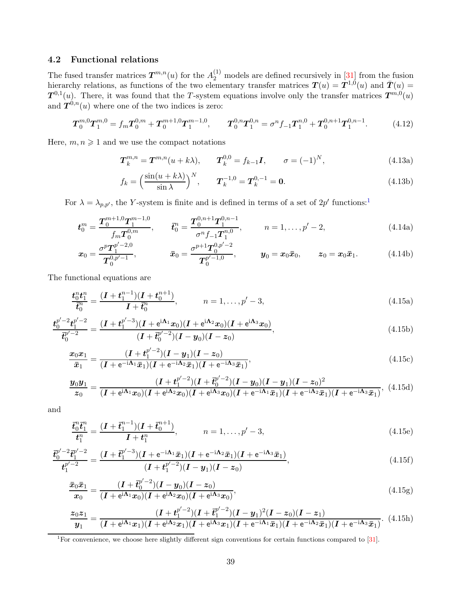## 4.2 Functional relations

The fused transfer matrices  $T^{m,n}(u)$  for the  $A_2^{(1)}$  models are defined recursively in [\[31\]](#page-77-0) from the fusion hierarchy relations, as functions of the two elementary transfer matrices  $T(u) = T^{1,0}(u)$  and  $\bar{T}(u) =$  $T^{0,1}(u)$ . There, it was found that the T-system equations involve only the transfer matrices  $T^{m,0}(u)$ and  $T^{0,n}(u)$  where one of the two indices is zero:

$$
T_0^{m,0}T_1^{m,0} = f_m T_0^{0,m} + T_0^{m+1,0}T_1^{m-1,0}, \qquad T_0^{0,n}T_1^{0,n} = \sigma^n f_{-1}T_1^{n,0} + T_0^{0,n+1}T_1^{0,n-1}.
$$
 (4.12)

Here,  $m, n \geq 1$  and we use the compact notations

$$
T_k^{m,n} = T^{m,n}(u+k\lambda), \qquad T_k^{0,0} = f_{k-1}I, \qquad \sigma = (-1)^N,
$$
\n(4.13a)

$$
f_k = \left(\frac{\sin(u + k\lambda)}{\sin \lambda}\right)^N, \qquad T_k^{-1,0} = T_k^{0,-1} = \mathbf{0}.\tag{4.13b}
$$

For  $\lambda = \lambda_{p,p'}$ , the Y-system is finite and is defined in terms of a set of  $2p'$  functions:<sup>[1](#page-38-0)</sup>

$$
\boldsymbol{t}_{0}^{m} = \frac{\boldsymbol{T}_{0}^{m+1,0}\boldsymbol{T}_{1}^{m-1,0}}{f_{m}\boldsymbol{T}_{0}^{0,m}}, \qquad \boldsymbol{\bar{t}}_{0}^{n} = \frac{\boldsymbol{T}_{0}^{0,n+1}\boldsymbol{T}_{1}^{0,n-1}}{\sigma^{n}f_{-1}\boldsymbol{T}_{1}^{n,0}}, \qquad n = 1,\ldots,p'-2,
$$
\n(4.14a)

<span id="page-38-1"></span>
$$
\boldsymbol{x}_0 = \frac{\sigma^p \boldsymbol{T}_1^{p'-2,0}}{\boldsymbol{T}_0^{0,p'-1}}, \qquad \qquad \bar{\boldsymbol{x}}_0 = \frac{\sigma^{p+1} \boldsymbol{T}_0^{0,p'-2}}{\boldsymbol{T}_0^{p'-1,0}}, \qquad \qquad \boldsymbol{y}_0 = \boldsymbol{x}_0 \bar{\boldsymbol{x}}_0, \qquad \boldsymbol{z}_0 = \boldsymbol{x}_0 \bar{\boldsymbol{x}}_1. \tag{4.14b}
$$

The functional equations are

$$
\frac{t_0^n t_1^n}{\bar{t}_0^n} = \frac{(I + t_1^{n-1})(I + t_0^{n+1})}{I + \bar{t}_0^n}, \qquad n = 1, \dots, p' - 3,
$$
\n(4.15a)

$$
\frac{t_0^{p'-2}t_1^{p'-2}}{t_0^{p'-2}} = \frac{(I + t_1^{p'-3})(I + e^{i\Lambda_1}x_0)(I + e^{i\Lambda_2}x_0)(I + e^{i\Lambda_3}x_0)}{(I + t_0^{p'-2})(I - y_0)(I - z_0)},
$$
\n(4.15b)

$$
\frac{x_0 x_1}{\bar{x}_1} = \frac{(I + t_1^{p'-2})(I - y_1)(I - z_0)}{(I + e^{-i\Lambda_1}\bar{x}_1)(I + e^{-i\Lambda_2}\bar{x}_1)(I + e^{-i\Lambda_3}\bar{x}_1)},
$$
\n(4.15c)

$$
\frac{y_0 y_1}{z_0} = \frac{(I + t_1^{p'-2})(I + \overline{t}_0^{p'-2})(I - y_0)(I - y_1)(I - z_0)^2}{(I + e^{i\Lambda_1}x_0)(I + e^{i\Lambda_2}x_0)(I + e^{i\Lambda_3}x_0)(I + e^{-i\Lambda_1}\overline{x}_1)(I + e^{-i\Lambda_2}\overline{x}_1)(I + e^{-i\Lambda_3}\overline{x}_1)},
$$
(4.15d)

and

$$
\frac{\bar{\mathbf{t}}_0^n \bar{\mathbf{t}}_1^n}{\mathbf{t}_1^n} = \frac{(\mathbf{I} + \bar{\mathbf{t}}_1^{n-1})(\mathbf{I} + \bar{\mathbf{t}}_0^{n+1})}{\mathbf{I} + \mathbf{t}_1^n}, \qquad n = 1, \dots, p' - 3,
$$
\n(4.15e)

$$
\frac{\bar{t}_0^{p'-2}\bar{t}_1^{p'-2}}{t_1^{p'-2}} = \frac{(I + \bar{t}_1^{p'-3})(I + e^{-i\Lambda_1}\bar{x}_1)(I + e^{-i\Lambda_2}\bar{x}_1)(I + e^{-i\Lambda_3}\bar{x}_1)}{(I + t_1^{p'-2})(I - y_1)(I - z_0)},
$$
\n(4.15f)

$$
\frac{\bar{x}_0 \bar{x}_1}{x_0} = \frac{(I + \bar{t}_0^{p'-2})(I - y_0)(I - z_0)}{(I + e^{i\Lambda_1}x_0)(I + e^{i\Lambda_2}x_0)(I + e^{i\Lambda_3}x_0)},
$$
\n(4.15g)

$$
\frac{z_0 z_1}{y_1} = \frac{(I + t_1^{p'-2})(I + \overline{t}_1^{p'-2})(I - y_1)^2 (I - z_0)(I - z_1)}{(I + e^{i\Lambda_1}x_1)(I + e^{i\Lambda_2}x_1)(I + e^{i\Lambda_3}x_1)(I + e^{-i\Lambda_1}\overline{x}_1)(I + e^{-i\Lambda_2}\overline{x}_1)(I + e^{-i\Lambda_3}\overline{x}_1)}.
$$
(4.15h)

<span id="page-38-0"></span><sup>1</sup>For convenience, we choose here slightly different sign conventions for certain functions compared to [\[31\]](#page-77-0).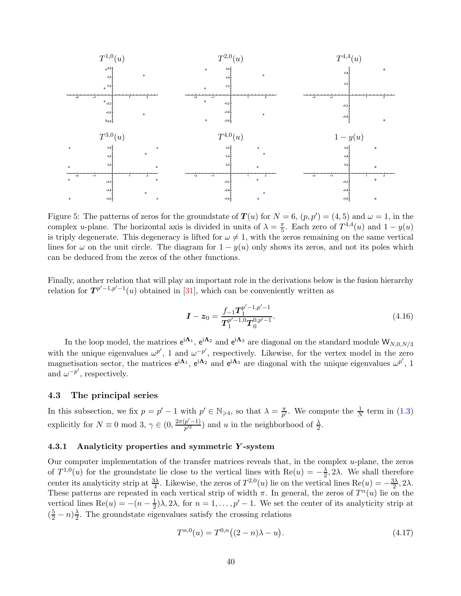

<span id="page-39-2"></span>Figure 5: The patterns of zeros for the groundstate of  $T(u)$  for  $N = 6$ ,  $(p, p') = (4, 5)$  and  $\omega = 1$ , in the complex *u*-plane. The horizontal axis is divided in units of  $\lambda = \frac{\pi}{5}$ . Each zero of  $T^{4,4}(u)$  and  $1 - y(u)$ is triply degenerate. This degeneracy is lifted for  $\omega \neq 1$ , with the zeros remaining on the same vertical lines for  $\omega$  on the unit circle. The diagram for  $1 - y(u)$  only shows its zeros, and not its poles which can be deduced from the zeros of the other functions.

Finally, another relation that will play an important role in the derivations below is the fusion hierarchy relation for  $T^{p'-1,p'-1}(u)$  obtained in [\[31\]](#page-77-0), which can be conveniently written as

<span id="page-39-1"></span>
$$
I - z_0 = \frac{f_{-1} T_1^{p'-1, p'-1}}{T_1^{p'-1, 0} T_0^{0, p'-1}}.
$$
\n(4.16)

In the loop model, the matrices  $e^{i\mathbf{\Lambda}_1}$ ,  $e^{i\mathbf{\Lambda}_2}$  and  $e^{i\mathbf{\Lambda}_3}$  are diagonal on the standard module  $W_{N,0,N/3}$ with the unique eigenvalues  $\omega^{p'}$ , 1 and  $\omega^{-p'}$ , respectively. Likewise, for the vertex model in the zero magnetisation sector, the matrices  $e^{i\mathbf{\Lambda}_1}$ ,  $e^{i\mathbf{\Lambda}_2}$  and  $e^{i\mathbf{\Lambda}_3}$  are diagonal with the unique eigenvalues  $\omega^{p'}$ , 1 and  $\omega^{-p'}$ , respectively.

### 4.3 The principal series

In this subsection, we fix  $p = p' - 1$  with  $p' \in \mathbb{N}_{\geqslant 4}$ , so that  $\lambda = \frac{\pi}{p'}$  $\frac{\pi}{p'}$ . We compute the  $\frac{1}{N}$  term in [\(1.3\)](#page-3-0) explicitly for  $N \equiv 0 \mod 3$ ,  $\gamma \in (0, \frac{2\pi(p'-1)}{p'^2})$  $\frac{p'-1}{p'^2}$  and u in the neighborhood of  $\frac{\lambda}{2}$ .

#### 4.3.1 Analyticity properties and symmetric Y -system

Our computer implementation of the transfer matrices reveals that, in the complex  $u$ -plane, the zeros of  $T^{1,0}(u)$  for the groundstate lie close to the vertical lines with  $\text{Re}(u) = -\frac{\lambda}{2}$  $\frac{\lambda}{2}$ , 2 $\lambda$ . We shall therefore center its analyticity strip at  $\frac{3\lambda}{4}$ . Likewise, the zeros of  $T^{2,0}(u)$  lie on the vertical lines  $Re(u) = -\frac{3\lambda}{2}$  $\frac{3\lambda}{2}, 2\lambda.$ These patterns are repeated in each vertical strip of width  $\pi$ . In general, the zeros of  $T^n(u)$  lie on the vertical lines Re $(u) = -(n - \frac{1}{2})$  $\frac{1}{2}$ ) $\lambda$ ,  $2\lambda$ , for  $n = 1, \ldots, p' - 1$ . We set the center of its analyticity strip at  $\left(\frac{5}{2}-n\right)\frac{\lambda}{2}$  $\frac{\lambda}{2}$ . The groundstate eigenvalues satisfy the crossing relations

<span id="page-39-0"></span>
$$
T^{n,0}(u) = T^{0,n}((2-n)\lambda - u). \tag{4.17}
$$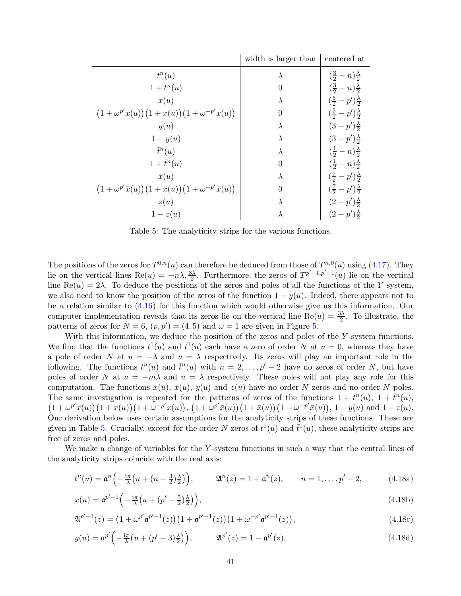|                                                                                                      | width is larger than | centered at                                   |
|------------------------------------------------------------------------------------------------------|----------------------|-----------------------------------------------|
| $t^n(u)$                                                                                             | $\lambda$            | $\left(\frac{3}{2}-n\right)\frac{\lambda}{2}$ |
| $1+t^n(u)$                                                                                           | 0                    | $\left(\frac{3}{2}-n\right)\frac{\lambda}{2}$ |
| x(u)                                                                                                 | $\lambda$            | $(\frac{5}{2} - p') \frac{\lambda}{2}$        |
| $(1+\omega^{p'}x(u))(1+x(u))(1+\omega^{-p'}x(u))$                                                    | $\theta$             | $(\frac{5}{2} - p') \frac{\lambda}{2}$        |
| y(u)                                                                                                 | $\lambda$            | $(3-p')\frac{\lambda}{2}$                     |
| $1-y(u)$                                                                                             | $\lambda$            | $(3-p')\frac{\lambda}{2}$                     |
| $\bar{t}^n(u)$                                                                                       | $\lambda$            | $(\frac{1}{2}-n)\frac{\lambda}{2}$            |
| $1+\bar{t}^n(u)$                                                                                     | $\theta$             | $\left(\frac{1}{2}-n\right)\frac{\lambda}{2}$ |
| $\bar{x}(u)$                                                                                         | $\lambda$            | $(\frac{7}{2}-p')\frac{\lambda}{2}$           |
| $\left(1+\omega^{p'}\bar{x}(u)\right)\left(1+\bar{x}(u)\right)\left(1+\omega^{-p'}\bar{x}(u)\right)$ | $\Omega$             | $(\frac{7}{2}-p')\frac{\lambda}{2}$           |
| z(u)                                                                                                 | $\lambda$            | $(2-p')\frac{\lambda}{2}$                     |
| $1-z(u)$                                                                                             | $\lambda$            | $(2-p')\frac{\lambda}{2}$                     |

<span id="page-40-0"></span>Table 5: The analyticity strips for the various functions.

The positions of the zeros for  $T^{0,n}(u)$  can therefore be deduced from those of  $T^{n,0}(u)$  using [\(4.17\)](#page-39-0). They lie on the vertical lines  $\text{Re}(u) = -n\lambda, \frac{3\lambda}{2}$ . Furthermore, the zeros of  $T^{p'-1,p'-1}(u)$  lie on the vertical line Re(u) = 2λ. To deduce the positions of the zeros and poles of all the functions of the Y-system, we also need to know the position of the zeros of the function  $1 - y(u)$ . Indeed, there appears not to be a relation similar to [\(4.16\)](#page-39-1) for this function which would otherwise give us this information. Our computer implementation reveals that its zeros lie on the vertical line Re $(u) = \frac{3\lambda}{2}$ . To illustrate, the patterns of zeros for  $N = 6$ ,  $(p, p') = (4, 5)$  and  $\omega = 1$  are given in Figure [5.](#page-39-2)

With this information, we deduce the position of the zeros and poles of the Y-system functions. We find that the functions  $t^1(u)$  and  $\bar{t}^1(u)$  each have a zero of order N at  $u = 0$ , whereas they have a pole of order N at  $u = -\lambda$  and  $u = \lambda$  respectively. Its zeros will play an important role in the following. The functions  $t^n(u)$  and  $\bar{t}^n(u)$  with  $n = 2, \ldots, p' - 2$  have no zeros of order N, but have poles of order N at  $u = -m\lambda$  and  $u = \lambda$  respectively. These poles will not play any role for this computation. The functions  $x(u)$ ,  $\bar{x}(u)$ ,  $y(u)$  and  $z(u)$  have no order-N zeros and no order-N poles. The same investigation is repeated for the patterns of zeros of the functions  $1 + t<sup>n</sup>(u)$ ,  $1 + \bar{t}<sup>n</sup>(u)$ ,  $(1+\omega^{p'}x(u))(1+x(u))(1+\omega^{-p'}x(u)), (1+\omega^{p'}\bar{x}(u))(1+\bar{x}(u))(1+\omega^{-p'}\bar{x}(u)), 1-y(u) \text{ and } 1-z(u).$ Our derivation below uses certain assumptions for the analyticity strips of these functions. These are given in Table [5.](#page-40-0) Crucially, except for the order-N zeros of  $t^1(u)$  and  $\bar{t}^1(u)$ , these analyticity strips are free of zeros and poles.

We make a change of variables for the Y-system functions in such a way that the central lines of the analyticity strips coincide with the real axis:

$$
t^{n}(u) = \mathfrak{a}^{n}\left(-\frac{\mathrm{i}\pi}{\lambda}\left(u + (n - \frac{3}{2})\frac{\lambda}{2}\right)\right), \qquad \mathfrak{A}^{n}(z) = 1 + \mathfrak{a}^{n}(z), \qquad n = 1, \ldots, p' - 2,
$$
 (4.18a)

$$
x(u) = \mathfrak{a}^{p'-1} \left( -\frac{\mathrm{i}\pi}{\lambda} \left( u + \left( p' - \frac{5}{2} \right) \frac{\lambda}{2} \right) \right),\tag{4.18b}
$$

$$
\mathfrak{A}^{p'-1}(z) = \left(1 + \omega^{p'} \mathfrak{a}^{p'-1}(z)\right) \left(1 + \mathfrak{a}^{p'-1}(z)\right) \left(1 + \omega^{-p'} \mathfrak{a}^{p'-1}(z)\right),\tag{4.18c}
$$

$$
y(u) = \mathfrak{a}^{p'}\left(-\frac{\mathrm{i}\pi}{\lambda}\left(u + (p' - 3)\frac{\lambda}{2}\right)\right), \qquad \mathfrak{A}^{p'}(z) = 1 - \mathfrak{a}^{p'}(z), \tag{4.18d}
$$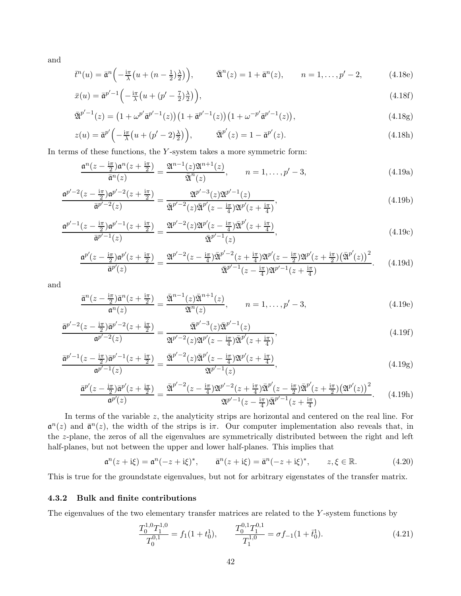and

$$
\bar{t}^n(u) = \bar{\mathfrak{a}}^n\left(-\frac{i\pi}{\lambda}\left(u + (n - \frac{1}{2})\frac{\lambda}{2}\right)\right), \qquad \bar{\mathfrak{A}}^n(z) = 1 + \bar{\mathfrak{a}}^n(z), \qquad n = 1, \ldots, p' - 2,
$$
\n(4.18e)

$$
\bar{x}(u) = \bar{\mathfrak{a}}^{p'-1} \left( -\frac{i\pi}{\lambda} \left( u + \left( p' - \frac{7}{2} \right) \frac{\lambda}{2} \right) \right),\tag{4.18f}
$$

$$
\bar{\mathfrak{A}}^{p'-1}(z) = \left(1 + \omega^{p'} \bar{\mathfrak{a}}^{p'-1}(z)\right) \left(1 + \bar{\mathfrak{a}}^{p'-1}(z)\right) \left(1 + \omega^{-p'} \bar{\mathfrak{a}}^{p'-1}(z)\right),\tag{4.18g}
$$

$$
z(u) = \bar{\mathfrak{a}}^{p'} \left( -\frac{\mathrm{i}\pi}{\lambda} \left( u + (p' - 2)\frac{\lambda}{2} \right) \right), \qquad \bar{\mathfrak{A}}^{p'}(z) = 1 - \bar{\mathfrak{a}}^{p'}(z). \tag{4.18h}
$$

In terms of these functions, the  $Y$ -system takes a more symmetric form:

<span id="page-41-0"></span>
$$
\frac{\mathfrak{a}^n(z-\frac{i\pi}{2})\mathfrak{a}^n(z+\frac{i\pi}{2})}{\bar{\mathfrak{a}}^n(z)} = \frac{\mathfrak{A}^{n-1}(z)\mathfrak{A}^{n+1}(z)}{\bar{\mathfrak{A}}^n(z)}, \qquad n = 1, \dots, p'-3,
$$
\n(4.19a)

$$
\frac{\mathfrak{a}^{p'-2}(z-\frac{i\pi}{2})\mathfrak{a}^{p'-2}(z+\frac{i\pi}{2})}{\bar{\mathfrak{a}}^{p'-2}(z)} = \frac{\mathfrak{A}^{p'-3}(z)\mathfrak{A}^{p'-1}(z)}{\bar{\mathfrak{A}}^{p'-2}(z)\bar{\mathfrak{A}}^{p'}(z-\frac{i\pi}{4})\mathfrak{A}^{p'}(z+\frac{i\pi}{4})},\tag{4.19b}
$$

$$
\frac{\mathfrak{a}^{p'-1}(z-\frac{\mathrm{i}\pi}{2})\mathfrak{a}^{p'-1}(z+\frac{\mathrm{i}\pi}{2})}{\bar{\mathfrak{a}}^{p'-1}(z)} = \frac{\mathfrak{A}^{p'-2}(z)\mathfrak{A}^{p'}(z-\frac{\mathrm{i}\pi}{4})\bar{\mathfrak{A}}^{p'}(z+\frac{\mathrm{i}\pi}{4})}{\bar{\mathfrak{A}}^{p'-1}(z)},\tag{4.19c}
$$

$$
\frac{\mathfrak{a}^{p'}(z-\frac{\mathrm{i}\pi}{2})\mathfrak{a}^{p'}(z+\frac{\mathrm{i}\pi}{2})}{\bar{\mathfrak{a}}^{p'}(z)} = \frac{\mathfrak{A}^{p'-2}(z-\frac{\mathrm{i}\pi}{4})\bar{\mathfrak{A}}^{p'-2}(z+\frac{\mathrm{i}\pi}{4})\mathfrak{A}^{p'}(z-\frac{\mathrm{i}\pi}{2})\mathfrak{A}^{p'}(z+\frac{\mathrm{i}\pi}{2})\left(\bar{\mathfrak{A}}^{p'}(z)\right)^{2}}{\bar{\mathfrak{A}}^{p'-1}(z-\frac{\mathrm{i}\pi}{4})\mathfrak{A}^{p'-1}(z+\frac{\mathrm{i}\pi}{4})}.
$$
 (4.19d)

and

$$
\frac{\bar{\mathfrak{a}}^n(z - \frac{\mathrm{i}\pi}{2})\bar{\mathfrak{a}}^n(z + \frac{\mathrm{i}\pi}{2})}{\mathfrak{a}^n(z)} = \frac{\bar{\mathfrak{A}}^{n-1}(z)\bar{\mathfrak{A}}^{n+1}(z)}{\mathfrak{A}^n(z)}, \qquad n = 1, \dots, p' - 3,
$$
\n(4.19e)

$$
\frac{\bar{\mathfrak{a}}^{p'-2}(z-\frac{i\pi}{2})\bar{\mathfrak{a}}^{p'-2}(z+\frac{i\pi}{2})}{\mathfrak{a}^{p'-2}(z)} = \frac{\bar{\mathfrak{A}}^{p'-3}(z)\bar{\mathfrak{A}}^{p'-1}(z)}{\mathfrak{A}^{p'-2}(z)\mathfrak{A}^{p'}(z-\frac{i\pi}{4})\bar{\mathfrak{A}}^{p'}(z+\frac{i\pi}{4})},\tag{4.19f}
$$

$$
\frac{\bar{\mathfrak{a}}^{p'-1}(z-\frac{i\pi}{2})\bar{\mathfrak{a}}^{p'-1}(z+\frac{i\pi}{2})}{\mathfrak{a}^{p'-1}(z)} = \frac{\bar{\mathfrak{A}}^{p'-2}(z)\bar{\mathfrak{A}}^{p'}(z-\frac{i\pi}{4})\mathfrak{A}^{p'}(z+\frac{i\pi}{4})}{\mathfrak{A}^{p'-1}(z)},
$$
\n(4.19g)

$$
\frac{\bar{\mathfrak{a}}^{p'}(z-\frac{\mathrm{i}\pi}{2})\bar{\mathfrak{a}}^{p'}(z+\frac{\mathrm{i}\pi}{2})}{\mathfrak{a}^{p'}(z)}=\frac{\bar{\mathfrak{A}}^{p'-2}(z-\frac{\mathrm{i}\pi}{4})\mathfrak{A}^{p'-2}(z+\frac{\mathrm{i}\pi}{4})\bar{\mathfrak{A}}^{p'}(z-\frac{\mathrm{i}\pi}{2})\bar{\mathfrak{A}}^{p'}(z+\frac{\mathrm{i}\pi}{2})\left(\mathfrak{A}^{p'}(z)\right)^{2}}{\mathfrak{A}^{p'-1}(z-\frac{\mathrm{i}\pi}{4})\bar{\mathfrak{A}}^{p'-1}(z+\frac{\mathrm{i}\pi}{4})}.
$$
 (4.19h)

In terms of the variable z, the analyticity strips are horizontal and centered on the real line. For  $\mathfrak{a}^n(z)$  and  $\bar{\mathfrak{a}}^n(z)$ , the width of the strips is i $\pi$ . Our computer implementation also reveals that, in the z-plane, the zeros of all the eigenvalues are symmetrically distributed between the right and left half-planes, but not between the upper and lower half-planes. This implies that

<span id="page-41-1"></span>
$$
\mathfrak{a}^n(z + i\xi) = \mathfrak{a}^n(-z + i\xi)^*, \qquad \bar{\mathfrak{a}}^n(z + i\xi) = \bar{\mathfrak{a}}^n(-z + i\xi)^*, \qquad z, \xi \in \mathbb{R}.
$$
 (4.20)

This is true for the groundstate eigenvalues, but not for arbitrary eigenstates of the transfer matrix.

## 4.3.2 Bulk and finite contributions

The eigenvalues of the two elementary transfer matrices are related to the Y -system functions by

$$
\frac{T_0^{1,0}T_1^{1,0}}{T_0^{0,1}} = f_1(1+t_0^1), \qquad \frac{T_0^{0,1}T_1^{0,1}}{T_1^{1,0}} = \sigma f_{-1}(1+\bar{t}_0^1). \tag{4.21}
$$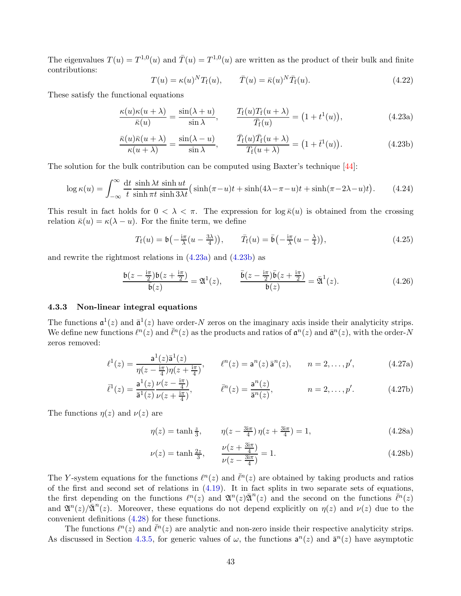The eigenvalues  $T(u) = T^{1,0}(u)$  and  $\overline{T}(u) = T^{1,0}(u)$  are written as the product of their bulk and finite contributions:

<span id="page-42-1"></span><span id="page-42-0"></span>
$$
T(u) = \kappa(u)^N T_f(u), \qquad \bar{T}(u) = \bar{\kappa}(u)^N \bar{T}_f(u). \tag{4.22}
$$

These satisfy the functional equations

$$
\frac{\kappa(u)\kappa(u+\lambda)}{\bar{\kappa}(u)} = \frac{\sin(\lambda+u)}{\sin\lambda}, \qquad \frac{T_{\rm f}(u)T_{\rm f}(u+\lambda)}{\bar{T}_{\rm f}(u)} = (1+t^1(u)), \qquad (4.23a)
$$

$$
\frac{\bar{\kappa}(u)\bar{\kappa}(u+\lambda)}{\kappa(u+\lambda)} = \frac{\sin(\lambda-u)}{\sin\lambda}, \qquad \frac{\bar{T}_{\rm f}(u)\bar{T}_{\rm f}(u+\lambda)}{T_{\rm f}(u+\lambda)} = (1+\bar{t}^{\rm 1}(u)).\tag{4.23b}
$$

The solution for the bulk contribution can be computed using Baxter's technique [\[44\]](#page-78-2):

$$
\log \kappa(u) = \int_{-\infty}^{\infty} \frac{dt}{t} \frac{\sinh \lambda t}{\sinh \pi t} \frac{\sinh ut}{\sinh 3\lambda t} \left( \sinh(\pi - u)t + \sinh(4\lambda - \pi - u)t + \sinh(\pi - 2\lambda - u)t \right). \tag{4.24}
$$

This result in fact holds for  $0 < \lambda < \pi$ . The expression for  $\log \bar{\kappa}(u)$  is obtained from the crossing relation  $\bar{\kappa}(u) = \kappa(\lambda - u)$ . For the finite term, we define

$$
T_{\mathbf{f}}(u) = \mathfrak{b}\left(-\frac{\mathfrak{i}\pi}{\lambda}(u - \frac{3\lambda}{4})\right), \qquad \bar{T}_{\mathbf{f}}(u) = \bar{\mathfrak{b}}\left(-\frac{\mathfrak{i}\pi}{\lambda}(u - \frac{\lambda}{4})\right), \tag{4.25}
$$

and rewrite the rightmost relations in [\(4.23a\)](#page-42-0) and [\(4.23b\)](#page-42-1) as

<span id="page-42-3"></span>
$$
\frac{\mathfrak{b}(z-\frac{\mathrm{i}\pi}{2})\mathfrak{b}(z+\frac{\mathrm{i}\pi}{2})}{\bar{\mathfrak{b}}(z)} = \mathfrak{A}^1(z), \qquad \frac{\bar{\mathfrak{b}}(z-\frac{\mathrm{i}\pi}{2})\bar{\mathfrak{b}}(z+\frac{\mathrm{i}\pi}{2})}{\mathfrak{b}(z)} = \bar{\mathfrak{A}}^1(z). \tag{4.26}
$$

#### 4.3.3 Non-linear integral equations

The functions  $\mathfrak{a}^1(z)$  and  $\bar{\mathfrak{a}}^1(z)$  have order-N zeros on the imaginary axis inside their analyticity strips. We define new functions  $\ell^n(z)$  and  $\bar{\ell}^n(z)$  as the products and ratios of  $\mathfrak{a}^n(z)$  and  $\bar{\mathfrak{a}}^n(z)$ , with the order-N zeros removed:

$$
\ell^{1}(z) = \frac{\mathsf{a}^{1}(z)\bar{\mathsf{a}}^{1}(z)}{\eta(z - \frac{\mathrm{i}\pi}{4})\eta(z + \frac{\mathrm{i}\pi}{4})}, \qquad \ell^{n}(z) = \mathsf{a}^{n}(z)\bar{\mathsf{a}}^{n}(z), \qquad n = 2, \dots, p', \tag{4.27a}
$$

$$
\bar{\ell}^{1}(z) = \frac{\mathsf{a}^{1}(z)}{\bar{\mathsf{a}}^{1}(z)} \frac{\nu(z - \frac{\mathrm{i}\pi}{4})}{\nu(z + \frac{\mathrm{i}\pi}{4})}, \qquad \bar{\ell}^{n}(z) = \frac{\mathsf{a}^{n}(z)}{\bar{\mathsf{a}}^{n}(z)}, \qquad n = 2, \dots, p'. \qquad (4.27b)
$$

The functions  $\eta(z)$  and  $\nu(z)$  are

<span id="page-42-2"></span>
$$
\eta(z) = \tanh\frac{z}{3}, \qquad \eta(z - \frac{3i\pi}{4})\,\eta(z + \frac{3i\pi}{4}) = 1,\tag{4.28a}
$$

$$
\nu(z) = \tanh\frac{2z}{3}, \qquad \frac{\nu(z + \frac{3i\pi}{4})}{\nu(z - \frac{3i\pi}{4})} = 1.
$$
\n(4.28b)

The Y-system equations for the functions  $\ell^{n}(z)$  and  $\bar{\ell}^{n}(z)$  are obtained by taking products and ratios of the first and second set of relations in [\(4.19\)](#page-41-0). It in fact splits in two separate sets of equations, the first depending on the functions  $\ell^n(z)$  and  $\mathfrak{A}^n(z)\overline{\mathfrak{A}}^n(z)$  and the second on the functions  $\overline{\ell}^n(z)$ and  $\mathfrak{A}^n(z)/\overline{\mathfrak{A}}^n(z)$ . Moreover, these equations do not depend explicitly on  $\eta(z)$  and  $\nu(z)$  due to the convenient definitions [\(4.28\)](#page-42-2) for these functions.

The functions  $\ell^{n}(z)$  and  $\bar{\ell}^{n}(z)$  are analytic and non-zero inside their respective analyticity strips. As discussed in Section [4.3.5,](#page-45-0) for generic values of  $\omega$ , the functions  $a^n(z)$  and  $\bar{a}^n(z)$  have asymptotic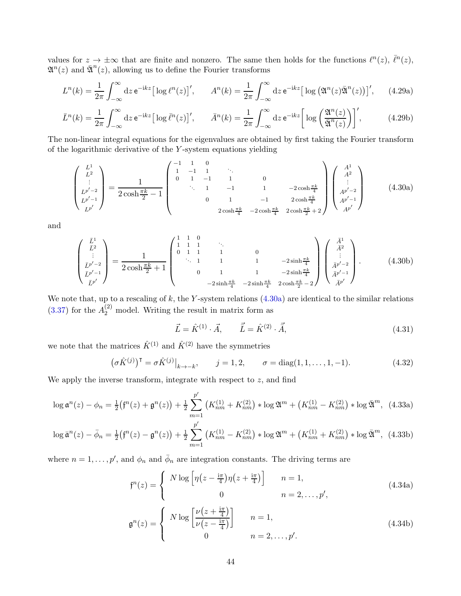values for  $z \to \pm \infty$  that are finite and nonzero. The same then holds for the functions  $\ell^{n}(z)$ ,  $\bar{\ell}^{n}(z)$ ,  $\mathfrak{A}^n(z)$  and  $\bar{\mathfrak{A}}^n(z)$ , allowing us to define the Fourier transforms

$$
L^{n}(k) = \frac{1}{2\pi} \int_{-\infty}^{\infty} dz \, \mathrm{e}^{-\mathrm{i}kz} \big[ \log \ell^{n}(z) \big], \qquad A^{n}(k) = \frac{1}{2\pi} \int_{-\infty}^{\infty} dz \, \mathrm{e}^{-\mathrm{i}kz} \big[ \log \big( \mathfrak{A}^{n}(z) \bar{\mathfrak{A}}^{n}(z) \big) \big], \qquad (4.29a)
$$

$$
\bar{L}^n(k) = \frac{1}{2\pi} \int_{-\infty}^{\infty} dz \, \mathrm{e}^{-ikz} \big[ \log \bar{\ell}^n(z) \big], \qquad \bar{A}^n(k) = \frac{1}{2\pi} \int_{-\infty}^{\infty} dz \, \mathrm{e}^{-ikz} \bigg[ \log \left( \frac{\mathfrak{A}^n(z)}{\bar{\mathfrak{A}}^n(z)} \right) \bigg], \tag{4.29b}
$$

The non-linear integral equations for the eigenvalues are obtained by first taking the Fourier transform of the logarithmic derivative of the Y -system equations yielding

<span id="page-43-0"></span>
$$
\begin{pmatrix}\nL^1 \\
L^2 \\
\vdots \\
L^{p'-2} \\
L^{p'}\n\end{pmatrix} = \frac{1}{2 \cosh \frac{\pi k}{2} - 1} \begin{pmatrix}\n-1 & 1 & 0 & & & & & \\
1 & -1 & 1 & \cdots & & & & \\
0 & 1 & -1 & 1 & 0 & & \\
& \ddots & 1 & -1 & 1 & -2 \cosh \frac{\pi k}{4} \\
& & & 0 & 1 & -1 & 2 \cosh \frac{\pi k}{4} \\
& & & 2 \cosh \frac{\pi k}{4} & -2 \cosh \frac{\pi k}{4} & 2 \cosh \frac{\pi k}{2} + 2\n\end{pmatrix} \begin{pmatrix}\nA^1 \\
A^2 \\
\vdots \\
A^{p'-2} \\
A^{p'-1} \\
A^{p'}\n\end{pmatrix}
$$
\n(4.30a)

and

$$
\begin{pmatrix}\n\bar{L}^1 \\
\bar{L}^2 \\
\vdots \\
\bar{L}^{p'-2} \\
\bar{L}^{p'}\n\end{pmatrix} = \frac{1}{2\cosh\frac{\pi k}{2} + 1} \begin{pmatrix}\n1 & 1 & 0 & & & & & \\
1 & 1 & 1 & & 0 & & & \\
0 & 1 & 1 & 1 & & 0 & & \\
& \ddots & 1 & 1 & 1 & & 1 & -2\sinh\frac{\pi k}{4} \\
& & 0 & 1 & 1 & -2\sinh\frac{\pi k}{4} & -2\sinh\frac{\pi k}{4} \\
& & & -2\sinh\frac{\pi k}{4} & -2\sinh\frac{\pi k}{4} & 2\cosh\frac{\pi k}{2} - 2\n\end{pmatrix} \begin{pmatrix}\n\bar{A}^1 \\
\bar{A}^2 \\
\vdots \\
\bar{A}^{p'-2} \\
\bar{A}^{p'-1} \\
\bar{A}^{p'}\n\end{pmatrix} .
$$
\n(4.30b)

We note that, up to a rescaling of  $k$ , the Y-system relations  $(4.30a)$  are identical to the similar relations  $(3.37)$  for the  $A_2^{(2)}$  model. Writing the result in matrix form as

<span id="page-43-1"></span>
$$
\vec{L} = \hat{K}^{(1)} \cdot \vec{A}, \qquad \vec{\bar{L}} = \hat{K}^{(2)} \cdot \vec{\bar{A}}, \tag{4.31}
$$

we note that the matrices  $\hat{K}^{(1)}$  and  $\hat{K}^{(2)}$  have the symmetries

<span id="page-43-2"></span>
$$
(\sigma \hat{K}^{(j)})^{\mathsf{T}} = \sigma \hat{K}^{(j)}|_{k \to -k}, \qquad j = 1, 2, \qquad \sigma = \text{diag}(1, 1, \dots, 1, -1). \tag{4.32}
$$

We apply the inverse transform, integrate with respect to  $z$ , and find

$$
\log \mathfrak{a}^n(z) - \phi_n = \frac{1}{2} \big( \mathfrak{f}^n(z) + \mathfrak{g}^n(z) \big) + \frac{1}{2} \sum_{m=1}^{p'} \left( K_{nm}^{(1)} + K_{nm}^{(2)} \right) * \log \mathfrak{A}^m + \left( K_{nm}^{(1)} - K_{nm}^{(2)} \right) * \log \bar{\mathfrak{A}}^m, \tag{4.33a}
$$

$$
\log \bar{\mathfrak{a}}^n(z) - \bar{\phi}_n = \frac{1}{2} \big( \mathfrak{f}^n(z) - \mathfrak{g}^n(z) \big) + \frac{1}{2} \sum_{m=1}^{p'} \left( K_{nm}^{(1)} - K_{nm}^{(2)} \right) * \log \mathfrak{A}^m + \left( K_{nm}^{(1)} + K_{nm}^{(2)} \right) * \log \bar{\mathfrak{A}}^m, \tag{4.33b}
$$

where  $n = 1, \ldots, p'$ , and  $\phi_n$  and  $\bar{\phi}_n$  are integration constants. The driving terms are

$$
\mathfrak{f}^n(z) = \begin{cases} N \log \left[ \eta \left( z - \frac{\mathrm{i} \pi}{4} \right) \eta \left( z + \frac{\mathrm{i} \pi}{4} \right) \right] & n = 1, \\ 0 & n = 2, \dots, p', \\ \mathfrak{g}^n(z) = \begin{cases} N \log \left[ \frac{\nu \left( z + \frac{\mathrm{i} \pi}{4} \right)}{\nu \left( z - \frac{\mathrm{i} \pi}{4} \right)} \right] & n = 1, \\ 0 & n = 2, \dots, p'. \end{cases} \tag{4.34b}
$$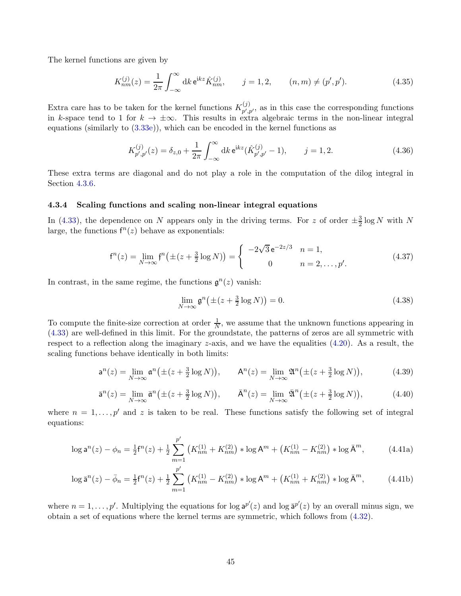The kernel functions are given by

$$
K_{nm}^{(j)}(z) = \frac{1}{2\pi} \int_{-\infty}^{\infty} dk \, \mathbf{e}^{\mathbf{i}kz} \hat{K}_{nm}^{(j)}, \qquad j = 1, 2, \qquad (n, m) \neq (p', p'). \tag{4.35}
$$

Extra care has to be taken for the kernel functions  $K_{n',i}^{(j)}$  $p', p'$ , as in this case the corresponding functions in k-space tend to 1 for  $k \to \pm \infty$ . This results in extra algebraic terms in the non-linear integral equations (similarly to [\(3.33e\)](#page-25-0)), which can be encoded in the kernel functions as

$$
K_{p',p'}^{(j)}(z) = \delta_{z,0} + \frac{1}{2\pi} \int_{-\infty}^{\infty} dk \,\mathrm{e}^{\mathrm{i}kz} (\hat{K}_{p',p'}^{(j)} - 1), \qquad j = 1,2. \tag{4.36}
$$

These extra terms are diagonal and do not play a role in the computation of the dilog integral in Section [4.3.6.](#page-45-1)

#### 4.3.4 Scaling functions and scaling non-linear integral equations

In [\(4.33\)](#page-43-1), the dependence on N appears only in the driving terms. For z of order  $\pm \frac{3}{2} \log N$  with N large, the functions  $f^n(z)$  behave as exponentials:

$$
f^{n}(z) = \lim_{N \to \infty} f^{n}(\pm (z + \frac{3}{2} \log N)) = \begin{cases} -2\sqrt{3} e^{-2z/3} & n = 1, \\ 0 & n = 2, ..., p'. \end{cases}
$$
(4.37)

In contrast, in the same regime, the functions  $\mathfrak{g}^n(z)$  vanish:

$$
\lim_{N \to \infty} \mathfrak{g}^n \big( \pm (z + \frac{3}{2} \log N) \big) = 0. \tag{4.38}
$$

To compute the finite-size correction at order  $\frac{1}{N}$ , we assume that the unknown functions appearing in [\(4.33\)](#page-43-1) are well-defined in this limit. For the groundstate, the patterns of zeros are all symmetric with respect to a reflection along the imaginary z-axis, and we have the equalities  $(4.20)$ . As a result, the scaling functions behave identically in both limits:

$$
a^{n}(z) = \lim_{N \to \infty} a^{n} (\pm (z + \frac{3}{2} \log N)), \qquad A^{n}(z) = \lim_{N \to \infty} \mathfrak{A}^{n} (\pm (z + \frac{3}{2} \log N)), \tag{4.39}
$$

$$
\bar{\mathbf{a}}^n(z) = \lim_{N \to \infty} \bar{\mathbf{a}}^n \big( \pm (z + \frac{3}{2} \log N) \big), \qquad \bar{\mathbf{A}}^n(z) = \lim_{N \to \infty} \bar{\mathfrak{A}}^n \big( \pm (z + \frac{3}{2} \log N) \big), \tag{4.40}
$$

where  $n = 1, \ldots, p'$  and z is taken to be real. These functions satisfy the following set of integral equations:

<span id="page-44-0"></span>
$$
\log \mathsf{a}^n(z) - \phi_n = \frac{1}{2} \mathsf{f}^n(z) + \frac{1}{2} \sum_{m=1}^{p'} \left( K_{nm}^{(1)} + K_{nm}^{(2)} \right) * \log \mathsf{A}^m + \left( K_{nm}^{(1)} - K_{nm}^{(2)} \right) * \log \bar{\mathsf{A}}^m,\tag{4.41a}
$$

$$
\log \bar{\mathsf{a}}^n(z) - \bar{\phi}_n = \frac{1}{2} \mathsf{f}^n(z) + \frac{1}{2} \sum_{m=1}^{p'} \left( K_{nm}^{(1)} - K_{nm}^{(2)} \right) * \log \mathsf{A}^m + \left( K_{nm}^{(1)} + K_{nm}^{(2)} \right) * \log \bar{\mathsf{A}}^m,\tag{4.41b}
$$

where  $n = 1, \ldots, p'$ . Multiplying the equations for log  $a^{p'}(z)$  and log  $\bar{a}^{p'}(z)$  by an overall minus sign, we obtain a set of equations where the kernel terms are symmetric, which follows from [\(4.32\)](#page-43-2).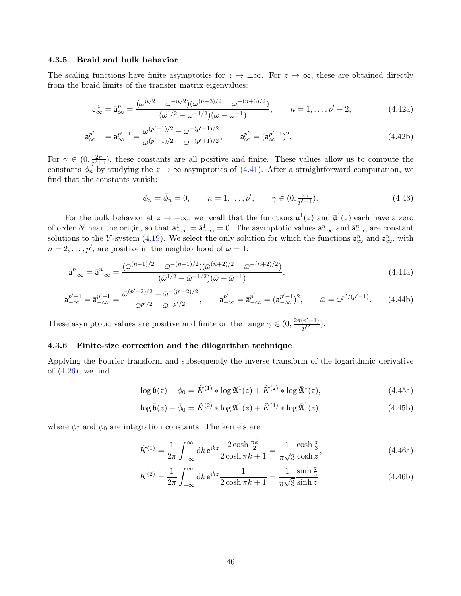#### <span id="page-45-0"></span>4.3.5 Braid and bulk behavior

The scaling functions have finite asymptotics for  $z \to \pm \infty$ . For  $z \to \infty$ , these are obtained directly from the braid limits of the transfer matrix eigenvalues:

$$
\mathbf{a}_{\infty}^{n} = \bar{\mathbf{a}}_{\infty}^{n} = \frac{(\omega^{n/2} - \omega^{-n/2})(\omega^{(n+3)/2} - \omega^{-(n+3)/2})}{(\omega^{1/2} - \omega^{-1/2})(\omega - \omega^{-1})}, \qquad n = 1, \dots, p' - 2,
$$
 (4.42a)

$$
\mathbf{a}_{\infty}^{p'-1} = \mathbf{\bar{a}}_{\infty}^{p'-1} = \frac{\omega^{(p'-1)/2} - \omega^{-(p'-1)/2}}{\omega^{(p'+1)/2} - \omega^{-(p'+1)/2}}, \qquad \mathbf{a}_{\infty}^{p'} = (\mathbf{a}_{\infty}^{p'-1})^2.
$$
 (4.42b)

For  $\gamma \in (0, \frac{2\pi}{p'+1})$  $\frac{2\pi}{p'+1}$ , these constants are all positive and finite. These values allow us to compute the constants  $\phi_n$  by studying the  $z \to \infty$  asymptotics of [\(4.41\)](#page-44-0). After a straightforward computation, we find that the constants vanish:

$$
\phi_n = \bar{\phi}_n = 0, \qquad n = 1, \dots, p', \qquad \gamma \in (0, \frac{2\pi}{p'+1}).
$$
\n(4.43)

For the bulk behavior at  $z \to -\infty$ , we recall that the functions  $\mathfrak{a}^1(z)$  and  $\bar{\mathfrak{a}}^1(z)$  each have a zero of order N near the origin, so that  $a_{-\infty}^1 = \overline{a}_{-\infty}^1 = 0$ . The asymptotic values  $a_{-\infty}^n$  and  $\overline{a}_{-\infty}^n$  are constant solutions to the Y-system [\(4.19\)](#page-41-0). We select the only solution for which the functions  $a_{\infty}^n$  and  $\bar{a}_{\infty}^n$ , with  $n = 2, \ldots, p'$ , are positive in the neighborhood of  $\omega = 1$ :

$$
\mathbf{a}_{-\infty}^{n} = \bar{\mathbf{a}}_{-\infty}^{n} = \frac{(\bar{\omega}^{(n-1)/2} - \bar{\omega}^{-(n-1)/2})(\bar{\omega}^{(n+2)/2} - \bar{\omega}^{-(n+2)/2})}{(\bar{\omega}^{1/2} - \bar{\omega}^{-1/2})(\bar{\omega} - \bar{\omega}^{-1})},
$$
\n(4.44a)

$$
a_{-\infty}^{p'-1} = \bar{a}_{-\infty}^{p'-1} = \frac{\bar{\omega}^{(p'-2)/2} - \bar{\omega}^{-(p'-2)/2}}{\bar{\omega}^{p'/2} - \bar{\omega}^{-p'/2}}, \qquad a_{-\infty}^{p'} = \bar{a}_{-\infty}^{p'} = (a_{-\infty}^{p'-1})^2, \qquad \bar{\omega} = \omega^{p'/(p'-1)}.
$$
 (4.44b)

These asymptotic values are positive and finite on the range  $\gamma \in (0, \frac{2\pi(p'-1)}{p'^2})$  $\frac{p-1}{p^{\prime 2}}$ ).

#### <span id="page-45-1"></span>4.3.6 Finite-size correction and the dilogarithm technique

Applying the Fourier transform and subsequently the inverse transform of the logarithmic derivative of [\(4.26\)](#page-42-3), we find

$$
\log \mathfrak{b}(z) - \phi_0 = \tilde{K}^{(1)} * \log \mathfrak{A}^1(z) + \tilde{K}^{(2)} * \log \bar{\mathfrak{A}}^1(z), \tag{4.45a}
$$

$$
\log \bar{\mathfrak{b}}(z) - \bar{\phi}_0 = \tilde{K}^{(2)} * \log \mathfrak{A}^1(z) + \tilde{K}^{(1)} * \log \bar{\mathfrak{A}}^1(z), \tag{4.45b}
$$

where  $\phi_0$  and  $\bar{\phi}_0$  are integration constants. The kernels are

$$
\tilde{K}^{(1)} = \frac{1}{2\pi} \int_{-\infty}^{\infty} dk \, \mathrm{e}^{\mathrm{i}kz} \frac{2 \cosh \frac{\pi k}{2}}{2 \cosh \pi k + 1} = \frac{1}{\pi \sqrt{3}} \frac{\cosh \frac{z}{3}}{\cosh z},\tag{4.46a}
$$

$$
\tilde{K}^{(2)} = \frac{1}{2\pi} \int_{-\infty}^{\infty} dk \, \mathrm{e}^{\mathrm{i}kz} \frac{1}{2\cosh \pi k + 1} = \frac{1}{\pi\sqrt{3}} \frac{\sinh \frac{z}{3}}{\sinh z}.
$$
\n(4.46b)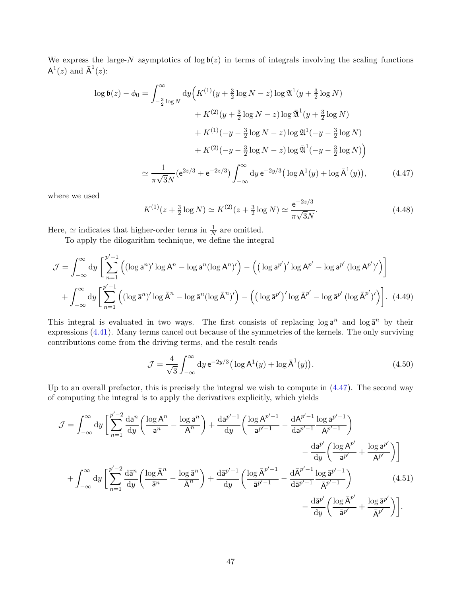We express the large-N asymptotics of  $\log \mathfrak{b}(z)$  in terms of integrals involving the scaling functions  $\mathsf{A}^1(z)$  and  $\bar{\mathsf{A}}^1(z)$ :

$$
\log \mathfrak{b}(z) - \phi_0 = \int_{-\frac{3}{2}\log N}^{\infty} dy \Big( K^{(1)}(y + \frac{3}{2}\log N - z) \log \mathfrak{A}^1(y + \frac{3}{2}\log N) + K^{(2)}(y + \frac{3}{2}\log N - z) \log \mathfrak{A}^1(y + \frac{3}{2}\log N) + K^{(1)}(-y - \frac{3}{2}\log N - z) \log \mathfrak{A}^1(-y - \frac{3}{2}\log N) + K^{(2)}(-y - \frac{3}{2}\log N - z) \log \mathfrak{A}^1(-y - \frac{3}{2}\log N) \Big)
$$
  

$$
\simeq \frac{1}{\pi\sqrt{3}N} (e^{2z/3} + e^{-2z/3}) \int_{-\infty}^{\infty} dy e^{-2y/3} \Big( \log A^1(y) + \log \overline{A}^1(y) \Big), \tag{4.47}
$$

where we used

<span id="page-46-0"></span>
$$
K^{(1)}(z + \frac{3}{2}\log N) \simeq K^{(2)}(z + \frac{3}{2}\log N) \simeq \frac{e^{-2z/3}}{\pi\sqrt{3}N}.
$$
\n(4.48)

Here,  $\simeq$  indicates that higher-order terms in  $\frac{1}{N}$  are omitted.

To apply the dilogarithm technique, we define the integral

$$
\mathcal{J} = \int_{-\infty}^{\infty} dy \left[ \sum_{n=1}^{p'-1} \left( (\log a^n)' \log A^n - \log a^n (\log A^n)' \right) - \left( (\log a^{p'})' \log A^{p'} - \log a^{p'} (\log A^{p'})' \right) \right]
$$

$$
+ \int_{-\infty}^{\infty} dy \left[ \sum_{n=1}^{p'-1} \left( (\log \overline{a}^n)' \log \overline{A}^n - \log \overline{a}^n (\log \overline{A}^n)' \right) - \left( (\log \overline{a}^{p'})' \log \overline{A}^{p'} - \log \overline{a}^{p'} (\log \overline{A}^{p'})' \right) \right]. \tag{4.49}
$$

This integral is evaluated in two ways. The first consists of replacing  $\log a^n$  and  $\log \overline a^n$  by their expressions [\(4.41\)](#page-44-0). Many terms cancel out because of the symmetries of the kernels. The only surviving contributions come from the driving terms, and the result reads

$$
\mathcal{J} = \frac{4}{\sqrt{3}} \int_{-\infty}^{\infty} dy \, \mathrm{e}^{-2y/3} \left( \log \mathrm{A}^1(y) + \log \bar{\mathrm{A}}^1(y) \right). \tag{4.50}
$$

Up to an overall prefactor, this is precisely the integral we wish to compute in [\(4.47\)](#page-46-0). The second way of computing the integral is to apply the derivatives explicitly, which yields

$$
\mathcal{J} = \int_{-\infty}^{\infty} dy \left[ \sum_{n=1}^{p'-2} \frac{da^n}{dy} \left( \frac{\log A^n}{a^n} - \frac{\log a^n}{A^n} \right) + \frac{da^{p'-1}}{dy} \left( \frac{\log A^{p'-1}}{a^{p'-1}} - \frac{dA^{p'-1}}{da^{p'-1}} \frac{\log a^{p'-1}}{A^{p'-1}} \right) - \frac{da^{p'}}{dy} \left( \frac{\log A^{p'}}{a^{p'}} + \frac{\log a^{p'}}{A^{p'}} \right) \right]
$$

$$
+ \int_{-\infty}^{\infty} dy \left[ \sum_{n=1}^{p'-2} \frac{d\bar{a}^n}{dy} \left( \frac{\log \bar{A}^n}{\bar{a}^n} - \frac{\log \bar{a}^n}{\bar{A}^n} \right) + \frac{d\bar{a}^{p'-1}}{dy} \left( \frac{\log \bar{A}^{p'-1}}{\bar{a}^{p'-1}} - \frac{d\bar{A}^{p'-1}}{d\bar{a}^{p'-1}} \frac{\log \bar{a}^{p'-1}}{\bar{A}^{p'-1}} \right) - \frac{d\bar{A}^{p'}}{dy} \left( \frac{\log \bar{A}^{p'}}{\bar{a}^{p'}} + \frac{\log \bar{a}^{p'}}{\bar{A}^{p'}} \right) \right].
$$
(4.51)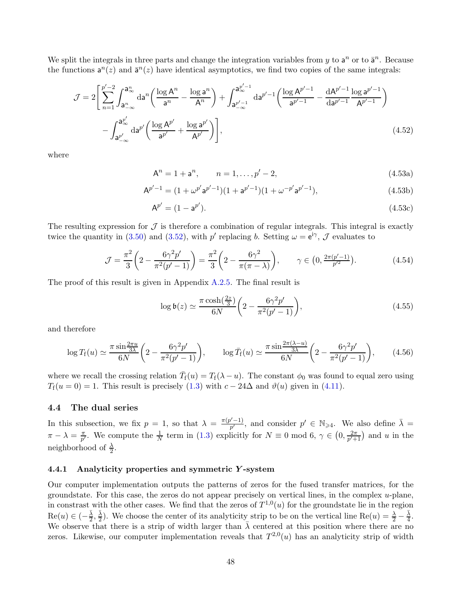We split the integrals in three parts and change the integration variables from y to  $a^n$  or to  $\bar{a}^n$ . Because the functions  $a^n(z)$  and  $\bar{a}^n(z)$  have identical asymptotics, we find two copies of the same integrals:

$$
\mathcal{J} = 2 \left[ \sum_{n=1}^{p'-2} \int_{\mathbf{a}_{-\infty}^n}^{\mathbf{a}_{\infty}^n} d\mathbf{a}^n \left( \frac{\log \mathbf{A}^n}{\mathbf{a}^n} - \frac{\log \mathbf{a}^n}{\mathbf{A}^n} \right) + \int_{\mathbf{a}_{-\infty}^{p'-1}}^{\mathbf{a}_{\infty}^{p'-1}} d\mathbf{a}^{p'-1} \left( \frac{\log \mathbf{A}^{p'-1}}{\mathbf{a}^{p'-1}} - \frac{d\mathbf{A}^{p'-1}}{d\mathbf{a}^{p'-1}} \frac{\log \mathbf{a}^{p'-1}}{\mathbf{A}^{p'-1}} \right) - \int_{\mathbf{a}_{-\infty}^{p'}}^{\mathbf{a}_{\infty}^{p'}} d\mathbf{a}^{p'} \left( \frac{\log \mathbf{A}^{p'}}{\mathbf{a}^{p'}} + \frac{\log \mathbf{a}^{p'}}{\mathbf{A}^{p'}} \right) \right],
$$
\n(4.52)

where

$$
A^n = 1 + a^n, \qquad n = 1, \dots, p' - 2,\tag{4.53a}
$$

$$
A^{p'-1} = (1 + \omega^{p'} a^{p'-1})(1 + a^{p'-1})(1 + \omega^{-p'} a^{p'-1}),
$$
\n(4.53b)

$$
A^{p'} = (1 - a^{p'}). \tag{4.53c}
$$

The resulting expression for  $\mathcal J$  is therefore a combination of regular integrals. This integral is exactly twice the quantity in [\(3.50\)](#page-28-0) and [\(3.52\)](#page-28-1), with  $p'$  replacing b. Setting  $\omega = e^{i\gamma}$ ,  $\mathcal{J}$  evaluates to

$$
\mathcal{J} = \frac{\pi^2}{3} \left( 2 - \frac{6\gamma^2 p'}{\pi^2 (p'-1)} \right) = \frac{\pi^2}{3} \left( 2 - \frac{6\gamma^2}{\pi (\pi - \lambda)} \right), \qquad \gamma \in \left( 0, \frac{2\pi (p'-1)}{p'^2} \right). \tag{4.54}
$$

The proof of this result is given in Appendix [A.2.5.](#page-73-0) The final result is

$$
\log \mathfrak{b}(z) \simeq \frac{\pi \cosh(\frac{2z}{3})}{6N} \left( 2 - \frac{6\gamma^2 p'}{\pi^2 (p'-1)} \right),\tag{4.55}
$$

and therefore

$$
\log T_{\rm f}(u) \simeq \frac{\pi \sin \frac{2\pi u}{3\lambda}}{6N} \left(2 - \frac{6\gamma^2 p'}{\pi^2 (p'-1)}\right), \qquad \log \bar{T}_{\rm f}(u) \simeq \frac{\pi \sin \frac{2\pi (\lambda - u)}{3\lambda}}{6N} \left(2 - \frac{6\gamma^2 p'}{\pi^2 (p'-1)}\right), \tag{4.56}
$$

where we recall the crossing relation  $\bar{T}_{f}(u) = T_{f}(\lambda - u)$ . The constant  $\phi_0$  was found to equal zero using  $T_f(u=0) = 1$ . This result is precisely [\(1.3\)](#page-3-0) with  $c - 24\Delta$  and  $\vartheta(u)$  given in [\(4.11\)](#page-37-1).

## 4.4 The dual series

In this subsection, we fix  $p = 1$ , so that  $\lambda = \frac{\pi(p'-1)}{p'}$  $p'$ -1), and consider  $p' \in \mathbb{N}_{\geqslant 4}$ . We also define  $\bar{\lambda} =$  $\pi - \lambda = \frac{\pi}{p'}$  $\frac{\pi}{p'}$ . We compute the  $\frac{1}{N}$  term in [\(1.3\)](#page-3-0) explicitly for  $N \equiv 0 \mod 6$ ,  $\gamma \in (0, \frac{2\pi}{p'+1})$  $\frac{2\pi}{p'+1}$  and u in the neighborhood of  $\frac{\lambda}{2}$ .

## 4.4.1 Analyticity properties and symmetric Y -system

Our computer implementation outputs the patterns of zeros for the fused transfer matrices, for the groundstate. For this case, the zeros do not appear precisely on vertical lines, in the complex  $u$ -plane, in constrast with the other cases. We find that the zeros of  $T^{1,0}(u)$  for the groundstate lie in the region  $\text{Re}(u) \in \left(-\frac{\bar{\lambda}}{2}\right)$  $\frac{\bar{\lambda}}{2},\frac{\bar{\lambda}}{2}$  $\frac{\bar{\lambda}}{2}$ ). We choose the center of its analyticity strip to be on the vertical line Re $(u) = \frac{\lambda}{2} - \frac{\bar{\lambda}}{4}$  $\frac{\lambda}{4}$ . We observe that there is a strip of width larger than  $\bar{\lambda}$  centered at this position where there are no zeros. Likewise, our computer implementation reveals that  $T^{2,0}(u)$  has an analyticity strip of width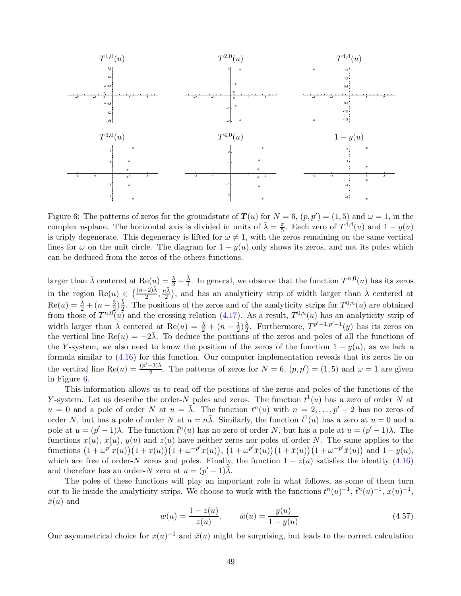

<span id="page-48-0"></span>Figure 6: The patterns of zeros for the groundstate of  $T(u)$  for  $N = 6$ ,  $(p, p') = (1, 5)$  and  $\omega = 1$ , in the complex *u*-plane. The horizontal axis is divided in units of  $\bar{\lambda} = \frac{\pi}{5}$ . Each zero of  $T^{4,4}(u)$  and  $1 - y(u)$ is triply degenerate. This degeneracy is lifted for  $\omega \neq 1$ , with the zeros remaining on the same vertical lines for  $\omega$  on the unit circle. The diagram for  $1 - y(u)$  only shows its zeros, and not its poles which can be deduced from the zeros of the others functions.

larger than  $\bar{\lambda}$  centered at  $\text{Re}(u) = \frac{\lambda}{2} + \frac{\bar{\lambda}}{4}$  $\frac{\lambda}{4}$ . In general, we observe that the function  $T^{n,0}(u)$  has its zeros in the region  $\text{Re}(u) \in \left(\frac{(n-2)\bar{\lambda}}{2}, \frac{n\bar{\lambda}}{2}\right)$  $(\frac{\sqrt{\lambda}}{2})$ , and has an analyticity strip of width larger than  $\bar{\lambda}$  centered at  $\text{Re}(u) = \frac{\lambda}{2} + (n - \frac{3}{2})$  $(\frac{3}{2})\frac{\bar{\lambda}}{2}$  $\frac{\lambda}{2}$ . The positions of the zeros and of the analyticity strips for  $T^{0,n}(u)$  are obtained from those of  $T^{n,0}(u)$  and the crossing relation [\(4.17\)](#page-39-0). As a result,  $T^{0,n}(u)$  has an analyticity strip of width larger than  $\bar{\lambda}$  centered at Re(u) =  $\frac{\lambda}{2} + (n - \frac{1}{2})$  $(\frac{1}{2})\frac{\bar{\lambda}}{2}$  $\frac{\overline{\lambda}}{2}$ . Furthermore,  $T^{p'-1,p'-1}(y)$  has its zeros on the vertical line  $\text{Re}(u) = -2\overline{\lambda}$ . To deduce the positions of the zeros and poles of all the functions of the Y-system, we also need to know the position of the zeros of the function  $1 - y(u)$ , as we lack a formula similar to [\(4.16\)](#page-39-1) for this function. Our computer implementation reveals that its zeros lie on the vertical line Re $(u) = \frac{(p'-3)\bar{\lambda}}{2}$  $\frac{(-3)\lambda}{2}$ . The patterns of zeros for  $N = 6$ ,  $(p, p') = (1, 5)$  and  $\omega = 1$  are given in Figure [6.](#page-48-0)

This information allows us to read off the positions of the zeros and poles of the functions of the Y-system. Let us describe the order-N poles and zeros. The function  $t^1(u)$  has a zero of order N at  $u = 0$  and a pole of order N at  $u = \overline{\lambda}$ . The function  $t^n(u)$  with  $n = 2, \ldots, p' - 2$  has no zeros of order N, but has a pole of order N at  $u = n\overline{\lambda}$ . Similarly, the function  $\overline{t}^1(u)$  has a zero at  $u = 0$  and a pole at  $u = (p' - 1)\lambda$ . The function  $\bar{t}^n(u)$  has no zero of order N, but has a pole at  $u = (p' - 1)\lambda$ . The functions  $x(u)$ ,  $\bar{x}(u)$ ,  $y(u)$  and  $z(u)$  have neither zeros nor poles of order N. The same applies to the  $\text{functions } (1 + \omega^{p'}x(u))(1 + x(u))(1 + \omega^{-p'}x(u)), (1 + \omega^{p'}\bar{x}(u))(1 + \bar{x}(u))(1 + \omega^{-p'}\bar{x}(u)) \text{ and } 1 - y(u),$ which are free of order-N zeros and poles. Finally, the function  $1 - z(u)$  satisfies the identity [\(4.16\)](#page-39-1) and therefore has an order- $N$  zero at  $u = (p' - 1)\overline{\lambda}$ .

The poles of these functions will play an important role in what follows, as some of them turn out to lie inside the analyticity strips. We choose to work with the functions  $t^n(u)^{-1}$ ,  $\bar{t}^n(u)^{-1}$ ,  $x(u)^{-1}$ ,  $\bar{x}(u)$  and

$$
w(u) = \frac{1 - z(u)}{z(u)}, \qquad \bar{w}(u) = \frac{y(u)}{1 - y(u)}.
$$
\n(4.57)

Our asymmetrical choice for  $x(u)^{-1}$  and  $\bar{x}(u)$  might be surprising, but leads to the correct calculation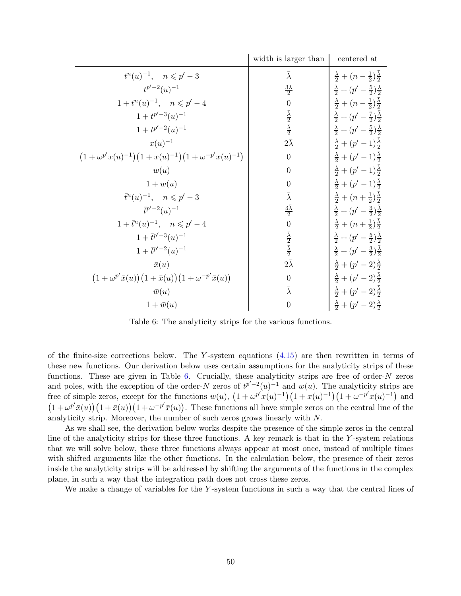|                                                                                                      | width is larger than                                | centered at                                               |
|------------------------------------------------------------------------------------------------------|-----------------------------------------------------|-----------------------------------------------------------|
| $t^{n}(u)^{-1}, \quad n \leqslant p'-3$                                                              | $\bar{\lambda}$                                     | $\frac{\lambda}{2} + (n - \frac{1}{2})\frac{\lambda}{2}$  |
| $t^{p'-2}(u)^{-1}$                                                                                   | $\frac{3\overline{\lambda}}{2}$                     | $\frac{\lambda}{2} + (p' - \frac{5}{2})\frac{\lambda}{2}$ |
| $1 + t^{n}(u)^{-1}, \quad n \leqslant p'-4$                                                          | $\overline{0}$                                      | $\frac{\lambda}{2} + (n - \frac{1}{2})\frac{\lambda}{2}$  |
| $1 + t^{p'-3}(u)^{-1}$                                                                               |                                                     | $\frac{\lambda}{2} + (p' - \frac{7}{2})\frac{\lambda}{2}$ |
| $1 + t^{p'-2}(u)^{-1}$                                                                               | $\frac{\bar{\lambda}}{2}$ $\frac{\bar{\lambda}}{2}$ | $\frac{\lambda}{2} + (p' - \frac{5}{2})\frac{\lambda}{2}$ |
| $x(u)^{-1}$                                                                                          | $2\bar\lambda$                                      | $\frac{\lambda}{2} + (p'-1)\frac{\lambda}{2}$             |
| $(1+\omega^{p'}x(u)^{-1})(1+x(u)^{-1})(1+\omega^{-p'}x(u)^{-1})$                                     | $\overline{0}$                                      | $\frac{\lambda}{2} + (p'-1)\frac{\lambda}{2}$             |
| w(u)                                                                                                 | $\overline{0}$                                      | $\frac{\lambda}{2} + (p'-1)\frac{\lambda}{2}$             |
| $1 + w(u)$                                                                                           | $\boldsymbol{0}$                                    | $\frac{\lambda}{2} + (p'-1)\frac{\lambda}{2}$             |
| $\bar{t}^n(u)^{-1}, \quad n \leqslant p'-3$                                                          | $\bar{\lambda}$                                     | $\frac{\lambda}{2} + (n + \frac{1}{2})\frac{\lambda}{2}$  |
| $\bar{t}^{p'-2}(u)^{-1}$                                                                             | $\frac{3\bar{\lambda}}{2}$                          | $\frac{\lambda}{2} + (p' - \frac{3}{2})\frac{\lambda}{2}$ |
| $1 + \bar{t}^n(u)^{-1}, \quad n \leqslant p'-4$                                                      | $\overline{0}$                                      | $\frac{\lambda}{2} + (n + \frac{1}{2})\frac{\lambda}{2}$  |
| $1+\bar{t}^{p'-3}(u)^{-1}$                                                                           | $\frac{\bar{\lambda}}{2}$ $\frac{\bar{\lambda}}{2}$ | $\frac{\lambda}{2} + (p' - \frac{5}{2})\frac{\lambda}{2}$ |
| $1 + \bar{t}^{p'-2}(u)^{-1}$                                                                         |                                                     | $\frac{\lambda}{2} + (p' - \frac{3}{2})\frac{\lambda}{2}$ |
| $\bar{x}(u)$                                                                                         | $2\bar{\lambda}$                                    | $\frac{\lambda}{2} + (p' - 2)\frac{\lambda}{2}$           |
| $\left(1+\omega^{p'}\bar{x}(u)\right)\left(1+\bar{x}(u)\right)\left(1+\omega^{-p'}\bar{x}(u)\right)$ | $\overline{0}$                                      | $\frac{\lambda}{2} + (p' - 2)\frac{\lambda}{2}$           |
| $\bar{w}(u)$                                                                                         | $\bar{\lambda}$                                     | $\frac{\lambda}{2} + (p' - 2)\frac{\lambda}{2}$           |
| $1 + \bar{w}(u)$                                                                                     | $\overline{0}$                                      | $\frac{\lambda}{2} + (p' - 2)\frac{\lambda}{2}$           |

<span id="page-49-0"></span>Table 6: The analyticity strips for the various functions.

of the finite-size corrections below. The Y-system equations  $(4.15)$  are then rewritten in terms of these new functions. Our derivation below uses certain assumptions for the analyticity strips of these functions. These are given in Table [6.](#page-49-0) Crucially, these analyticity strips are free of order- $N$  zeros and poles, with the exception of the order-N zeros of  $t^{p'-2}(u)^{-1}$  and  $w(u)$ . The analyticity strips are free of simple zeros, except for the functions  $w(u)$ ,  $(1 + \omega^{p'}x(u)^{-1})(1 + x(u)^{-1})(1 + \omega^{-p'}x(u)^{-1})$  and  $(1+\omega^{p'}\bar{x}(u))(1+\bar{x}(u))(1+\omega^{-p'}\bar{x}(u))$ . These functions all have simple zeros on the central line of the analyticity strip. Moreover, the number of such zeros grows linearly with N.

As we shall see, the derivation below works despite the presence of the simple zeros in the central line of the analyticity strips for these three functions. A key remark is that in the  $Y$ -system relations that we will solve below, these three functions always appear at most once, instead of multiple times with shifted arguments like the other functions. In the calculation below, the presence of their zeros inside the analyticity strips will be addressed by shifting the arguments of the functions in the complex plane, in such a way that the integration path does not cross these zeros.

We make a change of variables for the Y-system functions in such a way that the central lines of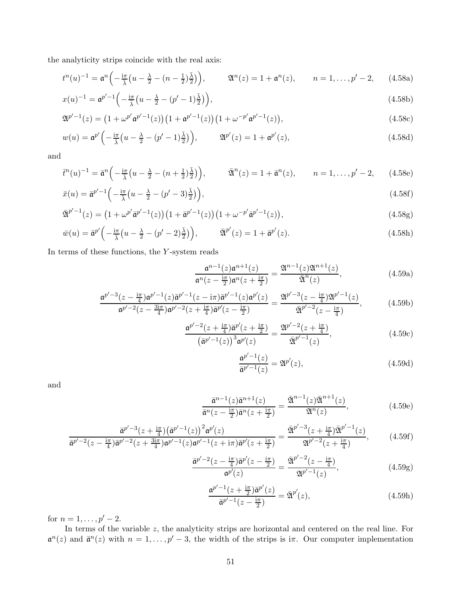the analyticity strips coincide with the real axis:

$$
t^{n}(u)^{-1} = \mathfrak{a}^{n} \left( -\frac{i\pi}{\lambda} \left( u - \frac{\lambda}{2} - (n - \frac{1}{2}) \frac{\bar{\lambda}}{2} \right) \right), \qquad \mathfrak{A}^{n}(z) = 1 + \mathfrak{a}^{n}(z), \qquad n = 1, \ldots, p' - 2, \qquad (4.58a)
$$

$$
x(u)^{-1} = \mathfrak{a}^{p'-1} \left( -\frac{i\pi}{\bar{\lambda}} \left( u - \frac{\lambda}{2} - (p'-1)\frac{\bar{\lambda}}{2} \right) \right),\tag{4.58b}
$$

$$
\mathfrak{A}^{p'-1}(z) = \left(1 + \omega^{p'} \mathfrak{a}^{p'-1}(z)\right) \left(1 + \mathfrak{a}^{p'-1}(z)\right) \left(1 + \omega^{-p'} \mathfrak{a}^{p'-1}(z)\right),\tag{4.58c}
$$

$$
w(u) = \mathfrak{a}^{p'}\left(-\frac{\mathrm{i}\pi}{\overline{\lambda}}\left(u - \frac{\lambda}{2} - (p' - 1)\frac{\overline{\lambda}}{2}\right)\right), \qquad \mathfrak{A}^{p'}(z) = 1 + \mathfrak{a}^{p'}(z), \tag{4.58d}
$$

and

$$
\overline{t}^n(u)^{-1} = \overline{\mathfrak{a}}^n\left(-\frac{\mathrm{i}\pi}{\overline{\lambda}}\left(u-\frac{\lambda}{2}-(n+\frac{1}{2})\frac{\overline{\lambda}}{2}\right)\right), \qquad \overline{\mathfrak{A}}^n(z) = 1 + \overline{\mathfrak{a}}^n(z), \qquad n = 1,\ldots,p'-2,\tag{4.58e}
$$

$$
\bar{x}(u) = \bar{\mathfrak{a}}^{p'-1} \left( -\frac{i\pi}{\bar{\lambda}} \left( u - \frac{\lambda}{2} - (p'-3)\frac{\bar{\lambda}}{2} \right) \right),\tag{4.58f}
$$

$$
\bar{\mathfrak{A}}^{p'-1}(z) = \left(1 + \omega^{p'} \bar{\mathfrak{a}}^{p'-1}(z)\right) \left(1 + \bar{\mathfrak{a}}^{p'-1}(z)\right) \left(1 + \omega^{-p'} \bar{\mathfrak{a}}^{p'-1}(z)\right),\tag{4.58g}
$$

$$
\bar{w}(u) = \bar{\mathfrak{a}}^{p'} \left( -\frac{\mathrm{i}\pi}{\lambda} \left( u - \frac{\lambda}{2} - (p' - 2)\frac{\bar{\lambda}}{2} \right) \right), \qquad \bar{\mathfrak{A}}^{p'}(z) = 1 + \bar{\mathfrak{a}}^{p'}(z). \tag{4.58h}
$$

In terms of these functions, the  $Y$ -system reads

<span id="page-50-0"></span>
$$
\frac{\mathfrak{a}^{n-1}(z)\mathfrak{a}^{n+1}(z)}{\mathfrak{a}^n(z-\frac{i\pi}{2})\mathfrak{a}^n(z+\frac{i\pi}{2})} = \frac{\mathfrak{A}^{n-1}(z)\mathfrak{A}^{n+1}(z)}{\bar{\mathfrak{A}}^n(z)},\tag{4.59a}
$$

$$
\frac{\mathfrak{a}^{p'-3}(z-\frac{i\pi}{4})\mathfrak{a}^{p'-1}(z)\bar{\mathfrak{a}}^{p'-1}(z-i\pi)\bar{\mathfrak{a}}^{p'-1}(z)\mathfrak{a}^{p'}(z)}{\mathfrak{a}^{p'-2}(z-\frac{3i\pi}{4})\mathfrak{a}^{p'-2}(z+\frac{i\pi}{4})\bar{\mathfrak{a}}^{p'}(z-\frac{i\pi}{2})} = \frac{\mathfrak{A}^{p'-3}(z-\frac{i\pi}{4})\mathfrak{A}^{p'-1}(z)}{\bar{\mathfrak{A}}^{p'-2}(z-\frac{i\pi}{4})},\tag{4.59b}
$$

$$
\frac{\mathfrak{a}^{p'-2}(z+\frac{\mathrm{i}\pi}{4})\bar{\mathfrak{a}}^{p'}(z+\frac{\mathrm{i}\pi}{2})}{(\bar{\mathfrak{a}}^{p'-1}(z))^3\mathfrak{a}^{p'}(z)} = \frac{\mathfrak{A}^{p'-2}(z+\frac{\mathrm{i}\pi}{4})}{\bar{\mathfrak{A}}^{p'-1}(z)},\tag{4.59c}
$$

$$
\frac{\mathfrak{a}^{p'-1}(z)}{\overline{\mathfrak{a}^{p'-1}}(z)} = \mathfrak{A}^{p'}(z),\tag{4.59d}
$$

and

$$
\frac{\bar{\mathfrak{a}}^{n-1}(z)\bar{\mathfrak{a}}^{n+1}(z)}{\bar{\mathfrak{a}}^n(z-\frac{\mathrm{i}\pi}{2})\bar{\mathfrak{a}}^n(z+\frac{\mathrm{i}\pi}{2})} = \frac{\bar{\mathfrak{A}}^{n-1}(z)\bar{\mathfrak{A}}^{n+1}(z)}{\mathfrak{A}^n(z)},\tag{4.59e}
$$

$$
\frac{\bar{\mathfrak{a}}^{p'-2}(z-\frac{i\pi}{4})\bar{\mathfrak{a}}^{p'-3}(z+\frac{i\pi}{4})\bar{\mathfrak{a}}^{p'-1}(z))^{2}\mathfrak{a}^{p'}(z)}{\bar{\mathfrak{a}}^{p'-2}(z-\frac{i\pi}{4})\bar{\mathfrak{a}}^{p'-2}(z+\frac{3i\pi}{4})\mathfrak{a}^{p'-1}(z)\mathfrak{a}^{p'-1}(z+i\pi)\bar{\mathfrak{a}}^{p'}(z+\frac{i\pi}{2})} = \frac{\bar{\mathfrak{A}}^{p'-3}(z+\frac{i\pi}{4})\bar{\mathfrak{A}}^{p'-1}(z)}{\mathfrak{A}^{p'-2}(z+\frac{i\pi}{4})},\tag{4.59f}
$$

$$
\frac{\bar{\mathfrak{a}}^{p'-2}(z - \frac{\mathrm{i}\pi}{4})\bar{\mathfrak{a}}^{p'}(z - \frac{\mathrm{i}\pi}{2})}{\mathfrak{a}^{p'}(z)} = \frac{\bar{\mathfrak{A}}^{p'-2}(z - \frac{\mathrm{i}\pi}{4})}{\mathfrak{A}^{p'-1}(z)},\tag{4.59g}
$$

$$
\frac{\mathfrak{a}^{p'-1}(z+\frac{i\pi}{2})\bar{\mathfrak{a}}^{p'}(z)}{\bar{\mathfrak{a}}^{p'-1}(z-\frac{i\pi}{2})} = \bar{\mathfrak{A}}^{p'}(z),\tag{4.59h}
$$

for  $n = 1, ..., p' - 2$ .

In terms of the variable z, the analyticity strips are horizontal and centered on the real line. For  $\mathfrak{a}^n(z)$  and  $\bar{\mathfrak{a}}^n(z)$  with  $n = 1, \ldots, p' - 3$ , the width of the strips is  $i\pi$ . Our computer implementation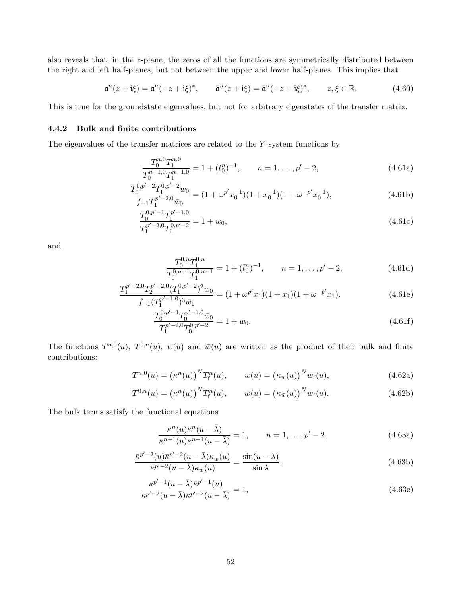also reveals that, in the z-plane, the zeros of all the functions are symmetrically distributed between the right and left half-planes, but not between the upper and lower half-planes. This implies that

$$
\mathfrak{a}^n(z + i\xi) = \mathfrak{a}^n(-z + i\xi)^*, \qquad \bar{\mathfrak{a}}^n(z + i\xi) = \bar{\mathfrak{a}}^n(-z + i\xi)^*, \qquad z, \xi \in \mathbb{R}.
$$
 (4.60)

This is true for the groundstate eigenvalues, but not for arbitrary eigenstates of the transfer matrix.

## 4.4.2 Bulk and finite contributions

The eigenvalues of the transfer matrices are related to the Y -system functions by

$$
\frac{T_0^{n,0}T_1^{n,0}}{T_0^{n+1,0}T_1^{n-1,0}} = 1 + (t_0^n)^{-1}, \qquad n = 1, \dots, p' - 2,
$$
\n(4.61a)

$$
\frac{T_0^{0,p'-2}T_1^{0,p'-2}w_0}{f_{-1}T_1^{p'-2,0}\bar{w}_0} = (1 + \omega^{p'}x_0^{-1})(1 + x_0^{-1})(1 + \omega^{-p'}x_0^{-1}),
$$
\n(4.61b)

$$
\frac{T_0^{0,p'-1}T_1^{p'-1,0}}{T_1^{p'-2,0}T_1^{0,p'-2}} = 1 + w_0,
$$
\n(4.61c)

and

$$
\frac{T_0^{0,n}T_1^{0,n}}{T_0^{0,n+1}T_1^{0,n-1}} = 1 + (\bar{t}_0^n)^{-1}, \qquad n = 1, \dots, p' - 2,
$$
\n(4.61d)

$$
\frac{T_1^{p'-2,0}T_2^{p'-2,0}(T_1^{0,p'-2})^2w_0}{f_{-1}(T_1^{p'-1,0})^3\bar{w}_1} = (1+\omega^{p'}\bar{x}_1)(1+\bar{x}_1)(1+\omega^{-p'}\bar{x}_1),\tag{4.61e}
$$

$$
\frac{T_0^{0,p'-1}T_0^{p'-1,0}\bar{w}_0}{T_1^{p'-2,0}T_0^{0,p'-2}} = 1 + \bar{w}_0.
$$
\n(4.61f)

The functions  $T^{n,0}(u)$ ,  $T^{0,n}(u)$ ,  $w(u)$  and  $\bar{w}(u)$  are written as the product of their bulk and finite contributions:

$$
T^{n,0}(u) = (\kappa^n(u))^N T_f^n(u), \qquad w(u) = (\kappa_w(u))^N w_f(u), \qquad (4.62a)
$$

$$
T^{0,n}(u) = (\bar{\kappa}^n(u))^N \bar{T}_f^n(u), \qquad \bar{w}(u) = (\kappa_{\bar{w}}(u))^N \bar{w}_f(u). \qquad (4.62b)
$$

The bulk terms satisfy the functional equations

$$
\frac{\kappa^n(u)\kappa^n(u-\bar{\lambda})}{\kappa^{n+1}(u)\kappa^{n-1}(u-\bar{\lambda})}=1, \qquad n=1,\ldots,p'-2,
$$
\n(4.63a)

$$
\frac{\bar{\kappa}^{p'-2}(u)\bar{\kappa}^{p'-2}(u-\bar{\lambda})\kappa_w(u)}{\kappa^{p'-2}(u-\bar{\lambda})\kappa_{\bar{w}}(u)} = \frac{\sin(u-\lambda)}{\sin\lambda},\tag{4.63b}
$$

$$
\frac{\kappa^{p'-1}(u-\bar{\lambda})\bar{\kappa}^{p'-1}(u)}{\kappa^{p'-2}(u-\bar{\lambda})\bar{\kappa}^{p'-2}(u-\bar{\lambda})} = 1,
$$
\n(4.63c)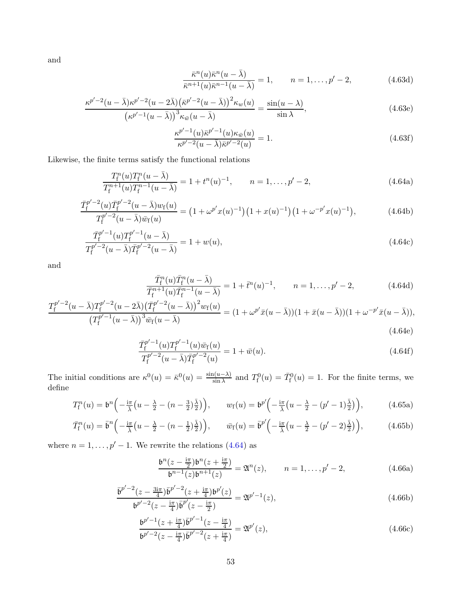and

$$
\frac{\bar{\kappa}^n(u)\bar{\kappa}^n(u-\bar{\lambda})}{\bar{\kappa}^{n+1}(u)\bar{\kappa}^{n-1}(u-\bar{\lambda})} = 1, \qquad n = 1, \dots, p' - 2,
$$
\n(4.63d)

$$
\frac{\kappa^{p'-2}(u-\bar{\lambda})\kappa^{p'-2}(u-2\bar{\lambda})\left(\bar{\kappa}^{p'-2}(u-\bar{\lambda})\right)^2\kappa_w(u)}{\left(\kappa^{p'-1}(u-\bar{\lambda})\right)^3\kappa_{\bar{w}}(u-\bar{\lambda})}=\frac{\sin(u-\lambda)}{\sin\lambda},\tag{4.63e}
$$

<span id="page-52-0"></span>
$$
\frac{\kappa^{p'-1}(u)\bar{\kappa}^{p'-1}(u)\kappa_{\bar{w}}(u)}{\kappa^{p'-2}(u-\bar{\lambda})\bar{\kappa}^{p'-2}(u)} = 1.
$$
\n(4.63f)

Likewise, the finite terms satisfy the functional relations

$$
\frac{T_{\rm f}^n(u)T_{\rm f}^n(u-\bar{\lambda})}{T_{\rm f}^{n+1}(u)T_{\rm f}^{n-1}(u-\bar{\lambda})}=1+t^n(u)^{-1}, \qquad n=1,\ldots,p'-2,
$$
\n(4.64a)

$$
\frac{\bar{T}_{f}^{p'-2}(u)\bar{T}_{f}^{p'-2}(u-\bar{\lambda})w_{f}(u)}{T_{f}^{p'-2}(u-\bar{\lambda})\bar{w}_{f}(u)} = (1+\omega^{p'}x(u)^{-1})(1+x(u)^{-1})(1+\omega^{-p'}x(u)^{-1}),
$$
\n(4.64b)

$$
\frac{\bar{T}_{\rm f}^{p'-1}(u)T_{\rm f}^{p'-1}(u-\bar{\lambda})}{T_{\rm f}^{p'-2}(u-\bar{\lambda})\bar{T}_{\rm f}^{p'-2}(u-\bar{\lambda})} = 1 + w(u),\tag{4.64c}
$$

and

$$
\frac{\bar{T}_{\rm f}^n(u)\bar{T}_{\rm f}^n(u-\bar{\lambda})}{\bar{T}_{\rm f}^{n+1}(u)\bar{T}_{\rm f}^{n-1}(u-\bar{\lambda})}=1+\bar{t}^n(u)^{-1}, \qquad n=1,\ldots,p'-2,
$$
\n(4.64d)

$$
\frac{T_{\rm f}^{p'-2}(u-\bar{\lambda})T_{\rm f}^{p'-2}(u-2\bar{\lambda})\left(\bar{T}_{\rm f}^{p'-2}(u-\bar{\lambda})\right)^2w_{\rm f}(u)}{\left(T_{\rm f}^{p'-1}(u-\bar{\lambda})\right)^3\bar{w}_{\rm f}(u-\bar{\lambda})}=(1+\omega^{p'}\bar{x}(u-\bar{\lambda}))(1+\bar{x}(u-\bar{\lambda}))(1+\omega^{-p'}\bar{x}(u-\bar{\lambda})),
$$
\n(4.64e)

$$
\frac{\bar{T}_{\rm f}^{p'-1}(u)T_{\rm f}^{p'-1}(u)\bar{w}_{\rm f}(u)}{T_{\rm f}^{p'-2}(u-\bar{\lambda})\bar{T}_{\rm f}^{p'-2}(u)} = 1 + \bar{w}(u). \tag{4.64f}
$$

The initial conditions are  $\kappa^0(u) = \bar{\kappa}^0(u) = \frac{\sin(u-\lambda)}{\sin \lambda}$  and  $T_f^0(u) = \bar{T}_f^0(u) = 1$ . For the finite terms, we define

$$
T_{\rm f}^n(u) = \mathfrak{b}^n \left( -\frac{\mathrm{i}\pi}{\lambda} \left( u - \frac{\lambda}{2} - (n - \frac{3}{2}) \frac{\bar{\lambda}}{2} \right) \right), \qquad w_{\rm f}(u) = \mathfrak{b}^{p'} \left( -\frac{\mathrm{i}\pi}{\lambda} \left( u - \frac{\lambda}{2} - (p' - 1) \frac{\bar{\lambda}}{2} \right) \right), \tag{4.65a}
$$

$$
\bar{T}_{\rm f}^n(u) = \bar{\mathfrak{b}}^n \left( -\frac{\mathrm{i}\pi}{\bar{\lambda}} \left( u - \frac{\lambda}{2} - (n - \frac{1}{2}) \frac{\bar{\lambda}}{2} \right) \right), \qquad \bar{w}_{\rm f}(u) = \bar{\mathfrak{b}}^{p'} \left( -\frac{\mathrm{i}\pi}{\bar{\lambda}} \left( u - \frac{\lambda}{2} - (p' - 2) \frac{\bar{\lambda}}{2} \right) \right),\tag{4.65b}
$$

where  $n = 1, ..., p' - 1$ . We rewrite the relations [\(4.64\)](#page-52-0) as

<span id="page-52-1"></span>
$$
\frac{\mathfrak{b}^n(z - \frac{i\pi}{2})\mathfrak{b}^n(z + \frac{i\pi}{2})}{\mathfrak{b}^{n-1}(z)\mathfrak{b}^{n+1}(z)} = \mathfrak{A}^n(z), \qquad n = 1, \dots, p' - 2,
$$
\n(4.66a)

$$
\frac{\bar{\mathfrak{b}}^{p'-2}(z - \frac{3i\pi}{4})\bar{\mathfrak{b}}^{p'-2}(z + \frac{i\pi}{4})\mathfrak{b}^{p'}(z)}{\mathfrak{b}^{p'-2}(z - \frac{i\pi}{4})\bar{\mathfrak{b}}^{p'}(z - \frac{i\pi}{2})} = \mathfrak{A}^{p'-1}(z),\tag{4.66b}
$$

$$
\frac{\mathfrak{b}^{p'-1}(z+\frac{\mathrm{i}\pi}{4})\bar{\mathfrak{b}}^{p'-1}(z-\frac{\mathrm{i}\pi}{4})}{\mathfrak{b}^{p'-2}(z-\frac{\mathrm{i}\pi}{4})\bar{\mathfrak{b}}^{p'-2}(z+\frac{\mathrm{i}\pi}{4})} = \mathfrak{A}^{p'}(z),\tag{4.66c}
$$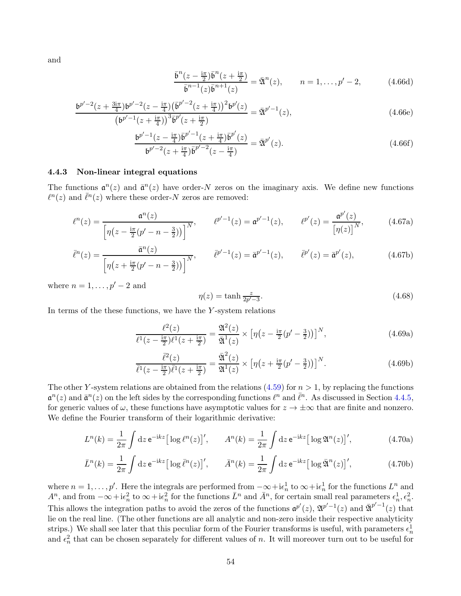and

$$
\frac{\bar{\mathfrak{b}}^n(z - \frac{i\pi}{2})\bar{\mathfrak{b}}^n(z + \frac{i\pi}{2})}{\bar{\mathfrak{b}}^{n-1}(z)\bar{\mathfrak{b}}^{n+1}(z)} = \bar{\mathfrak{A}}^n(z), \qquad n = 1, \dots, p' - 2,
$$
\n(4.66d)

$$
\frac{\mathfrak{b}^{p'-2}(z+\frac{3i\pi}{4})\mathfrak{b}^{p'-2}(z-\frac{i\pi}{4})\left(\bar{\mathfrak{b}}^{p'-2}(z+\frac{i\pi}{4})\right)^2\mathfrak{b}^{p'}(z)}{\left(\mathfrak{b}^{p'-1}(z+\frac{i\pi}{4})\right)^3\bar{\mathfrak{b}}^{p'}(z+\frac{i\pi}{2})} = \bar{\mathfrak{A}}^{p'-1}(z),\tag{4.66e}
$$

$$
\frac{\mathfrak{b}^{p'-1}(z - \frac{\mathrm{i}\pi}{4})\bar{\mathfrak{b}}^{p'-1}(z + \frac{\mathrm{i}\pi}{4})\bar{\mathfrak{b}}^{p'}(z)}{\mathfrak{b}^{p'-2}(z + \frac{\mathrm{i}\pi}{4})\bar{\mathfrak{b}}^{p'-2}(z - \frac{\mathrm{i}\pi}{4})} = \bar{\mathfrak{A}}^{p'}(z). \tag{4.66f}
$$

#### 4.4.3 Non-linear integral equations

The functions  $\mathfrak{a}^n(z)$  and  $\bar{\mathfrak{a}}^n(z)$  have order-N zeros on the imaginary axis. We define new functions  $\ell^{n}(z)$  and  $\bar{\ell}^{n}(z)$  where these order-N zeros are removed:

$$
\ell^{n}(z) = \frac{\mathfrak{a}^{n}(z)}{\left[\eta(z - \frac{\mathrm{i}\pi}{2}(p' - n - \frac{3}{2}))\right]^{N}}, \qquad \ell^{p'-1}(z) = \mathfrak{a}^{p'-1}(z), \qquad \ell^{p'}(z) = \frac{\mathfrak{a}^{p'}(z)}{\left[\eta(z)\right]^{N}}, \tag{4.67a}
$$

$$
\bar{\ell}^{n}(z) = \frac{\bar{\mathfrak{a}}^{n}(z)}{\left[\eta(z + \frac{i\pi}{2}(p' - n - \frac{3}{2}))\right]^{N}}, \qquad \bar{\ell}^{p'-1}(z) = \bar{\mathfrak{a}}^{p'-1}(z), \qquad \bar{\ell}^{p'}(z) = \bar{\mathfrak{a}}^{p'}(z), \tag{4.67b}
$$

where  $n = 1, \ldots, p' - 2$  and

$$
\eta(z) = \tanh \frac{z}{2p'-3}.\tag{4.68}
$$

In terms of the these functions, we have the  $Y$ -system relations

$$
\frac{\ell^2(z)}{\ell^1(z-\frac{i\pi}{2})\ell^1(z+\frac{i\pi}{2})} = \frac{\mathfrak{A}^2(z)}{\bar{\mathfrak{A}}^1(z)} \times \left[ \eta(z-\frac{i\pi}{2}(p'-\frac{3}{2})) \right]^N, \tag{4.69a}
$$

$$
\frac{\overline{\ell}^2(z)}{\overline{\ell}^1(z-\frac{\mathrm{i}\pi}{2})\overline{\ell}^1(z+\frac{\mathrm{i}\pi}{2})} = \frac{\overline{\mathfrak{A}}^2(z)}{\mathfrak{A}^1(z)} \times \left[ \eta(z+\frac{\mathrm{i}\pi}{2}(p'-\frac{3}{2})) \right]^N. \tag{4.69b}
$$

The other Y-system relations are obtained from the relations  $(4.59)$  for  $n > 1$ , by replacing the functions  $\mathfrak{a}^n(z)$  and  $\bar{\mathfrak{a}}^n(z)$  on the left sides by the corresponding functions  $\ell^n$  and  $\bar{\ell}^n$ . As discussed in Section [4.4.5,](#page-58-0) for generic values of  $\omega$ , these functions have asymptotic values for  $z \to \pm \infty$  that are finite and nonzero. We define the Fourier transform of their logarithmic derivative:

$$
L^n(k) = \frac{1}{2\pi} \int dz \, \mathrm{e}^{-\mathrm{i}kz} \big[ \log \ell^n(z) \big], \qquad A^n(k) = \frac{1}{2\pi} \int dz \, \mathrm{e}^{-\mathrm{i}kz} \big[ \log \mathfrak{A}^n(z) \big], \tag{4.70a}
$$

$$
\bar{L}^n(k) = \frac{1}{2\pi} \int dz \, \mathrm{e}^{-\mathrm{i}kz} \big[ \log \bar{\ell}^n(z) \big]', \qquad \bar{A}^n(k) = \frac{1}{2\pi} \int dz \, \mathrm{e}^{-\mathrm{i}kz} \big[ \log \bar{\mathfrak{A}}^n(z) \big]',\tag{4.70b}
$$

where  $n = 1, \ldots, p'$ . Here the integrals are performed from  $-\infty + i\epsilon_n^1$  to  $\infty + i\epsilon_n^1$  for the functions  $L^n$  and  $A<sup>n</sup>$ , and from  $-\infty + i\epsilon_n^2$  to  $\infty + i\epsilon_n^2$  for the functions  $\bar{L}^n$  and  $\bar{A}^n$ , for certain small real parameters  $\epsilon_n^1$ ,  $\epsilon_n^2$ . This allows the integration paths to avoid the zeros of the functions  $\mathfrak{a}^{p'}(z)$ ,  $\mathfrak{A}^{p'-1}(z)$  and  $\overline{\mathfrak{A}}^{p'-1}(z)$  that lie on the real line. (The other functions are all analytic and non-zero inside their respective analyticity strips.) We shall see later that this peculiar form of the Fourier transforms is useful, with parameters  $\epsilon_n^1$ and  $\epsilon_n^2$  that can be chosen separately for different values of n. It will moreover turn out to be useful for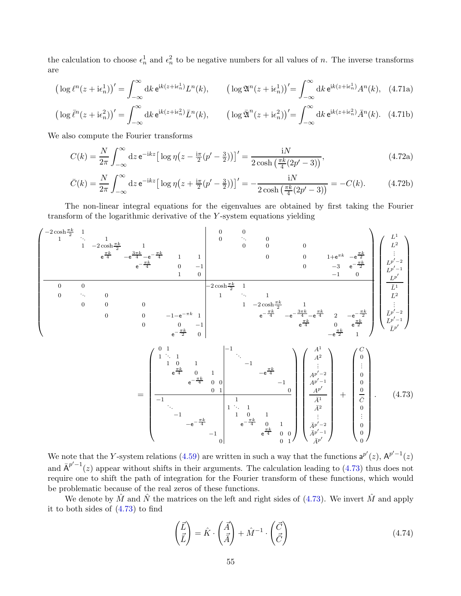the calculation to choose  $\epsilon_n^1$  and  $\epsilon_n^2$  to be negative numbers for all values of n. The inverse transforms are

$$
\left(\log \ell^{n}(z+\mathrm{i}\epsilon_{n}^{1})\right)' = \int_{-\infty}^{\infty} \mathrm{d}k \,\mathrm{e}^{\mathrm{i}k(z+\mathrm{i}\epsilon_{n}^{1})} L^{n}(k), \qquad \left(\log \mathfrak{A}^{n}(z+\mathrm{i}\epsilon_{n}^{1})\right)' = \int_{-\infty}^{\infty} \mathrm{d}k \,\mathrm{e}^{\mathrm{i}k(z+\mathrm{i}\epsilon_{n}^{1})} A^{n}(k), \quad (4.71a)
$$

$$
\left(\log \bar{\ell}^n(z + \mathbf{i}\epsilon_n^2)\right)' = \int_{-\infty}^{\infty} \mathrm{d}k \,\mathrm{e}^{\mathbf{i}k(z + \mathbf{i}\epsilon_n^2)} \bar{L}^n(k), \qquad \left(\log \bar{\mathfrak{A}}^n(z + \mathbf{i}\epsilon_n^2)\right)' = \int_{-\infty}^{\infty} \mathrm{d}k \,\mathrm{e}^{\mathbf{i}k(z + \mathbf{i}\epsilon_n^2)} \bar{A}^n(k). \tag{4.71b}
$$

We also compute the Fourier transforms

$$
C(k) = \frac{N}{2\pi} \int_{-\infty}^{\infty} dz \, e^{-ikz} \left[ \log \eta \left( z - \frac{i\pi}{2} (p' - \frac{3}{2}) \right) \right]' = \frac{iN}{2 \cosh \left( \frac{\pi k}{4} (2p' - 3) \right)},\tag{4.72a}
$$

$$
\bar{C}(k) = \frac{N}{2\pi} \int_{-\infty}^{\infty} dz \, \mathrm{e}^{-ikz} \big[ \log \eta \big( z + \frac{\mathrm{i}\pi}{2} (p' - \frac{3}{2}) \big) \big]' = -\frac{\mathrm{i} N}{2 \cosh \left( \frac{\pi k}{4} (2p' - 3) \right)} = -C(k). \tag{4.72b}
$$

The non-linear integral equations for the eigenvalues are obtained by first taking the Fourier transform of the logarithmic derivative of the Y -system equations yielding



We note that the Y-system relations [\(4.59\)](#page-50-0) are written in such a way that the functions  $a^{p'}(z)$ ,  $A^{p'-1}(z)$ and  $\bar{A}^{p'-1}(z)$  appear without shifts in their arguments. The calculation leading to [\(4.73\)](#page-54-0) thus does not require one to shift the path of integration for the Fourier transform of these functions, which would be problematic because of the real zeros of these functions.

We denote by  $\hat{M}$  and  $\hat{N}$  the matrices on the left and right sides of [\(4.73\)](#page-54-0). We invert  $\hat{M}$  and apply it to both sides of [\(4.73\)](#page-54-0) to find

<span id="page-54-0"></span>
$$
\begin{pmatrix} \vec{L} \\ \vec{L} \end{pmatrix} = \hat{K} \cdot \begin{pmatrix} \vec{A} \\ \vec{A} \end{pmatrix} + \hat{M}^{-1} \cdot \begin{pmatrix} \vec{C} \\ \vec{C} \end{pmatrix}
$$
\n(4.74)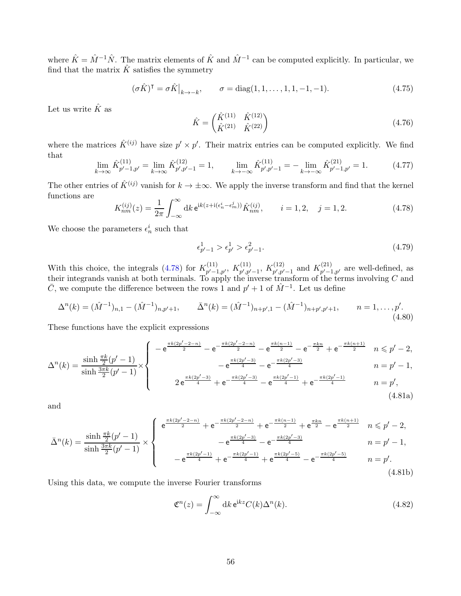where  $\hat{K} = \hat{M}^{-1}\hat{N}$ . The matrix elements of  $\hat{K}$  and  $\hat{M}^{-1}$  can be computed explicitly. In particular, we find that the matrix  $\hat{K}$  satisfies the symmetry

<span id="page-55-1"></span>
$$
(\sigma \hat{K})^{\mathsf{T}} = \sigma \hat{K} \big|_{k \to -k}, \qquad \sigma = \text{diag}(1, 1, \dots, 1, 1, -1, -1). \tag{4.75}
$$

Let us write  $\hat{K}$  as

$$
\hat{K} = \begin{pmatrix} \hat{K}^{(11)} & \hat{K}^{(12)} \\ \hat{K}^{(21)} & \hat{K}^{(22)} \end{pmatrix}
$$
\n(4.76)

where the matrices  $\hat{K}^{(ij)}$  have size  $p' \times p'$ . Their matrix entries can be computed explicitly. We find that

$$
\lim_{k \to \infty} \hat{K}_{p'-1,p'}^{(11)} = \lim_{k \to \infty} \hat{K}_{p',p'-1}^{(12)} = 1, \qquad \lim_{k \to -\infty} \hat{K}_{p',p'-1}^{(11)} = -\lim_{k \to -\infty} \hat{K}_{p'-1,p'}^{(21)} = 1. \tag{4.77}
$$

The other entries of  $\hat{K}^{(ij)}$  vanish for  $k \to \pm \infty$ . We apply the inverse transform and find that the kernel functions are

<span id="page-55-0"></span>
$$
K_{nm}^{(ij)}(z) = \frac{1}{2\pi} \int_{-\infty}^{\infty} dk \, \mathrm{e}^{\mathrm{i}k(z + \mathrm{i}(\epsilon_n^i - \epsilon_m^j))} \hat{K}_{nm}^{(ij)}, \qquad i = 1, 2, \quad j = 1, 2.
$$
 (4.78)

We choose the parameters  $\epsilon_n^i$  such that

$$
\epsilon_{p'-1}^1 > \epsilon_{p'}^1 > \epsilon_{p'-1}^2. \tag{4.79}
$$

With this choice, the integrals [\(4.78\)](#page-55-0) for  $K_{n'-1}^{(11)}$  $\chi_{p'-1,p'}^{(11)},\ K_{p',p'}^{(11)}$  $\chi_{p',p'-1}^{(11)},\ K_{p',p'}^{(12)}$  $_{p',p'-1}^{(12)}$  and  $K_{p'-1}^{(21)}$  $p'$ -1, $p'$  are well-defined, as their integrands vanish at both terminals. To apply the inverse transform of the terms involving  $C$  and  $\bar{C}$ , we compute the difference between the rows 1 and  $p' + 1$  of  $\hat{M}^{-1}$ . Let us define

$$
\Delta^{n}(k) = (\hat{M}^{-1})_{n,1} - (\hat{M}^{-1})_{n,p'+1}, \qquad \bar{\Delta}^{n}(k) = (\hat{M}^{-1})_{n+p',1} - (\hat{M}^{-1})_{n+p',p'+1}, \qquad n = 1,\ldots,p'.
$$
\n(4.80)

These functions have the explicit expressions

$$
\Delta^{n}(k) = \frac{\sinh\frac{\pi k}{2}(p'-1)}{\sinh\frac{3\pi k}{2}(p'-1)} \times \begin{cases}\n-e^{\frac{\pi k(2p'-2-n)}{2}} - e^{-\frac{\pi k(2p'-2-n)}{2}} - e^{\frac{\pi k(n-1)}{2}} - e^{-\frac{\pi k n}{2}} + e^{-\frac{\pi k(n+1)}{2}} & n \leq p'-2, \\
-e^{\frac{\pi k(2p'-3)}{4}} - e^{-\frac{\pi k(2p'-3)}{4}} - e^{-\frac{\pi k(2p'-3)}{4}} & n = p'-1, \\
2e^{\frac{\pi k(2p'-3)}{4}} + e^{-\frac{\pi k(2p'-3)}{4}} - e^{\frac{\pi k(2p'-1)}{4}} + e^{-\frac{\pi k(2p'-1)}{4}} & n = p', \\
4.81a)\n\end{cases}
$$

and

$$
\bar{\Delta}^{n}(k) = \frac{\sinh\frac{\pi k}{2}(p'-1)}{\sinh\frac{3\pi k}{2}(p'-1)} \times \begin{cases} e^{\frac{\pi k(2p'-2-n)}{2}} + e^{-\frac{\pi k(2p'-2-n)}{2}} + e^{-\frac{\pi k(n-1)}{2}} + e^{\frac{\pi k n}{2}} - e^{\frac{\pi k(n+1)}{2}} & n \leq p'-2, \\ -e^{\frac{\pi k(2p'-3)}{4}} - e^{-\frac{\pi k(2p'-3)}{4}} \\ -e^{\frac{\pi k(2p'-1)}{4}} + e^{-\frac{\pi k(2p'-5)}{4}} + e^{\frac{\pi k(2p'-5)}{4}} - e^{-\frac{\pi k(2p'-5)}{4}} & n = p'-1, \end{cases}
$$
\n(4.81b)

Using this data, we compute the inverse Fourier transforms

$$
\mathfrak{C}^n(z) = \int_{-\infty}^{\infty} dk \,\mathsf{e}^{\mathsf{i}kz} C(k) \Delta^n(k). \tag{4.82}
$$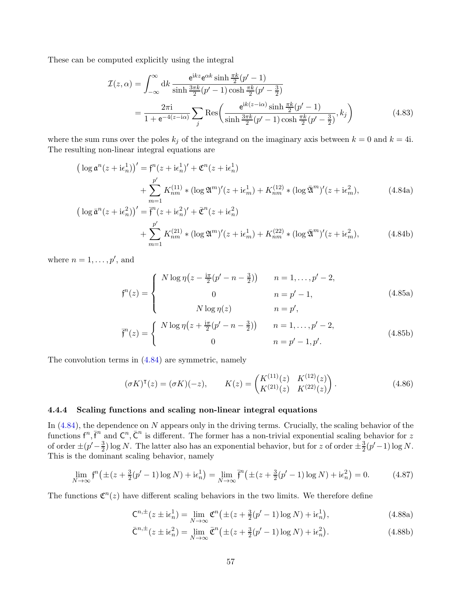These can be computed explicitly using the integral

<span id="page-56-1"></span><span id="page-56-0"></span>
$$
\mathcal{I}(z,\alpha) = \int_{-\infty}^{\infty} dk \, \frac{e^{ikz} e^{\alpha k} \sinh \frac{\pi k}{2} (p'-1)}{\sinh \frac{3\pi k}{2} (p'-1) \cosh \frac{\pi k}{2} (p'-\frac{3}{2})}
$$

$$
= \frac{2\pi i}{1 + e^{-4(z - i\alpha)}} \sum_{j} \text{Res}\left(\frac{e^{ik(z - i\alpha)} \sinh \frac{\pi k}{2} (p'-1)}{\sinh \frac{3\pi k}{2} (p'-1) \cosh \frac{\pi k}{2} (p'-\frac{3}{2})}, k_j\right)
$$
(4.83)

where the sum runs over the poles  $k_j$  of the integrand on the imaginary axis between  $k = 0$  and  $k = 4$ i. The resulting non-linear integral equations are

$$
\left(\log \mathfrak{a}^{n}(z + i\epsilon_{n}^{1})\right)' = \mathfrak{f}^{n}(z + i\epsilon_{n}^{1})' + \mathfrak{C}^{n}(z + i\epsilon_{n}^{1}) + \sum_{m=1}^{p'} K_{nm}^{(11)} * (\log \mathfrak{A}^{m})'(z + i\epsilon_{m}^{1}) + K_{nm}^{(12)} * (\log \bar{\mathfrak{A}}^{m})'(z + i\epsilon_{m}^{2}),
$$
\n
$$
\left(\log \bar{\mathfrak{a}}^{n}(z + i\epsilon_{n}^{2})\right)' = \bar{\mathfrak{f}}^{n}(z + i\epsilon_{n}^{2})' + \bar{\mathfrak{C}}^{n}(z + i\epsilon_{n}^{2})
$$
\n(4.84a)

$$
\log \bar{\mathfrak{a}}^{n}(z + i\epsilon_{n}^{2}))' = \bar{f}^{n}(z + i\epsilon_{n}^{2})' + \bar{\mathfrak{C}}^{n}(z + i\epsilon_{n}^{2}) + \sum_{m=1}^{p'} K_{nm}^{(21)} * (\log \mathfrak{A}^{m})'(z + i\epsilon_{m}^{1}) + K_{nm}^{(22)} * (\log \bar{\mathfrak{A}}^{m})'(z + i\epsilon_{m}^{2}),
$$
\n(4.84b)

where  $n = 1, \ldots, p'$ , and

$$
f^{n}(z) = \begin{cases} N \log \eta \left( z - \frac{i\pi}{2} (p' - n - \frac{3}{2}) \right) & n = 1, ..., p' - 2, \\ 0 & n = p' - 1, \\ N \log \eta(z) & n = p', \end{cases}
$$
(4.85a)  

$$
\left( N \log n \left( z + \frac{i\pi}{2} (n' - n - \frac{3}{2}) \right) \right) = n = 1, ..., p' - 2
$$

$$
\vec{f}^{n}(z) = \begin{cases} N \log \eta \left( z + \frac{i\pi}{2} (p' - n - \frac{3}{2}) \right) & n = 1, ..., p' - 2, \\ 0 & n = p' - 1, p'. \end{cases}
$$
(4.85b)

The convolution terms in [\(4.84\)](#page-56-0) are symmetric, namely

<span id="page-56-2"></span>
$$
(\sigma K)^{\mathsf{T}}(z) = (\sigma K)(-z), \qquad K(z) = \begin{pmatrix} K^{(11)}(z) & K^{(12)}(z) \\ K^{(21)}(z) & K^{(22)}(z) \end{pmatrix}.
$$
 (4.86)

#### 4.4.4 Scaling functions and scaling non-linear integral equations

In [\(4.84\)](#page-56-0), the dependence on N appears only in the driving terms. Crucially, the scaling behavior of the functions  $f^n, \bar{f}^n$  and  $C^n, \bar{C}^n$  is different. The former has a non-trivial exponential scaling behavior for z of order  $\pm (p' - \frac{3}{2})$  $\frac{3}{2}$ ) log N. The latter also has an exponential behavior, but for z of order  $\pm \frac{3}{2}$  $\frac{3}{2}(p'-1)\log N$ . This is the dominant scaling behavior, namely

$$
\lim_{N \to \infty} \mathfrak{f}^n \big( \pm (z + \frac{3}{2}(p' - 1) \log N) + \mathfrak{i} \epsilon_n^1 \big) = \lim_{N \to \infty} \mathfrak{f}^n \big( \pm (z + \frac{3}{2}(p' - 1) \log N) + \mathfrak{i} \epsilon_n^2 \big) = 0. \tag{4.87}
$$

The functions  $\mathfrak{C}^n(z)$  have different scaling behaviors in the two limits. We therefore define

$$
\mathsf{C}^{n,\pm}(z\pm\mathrm{i}\epsilon_n^1)=\lim_{N\to\infty}\mathfrak{C}^n\big(\pm(z+\tfrac{3}{2}(p'-1)\log N)+\mathrm{i}\epsilon_n^1\big),\tag{4.88a}
$$

$$
\bar{\mathsf{C}}^{n,\pm}(z \pm \mathrm{i}\epsilon_n^2) = \lim_{N \to \infty} \bar{\mathfrak{C}}^n \big( \pm (z + \frac{3}{2}(p'-1)\log N) + \mathrm{i}\epsilon_n^2 \big). \tag{4.88b}
$$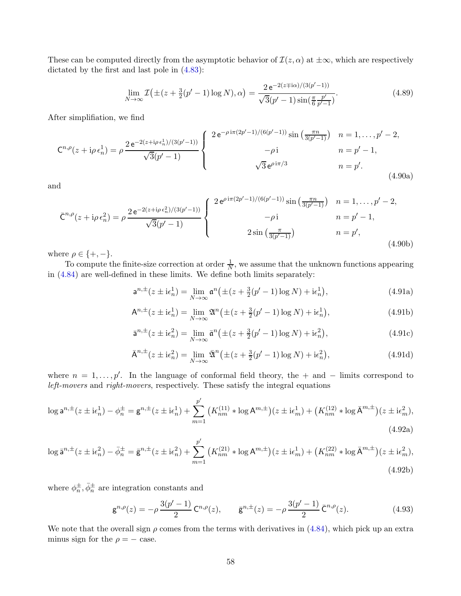These can be computed directly from the asymptotic behavior of  $\mathcal{I}(z,\alpha)$  at  $\pm\infty$ , which are respectively dictated by the first and last pole in [\(4.83\)](#page-56-1):

$$
\lim_{N \to \infty} \mathcal{I}(\pm (z + \frac{3}{2}(p' - 1)\log N), \alpha) = \frac{2 e^{-2(z \mp i\alpha)/(3(p' - 1))}}{\sqrt{3}(p' - 1)\sin(\frac{\pi}{6}\frac{p'}{p' - 1})}.
$$
\n(4.89)

After simplifiation, we find

$$
\mathsf{C}^{n,\rho}(z+i\rho\,\epsilon_n^1) = \rho \, \frac{2\,\mathrm{e}^{-2(z+i\rho\,\epsilon_n^1)/(3(p'-1))}}{\sqrt{3}(p'-1)} \begin{cases} 2\,\mathrm{e}^{-\rho\,\mathrm{i}\pi(2p'-1)/(6(p'-1))}\sin\left(\frac{\pi n}{3(p'-1)}\right) & n=1,\ldots,p'-2,\\ \rho\,\mathrm{i} & n=p'-1,\\ \sqrt{3}\,\mathrm{e}^{\rho\,\mathrm{i}\pi/3} & n=p'. \end{cases} \tag{4.90a}
$$

and

$$
\bar{C}^{n,\rho}(z+i\rho \epsilon_n^2) = \rho \frac{2 e^{-2(z+i\rho \epsilon_n^2)/(3(p'-1))}}{\sqrt{3}(p'-1)} \begin{cases} 2 e^{\rho i \pi (2p'-1)/(6(p'-1))} \sin \left(\frac{\pi n}{3(p'-1)}\right) & n = 1, \dots, p'-2, \\ -\rho i & n = p'-1, \\ 2 \sin \left(\frac{\pi}{3(p'-1)}\right) & n = p', \end{cases}
$$
(4.90b)

where  $\rho \in \{+, -\}.$ 

To compute the finite-size correction at order  $\frac{1}{N}$ , we assume that the unknown functions appearing in [\(4.84\)](#page-56-0) are well-defined in these limits. We define both limits separately:

$$
a^{n,\pm}(z \pm i\epsilon_n^1) = \lim_{N \to \infty} a^n(\pm (z + \frac{3}{2}(p' - 1)\log N) + i\epsilon_n^1),
$$
 (4.91a)

$$
\mathsf{A}^{n,\pm}(z\pm\mathrm{i}\epsilon_n^1) = \lim_{N \to \infty} \mathfrak{A}^n\big(\pm(z+\tfrac{3}{2}(p'-1)\log N) + \mathrm{i}\epsilon_n^1\big),\tag{4.91b}
$$

$$
\bar{\mathsf{a}}^{n,\pm}(z \pm \mathrm{i}\epsilon_n^2) = \lim_{N \to \infty} \bar{\mathsf{a}}^n \big( \pm (z + \frac{3}{2}(p'-1)\log N) + \mathrm{i}\epsilon_n^2 \big),\tag{4.91c}
$$

<span id="page-57-0"></span>
$$
\bar{A}^{n,\pm}(z \pm i\epsilon_n^2) = \lim_{N \to \infty} \bar{\mathfrak{A}}^n(\pm (z + \frac{3}{2}(p'-1)\log N) + i\epsilon_n^2), \tag{4.91d}
$$

where  $n = 1, \ldots, p'$ . In the language of conformal field theory, the + and − limits correspond to left-movers and right-movers, respectively. These satisfy the integral equations

$$
\log \mathsf{a}^{n,\pm}(z \pm \mathrm{i}\epsilon_n^1) - \phi_n^{\pm} = \mathsf{g}^{n,\pm}(z \pm \mathrm{i}\epsilon_n^1) + \sum_{m=1}^{p'} \left( K_{nm}^{(11)} * \log \mathsf{A}^{m,\pm} \right) (z \pm \mathrm{i}\epsilon_m^1) + \left( K_{nm}^{(12)} * \log \bar{\mathsf{A}}^{m,\pm} \right) (z \pm \mathrm{i}\epsilon_m^2),\tag{4.92a}
$$

$$
\log \bar{\mathsf{a}}^{n,\pm}(z \pm \mathrm{i}\epsilon_n^2) - \bar{\phi}_n^{\pm} = \bar{\mathsf{g}}^{n,\pm}(z \pm \mathrm{i}\epsilon_n^2) + \sum_{m=1}^{p'} \left( K_{nm}^{(21)} * \log \mathsf{A}^{m,\pm} \right) (z \pm \mathrm{i}\epsilon_m^1) + \left( K_{nm}^{(22)} * \log \bar{\mathsf{A}}^{m,\pm} \right) (z \pm \mathrm{i}\epsilon_m^2),\tag{4.92b}
$$

where  $\phi_n^{\pm}, \bar{\phi}_n^{\pm}$  are integration constants and

$$
\mathbf{g}^{n,\rho}(z) = -\rho \, \frac{3(p'-1)}{2} \, \mathbf{C}^{n,\rho}(z), \qquad \bar{\mathbf{g}}^{n,\pm}(z) = -\rho \, \frac{3(p'-1)}{2} \, \bar{\mathbf{C}}^{n,\rho}(z). \tag{4.93}
$$

We note that the overall sign  $\rho$  comes from the terms with derivatives in [\(4.84\)](#page-56-0), which pick up an extra minus sign for the  $\rho = -$  case.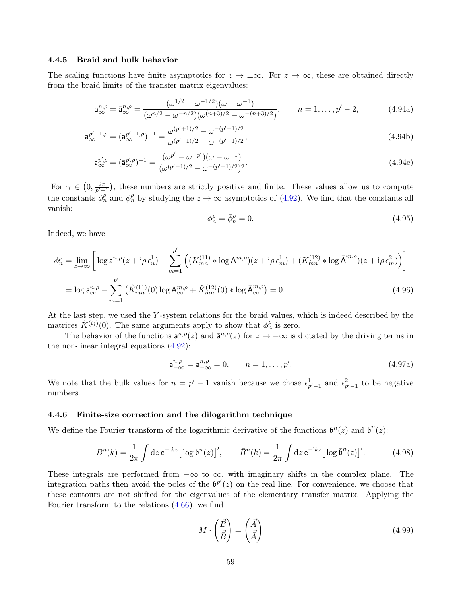#### <span id="page-58-0"></span>4.4.5 Braid and bulk behavior

The scaling functions have finite asymptotics for  $z \to \pm \infty$ . For  $z \to \infty$ , these are obtained directly from the braid limits of the transfer matrix eigenvalues:

$$
\mathbf{a}_{\infty}^{n,\rho} = \bar{\mathbf{a}}_{\infty}^{n,\rho} = \frac{(\omega^{1/2} - \omega^{-1/2})(\omega - \omega^{-1})}{(\omega^{n/2} - \omega^{-n/2})(\omega^{(n+3)/2} - \omega^{-(n+3)/2})}, \qquad n = 1, \dots, p'-2,
$$
 (4.94a)

$$
\mathbf{a}_{\infty}^{p'-1,\rho} = (\bar{\mathbf{a}}_{\infty}^{p'-1,\rho})^{-1} = \frac{\omega^{(p'+1)/2} - \omega^{-(p'+1)/2}}{\omega^{(p'-1)/2} - \omega^{-(p'-1)/2}},\tag{4.94b}
$$

$$
\mathsf{a}_{\infty}^{p',\rho} = (\bar{\mathsf{a}}_{\infty}^{p',\rho})^{-1} = \frac{(\omega^{p'} - \omega^{-p'})(\omega - \omega^{-1})}{(\omega^{(p'-1)/2} - \omega^{-(p'-1)/2})^2}.\tag{4.94c}
$$

For  $\gamma \in \left(0, \frac{2\pi}{p'+ } \right)$  $\frac{2\pi}{p'+1}$ , these numbers are strictly positive and finite. These values allow us to compute the constants  $\phi_n^{\rho}$  and  $\bar{\phi}_n^{\rho}$  by studying the  $z \to \infty$  asymptotics of [\(4.92\)](#page-57-0). We find that the constants all vanish:

$$
\phi_n^{\rho} = \bar{\phi}_n^{\rho} = 0. \tag{4.95}
$$

Indeed, we have

$$
\phi_n^{\rho} = \lim_{z \to \infty} \left[ \log a^{n,\rho}(z + i\rho \epsilon_n^1) - \sum_{m=1}^{p'} \left( (K_{mn}^{(11)} * \log A^{m,\rho})(z + i\rho \epsilon_m^1) + (K_{mn}^{(12)} * \log \bar{A}^{m,\rho})(z + i\rho \epsilon_m^2) \right) \right]
$$
  
=  $\log a_{\infty}^{n,\rho} - \sum_{m=1}^{p'} \left( \hat{K}_{mn}^{(11)}(0) \log A_{\infty}^{m,\rho} + \hat{K}_{mn}^{(12)}(0) * \log \bar{A}_{\infty}^{m,\rho} \right) = 0.$  (4.96)

At the last step, we used the Y -system relations for the braid values, which is indeed described by the matrices  $\hat{K}^{(ij)}(0)$ . The same arguments apply to show that  $\bar{\phi}_n^{\rho}$  is zero.

The behavior of the functions  $a^{n,p}(z)$  and  $\bar{a}^{n,p}(z)$  for  $z \to -\infty$  is dictated by the driving terms in the non-linear integral equations [\(4.92\)](#page-57-0):

$$
\mathsf{a}_{-\infty}^{n,\rho} = \bar{\mathsf{a}}_{-\infty}^{n,\rho} = 0, \qquad n = 1, \dots, p'. \tag{4.97a}
$$

We note that the bulk values for  $n = p' - 1$  vanish because we chose  $\epsilon_{p'-1}^1$  and  $\epsilon_{p'-1}^2$  to be negative numbers.

#### 4.4.6 Finite-size correction and the dilogarithm technique

We define the Fourier transform of the logarithmic derivative of the functions  $\mathfrak{b}^n(z)$  and  $\bar{\mathfrak{b}}^n(z)$ :

$$
B^{n}(k) = \frac{1}{2\pi} \int \mathrm{d}z \,\mathrm{e}^{-\mathrm{i}kz} \big[ \log \mathfrak{b}^{n}(z) \big]', \qquad \bar{B}^{n}(k) = \frac{1}{2\pi} \int \mathrm{d}z \,\mathrm{e}^{-\mathrm{i}kz} \big[ \log \bar{\mathfrak{b}}^{n}(z) \big]'. \tag{4.98}
$$

These integrals are performed from  $-\infty$  to  $\infty$ , with imaginary shifts in the complex plane. The integration paths then avoid the poles of the  $\mathfrak{b}^{p'}(z)$  on the real line. For convenience, we choose that these contours are not shifted for the eigenvalues of the elementary transfer matrix. Applying the Fourier transform to the relations [\(4.66\)](#page-52-1), we find

$$
M \cdot \begin{pmatrix} \vec{B} \\ \vec{B} \end{pmatrix} = \begin{pmatrix} \vec{A} \\ \vec{A} \end{pmatrix} \tag{4.99}
$$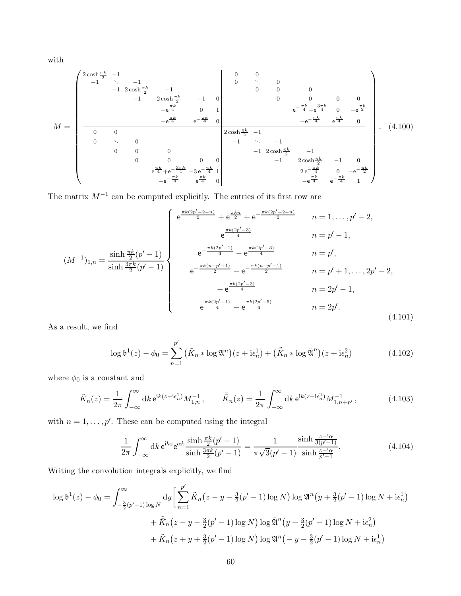with

M = 2 cosh πk <sup>2</sup> −1 0 0 −1 b <sup>b</sup> −1 0 <sup>b</sup> b b 0 −1 2 cosh πk <sup>2</sup> −1 0 0 0 −1 2 cosh πk <sup>2</sup> −1 0 0 0 0 0 −e πk <sup>4</sup> 0 1 e − πk <sup>4</sup> +e 3πk <sup>4</sup> 0 −e πk 2 −e πk 4 e − πk <sup>4</sup> 0 −e − πk 4 e πk 4 0 0 0 2 cosh πk <sup>2</sup> −1 0 b 0 −1 b <sup>b</sup> −1 0 0 0 −1 2 cosh πk <sup>2</sup> −1 0 0 0 0 −1 2 cosh πk <sup>2</sup> −1 0 e πk <sup>4</sup> +e − 3πk <sup>4</sup> −3 e − πk <sup>4</sup> 1 2 e − πk <sup>4</sup> 0 −e − πk 2 −e − πk 4 e πk <sup>4</sup> 0 −e πk 4 e − πk 4 1 . (4.100)

The matrix  $M^{-1}$  can be computed explicitly. The entries of its first row are

$$
(M^{-1})_{1,n} = \frac{\sinh\frac{\pi k}{2}(p'-1)}{\sinh\frac{3\pi k}{2}(p'-1)} \begin{cases} e^{\frac{\pi k(2p'-2-n)}{2}} + e^{\frac{\pi k(n-p'-3)}{2}} & n=1,\ldots,p'-2, \\ e^{\frac{\pi k(2p'-3)}{4}} & n=p'-1, \\ e^{-\frac{\pi k(2p'-1)}{4}} - e^{\frac{\pi k(n-p'-1)}{2}} & n=p', \\ e^{-\frac{\pi k(n-p'+1)}{2}} - e^{-\frac{\pi k(n-p'-1)}{2}} & n=p'+1,\ldots,2p'-2, \\ -e^{\frac{\pi k(2p'-3)}{4}} & n=2p'-1, \\ e^{\frac{\pi k(2p'-1)}{4}} - e^{\frac{\pi k(2p'-5)}{4}} & n=2p'. \end{cases}
$$
\n
$$
(4.101)
$$

As a result, we find

$$
\log \mathfrak{b}^1(z) - \phi_0 = \sum_{n=1}^{p'} \left( \tilde{K}_n * \log \mathfrak{A}^n \right) (z + i\epsilon_n^1) + \left( \tilde{\bar{K}}_n * \log \bar{\mathfrak{A}}^n \right) (z + i\epsilon_n^2) \tag{4.102}
$$

where  $\phi_0$  is a constant and

$$
\tilde{K}_n(z) = \frac{1}{2\pi} \int_{-\infty}^{\infty} dk \, \mathrm{e}^{\mathrm{i}k(z - \mathrm{i}\epsilon_n^1)} M_{1,n}^{-1}, \qquad \tilde{\bar{K}}_n(z) = \frac{1}{2\pi} \int_{-\infty}^{\infty} dk \, \mathrm{e}^{\mathrm{i}k(z - \mathrm{i}\epsilon_n^2)} M_{1,n+p'}^{-1}, \tag{4.103}
$$

with  $n = 1, \ldots, p'$ . These can be computed using the integral

$$
\frac{1}{2\pi} \int_{-\infty}^{\infty} dk \, e^{ikz} e^{\alpha k} \frac{\sinh \frac{\pi k}{2} (p'-1)}{\sinh \frac{3\pi k}{2} (p'-1)} = \frac{1}{\pi \sqrt{3} (p'-1)} \frac{\sinh \frac{z-i\alpha}{3(p'-1)}}{\sinh \frac{z-i\alpha}{p'-1}}.
$$
(4.104)

Writing the convolution integrals explicitly, we find

$$
\log \mathfrak{b}^{1}(z) - \phi_{0} = \int_{-\frac{3}{2}(p'-1)\log N}^{\infty} dy \left[ \sum_{n=1}^{p'} \tilde{K}_{n}(z-y-\frac{3}{2}(p'-1)\log N) \log \mathfrak{A}^{n}(y+\frac{3}{2}(p'-1)\log N + i\epsilon_{n}^{1}) + \tilde{K}_{n}(z-y-\frac{3}{2}(p'-1)\log N) \log \bar{\mathfrak{A}}^{n}(y+\frac{3}{2}(p'-1)\log N + i\epsilon_{n}^{2}) + \tilde{K}_{n}(z+y+\frac{3}{2}(p'-1)\log N) \log \mathfrak{A}^{n}(-y-\frac{3}{2}(p'-1)\log N + i\epsilon_{n}^{1}) \right]
$$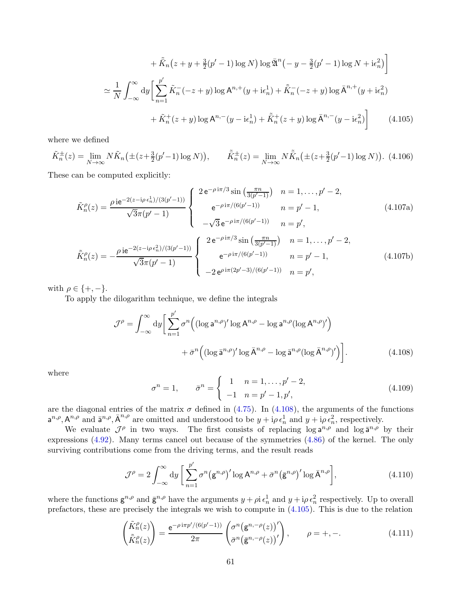<span id="page-60-1"></span>
$$
+\tilde{K}_n(z+y+\frac{3}{2}(p'-1)\log N)\log\bar{\mathfrak{A}}^n(-y-\frac{3}{2}(p'-1)\log N+i\epsilon_n^2)\bigg]
$$
  

$$
\simeq \frac{1}{N}\int_{-\infty}^{\infty}dy\bigg[\sum_{n=1}^{p'}\tilde{K}_n(-z+y)\log A^{n,+}(y+i\epsilon_n^1)+\tilde{K}_n(-z+y)\log\bar{A}^{n,+}(y+i\epsilon_n^2)\bigg]
$$
  

$$
+\tilde{K}_n^+(z+y)\log A^{n,-}(y-i\epsilon_n^1)+\tilde{K}_n^+(z+y)\log\bar{A}^{n,-}(y-i\epsilon_n^2)\bigg]
$$
(4.105)

where we defined

$$
\tilde{K}_n^{\pm}(z) = \lim_{N \to \infty} N \tilde{K}_n \left( \pm (z + \frac{3}{2}(p' - 1) \log N) \right), \qquad \tilde{K}_n^{\pm}(z) = \lim_{N \to \infty} N \tilde{K}_n \left( \pm (z + \frac{3}{2}(p' - 1) \log N) \right). \tag{4.106}
$$

These can be computed explicitly:

$$
\tilde{K}_{n}^{\rho}(z) = \frac{\rho i e^{-2(z - i\rho \epsilon_{n}^{1})/(3(p' - 1))}}{\sqrt{3}\pi(p' - 1)} \begin{cases}\n2 e^{-\rho i \pi/3} \sin\left(\frac{\pi n}{3(p' - 1)}\right) & n = 1, \dots, p' - 2, \\
e^{-\rho i \pi/(6(p' - 1))} & n = p' - 1,\n\end{cases}
$$
\n
$$
n = p' - 1,
$$
\n
$$
\tilde{K}_{n}^{\rho}(z) = -\frac{\rho i e^{-2(z - i\rho \epsilon_{n}^{2})/(3(p' - 1))}}{\sqrt{3}\pi(p' - 1)} \begin{cases}\n2 e^{-\rho i \pi/3} \sin\left(\frac{\pi n}{3(p' - 1)}\right) & n = 1, \dots, p' - 2, \\
e^{-\rho i \pi/(6(p' - 1))} & n = p' - 1,\n\end{cases}
$$
\n
$$
n = p' - 1,
$$
\n
$$
n = p' - 1,
$$
\n
$$
(4.107b)
$$
\n
$$
-2 e^{\rho i \pi(2p' - 3)/(6(p' - 1))} & n = p',
$$
\n
$$
(4.107b)
$$

with  $\rho \in \{+, -\}.$ 

To apply the dilogarithm technique, we define the integrals

$$
\mathcal{J}^{\rho} = \int_{-\infty}^{\infty} dy \left[ \sum_{n=1}^{p'} \sigma^n \left( (\log a^{n,\rho})' \log A^{n,\rho} - \log a^{n,\rho} (\log A^{n,\rho})' \right) + \bar{\sigma}^n \left( (\log \bar{a}^{n,\rho})' \log \bar{A}^{n,\rho} - \log \bar{a}^{n,\rho} (\log \bar{A}^{n,\rho})' \right) \right].
$$
 (4.108)

where

<span id="page-60-0"></span>
$$
\sigma^{n} = 1, \qquad \bar{\sigma}^{n} = \begin{cases} 1 & n = 1, \dots, p' - 2, \\ -1 & n = p' - 1, p', \end{cases}
$$
 (4.109)

are the diagonal entries of the matrix  $\sigma$  defined in [\(4.75\)](#page-55-1). In [\(4.108\)](#page-60-0), the arguments of the functions  $a^{n,p}, A^{n,p}$  and  $\bar{a}^{n,p}, \bar{A}^{n,p}$  are omitted and understood to be  $y + i\rho \epsilon_n^1$  and  $y + i\rho \epsilon_n^2$ , respectively.

We evaluate  $\mathcal{J}^{\rho}$  in two ways. The first consists of replacing  $\log a^{n,\rho}$  and  $\log \bar{a}^{n,\rho}$  by their expressions [\(4.92\)](#page-57-0). Many terms cancel out because of the symmetries [\(4.86\)](#page-56-2) of the kernel. The only surviving contributions come from the driving terms, and the result reads

$$
\mathcal{J}^{\rho} = 2 \int_{-\infty}^{\infty} dy \left[ \sum_{n=1}^{p'} \sigma^n \left( g^{n,\rho} \right)' \log A^{n,\rho} + \bar{\sigma}^n \left( \bar{g}^{n,\rho} \right)' \log \bar{A}^{n,\rho} \right], \tag{4.110}
$$

where the functions  $g^{n,\rho}$  and  $\bar{g}^{n,\rho}$  have the arguments  $y + \rho i \epsilon_n^1$  and  $y + i\rho \epsilon_n^2$  respectively. Up to overall prefactors, these are precisely the integrals we wish to compute in [\(4.105\)](#page-60-1). This is due to the relation

$$
\begin{pmatrix}\n\tilde{K}_n^{\rho}(z) \\
\tilde{K}_n^{\rho}(z)\n\end{pmatrix} = \frac{e^{-\rho i\pi p'/(6(p'-1))}}{2\pi} \begin{pmatrix}\n\sigma^n \big(g^{n,-\rho}(z)\big)'\n\end{pmatrix}, \qquad \rho = +, -.
$$
\n(4.111)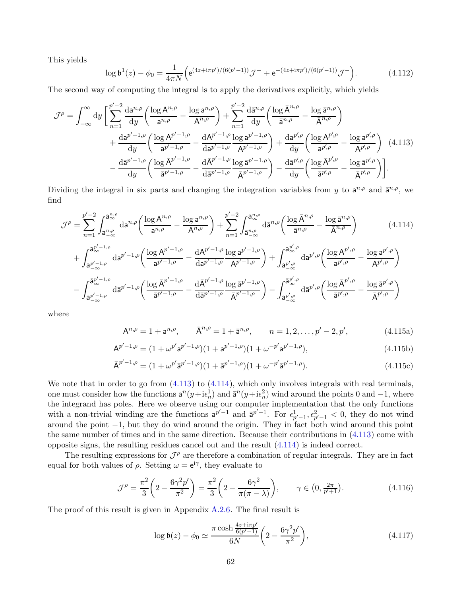This yields

<span id="page-61-0"></span>
$$
\log \mathfrak{b}^1(z) - \phi_0 = \frac{1}{4\pi N} \Big( e^{(4z + i\pi p')/(6(p'-1))} \mathcal{J}^+ + e^{-(4z + i\pi p')/(6(p'-1))} \mathcal{J}^- \Big). \tag{4.112}
$$

The second way of computing the integral is to apply the derivatives explicitly, which yields

$$
\mathcal{J}^{\rho} = \int_{-\infty}^{\infty} dy \left[ \sum_{n=1}^{p'-2} \frac{da^{n,\rho}}{dy} \left( \frac{\log A^{n,\rho}}{a^{n,\rho}} - \frac{\log a^{n,\rho}}{A^{n,\rho}} \right) + \sum_{n=1}^{p'-2} \frac{d\bar{a}^{n,\rho}}{dy} \left( \frac{\log \bar{A}^{n,\rho}}{\bar{a}^{n,\rho}} - \frac{\log \bar{a}^{n,\rho}}{\bar{A}^{n,\rho}} \right) \right. \\
\left. + \frac{da^{p'-1,\rho}}{dy} \left( \frac{\log A^{p'-1,\rho}}{a^{p'-1,\rho}} - \frac{dA^{p'-1,\rho}}{da^{p'-1,\rho}} \frac{\log a^{p'-1,\rho}}{A^{p'-1,\rho}} \right) + \frac{da^{p',\rho}}{dy} \left( \frac{\log A^{p',\rho}}{a^{p',\rho}} - \frac{\log a^{p',\rho}}{A^{p',\rho}} \right) \right] (4.113)
$$
\n
$$
- \frac{d\bar{a}^{p'-1,\rho}}{dy} \left( \frac{\log \bar{A}^{p'-1,\rho}}{\bar{a}^{p'-1,\rho}} - \frac{d\bar{A}^{p'-1,\rho}}{d\bar{a}^{p'-1,\rho}} \frac{\log \bar{a}^{p'-1,\rho}}{\bar{A}^{p'-1,\rho}} \right) - \frac{d\bar{a}^{p',\rho}}{dy} \left( \frac{\log \bar{A}^{p',\rho}}{\bar{a}^{p',\rho}} - \frac{\log \bar{a}^{p',\rho}}{\bar{A}^{p',\rho}} \right) \right].
$$

Dividing the integral in six parts and changing the integration variables from y to  $a^{n,\rho}$  and  $\bar{a}^{n,\rho}$ , we find

$$
\mathcal{J}^{\rho} = \sum_{n=1}^{p'-2} \int_{\mathbf{a}_{-\infty}^{n,\rho}}^{\mathbf{a}_{\infty}^{n,\rho}} d\mathbf{a}^{n,\rho} \left( \frac{\log A^{n,\rho}}{\mathbf{a}^{n,\rho}} - \frac{\log \mathbf{a}^{n,\rho}}{A^{n,\rho}} \right) + \sum_{n=1}^{p'-2} \int_{\bar{\mathbf{a}}_{-\infty}^{n,\rho}}^{\bar{\mathbf{a}}_{\infty}^{n,\rho}} d\bar{\mathbf{a}}^{n,\rho} \left( \frac{\log \bar{A}^{n,\rho}}{\bar{\mathbf{a}}^{n,\rho}} - \frac{\log \bar{\mathbf{a}}^{n,\rho}}{\bar{A}^{n,\rho}} \right) \qquad (4.114)
$$
  
+ 
$$
\int_{\mathbf{a}_{-\infty}^{p'-1,\rho}}^{\mathbf{a}_{\infty}^{p'-1,\rho}} d\mathbf{a}^{p'-1,\rho} \left( \frac{\log A^{p'-1,\rho}}{\mathbf{a}^{p'-1,\rho}} - \frac{dA^{p'-1,\rho}}{d\mathbf{a}^{p'-1,\rho}} \frac{\log \mathbf{a}^{p'-1,\rho}}{A^{p'-1,\rho}} \right) + \int_{\mathbf{a}_{-\infty}^{p',\rho}}^{\mathbf{a}_{\infty}^{p',\rho}} d\mathbf{a}^{p',\rho} \left( \frac{\log A^{p',\rho}}{\mathbf{a}^{p',\rho}} - \frac{\log \mathbf{a}^{p',\rho}}{A^{p',\rho}} \right)
$$
  
- 
$$
\int_{\bar{\mathbf{a}}_{-\infty}^{p'-1,\rho}}^{\bar{\mathbf{a}}_{\infty}^{p'-1,\rho}} d\bar{\mathbf{a}}^{p'-1,\rho} \left( \frac{\log \bar{A}^{p'-1,\rho}}{\bar{\mathbf{a}}^{p'-1,\rho}} - \frac{d\bar{A}^{p'-1,\rho}}{d\bar{\mathbf{a}}^{p'-1,\rho}} \frac{\log \bar{\mathbf{a}}^{p'-1,\rho}}{\bar{A}^{p'-1,\rho}} \right) - \int_{\bar{\mathbf{a}}_{-\infty}^{p',\rho}}^{\bar{\mathbf{a}}_{\infty}^{p',\rho}} d\bar{\mathbf{a}}^{p',\rho} \left( \frac{\log \bar{A}^{p',\rho}}{\bar{\mathbf{
$$

where

<span id="page-61-1"></span>
$$
A^{n,\rho} = 1 + a^{n,\rho}, \qquad \bar{A}^{n,\rho} = 1 + \bar{a}^{n,\rho}, \qquad n = 1, 2, \dots, p' - 2, p', \tag{4.115a}
$$

$$
A^{p'-1,\rho} = (1 + \omega^{p'} a^{p'-1,\rho})(1 + a^{p'-1,\rho})(1 + \omega^{-p'} a^{p'-1,\rho}), \qquad (4.115b)
$$

$$
\bar{\mathbf{A}}^{p'-1,\rho} = (1 + \omega^{p'} \bar{\mathbf{a}}^{p'-1,\rho})(1 + \bar{\mathbf{a}}^{p'-1,\rho})(1 + \omega^{-p'} \bar{\mathbf{a}}^{p'-1,\rho}). \tag{4.115c}
$$

We note that in order to go from  $(4.113)$  to  $(4.114)$ , which only involves integrals with real terminals, one must consider how the functions  $a^n(y+i\epsilon_n^1)$  and  $\bar{a}^n(y+i\epsilon_n^2)$  wind around the points 0 and  $-1$ , where the integrand has poles. Here we observe using our computer implementation that the only functions with a non-trivial winding are the functions  $a^{p'-1}$  and  $\bar{a}^{p'-1}$ . For  $\epsilon_{p'-1}^1$ ,  $\epsilon_{p'-1}^2$  < 0, they do not wind around the point −1, but they do wind around the origin. They in fact both wind around this point the same number of times and in the same direction. Because their contributions in [\(4.113\)](#page-61-0) come with opposite signs, the resulting residues cancel out and the result [\(4.114\)](#page-61-1) is indeed correct.

The resulting expressions for  $\mathcal{J}^{\rho}$  are therefore a combination of regular integrals. They are in fact equal for both values of  $\rho$ . Setting  $\omega = e^{i\gamma}$ , they evaluate to

$$
\mathcal{J}^{\rho} = \frac{\pi^2}{3} \left( 2 - \frac{6\gamma^2 p'}{\pi^2} \right) = \frac{\pi^2}{3} \left( 2 - \frac{6\gamma^2}{\pi(\pi - \lambda)} \right), \qquad \gamma \in \left( 0, \frac{2\pi}{p' + 1} \right). \tag{4.116}
$$

The proof of this result is given in Appendix [A.2.6.](#page-74-0) The final result is

$$
\log \mathfrak{b}(z) - \phi_0 \simeq \frac{\pi \cosh \frac{4z + i\pi p'}{6(p'-1)}}{6N} \left(2 - \frac{6\gamma^2 p'}{\pi^2}\right),\tag{4.117}
$$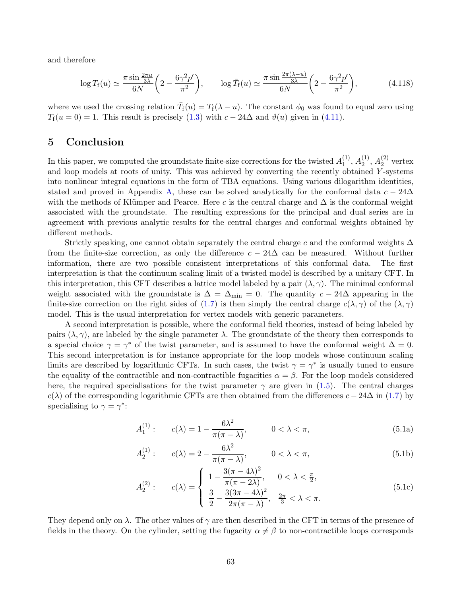and therefore

$$
\log T_{\rm f}(u) \simeq \frac{\pi \sin \frac{2\pi u}{3\lambda}}{6N} \left(2 - \frac{6\gamma^2 p'}{\pi^2}\right), \qquad \log \bar{T}_{\rm f}(u) \simeq \frac{\pi \sin \frac{2\pi (\lambda - u)}{3\lambda}}{6N} \left(2 - \frac{6\gamma^2 p'}{\pi^2}\right),\tag{4.118}
$$

where we used the crossing relation  $\overline{T}_{f}(u) = T_{f}(\lambda - u)$ . The constant  $\phi_0$  was found to equal zero using  $T_f(u=0) = 1$ . This result is precisely [\(1.3\)](#page-3-0) with  $c - 24\Delta$  and  $\vartheta(u)$  given in [\(4.11\)](#page-37-1).

## 5 Conclusion

In this paper, we computed the groundstate finite-size corrections for the twisted  $A_1^{(1)}$  $\binom{11}{1}, A_2^{(1)}$  $\stackrel{(1)}{2},\stackrel{(2)}{A_2^{(2)}}$  $2^{(2)}$  vertex and loop models at roots of unity. This was achieved by converting the recently obtained  $Y$ -systems into nonlinear integral equations in the form of TBA equations. Using various dilogarithm identities, stated and proved in Appendix [A,](#page-64-0) these can be solved analytically for the conformal data  $c - 24\Delta$ with the methods of Klümper and Pearce. Here c is the central charge and  $\Delta$  is the conformal weight associated with the groundstate. The resulting expressions for the principal and dual series are in agreement with previous analytic results for the central charges and conformal weights obtained by different methods.

Strictly speaking, one cannot obtain separately the central charge c and the conformal weights  $\Delta$ from the finite-size correction, as only the difference  $c - 24\Delta$  can be measured. Without further information, there are two possible consistent interpretations of this conformal data. The first information, there are two possible consistent interpretations of this conformal data. interpretation is that the continuum scaling limit of a twisted model is described by a unitary CFT. In this interpretation, this CFT describes a lattice model labeled by a pair  $(\lambda, \gamma)$ . The minimal conformal weight associated with the groundstate is  $\Delta = \Delta_{\min} = 0$ . The quantity  $c - 24\Delta$  appearing in the finite-size correction on the right sides of [\(1.7\)](#page-5-0) is then simply the central charge  $c(\lambda, \gamma)$  of the  $(\lambda, \gamma)$ model. This is the usual interpretation for vertex models with generic parameters.

A second interpretation is possible, where the conformal field theories, instead of being labeled by pairs  $(\lambda, \gamma)$ , are labeled by the single parameter  $\lambda$ . The groundstate of the theory then corresponds to a special choice  $\gamma = \gamma^*$  of the twist parameter, and is assumed to have the conformal weight  $\Delta = 0$ . This second interpretation is for instance appropriate for the loop models whose continuum scaling limits are described by logarithmic CFTs. In such cases, the twist  $\gamma = \gamma^*$  is usually tuned to ensure the equality of the contractible and non-contractible fugacities  $\alpha = \beta$ . For the loop models considered here, the required specialisations for the twist parameter  $\gamma$  are given in [\(1.5\)](#page-4-1). The central charges  $c(\lambda)$  of the corresponding logarithmic CFTs are then obtained from the differences  $c - 24\Delta$  in [\(1.7\)](#page-5-0) by specialising to  $\gamma = \gamma^*$ :

$$
A_1^{(1)}: \t c(\lambda) = 1 - \frac{6\lambda^2}{\pi(\pi - \lambda)}, \t 0 < \lambda < \pi,
$$
\t(5.1a)

$$
A_2^{(1)}: \t c(\lambda) = 2 - \frac{6\lambda^2}{\pi(\pi - \lambda)}, \t 0 < \lambda < \pi,
$$
\t(5.1b)

$$
A_2^{(2)}: \t c(\lambda) = \begin{cases} 1 - \frac{3(\pi - 4\lambda)^2}{\pi(\pi - 2\lambda)}, & 0 < \lambda < \frac{\pi}{2}, \\ \frac{3}{2} - \frac{3(3\pi - 4\lambda)^2}{2\pi(\pi - \lambda)}, & \frac{2\pi}{3} < \lambda < \pi. \end{cases}
$$
(5.1c)

They depend only on  $\lambda$ . The other values of  $\gamma$  are then described in the CFT in terms of the presence of fields in the theory. On the cylinder, setting the fugacity  $\alpha \neq \beta$  to non-contractible loops corresponds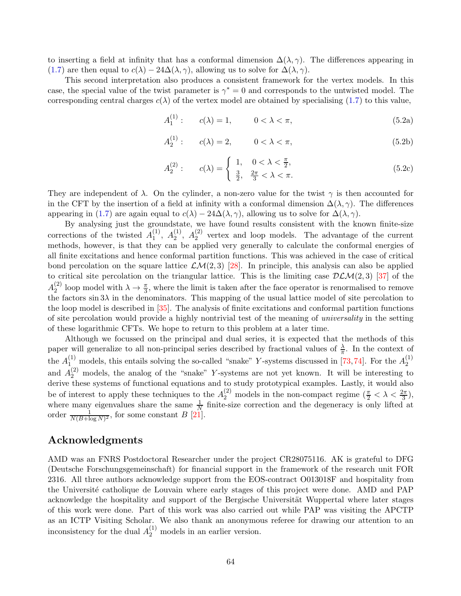to inserting a field at infinity that has a conformal dimension  $\Delta(\lambda, \gamma)$ . The differences appearing in [\(1.7\)](#page-5-0) are then equal to  $c(\lambda) - 24\Delta(\lambda, \gamma)$ , allowing us to solve for  $\Delta(\lambda, \gamma)$ .

This second interpretation also produces a consistent framework for the vertex models. In this case, the special value of the twist parameter is  $\gamma^* = 0$  and corresponds to the untwisted model. The corresponding central charges  $c(\lambda)$  of the vertex model are obtained by specialising [\(1.7\)](#page-5-0) to this value,

$$
A_1^{(1)}: \t c(\lambda) = 1, \t 0 < \lambda < \pi,
$$
\t(5.2a)

$$
A_2^{(1)}: \t c(\lambda) = 2, \t 0 < \lambda < \pi,
$$
\t(5.2b)

$$
A_2^{(2)}: \t c(\lambda) = \begin{cases} 1, & 0 < \lambda < \frac{\pi}{2}, \\ \frac{3}{2}, & \frac{2\pi}{3} < \lambda < \pi. \end{cases}
$$
 (5.2c)

They are independent of  $\lambda$ . On the cylinder, a non-zero value for the twist  $\gamma$  is then accounted for in the CFT by the insertion of a field at infinity with a conformal dimension  $\Delta(\lambda, \gamma)$ . The differences appearing in [\(1.7\)](#page-5-0) are again equal to  $c(\lambda) - 24\Delta(\lambda, \gamma)$ , allowing us to solve for  $\Delta(\lambda, \gamma)$ .

By analysing just the groundstate, we have found results consistent with the known finite-size corrections of the twisted  $A_1^{(1)}$  $\binom{1}{1}$ ,  $A_2^{(1)}$  $\binom{1}{2}$ ,  $A_2^{(2)}$  $\binom{2}{2}$  vertex and loop models. The advantage of the current methods, however, is that they can be applied very generally to calculate the conformal energies of all finite excitations and hence conformal partition functions. This was achieved in the case of critical bond percolation on the square lattice  $\mathcal{L}M(2,3)$  [\[28\]](#page-77-1). In principle, this analysis can also be applied to critical site percolation on the triangular lattice. This is the limiting case  $DLM(2,3)$  [\[37\]](#page-78-3) of the  $A_2^{(2)}$ <sup>(2)</sup> loop model with  $\lambda \to \frac{\pi}{3}$ , where the limit is taken after the face operator is renormalised to remove the factors  $\sin 3\lambda$  in the denominators. This mapping of the usual lattice model of site percolation to the loop model is described in [\[35\]](#page-78-4). The analysis of finite excitations and conformal partition functions of site percolation would provide a highly nontrivial test of the meaning of universality in the setting of these logarithmic CFTs. We hope to return to this problem at a later time.

Although we focussed on the principal and dual series, it is expected that the methods of this paper will generalize to all non-principal series described by fractional values of  $\frac{\lambda}{\pi}$ . In the context of the  $A_{1}^{(1)}$  models, this entails solving the so-called "snake" Y-systems discussed in [\[73,](#page-80-0)[74\]](#page-80-1). For the  $A_2^{(1)}$ 2 and  $A_2<sup>(2)</sup>$  models, the analog of the "snake" Y-systems are not yet known. It will be interesting to derive these systems of functional equations and to study prototypical examples. Lastly, it would also be of interest to apply these techniques to the  $A_2^{(2)}$  models in the non-compact regime  $(\frac{\pi}{2} < \lambda < \frac{2\pi}{3})$ , where many eigenvalues share the same  $\frac{1}{N}$  finite-size correction and the degeneracy is only lifted at order  $\frac{1}{N(B+\log N)^2}$ , for some constant B [\[21\]](#page-77-2).

## Acknowledgments

AMD was an FNRS Postdoctoral Researcher under the project CR28075116. AK is grateful to DFG (Deutsche Forschungsgemeinschaft) for financial support in the framework of the research unit FOR 2316. All three authors acknowledge support from the EOS-contract O013018F and hospitality from the Université catholique de Louvain where early stages of this project were done. AMD and PAP acknowledge the hospitality and support of the Bergische Universität Wuppertal where later stages of this work were done. Part of this work was also carried out while PAP was visiting the APCTP as an ICTP Visiting Scholar. We also thank an anonymous referee for drawing our attention to an inconsistency for the dual  $A_2^{(1)}$  models in an earlier version.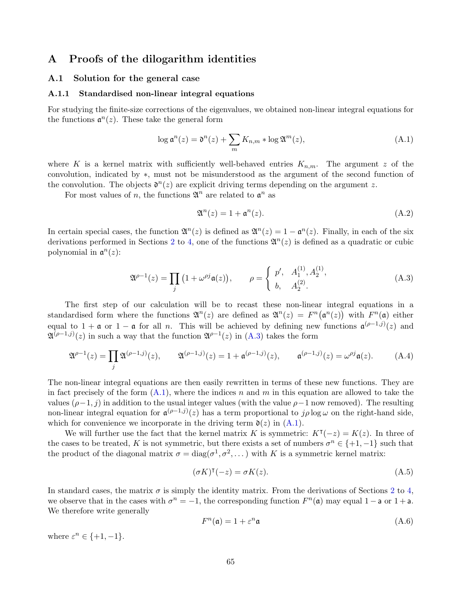## <span id="page-64-0"></span>A Proofs of the dilogarithm identities

#### <span id="page-64-5"></span>A.1 Solution for the general case

#### A.1.1 Standardised non-linear integral equations

For studying the finite-size corrections of the eigenvalues, we obtained non-linear integral equations for the functions  $\mathfrak{a}^n(z)$ . These take the general form

<span id="page-64-2"></span>
$$
\log \mathfrak{a}^n(z) = \mathfrak{d}^n(z) + \sum_m K_{n,m} * \log \mathfrak{A}^m(z), \tag{A.1}
$$

where K is a kernel matrix with sufficiently well-behaved entries  $K_{n,m}$ . The argument z of the convolution, indicated by ∗, must not be misunderstood as the argument of the second function of the convolution. The objects  $\mathfrak{d}^n(z)$  are explicit driving terms depending on the argument z.

For most values of n, the functions  $\mathfrak{A}^n$  are related to  $\mathfrak{a}^n$  as

$$
\mathfrak{A}^n(z) = 1 + \mathfrak{a}^n(z). \tag{A.2}
$$

In certain special cases, the function  $\mathfrak{A}^n(z)$  is defined as  $\mathfrak{A}^n(z) = 1 - \mathfrak{a}^n(z)$ . Finally, in each of the six derivations performed in Sections [2](#page-6-1) to [4,](#page-36-1) one of the functions  $\mathfrak{A}^n(z)$  is defined as a quadratic or cubic polynomial in  $\mathfrak{a}^n(z)$ :

<span id="page-64-1"></span>
$$
\mathfrak{A}^{\rho-1}(z) = \prod_{j} (1 + \omega^{\rho j} \mathfrak{a}(z)), \qquad \rho = \begin{cases} p', & A_1^{(1)}, A_2^{(1)}, \\ b, & A_2^{(2)}. \end{cases}
$$
(A.3)

The first step of our calculation will be to recast these non-linear integral equations in a standardised form where the functions  $\mathfrak{A}^n(z)$  are defined as  $\mathfrak{A}^n(z) = F^n(\mathfrak{a}^n(z))$  with  $F^n(\mathfrak{a})$  either equal to  $1 + \mathfrak{a}$  or  $1 - \mathfrak{a}$  for all *n*. This will be achieved by defining new functions  $\mathfrak{a}^{(\rho-1,j)}(z)$  and  $\mathfrak{A}^{(\rho-1,j)}(z)$  in such a way that the function  $\mathfrak{A}^{\rho-1}(z)$  in [\(A.3\)](#page-64-1) takes the form

$$
\mathfrak{A}^{\rho-1}(z) = \prod_{j} \mathfrak{A}^{(\rho-1,j)}(z), \qquad \mathfrak{A}^{(\rho-1,j)}(z) = 1 + \mathfrak{a}^{(\rho-1,j)}(z), \qquad \mathfrak{a}^{(\rho-1,j)}(z) = \omega^{\rho j} \mathfrak{a}(z).
$$
 (A.4)

The non-linear integral equations are then easily rewritten in terms of these new functions. They are in fact precisely of the form  $(A.1)$ , where the indices n and m in this equation are allowed to take the values  $(\rho-1, j)$  in addition to the usual integer values (with the value  $\rho-1$  now removed). The resulting non-linear integral equation for  $\mathfrak{a}^{(\rho-1,j)}(z)$  has a term proportional to  $j\rho \log \omega$  on the right-hand side, which for convenience we incorporate in the driving term  $\mathfrak{d}(z)$  in  $(A.1)$ .

We will further use the fact that the kernel matrix K is symmetric:  $K<sup>T</sup>(-z) = K(z)$ . In three of the cases to be treated, K is not symmetric, but there exists a set of numbers  $\sigma^n \in \{+1, -1\}$  such that the product of the diagonal matrix  $\sigma = \text{diag}(\sigma^1, \sigma^2, \dots)$  with K is a symmetric kernel matrix:

<span id="page-64-3"></span>
$$
(\sigma K)^{\mathsf{T}}(-z) = \sigma K(z). \tag{A.5}
$$

In standard cases, the matrix  $\sigma$  is simply the identity matrix. From the derivations of Sections [2](#page-6-1) to [4,](#page-36-1) we observe that in the cases with  $\sigma^n = -1$ , the corresponding function  $F^n(\mathfrak{a})$  may equal  $1 - \mathfrak{a}$  or  $1 + \mathfrak{a}$ . We therefore write generally

<span id="page-64-4"></span>
$$
F^{n}(\mathfrak{a}) = 1 + \varepsilon^{n} \mathfrak{a} \tag{A.6}
$$

where  $\varepsilon^n \in \{+1, -1\}.$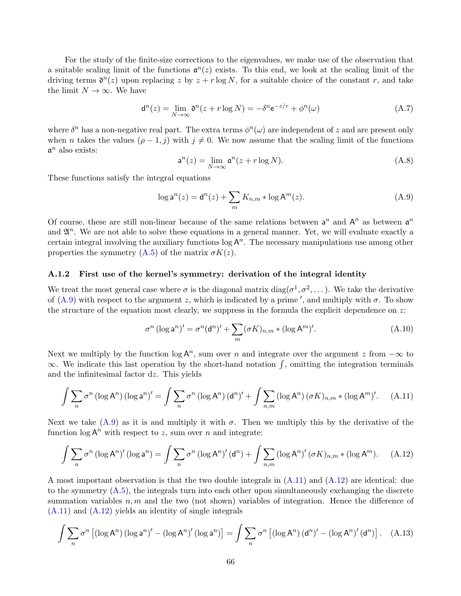For the study of the finite-size corrections to the eigenvalues, we make use of the observation that a suitable scaling limit of the functions  $\mathfrak{a}^n(z)$  exists. To this end, we look at the scaling limit of the driving terms  $\mathfrak{d}^n(z)$  upon replacing z by  $z + r \log N$ , for a suitable choice of the constant r, and take the limit  $N \to \infty$ . We have

<span id="page-65-4"></span>
$$
\mathsf{d}^n(z) = \lim_{N \to \infty} \mathfrak{d}^n(z + r \log N) = -\delta^n \mathsf{e}^{-z/r} + \phi^n(\omega) \tag{A.7}
$$

where  $\delta^n$  has a non-negative real part. The extra terms  $\phi^n(\omega)$  are independent of z and are present only when *n* takes the values  $(\rho - 1, j)$  with  $j \neq 0$ . We now assume that the scaling limit of the functions  $\mathfrak{a}^n$  also exists:

$$
\mathsf{a}^n(z) = \lim_{N \to \infty} \mathsf{a}^n(z + r \log N). \tag{A.8}
$$

These functions satisfy the integral equations

<span id="page-65-0"></span>
$$
\log \mathsf{a}^n(z) = \mathsf{d}^n(z) + \sum_m K_{n,m} * \log \mathsf{A}^m(z). \tag{A.9}
$$

Of course, these are still non-linear because of the same relations between  $a^n$  and  $A^n$  as between  $a^n$ and  $\mathfrak{A}^n$ . We are not able to solve these equations in a general manner. Yet, we will evaluate exactly a certain integral involving the auxiliary functions  $\log A^n$ . The necessary manipulations use among other properties the symmetry  $(A.5)$  of the matrix  $\sigma K(z)$ .

#### <span id="page-65-5"></span>A.1.2 First use of the kernel's symmetry: derivation of the integral identity

We treat the most general case where  $\sigma$  is the diagonal matrix  $\text{diag}(\sigma^1, \sigma^2, \dots)$ . We take the derivative of [\(A.9\)](#page-65-0) with respect to the argument z, which is indicated by a prime', and multiply with  $\sigma$ . To show the structure of the equation most clearly, we suppress in the formula the explicit dependence on  $z$ :

$$
\sigma^{n} (\log \mathsf{a}^{n})' = \sigma^{n} (\mathsf{d}^{n})' + \sum_{m} (\sigma K)_{n,m} * (\log \mathsf{A}^{m})'. \tag{A.10}
$$

Next we multiply by the function  $\log A^n$ , sum over n and integrate over the argument z from  $-\infty$  to  $\infty$ . We indicate this last operation by the short-hand notation  $\int$ , omitting the integration terminals and the infinitesimal factor dz. This yields

<span id="page-65-1"></span>
$$
\int \sum_{n} \sigma^{n} \left(\log A^{n}\right) \left(\log \mathsf{a}^{n}\right)' = \int \sum_{n} \sigma^{n} \left(\log A^{n}\right) \left(\mathsf{d}^{n}\right)' + \int \sum_{n,m} \left(\log A^{n}\right) \left(\sigma K\right)_{n,m} * \left(\log A^{m}\right)'.
$$
 (A.11)

Next we take  $(A.9)$  as it is and multiply it with  $\sigma$ . Then we multiply this by the derivative of the function  $\log A^n$  with respect to z, sum over n and integrate:

<span id="page-65-2"></span>
$$
\int \sum_{n} \sigma^{n} \left(\log A^{n}\right)'(\log \mathsf{a}^{n}) = \int \sum_{n} \sigma^{n} \left(\log A^{n}\right)'(\mathsf{d}^{n}) + \int \sum_{n,m} \left(\log A^{n}\right)'(\sigma K)_{n,m} * (\log A^{m}). \tag{A.12}
$$

A most important observation is that the two double integrals in [\(A.11\)](#page-65-1) and [\(A.12\)](#page-65-2) are identical: due to the symmetry [\(A.5\)](#page-64-3), the integrals turn into each other upon simultaneously exchanging the discrete summation variables  $n, m$  and the two (not shown) variables of integration. Hence the difference of [\(A.11\)](#page-65-1) and [\(A.12\)](#page-65-2) yields an identity of single integrals

<span id="page-65-3"></span>
$$
\int \sum_{n} \sigma^{n} \left[ (\log \mathsf{A}^{n}) \left( \log \mathsf{a}^{n} \right)' - (\log \mathsf{A}^{n})' \left( \log \mathsf{a}^{n} \right) \right] = \int \sum_{n} \sigma^{n} \left[ (\log \mathsf{A}^{n}) \left( \mathsf{d}^{n} \right)' - (\log \mathsf{A}^{n})' \left( \mathsf{d}^{n} \right) \right]. \tag{A.13}
$$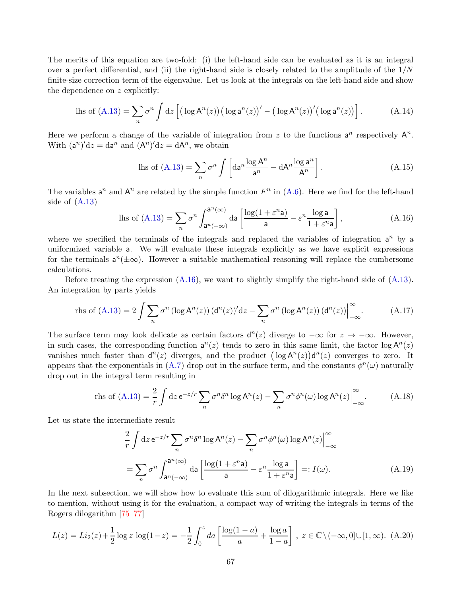The merits of this equation are two-fold: (i) the left-hand side can be evaluated as it is an integral over a perfect differential, and (ii) the right-hand side is closely related to the amplitude of the  $1/N$ finite-size correction term of the eigenvalue. Let us look at the integrals on the left-hand side and show the dependence on z explicitly:

$$
\text{lls of (A.13)} = \sum_{n} \sigma^{n} \int \mathrm{d}z \left[ \left( \log \mathsf{A}^{n}(z) \right) \left( \log \mathsf{a}^{n}(z) \right)' - \left( \log \mathsf{A}^{n}(z) \right)' \left( \log \mathsf{a}^{n}(z) \right) \right]. \tag{A.14}
$$

Here we perform a change of the variable of integration from z to the functions  $a^n$  respectively  $A^n$ . With  $(a^n)'dz = da^n$  and  $(A^n)'dz = dA^n$ , we obtain

$$
\text{lls of (A.13)} = \sum_{n} \sigma^{n} \int \left[ \text{da}^{n} \frac{\log \mathsf{A}^{n}}{\mathsf{a}^{n}} - \text{d} \mathsf{A}^{n} \frac{\log \mathsf{a}^{n}}{\mathsf{A}^{n}} \right]. \tag{A.15}
$$

The variables  $a^n$  and  $A^n$  are related by the simple function  $F^n$  in  $(A.6)$ . Here we find for the left-hand side of  $(A.13)$ 

<span id="page-66-0"></span>
$$
\text{lls of (A.13)} = \sum_{n} \sigma^{n} \int_{\mathbf{a}^{n}(-\infty)}^{\mathbf{a}^{n}(\infty)} \text{da} \left[ \frac{\log(1 + \varepsilon^{n} \mathbf{a})}{\mathbf{a}} - \varepsilon^{n} \frac{\log \mathbf{a}}{1 + \varepsilon^{n} \mathbf{a}} \right],\tag{A.16}
$$

where we specified the terminals of the integrals and replaced the variables of integration  $a^n$  by a uniformized variable a. We will evaluate these integrals explicitly as we have explicit expressions for the terminals  $a^n(\pm\infty)$ . However a suitable mathematical reasoning will replace the cumbersome calculations.

Before treating the expression  $(A.16)$ , we want to slightly simplify the right-hand side of  $(A.13)$ . An integration by parts yields

$$
\text{rhs of (A.13)} = 2 \int \sum_{n} \sigma^{n} \left( \log \mathsf{A}^{n}(z) \right) (\mathsf{d}^{n}(z))^{l} \, \mathrm{d}z - \sum_{n} \sigma^{n} \left( \log \mathsf{A}^{n}(z) \right) (\mathsf{d}^{n}(z)) \Big|_{-\infty}^{\infty} . \tag{A.17}
$$

The surface term may look delicate as certain factors  $d^n(z)$  diverge to  $-\infty$  for  $z \to -\infty$ . However, in such cases, the corresponding function  $a^n(z)$  tends to zero in this same limit, the factor  $\log A^n(z)$ vanishes much faster than  $d^n(z)$  diverges, and the product  $(\log A^n(z))d^n(z)$  converges to zero. It appears that the exponentials in [\(A.7\)](#page-65-4) drop out in the surface term, and the constants  $\phi^n(\omega)$  naturally drop out in the integral term resulting in

$$
\text{rhs of (A.13)} = \frac{2}{r} \int \mathrm{d}z \,\mathrm{e}^{-z/r} \sum_{n} \sigma^{n} \delta^{n} \log \mathrm{A}^{n}(z) - \sum_{n} \sigma^{n} \phi^{n}(\omega) \log \mathrm{A}^{n}(z) \Big|_{-\infty}^{\infty} . \tag{A.18}
$$

Let us state the intermediate result

<span id="page-66-1"></span>
$$
\frac{2}{r} \int dz \, e^{-z/r} \sum_{n} \sigma^{n} \delta^{n} \log A^{n}(z) - \sum_{n} \sigma^{n} \phi^{n}(\omega) \log A^{n}(z) \Big|_{-\infty}^{\infty}
$$
\n
$$
= \sum_{n} \sigma^{n} \int_{a^{n}(-\infty)}^{a^{n}(\infty)} da \left[ \frac{\log(1 + \varepsilon^{n} a)}{a} - \varepsilon^{n} \frac{\log a}{1 + \varepsilon^{n} a} \right] =: I(\omega). \tag{A.19}
$$

In the next subsection, we will show how to evaluate this sum of dilogarithmic integrals. Here we like to mention, without using it for the evaluation, a compact way of writing the integrals in terms of the Rogers dilogarithm [\[75–](#page-80-2)[77\]](#page-80-3)

$$
L(z) = Li_2(z) + \frac{1}{2}\log z \, \log(1-z) = -\frac{1}{2}\int_0^z da \left[\frac{\log(1-a)}{a} + \frac{\log a}{1-a}\right], \ z \in \mathbb{C} \setminus (-\infty, 0] \cup [1, \infty). \tag{A.20}
$$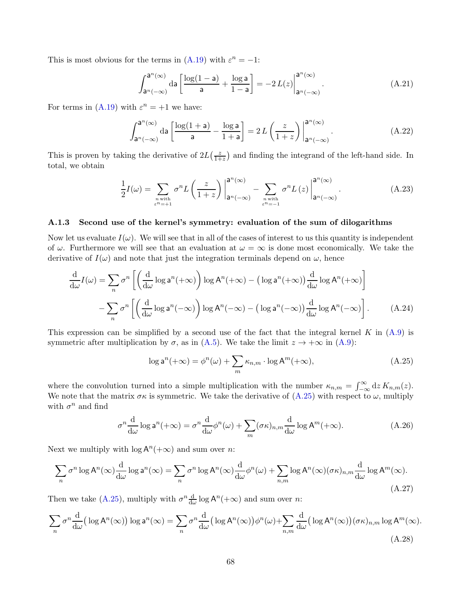This is most obvious for the terms in [\(A.19\)](#page-66-1) with  $\varepsilon^{n} = -1$ :

$$
\int_{a^n(-\infty)}^{a^n(\infty)} da \left[ \frac{\log(1-a)}{a} + \frac{\log a}{1-a} \right] = -2 L(z) \Big|_{a^n(-\infty)}^{a^n(\infty)}.
$$
 (A.21)

For terms in [\(A.19\)](#page-66-1) with  $\varepsilon^{n} = +1$  we have:

$$
\int_{\mathbf{a}^n(-\infty)}^{\mathbf{a}^n(\infty)} d\mathbf{a} \left[ \frac{\log(1+\mathbf{a})}{\mathbf{a}} - \frac{\log \mathbf{a}}{1+\mathbf{a}} \right] = 2L \left( \frac{z}{1+z} \right) \Big|_{\mathbf{a}^n(-\infty)}^{\mathbf{a}^n(\infty)}.
$$
 (A.22)

This is proven by taking the derivative of  $2L(\frac{z}{1+z})$  $\frac{z}{1+z}$  and finding the integrand of the left-hand side. In total, we obtain

$$
\frac{1}{2}I(\omega) = \sum_{\substack{n \text{ with} \\ \varepsilon^n = +1}} \sigma^n L\left(\frac{z}{1+z}\right) \Big|_{\mathbf{a}^n(-\infty)}^{\mathbf{a}^n(\infty)} - \sum_{\substack{n \text{ with} \\ \varepsilon^n = -1}} \sigma^n L\left(z\right) \Big|_{\mathbf{a}^n(-\infty)}^{\mathbf{a}^n(\infty)}.\tag{A.23}
$$

### A.1.3 Second use of the kernel's symmetry: evaluation of the sum of dilogarithms

Now let us evaluate  $I(\omega)$ . We will see that in all of the cases of interest to us this quantity is independent of  $\omega$ . Furthermore we will see that an evaluation at  $\omega = \infty$  is done most economically. We take the derivative of  $I(\omega)$  and note that just the integration terminals depend on  $\omega$ , hence

$$
\frac{d}{d\omega}I(\omega) = \sum_{n} \sigma^{n} \left[ \left( \frac{d}{d\omega} \log a^{n} (+\infty) \right) \log A^{n} (+\infty) - \left( \log a^{n} (+\infty) \right) \frac{d}{d\omega} \log A^{n} (+\infty) \right]
$$

$$
- \sum_{n} \sigma^{n} \left[ \left( \frac{d}{d\omega} \log a^{n} (-\infty) \right) \log A^{n} (-\infty) - \left( \log a^{n} (-\infty) \right) \frac{d}{d\omega} \log A^{n} (-\infty) \right]. \tag{A.24}
$$

This expression can be simplified by a second use of the fact that the integral kernel K in  $(A.9)$  is symmetric after multiplication by  $\sigma$ , as in [\(A.5\)](#page-64-3). We take the limit  $z \to +\infty$  in [\(A.9\)](#page-65-0):

<span id="page-67-3"></span><span id="page-67-0"></span>
$$
\log \mathsf{a}^n(+\infty) = \phi^n(\omega) + \sum_m \kappa_{n,m} \cdot \log \mathsf{A}^m(+\infty),\tag{A.25}
$$

where the convolution turned into a simple multiplication with the number  $\kappa_{n,m} = \int_{-\infty}^{\infty} dz K_{n,m}(z)$ . We note that the matrix  $\sigma \kappa$  is symmetric. We take the derivative of  $(A.25)$  with respect to  $\omega$ , multiply with  $\sigma^n$  and find

$$
\sigma^n \frac{d}{d\omega} \log a^n(+\infty) = \sigma^n \frac{d}{d\omega} \phi^n(\omega) + \sum_m (\sigma \kappa)_{n,m} \frac{d}{d\omega} \log A^m(+\infty).
$$
 (A.26)

Next we multiply with  $\log A^{n}(+\infty)$  and sum over *n*:

<span id="page-67-1"></span>
$$
\sum_{n} \sigma^{n} \log A^{n}(\infty) \frac{d}{d\omega} \log a^{n}(\infty) = \sum_{n} \sigma^{n} \log A^{n}(\infty) \frac{d}{d\omega} \phi^{n}(\omega) + \sum_{n,m} \log A^{n}(\infty) (\sigma \kappa)_{n,m} \frac{d}{d\omega} \log A^{m}(\infty).
$$
\n(A.27)

Then we take [\(A.25\)](#page-67-0), multiply with  $\sigma^n \frac{d}{d\omega} \log A^n(+\infty)$  and sum over n:

<span id="page-67-2"></span>
$$
\sum_{n} \sigma^{n} \frac{d}{d\omega} \left( \log A^{n}(\infty) \right) \log a^{n}(\infty) = \sum_{n} \sigma^{n} \frac{d}{d\omega} \left( \log A^{n}(\infty) \right) \phi^{n}(\omega) + \sum_{n,m} \frac{d}{d\omega} \left( \log A^{n}(\infty) \right) (\sigma \kappa)_{n,m} \log A^{m}(\infty).
$$
\n(A.28)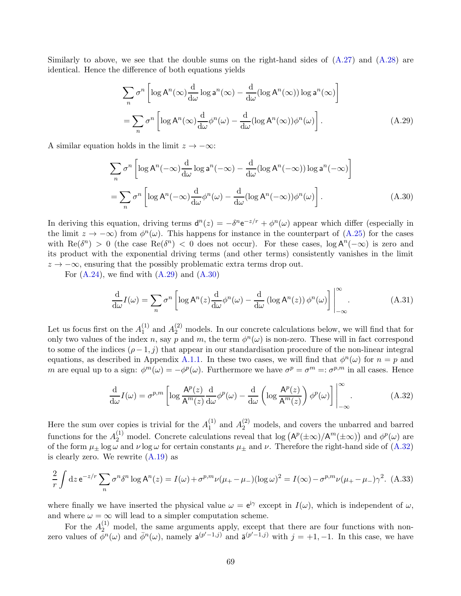Similarly to above, we see that the double sums on the right-hand sides of  $(A.27)$  and  $(A.28)$  are identical. Hence the difference of both equations yields

<span id="page-68-0"></span>
$$
\sum_{n} \sigma^{n} \left[ \log A^{n}(\infty) \frac{d}{d\omega} \log a^{n}(\infty) - \frac{d}{d\omega} (\log A^{n}(\infty)) \log a^{n}(\infty) \right]
$$

$$
= \sum_{n} \sigma^{n} \left[ \log A^{n}(\infty) \frac{d}{d\omega} \phi^{n}(\omega) - \frac{d}{d\omega} (\log A^{n}(\infty)) \phi^{n}(\omega) \right]. \tag{A.29}
$$

A similar equation holds in the limit  $z \to -\infty$ :

<span id="page-68-1"></span>
$$
\sum_{n} \sigma^{n} \left[ \log A^{n}(-\infty) \frac{d}{d\omega} \log a^{n}(-\infty) - \frac{d}{d\omega} (\log A^{n}(-\infty)) \log a^{n}(-\infty) \right]
$$
  
= 
$$
\sum_{n} \sigma^{n} \left[ \log A^{n}(-\infty) \frac{d}{d\omega} \phi^{n}(\omega) - \frac{d}{d\omega} (\log A^{n}(-\infty)) \phi^{n}(\omega) \right].
$$
 (A.30)

In deriving this equation, driving terms  $d^n(z) = -\delta^n e^{-z/r} + \phi^n(\omega)$  appear which differ (especially in the limit  $z \to -\infty$ ) from  $\phi^n(\omega)$ . This happens for instance in the counterpart of [\(A.25\)](#page-67-0) for the cases with  $\text{Re}(\delta^n) > 0$  (the case  $\text{Re}(\delta^n) < 0$  does not occur). For these cases,  $\log A^n(-\infty)$  is zero and its product with the exponential driving terms (and other terms) consistently vanishes in the limit  $z \rightarrow -\infty$ , ensuring that the possibly problematic extra terms drop out.

For  $(A.24)$ , we find with  $(A.29)$  and  $(A.30)$ 

<span id="page-68-3"></span>
$$
\frac{\mathrm{d}}{\mathrm{d}\omega}I(\omega) = \sum_{n} \sigma^{n} \left[ \log \mathsf{A}^{n}(z) \frac{\mathrm{d}}{\mathrm{d}\omega} \phi^{n}(\omega) - \frac{\mathrm{d}}{\mathrm{d}\omega} \left( \log \mathsf{A}^{n}(z) \right) \phi^{n}(\omega) \right] \Big|_{-\infty}^{\infty} . \tag{A.31}
$$

Let us focus first on the  $A_1^{(1)}$  $1 \choose 1$  and  $A_2^{(2)}$  models. In our concrete calculations below, we will find that for only two values of the index n, say p and m, the term  $\phi^n(\omega)$  is non-zero. These will in fact correspond to some of the indices  $(\rho - 1, j)$  that appear in our standardisation procedure of the non-linear integral equations, as described in Appendix [A.1.1.](#page-64-5) In these two cases, we will find that  $\phi^n(\omega)$  for  $n = p$  and m are equal up to a sign:  $\phi^m(\omega) = -\phi^p(\omega)$ . Furthermore we have  $\sigma^p = \sigma^m =: \sigma^{p,m}$  in all cases. Hence

<span id="page-68-2"></span>
$$
\frac{\mathrm{d}}{\mathrm{d}\omega}I(\omega) = \sigma^{p,m} \left[ \log \frac{\mathbf{A}^p(z)}{\mathbf{A}^m(z)} \frac{\mathrm{d}}{\mathrm{d}\omega} \phi^p(\omega) - \frac{\mathrm{d}}{\mathrm{d}\omega} \left( \log \frac{\mathbf{A}^p(z)}{\mathbf{A}^m(z)} \right) \phi^p(\omega) \right] \Big|_{-\infty}^{\infty} . \tag{A.32}
$$

Here the sum over copies is trivial for the  $A_1^{(1)}$  $_1^{(1)}$  and  $A_2^{(2)}$  models, and covers the unbarred and barred functions for the  $A_2^{(1)}$  model. Concrete calculations reveal that  $\log (A^p(\pm \infty)/A^m(\pm \infty))$  and  $\phi^p(\omega)$  are of the form  $\mu_{\pm}$  log  $\omega$  and  $\nu$  log  $\omega$  for certain constants  $\mu_{\pm}$  and  $\nu$ . Therefore the right-hand side of [\(A.32\)](#page-68-2) is clearly zero. We rewrite [\(A.19\)](#page-66-1) as

<span id="page-68-4"></span>
$$
\frac{2}{r} \int dz \, e^{-z/r} \sum_{n} \sigma^{n} \delta^{n} \log A^{n}(z) = I(\omega) + \sigma^{p,m} \nu(\mu_{+} - \mu_{-})(\log \omega)^{2} = I(\infty) - \sigma^{p,m} \nu(\mu_{+} - \mu_{-}) \gamma^{2}.
$$
 (A.33)

where finally we have inserted the physical value  $\omega = e^{i\gamma}$  except in  $I(\omega)$ , which is independent of  $\omega$ , and where  $\omega = \infty$  will lead to a simpler computation scheme.

For the  $A_2^{(1)}$  model, the same arguments apply, except that there are four functions with nonzero values of  $\phi^n(\omega)$  and  $\bar{\phi}^n(\omega)$ , namely  $a^{(p'-1,j)}$  and  $\bar{a}^{(p'-1,j)}$  with  $j = +1, -1$ . In this case, we have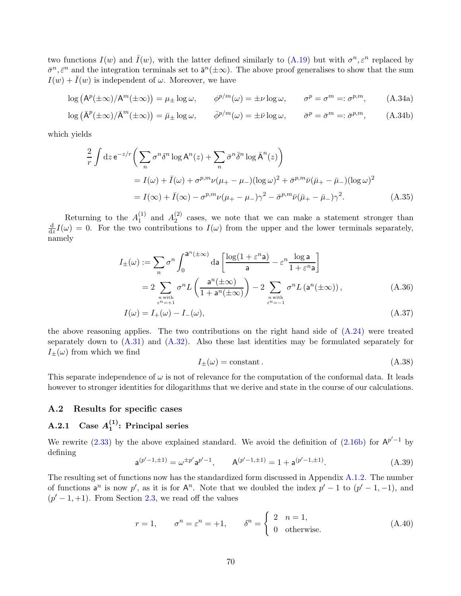two functions  $I(w)$  and  $\overline{I}(w)$ , with the latter defined similarly to [\(A.19\)](#page-66-1) but with  $\sigma^n, \varepsilon^n$  replaced by  $\bar{\sigma}^n$ ,  $\bar{\varepsilon}^n$  and the integration terminals set to  $\bar{\mathsf{a}}^n(\pm\infty)$ . The above proof generalises to show that the sum  $I(w) + \bar{I}(w)$  is independent of  $\omega$ . Moreover, we have

$$
\log (A^p(\pm \infty)/A^m(\pm \infty)) = \mu_{\pm} \log \omega, \qquad \phi^{p/m}(\omega) = \pm \nu \log \omega, \qquad \sigma^p = \sigma^m =: \sigma^{p,m}, \qquad (A.34a)
$$
  

$$
\log (\bar{A}^p(\pm \infty)/\bar{A}^m(\pm \infty)) = \bar{A}^p \log \omega, \qquad \bar{A}^p(\omega) = \pm \nu \log \omega, \qquad \sigma^p = \sigma^m =: \sigma^{p,m}, \qquad (A.34b)
$$

$$
\log\left(\bar{A}^p(\pm\infty)/\bar{A}^m(\pm\infty)\right) = \bar{\mu}_{\pm}\log\omega, \qquad \bar{\phi}^{p/m}(\omega) = \pm\bar{\nu}\log\omega, \qquad \bar{\sigma}^p = \bar{\sigma}^m =: \bar{\sigma}^{p,m}, \qquad (A.34b)
$$

which yields

$$
\frac{2}{r} \int dz \, e^{-z/r} \left( \sum_{n} \sigma^{n} \delta^{n} \log A^{n}(z) + \sum_{n} \bar{\sigma}^{n} \bar{\delta}^{n} \log \bar{A}^{n}(z) \right)
$$
\n
$$
= I(\omega) + \bar{I}(\omega) + \sigma^{p,m} \nu(\mu_{+} - \mu_{-})(\log \omega)^{2} + \bar{\sigma}^{p,m} \bar{\nu}(\bar{\mu}_{+} - \bar{\mu}_{-})(\log \omega)^{2}
$$
\n
$$
= I(\infty) + \bar{I}(\infty) - \sigma^{p,m} \nu(\mu_{+} - \mu_{-})\gamma^{2} - \bar{\sigma}^{p,m} \bar{\nu}(\bar{\mu}_{+} - \bar{\mu}_{-})\gamma^{2}.
$$
\n(A.35)

Returning to the  $A_1^{(1)}$  $_1^{(1)}$  and  $A_2^{(2)}$  $2^{(2)}$  cases, we note that we can make a statement stronger than d  $\frac{d}{dz}I(\omega) = 0$ . For the two contributions to  $I(\omega)$  from the upper and the lower terminals separately, namely

$$
I_{\pm}(\omega) := \sum_{n} \sigma^{n} \int_{0}^{a^{n}(\pm \infty)} da \left[ \frac{\log(1 + \varepsilon^{n} a)}{a} - \varepsilon^{n} \frac{\log a}{1 + \varepsilon^{n} a} \right]
$$
  
= 
$$
2 \sum_{n \text{ with } \atop \varepsilon^{n} = +1} \sigma^{n} L \left( \frac{a^{n}(\pm \infty)}{1 + a^{n}(\pm \infty)} \right) - 2 \sum_{n \text{ with } \atop \varepsilon^{n} = -1} \sigma^{n} L \left( a^{n}(\pm \infty) \right), \tag{A.36}
$$

$$
I(\omega) = I_{+}(\omega) - I_{-}(\omega), \tag{A.37}
$$

the above reasoning applies. The two contributions on the right hand side of [\(A.24\)](#page-67-3) were treated separately down to  $(A.31)$  and  $(A.32)$ . Also these last identities may be formulated separately for  $I_{\pm}(\omega)$  from which we find

<span id="page-69-1"></span><span id="page-69-0"></span>
$$
I_{\pm}(\omega) = \text{constant} \,. \tag{A.38}
$$

This separate independence of  $\omega$  is not of relevance for the computation of the conformal data. It leads however to stronger identities for dilogarithms that we derive and state in the course of our calculations.

## A.2 Results for specific cases

#### A.2.1 Case  $A_1^{(1)}$  $1^{(1)}$ : Principal series

We rewrite [\(2.33\)](#page-10-0) by the above explained standard. We avoid the definition of [\(2.16b\)](#page-9-0) for  $A^{p'-1}$  by defining

$$
\mathbf{a}^{(p'-1,\pm 1)} = \omega^{\pm p'} \mathbf{a}^{p'-1}, \qquad \mathbf{A}^{(p'-1,\pm 1)} = 1 + \mathbf{a}^{(p'-1,\pm 1)}.
$$
 (A.39)

The resulting set of functions now has the standardized form discussed in Appendix [A.1.2.](#page-65-5) The number of functions  $a^n$  is now p', as it is for  $A^n$ . Note that we doubled the index  $p' - 1$  to  $(p' - 1, -1)$ , and  $(p' - 1, +1)$ . From Section [2.3,](#page-7-0) we read off the values

$$
r = 1,
$$
  $\sigma^n = \varepsilon^n = +1,$   $\delta^n = \begin{cases} 2 & n = 1, \\ 0 & \text{otherwise.} \end{cases}$  (A.40)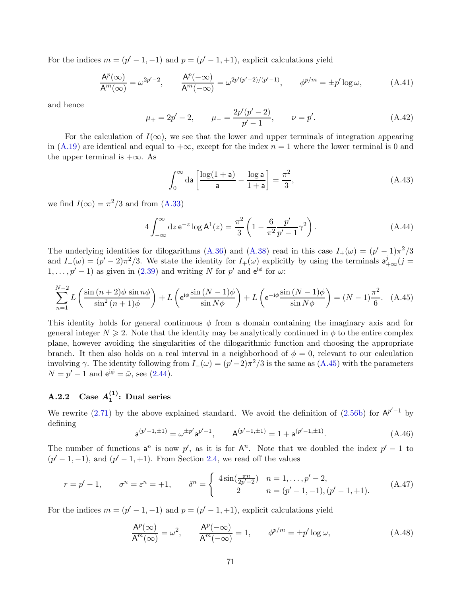For the indices  $m = (p' - 1, -1)$  and  $p = (p' - 1, +1)$ , explicit calculations yield

$$
\frac{\mathsf{A}^p(\infty)}{\mathsf{A}^m(\infty)} = \omega^{2p'-2}, \qquad \frac{\mathsf{A}^p(-\infty)}{\mathsf{A}^m(-\infty)} = \omega^{2p'(p'-2)/(p'-1)}, \qquad \phi^{p/m} = \pm p' \log \omega,
$$
\n(A.41)

and hence

$$
\mu_{+} = 2p' - 2, \qquad \mu_{-} = \frac{2p'(p' - 2)}{p' - 1}, \qquad \nu = p'. \tag{A.42}
$$

For the calculation of  $I(\infty)$ , we see that the lower and upper terminals of integration appearing in [\(A.19\)](#page-66-1) are identical and equal to  $+\infty$ , except for the index  $n = 1$  where the lower terminal is 0 and the upper terminal is  $+\infty$ . As

<span id="page-70-0"></span>
$$
\int_0^\infty \mathrm{d}\mathbf{a} \left[ \frac{\log(1+\mathbf{a})}{\mathbf{a}} - \frac{\log \mathbf{a}}{1+\mathbf{a}} \right] = \frac{\pi^2}{3},\tag{A.43}
$$

we find  $I(\infty) = \pi^2/3$  and from [\(A.33\)](#page-68-4)

$$
4\int_{-\infty}^{\infty} dz \, e^{-z} \log A^{1}(z) = \frac{\pi^{2}}{3} \left(1 - \frac{6}{\pi^{2}} \frac{p'}{p' - 1} \gamma^{2}\right).
$$
 (A.44)

The underlying identities for dilogarithms [\(A.36\)](#page-69-0) and [\(A.38\)](#page-69-1) read in this case  $I_+(\omega) = (p'-1)\pi^2/3$ and  $I_{-}(\omega) = (p' - 2)\pi^{2}/3$ . We state the identity for  $I_{+}(\omega)$  explicitly by using the terminals  $a_{+\infty}^{j}(j = 1)$  $1, \ldots, p' - 1$  as given in [\(2.39\)](#page-11-0) and writing N for p' and  $e^{i\phi}$  for  $\omega$ :

$$
\sum_{n=1}^{N-2} L\left(\frac{\sin\left(n+2\right)\phi\sin n\phi}{\sin^2\left(n+1\right)\phi}\right) + L\left(e^{i\phi}\frac{\sin\left(N-1\right)\phi}{\sin N\phi}\right) + L\left(e^{-i\phi}\frac{\sin\left(N-1\right)\phi}{\sin N\phi}\right) = (N-1)\frac{\pi^2}{6}.\tag{A.45}
$$

This identity holds for general continuous  $\phi$  from a domain containing the imaginary axis and for general integer  $N \geq 2$ . Note that the identity may be analytically continued in  $\phi$  to the entire complex plane, however avoiding the singularities of the dilogarithmic function and choosing the appropriate branch. It then also holds on a real interval in a neighborhood of  $\phi = 0$ , relevant to our calculation involving  $\gamma$ . The identity following from  $I_{-}(\omega) = (p'-2)\pi^2/3$  is the same as  $(A.45)$  with the parameters  $N = p' - 1$  and  $e^{i\phi} = \bar{\omega}$ , see [\(2.44\)](#page-12-0).

#### A.2.2 Case  $A_1^{(1)}$  $_1^{(1)}$ : Dual series

We rewrite [\(2.71\)](#page-16-0) by the above explained standard. We avoid the definition of [\(2.56b\)](#page-14-0) for  $A^{p'-1}$  by defining

$$
\mathsf{a}^{(p'-1,\pm 1)} = \omega^{\pm p'} \mathsf{a}^{p'-1}, \qquad \mathsf{A}^{(p'-1,\pm 1)} = 1 + \mathsf{a}^{(p'-1,\pm 1)}.
$$
 (A.46)

The number of functions  $a^n$  is now p', as it is for  $A^n$ . Note that we doubled the index  $p' - 1$  to  $(p'-1,-1)$ , and  $(p'-1,+1)$ . From Section [2.4,](#page-13-0) we read off the values

$$
r = p' - 1, \qquad \sigma^n = \varepsilon^n = +1, \qquad \delta^n = \begin{cases} 4\sin(\frac{\pi n}{2p' - 2}) & n = 1, \dots, p' - 2, \\ 2 & n = (p' - 1, -1), (p' - 1, +1). \end{cases} \tag{A.47}
$$

For the indices  $m = (p' - 1, -1)$  and  $p = (p' - 1, +1)$ , explicit calculations yield

$$
\frac{\mathsf{A}^p(\infty)}{\mathsf{A}^m(\infty)} = \omega^2, \qquad \frac{\mathsf{A}^p(-\infty)}{\mathsf{A}^m(-\infty)} = 1, \qquad \phi^{p/m} = \pm p' \log \omega,
$$
\n(A.48)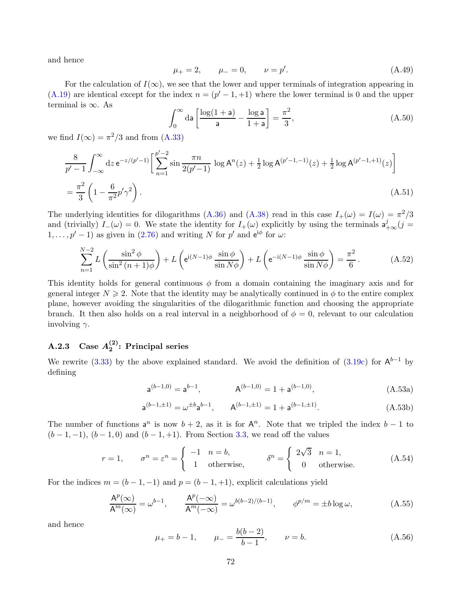and hence

$$
\mu_{+} = 2, \qquad \mu_{-} = 0, \qquad \nu = p'. \tag{A.49}
$$

For the calculation of  $I(\infty)$ , we see that the lower and upper terminals of integration appearing in [\(A.19\)](#page-66-1) are identical except for the index  $n = (p' - 1, +1)$  where the lower terminal is 0 and the upper terminal is  $\infty$ . As

$$
\int_0^\infty \mathrm{d}\mathbf{a} \left[ \frac{\log(1+\mathbf{a})}{\mathbf{a}} - \frac{\log \mathbf{a}}{1+\mathbf{a}} \right] = \frac{\pi^2}{3},\tag{A.50}
$$

we find  $I(\infty) = \pi^2/3$  and from [\(A.33\)](#page-68-4)

$$
\frac{8}{p'-1} \int_{-\infty}^{\infty} dz \, e^{-z/(p'-1)} \left[ \sum_{n=1}^{p'-2} \sin \frac{\pi n}{2(p'-1)} \log A^n(z) + \frac{1}{2} \log A^{(p'-1,-1)}(z) + \frac{1}{2} \log A^{(p'-1,+1)}(z) \right]
$$
\n
$$
= \frac{\pi^2}{3} \left( 1 - \frac{6}{\pi^2} p' \gamma^2 \right). \tag{A.51}
$$

The underlying identities for dilogarithms [\(A.36\)](#page-69-0) and [\(A.38\)](#page-69-1) read in this case  $I_+(\omega) = I(\omega) = \pi^2/3$ and (trivially)  $I_-(\omega) = 0$ . We state the identity for  $I_+(\omega)$  explicitly by using the terminals  $a^j_{+\infty}(j = 1)$  $1, \ldots, p' - 1$  as given in [\(2.76\)](#page-17-0) and writing N for p' and  $e^{i\phi}$  for  $\omega$ :

$$
\sum_{n=1}^{N-2} L\left(\frac{\sin^2 \phi}{\sin^2 (n+1)\phi}\right) + L\left(e^{i(N-1)\phi} \frac{\sin \phi}{\sin N\phi}\right) + L\left(e^{-i(N-1)\phi} \frac{\sin \phi}{\sin N\phi}\right) = \frac{\pi^2}{6}.
$$
 (A.52)

This identity holds for general continuous  $\phi$  from a domain containing the imaginary axis and for general integer  $N \geq 2$ . Note that the identity may be analytically continued in  $\phi$  to the entire complex plane, however avoiding the singularities of the dilogarithmic function and choosing the appropriate branch. It then also holds on a real interval in a neighborhood of  $\phi = 0$ , relevant to our calculation involving  $\gamma$ .

#### $\mathrm{A.2.3} \quad \mathrm{Case} \; A_2^{(2)}$  $2^{(2)}$ : Principal series

We rewrite [\(3.33\)](#page-25-1) by the above explained standard. We avoid the definition of  $(3.19c)$  for  $A^{b-1}$  by defining

$$
\mathbf{a}^{(b-1,0)} = \mathbf{a}^{b-1}, \qquad \mathbf{A}^{(b-1,0)} = 1 + \mathbf{a}^{(b-1,0)}, \tag{A.53a}
$$

$$
\mathbf{a}^{(b-1,\pm 1)} = \omega^{\pm b} \mathbf{a}^{b-1}, \qquad \mathbf{A}^{(b-1,\pm 1)} = 1 + \mathbf{a}^{(b-1,\pm 1)}.
$$
 (A.53b)

The number of functions  $a^n$  is now  $b + 2$ , as it is for  $A^n$ . Note that we tripled the index  $b - 1$  to  $(b-1,-1)$ ,  $(b-1,0)$  and  $(b-1,+1)$ . From Section [3.3,](#page-22-0) we read off the values

$$
r = 1,
$$
  $\sigma^n = \varepsilon^n = \begin{cases} -1 & n = b, \\ 1 & \text{otherwise,} \end{cases}$   $\delta^n = \begin{cases} 2\sqrt{3} & n = 1, \\ 0 & \text{otherwise.} \end{cases}$  (A.54)

For the indices  $m = (b - 1, -1)$  and  $p = (b - 1, +1)$ , explicit calculations yield

$$
\frac{\mathsf{A}^p(\infty)}{\mathsf{A}^m(\infty)} = \omega^{b-1}, \qquad \frac{\mathsf{A}^p(-\infty)}{\mathsf{A}^m(-\infty)} = \omega^{b(b-2)/(b-1)}, \qquad \phi^{p/m} = \pm b \log \omega,
$$
\n(A.55)

and hence

$$
\mu_{+} = b - 1,
$$
\n $\mu_{-} = \frac{b(b - 2)}{b - 1},$ \n $\nu = b.$ \n(A.56)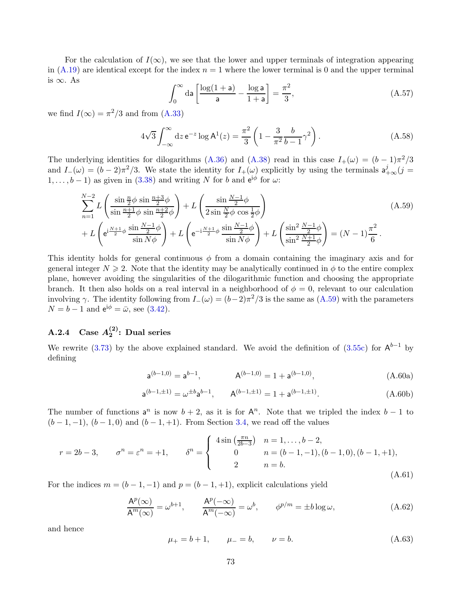For the calculation of  $I(\infty)$ , we see that the lower and upper terminals of integration appearing in [\(A.19\)](#page-66-0) are identical except for the index  $n = 1$  where the lower terminal is 0 and the upper terminal is ∞. As

<span id="page-72-0"></span>
$$
\int_0^\infty \mathrm{d}\mathbf{a} \left[ \frac{\log(1+\mathbf{a})}{\mathbf{a}} - \frac{\log \mathbf{a}}{1+\mathbf{a}} \right] = \frac{\pi^2}{3},\tag{A.57}
$$

we find  $I(\infty) = \pi^2/3$  and from [\(A.33\)](#page-68-0)

$$
4\sqrt{3} \int_{-\infty}^{\infty} dz \, e^{-z} \log A^{1}(z) = \frac{\pi^{2}}{3} \left( 1 - \frac{3}{\pi^{2}} \frac{b}{b-1} \gamma^{2} \right). \tag{A.58}
$$

The underlying identities for dilogarithms [\(A.36\)](#page-69-0) and [\(A.38\)](#page-69-1) read in this case  $I_+(\omega) = (b-1)\pi^2/3$ and  $I_{-}(\omega) = (b-2)\pi^2/3$ . We state the identity for  $I_{+}(\omega)$  explicitly by using the terminals  $a_{+\infty}^j(j=1)$  $1, \ldots, b-1$  as given in [\(3.38\)](#page-26-0) and writing N for b and  $e^{i\phi}$  for  $\omega$ :

$$
\sum_{n=1}^{N-2} L\left(\frac{\sin\frac{n}{2}\phi \sin\frac{n+3}{2}\phi}{\sin\frac{n+1}{2}\phi \sin\frac{n+2}{2}\phi}\right) + L\left(\frac{\sin\frac{N-1}{2}\phi}{2\sin\frac{N}{2}\phi \cos\frac{1}{2}\phi}\right) + L\left(e^{i\frac{N+1}{2}\phi \frac{\sin\frac{N-1}{2}\phi}{\sin N\phi}}\right) + L\left(e^{-i\frac{N+1}{2}\phi \frac{\sin\frac{N-1}{2}\phi}{\sin N\phi}}\right) + L\left(\frac{\sin^2\frac{N-1}{2}\phi}{\sin^2\frac{N+1}{2}\phi}\right) = (N-1)\frac{\pi^2}{6}.
$$
\n(A.59)

This identity holds for general continuous  $\phi$  from a domain containing the imaginary axis and for general integer  $N \geq 2$ . Note that the identity may be analytically continued in  $\phi$  to the entire complex plane, however avoiding the singularities of the dilogarithmic function and choosing the appropriate branch. It then also holds on a real interval in a neighborhood of  $\phi = 0$ , relevant to our calculation involving  $\gamma$ . The identity following from  $I_-(\omega) = (b-2)\pi^2/3$  is the same as  $(A.59)$  with the parameters  $N = b - 1$  and  $e^{i\phi} = \bar{\omega}$ , see [\(3.42\)](#page-27-0).

## $\mathrm{A.2.4} \quad \mathrm{Case} \; A_2^{(2)}$  $2^{(2)}$ : Dual series

We rewrite [\(3.73\)](#page-33-0) by the above explained standard. We avoid the definition of [\(3.55c\)](#page-29-0) for  $A^{b-1}$  by defining

$$
\mathsf{a}^{(b-1,0)} = \mathsf{a}^{b-1}, \qquad \mathsf{A}^{(b-1,0)} = 1 + \mathsf{a}^{(b-1,0)}, \tag{A.60a}
$$

$$
\mathbf{a}^{(b-1,\pm 1)} = \omega^{\pm b} \mathbf{a}^{b-1}, \qquad \mathbf{A}^{(b-1,\pm 1)} = 1 + \mathbf{a}^{(b-1,\pm 1)}.
$$
 (A.60b)

The number of functions  $a^n$  is now  $b + 2$ , as it is for  $A^n$ . Note that we tripled the index  $b - 1$  to  $(b-1,-1)$ ,  $(b-1,0)$  and  $(b-1,+1)$ . From Section [3.4,](#page-28-0) we read off the values

$$
r = 2b - 3, \qquad \sigma^n = \varepsilon^n = +1, \qquad \delta^n = \begin{cases} 4\sin\left(\frac{\pi n}{2b - 3}\right) & n = 1, \dots, b - 2, \\ 0 & n = (b - 1, -1), (b - 1, 0), (b - 1, +1), \\ 2 & n = b. \end{cases} \tag{A.61}
$$

For the indices  $m = (b - 1, -1)$  and  $p = (b - 1, +1)$ , explicit calculations yield

$$
\frac{\mathsf{A}^p(\infty)}{\mathsf{A}^m(\infty)} = \omega^{b+1}, \qquad \frac{\mathsf{A}^p(-\infty)}{\mathsf{A}^m(-\infty)} = \omega^b, \qquad \phi^{p/m} = \pm b \log \omega,
$$
\n(A.62)

and hence

$$
\mu_{+} = b + 1, \qquad \mu_{-} = b, \qquad \nu = b. \tag{A.63}
$$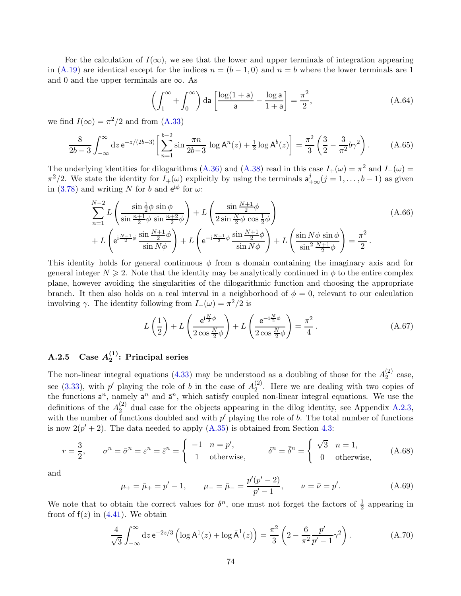For the calculation of  $I(\infty)$ , we see that the lower and upper terminals of integration appearing in [\(A.19\)](#page-66-0) are identical except for the indices  $n = (b - 1, 0)$  and  $n = b$  where the lower terminals are 1 and 0 and the upper terminals are  $\infty$ . As

$$
\left(\int_{1}^{\infty} + \int_{0}^{\infty} \right) da \left[\frac{\log(1+a)}{a} - \frac{\log a}{1+a}\right] = \frac{\pi^2}{2},\tag{A.64}
$$

we find  $I(\infty) = \pi^2/2$  and from [\(A.33\)](#page-68-0)

$$
\frac{8}{2b-3} \int_{-\infty}^{\infty} dz \, e^{-z/(2b-3)} \left[ \sum_{n=1}^{b-2} \sin \frac{\pi n}{2b-3} \, \log A^n(z) + \frac{1}{2} \log A^b(z) \right] = \frac{\pi^2}{3} \left( \frac{3}{2} - \frac{3}{\pi^2} b \gamma^2 \right). \tag{A.65}
$$

The underlying identities for dilogarithms [\(A.36\)](#page-69-0) and [\(A.38\)](#page-69-1) read in this case  $I_{+}(\omega) = \pi^2$  and  $I_{-}(\omega) =$  $\pi^2/2$ . We state the identity for  $I_+(\omega)$  explicitly by using the terminals  $a^j_{+\infty}(j=1,\ldots,b-1)$  as given in [\(3.78\)](#page-34-0) and writing N for b and  $e^{i\phi}$  for  $\omega$ :

$$
\sum_{n=1}^{N-2} L\left(\frac{\sin\frac{1}{2}\phi \sin\phi}{\sin\frac{n+1}{2}\phi \sin\frac{n+2}{2}\phi}\right) + L\left(\frac{\sin\frac{N+1}{2}\phi}{2\sin\frac{N}{2}\phi \cos\frac{1}{2}\phi}\right) + L\left(e^{i\frac{N-1}{2}\phi} \frac{\sin\frac{N+1}{2}\phi}{\sin N\phi}\right) + L\left(e^{-i\frac{N-1}{2}\phi} \frac{\sin\frac{N+1}{2}\phi}{\sin N\phi}\right) + L\left(\frac{\sin N\phi \sin\phi}{\sin^2\frac{N+1}{2}\phi}\right) = \frac{\pi^2}{2}.
$$
\n(A.66)

This identity holds for general continuous  $\phi$  from a domain containing the imaginary axis and for general integer  $N \geq 2$ . Note that the identity may be analytically continued in  $\phi$  to the entire complex plane, however avoiding the singularities of the dilogarithmic function and choosing the appropriate branch. It then also holds on a real interval in a neighborhood of  $\phi = 0$ , relevant to our calculation involving  $\gamma$ . The identity following from  $I_{-}(\omega) = \pi^2/2$  is

$$
L\left(\frac{1}{2}\right) + L\left(\frac{e^{i\frac{N}{2}\phi}}{2\cos\frac{N}{2}\phi}\right) + L\left(\frac{e^{-i\frac{N}{2}\phi}}{2\cos\frac{N}{2}\phi}\right) = \frac{\pi^2}{4}.
$$
 (A.67)

## $\rm A.2.5~~Case~A_2^{(1)}$  $2^{(1)}$ : Principal series

The non-linear integral equations [\(4.33\)](#page-43-0) may be understood as a doubling of those for the  $A_2^{(2)}$  $2^{(2)}$  case, see [\(3.33\)](#page-25-0), with p' playing the role of b in the case of  $A_2^{(2)}$  $2<sup>(2)</sup>$ . Here we are dealing with two copies of the functions  $a^n$ , namely  $a^n$  and  $\bar{a}^n$ , which satisfy coupled non-linear integral equations. We use the definitions of the  $A_2^{(2)}$  $\binom{2}{2}$  dual case for the objects appearing in the dilog identity, see Appendix [A.2.3,](#page-71-0) with the number of functions doubled and with  $p'$  playing the role of b. The total number of functions is now  $2(p'+2)$ . The data needed to apply  $(A.35)$  is obtained from Section [4.3:](#page-39-0)

$$
r = \frac{3}{2}, \qquad \sigma^n = \bar{\sigma}^n = \varepsilon^n = \bar{\varepsilon}^n = \begin{cases} -1 & n = p', \\ 1 & \text{otherwise,} \end{cases} \qquad \delta^n = \bar{\delta}^n = \begin{cases} \sqrt{3} & n = 1, \\ 0 & \text{otherwise,} \end{cases}
$$
 (A.68)

and

$$
\mu_{+} = \bar{\mu}_{+} = p' - 1, \qquad \mu_{-} = \bar{\mu}_{-} = \frac{p'(p' - 2)}{p' - 1}, \qquad \nu = \bar{\nu} = p'.
$$
 (A.69)

We note that to obtain the correct values for  $\delta^n$ , one must not forget the factors of  $\frac{1}{2}$  appearing in front of  $f(z)$  in [\(4.41\)](#page-44-0). We obtain

$$
\frac{4}{\sqrt{3}} \int_{-\infty}^{\infty} dz \, e^{-2z/3} \left( \log A^1(z) + \log \bar{A}^1(z) \right) = \frac{\pi^2}{3} \left( 2 - \frac{6}{\pi^2} \frac{p'}{p' - 1} \gamma^2 \right).
$$
 (A.70)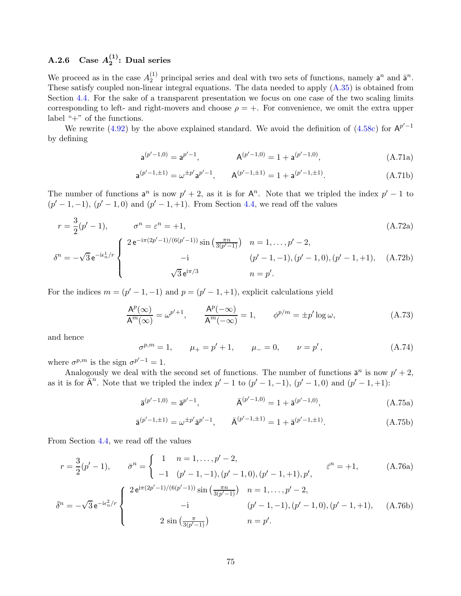## A.2.6 Case  $A_2^{(1)}$  $2^{(1)}$ : Dual series

We proceed as in the case  $A_2^{(1)}$  $2^{(1)}$  principal series and deal with two sets of functions, namely  $a^n$  and  $\bar{a}^n$ . These satisfy coupled non-linear integral equations. The data needed to apply [\(A.35\)](#page-69-2) is obtained from Section [4.4.](#page-47-0) For the sake of a transparent presentation we focus on one case of the two scaling limits corresponding to left- and right-movers and choose  $\rho = +$ . For convenience, we omit the extra upper label "+" of the functions.

We rewrite [\(4.92\)](#page-57-0) by the above explained standard. We avoid the definition of [\(4.58c\)](#page-50-0) for  $A^{p'-1}$ by defining

$$
a^{(p'-1,0)} = a^{p'-1}, \qquad A^{(p'-1,0)} = 1 + a^{(p'-1,0)}, \qquad (A.71a)
$$

$$
\mathbf{a}^{(p'-1,\pm 1)} = \omega^{\pm p'} \mathbf{a}^{p'-1}, \qquad \mathbf{A}^{(p'-1,\pm 1)} = 1 + \mathbf{a}^{(p'-1,\pm 1)}.
$$
 (A.71b)

The number of functions  $a^n$  is now  $p' + 2$ , as it is for  $A^n$ . Note that we tripled the index  $p' - 1$  to  $(p'-1,-1)$ ,  $(p'-1,0)$  and  $(p'-1,+1)$ . From Section [4.4,](#page-47-0) we read off the values

$$
r = \frac{3}{2}(p'-1), \qquad \sigma^n = \varepsilon^n = +1,
$$
\n
$$
\delta^n = -\sqrt{3} e^{-i\epsilon_n^1/r} \begin{cases}\n2 e^{-i\pi(2p'-1)/(6(p'-1))} \sin\left(\frac{\pi n}{3(p'-1)}\right) & n = 1, \dots, p'-2, \\
-i & (p'-1, -1), (p'-1, 0), (p'-1, +1), \\
\sqrt{3} e^{i\pi/3} & n = p'.\n\end{cases}
$$
\n(A.72a)

For the indices  $m = (p' - 1, -1)$  and  $p = (p' - 1, +1)$ , explicit calculations yield

$$
\frac{\mathsf{A}^p(\infty)}{\mathsf{A}^m(\infty)} = \omega^{p'+1}, \qquad \frac{\mathsf{A}^p(-\infty)}{\mathsf{A}^m(-\infty)} = 1, \qquad \phi^{p/m} = \pm p' \log \omega,
$$
\n(A.73)

and hence

<span id="page-74-0"></span>
$$
\sigma^{p,m} = 1, \qquad \mu_+ = p' + 1, \qquad \mu_- = 0, \qquad \nu = p', \tag{A.74}
$$

where  $\sigma^{p,m}$  is the sign  $\sigma^{p'-1} = 1$ .

Analogously we deal with the second set of functions. The number of functions  $\bar{a}^n$  is now  $p' + 2$ , as it is for  $\overline{A}^n$ . Note that we tripled the index  $p'-1$  to  $(p'-1,-1)$ ,  $(p'-1,0)$  and  $(p'-1,+1)$ :

$$
\bar{\mathsf{a}}^{(p'-1,0)} = \bar{\mathsf{a}}^{p'-1}, \qquad \bar{\mathsf{A}}^{(p'-1,0)} = 1 + \bar{\mathsf{a}}^{(p'-1,0)}, \tag{A.75a}
$$

$$
\bar{\mathsf{a}}^{(p'-1,\pm 1)} = \omega^{\pm p'} \bar{\mathsf{a}}^{p'-1}, \qquad \bar{\mathsf{A}}^{(p'-1,\pm 1)} = 1 + \bar{\mathsf{a}}^{(p'-1,\pm 1)}.
$$
\n(A.75b)

From Section [4.4,](#page-47-0) we read off the values

$$
r = \frac{3}{2}(p'-1), \qquad \bar{\sigma}^n = \begin{cases} 1 & n = 1, ..., p'-2, \\ -1 & (p'-1,-1), (p'-1,0), (p'-1,+1), p', \end{cases} \qquad \bar{\varepsilon}^n = +1, \qquad (A.76a)
$$

$$
\bar{\delta}^n = -\sqrt{3} e^{-i\epsilon_n^2/r} \begin{cases} 2 e^{i\pi(2p'-1)/(6(p'-1))} \sin\left(\frac{\pi n}{3(p'-1)}\right) & n = 1, ..., p'-2, \\ & (p'-1,-1), (p'-1,0), (p'-1,+1), \\ 2 \sin\left(\frac{\pi}{3(p'-1)}\right) & n = p'. \end{cases} (A.76b)
$$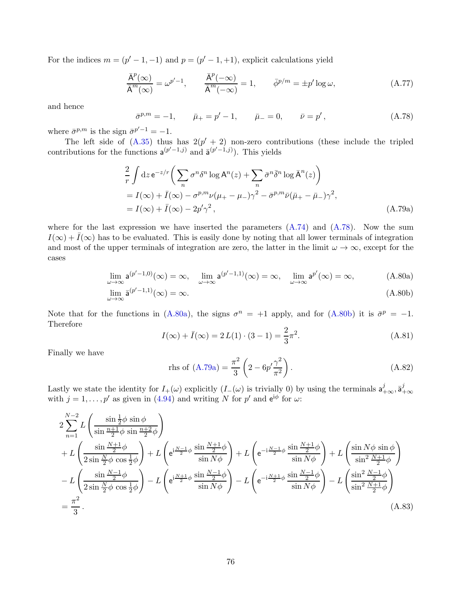For the indices  $m = (p' - 1, -1)$  and  $p = (p' - 1, +1)$ , explicit calculations yield

$$
\frac{\bar{A}^p(\infty)}{\bar{A}^m(\infty)} = \omega^{p'-1}, \qquad \frac{\bar{A}^p(-\infty)}{\bar{A}^m(-\infty)} = 1, \qquad \bar{\phi}^{p/m} = \pm p' \log \omega,
$$
\n(A.77)

and hence

<span id="page-75-0"></span>
$$
\bar{\sigma}^{p,m} = -1, \qquad \bar{\mu}_+ = p' - 1, \qquad \bar{\mu}_- = 0, \qquad \bar{\nu} = p', \tag{A.78}
$$

where  $\bar{\sigma}^{p,m}$  is the sign  $\bar{\sigma}^{p'-1} = -1$ .

The left side of  $(A.35)$  thus has  $2(p'+2)$  non-zero contributions (these include the tripled contributions for the functions  $a^{(p'-1,j)}$  and  $\bar{a}^{(p'-1,j)}$ ). This yields

$$
\frac{2}{r} \int dz \, e^{-z/r} \left( \sum_{n} \sigma^{n} \delta^{n} \log A^{n}(z) + \sum_{n} \bar{\sigma}^{n} \bar{\delta}^{n} \log \bar{A}^{n}(z) \right)
$$
\n
$$
= I(\infty) + \bar{I}(\infty) - \sigma^{p,m} \nu (\mu_{+} - \mu_{-}) \gamma^{2} - \bar{\sigma}^{p,m} \bar{\nu} (\bar{\mu}_{+} - \bar{\mu}_{-}) \gamma^{2},
$$
\n
$$
= I(\infty) + \bar{I}(\infty) - 2p'\gamma^{2}, \qquad (A.79a)
$$

where for the last expression we have inserted the parameters  $(A.74)$  and  $(A.78)$ . Now the sum  $I(\infty) + \overline{I}(\infty)$  has to be evaluated. This is easily done by noting that all lower terminals of integration and most of the upper terminals of integration are zero, the latter in the limit  $\omega \to \infty$ , except for the cases

$$
\lim_{\omega \to \infty} \mathsf{a}^{(p'-1,0)}(\infty) = \infty, \quad \lim_{\omega \to \infty} \mathsf{a}^{(p'-1,1)}(\infty) = \infty, \quad \lim_{\omega \to \infty} \mathsf{a}^{p'}(\infty) = \infty,
$$
\n(A.80a)

$$
\lim_{\omega \to \infty} \bar{\mathsf{a}}^{(p'-1,1)}(\infty) = \infty. \tag{A.80b}
$$

Note that for the functions in [\(A.80a\)](#page-75-1), the signs  $\sigma^n = +1$  apply, and for [\(A.80b\)](#page-75-2) it is  $\bar{\sigma}^p = -1$ . Therefore

<span id="page-75-3"></span><span id="page-75-2"></span><span id="page-75-1"></span>
$$
I(\infty) + \bar{I}(\infty) = 2 L(1) \cdot (3 - 1) = \frac{2}{3}\pi^2.
$$
 (A.81)

Finally we have

$$
\text{rhs of (A.79a)} = \frac{\pi^2}{3} \left( 2 - 6p' \frac{\gamma^2}{\pi^2} \right). \tag{A.82}
$$

Lastly we state the identity for  $I_{+}(\omega)$  explicitly  $(I_{-}(\omega)$  is trivially 0) by using the terminals  $a_{+\infty}^{j}$ ,  $\bar{a}_{+\infty}^{j}$  with  $j = 1, \ldots, p'$  as given in [\(4.94\)](#page-58-0) and writing N for p' and  $e^{i\phi}$  for  $\omega$ :

$$
2\sum_{n=1}^{N-2} L\left(\frac{\sin\frac{1}{2}\phi\sin\phi}{\sin\frac{n+1}{2}\phi\sin\frac{n+2}{2}\phi}\right)
$$
  
+ 
$$
L\left(\frac{\sin\frac{N+1}{2}\phi}{2\sin\frac{N}{2}\phi\cos\frac{1}{2}\phi}\right) + L\left(e^{i\frac{N-1}{2}\phi}\frac{\sin\frac{N+1}{2}\phi}{\sin N\phi}\right) + L\left(e^{-i\frac{N-1}{2}\phi}\frac{\sin\frac{N+1}{2}\phi}{\sin N\phi}\right) + L\left(\frac{\sin N\phi\sin\phi}{\sin^2\frac{N+1}{2}\phi}\right)
$$
  
- 
$$
L\left(\frac{\sin\frac{N-1}{2}\phi}{2\sin\frac{N}{2}\phi\cos\frac{1}{2}\phi}\right) - L\left(e^{i\frac{N+1}{2}\phi}\frac{\sin\frac{N-1}{2}\phi}{\sin N\phi}\right) - L\left(e^{-i\frac{N+1}{2}\phi}\frac{\sin\frac{N-1}{2}\phi}{\sin N\phi}\right) - L\left(\frac{\sin^2\frac{N-1}{2}\phi}{\sin^2\frac{N+1}{2}\phi}\right)
$$
  
= 
$$
\frac{\pi^2}{3}.
$$
 (A.83)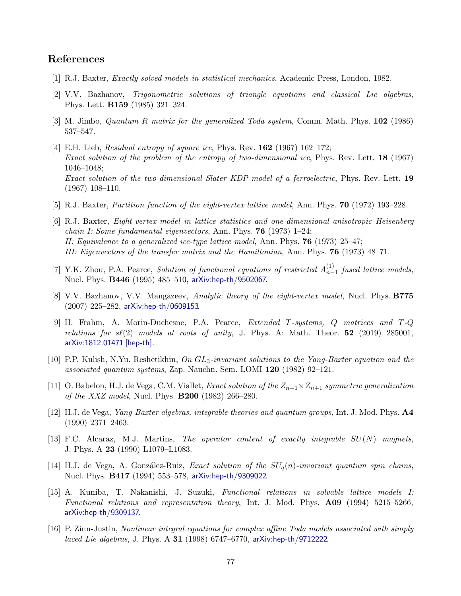## References

- [1] R.J. Baxter, Exactly solved models in statistical mechanics, Academic Press, London, 1982.
- [2] V.V. Bazhanov, Trigonometric solutions of triangle equations and classical Lie algebras, Phys. Lett. B159 (1985) 321–324.
- [3] M. Jimbo, Quantum R matrix for the generalized Toda system, Comm. Math. Phys. 102 (1986) 537–547.
- [4] E.H. Lieb, Residual entropy of square ice, Phys. Rev. 162 (1967) 162–172; Exact solution of the problem of the entropy of two-dimensional ice, Phys. Rev. Lett. 18 (1967) 1046–1048; Exact solution of the two-dimensional Slater KDP model of a ferroelectric, Phys. Rev. Lett. 19 (1967) 108–110.
- [5] R.J. Baxter, Partition function of the eight-vertex lattice model, Ann. Phys. 70 (1972) 193–228.
- [6] R.J. Baxter, Eight-vertex model in lattice statistics and one-dimensional anisotropic Heisenberg *chain I: Some fundamental eigenvectors, Ann. Phys.* **76** (1973) 1–24; II: Equivalence to a generalized ice-type lattice model, Ann. Phys. **76** (1973) 25–47; III: Eigenvectors of the transfer matrix and the Hamiltonian, Ann. Phys. 76 (1973) 48–71.
- [7] Y.K. Zhou, P.A. Pearce, Solution of functional equations of restricted  $A_{n-}^{(1)}$  $\binom{1}{n-1}$  fused lattice models, Nucl. Phys. B446 (1995) 485–510, [arXiv:hep-th/9502067](http://arxiv.org/abs/hep-th/9502067).
- [8] V.V. Bazhanov, V.V. Mangazeev, Analytic theory of the eight-vertex model, Nucl. Phys. B775 (2007) 225–282, [arXiv:hep-th/0609153](http://arxiv.org/abs/hep-th/0609153).
- [9] H. Frahm, A. Morin-Duchesne, P.A. Pearce, Extended T-systems, Q matrices and T-Q relations for  $s\ell(2)$  models at roots of unity, J. Phys. A: Math. Theor. 52 (2019) 285001, [arXiv:1812.01471 \[hep-th\]](http://arxiv.org/abs/1812.01471).
- [10] P.P. Kulish, N.Yu. Reshetikhin, On GL3-invariant solutions to the Yang-Baxter equation and the associated quantum systems, Zap. Nauchn. Sem. LOMI 120 (1982) 92–121.
- [11] O. Babelon, H.J. de Vega, C.M. Viallet, *Exact solution of the*  $Z_{n+1} \times Z_{n+1}$  symmetric generalization of the XXZ model, Nucl. Phys. B200 (1982) 266–280.
- [12] H.J. de Vega, Yang-Baxter algebras, integrable theories and quantum groups, Int. J. Mod. Phys. A4 (1990) 2371–2463.
- [13] F.C. Alcaraz, M.J. Martins, The operator content of exactly integrable  $SU(N)$  magnets, J. Phys. A 23 (1990) L1079–L1083.
- [14] H.J. de Vega, A. González-Ruiz, Exact solution of the  $SU_q(n)$ -invariant quantum spin chains, Nucl. Phys. B417 (1994) 553–578, [arXiv:hep-th/9309022](http://arxiv.org/abs/hep-th/9309022).
- [15] A. Kuniba, T. Nakanishi, J. Suzuki, Functional relations in solvable lattice models I: Functional relations and representation theory, Int. J. Mod. Phys. A09 (1994) 5215–5266, [arXiv:hep-th/9309137](http://arxiv.org/abs/hep-th/9309137).
- [16] P. Zinn-Justin, Nonlinear integral equations for complex affine Toda models associated with simply laced Lie algebras, J. Phys. A 31 (1998) 6747–6770, [arXiv:hep-th/9712222](http://arxiv.org/abs/hep-th/9712222).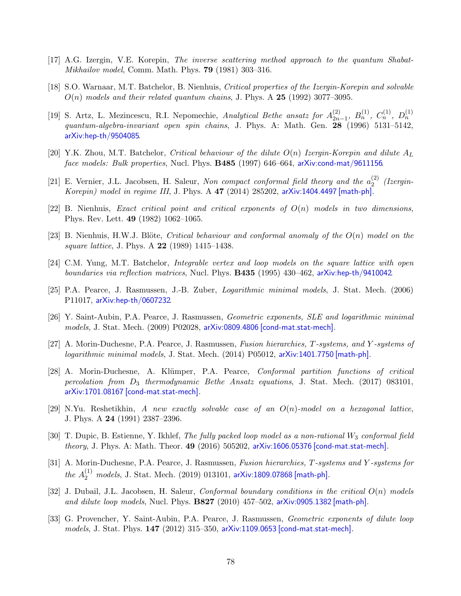- [17] A.G. Izergin, V.E. Korepin, The inverse scattering method approach to the quantum Shabat-Mikhailov model, Comm. Math. Phys. 79 (1981) 303–316.
- [18] S.O. Warnaar, M.T. Batchelor, B. Nienhuis, Critical properties of the Izergin-Korepin and solvable  $O(n)$  models and their related quantum chains, J. Phys. A 25 (1992) 3077–3095.
- [19] S. Artz, L. Mezincescu, R.I. Nepomechie, Analytical Bethe ansatz for  $A_{2n}^{(2)}$  $\binom{2}{2n-1}, B_n^{(1)}, C_n^{(1)}, D_n^{(1)}$ quantum-algebra-invariant open spin chains, J. Phys. A: Math. Gen. 28 (1996) 5131–5142, [arXiv:hep-th/9504085](http://arxiv.org/abs/hep-th/9504085).
- [20] Y.K. Zhou, M.T. Batchelor, Critical behaviour of the dilute  $O(n)$  Izergin-Korepin and dilute  $A_L$ face models: Bulk properties, Nucl. Phys. **B485** (1997) 646–664, [arXiv:cond-mat/9611156](http://arxiv.org/abs/cond-mat/9611156).
- [21] E. Vernier, J.L. Jacobsen, H. Saleur, Non compact conformal field theory and the  $a_2^{(2)}$  $2^{(2)}$  (Izergin-Korepin) model in regime III, J. Phys. A 47 (2014) 285202, [arXiv:1404.4497 \[math-ph\]](http://arxiv.org/abs/1404.4497).
- [22] B. Nienhuis, Exact critical point and critical exponents of  $O(n)$  models in two dimensions, Phys. Rev. Lett. 49 (1982) 1062–1065.
- [23] B. Nienhuis, H.W.J. Blöte, Critical behaviour and conformal anomaly of the  $O(n)$  model on the square lattice, J. Phys. A **22** (1989) 1415–1438.
- [24] C.M. Yung, M.T. Batchelor, Integrable vertex and loop models on the square lattice with open boundaries via reflection matrices, Nucl. Phys. B435 (1995) 430–462, [arXiv:hep-th/9410042](http://arxiv.org/abs/hep-th/9410042).
- [25] P.A. Pearce, J. Rasmussen, J.-B. Zuber, Logarithmic minimal models, J. Stat. Mech. (2006) P11017, [arXiv:hep-th/0607232](http://arxiv.org/abs/hep-th/0607232).
- [26] Y. Saint-Aubin, P.A. Pearce, J. Rasmussen, Geometric exponents, SLE and logarithmic minimal models, J. Stat. Mech. (2009) P02028, [arXiv:0809.4806 \[cond-mat.stat-mech\]](http://arxiv.org/abs/0809.4806).
- [27] A. Morin-Duchesne, P.A. Pearce, J. Rasmussen, Fusion hierarchies, T-systems, and Y -systems of logarithmic minimal models, J. Stat. Mech. (2014) P05012, [arXiv:1401.7750 \[math-ph\]](http://arxiv.org/abs/1401.7750).
- [28] A. Morin-Duchesne, A. Klümper, P.A. Pearce, *Conformal partition functions of critical* percolation from  $D_3$  thermodynamic Bethe Ansatz equations, J. Stat. Mech. (2017) 083101, [arXiv:1701.08167 \[cond-mat.stat-mech\]](http://arxiv.org/abs/1701.08167).
- [29] N.Yu. Reshetikhin, A new exactly solvable case of an  $O(n)$ -model on a hexagonal lattice, J. Phys. A 24 (1991) 2387–2396.
- [30] T. Dupic, B. Estienne, Y. Ikhlef, The fully packed loop model as a non-rational  $W_3$  conformal field theory, J. Phys. A: Math. Theor. 49 (2016) 505202, [arXiv:1606.05376 \[cond-mat.stat-mech\]](http://arxiv.org/abs/1606.05376).
- [31] A. Morin-Duchesne, P.A. Pearce, J. Rasmussen, Fusion hierarchies, T-systems and Y-systems for  $the \; A_2^{(1)} \; models, \; J. \; {\rm Stat.} \; Mech. \;(2019) \; 013101, \; \text{arXiv:1809.07868} \; [\text{math-ph}].$
- [32] J. Dubail, J.L. Jacobsen, H. Saleur, *Conformal boundary conditions in the critical*  $O(n)$  models and dilute loop models, Nucl. Phys. B827 (2010) 457–502, [arXiv:0905.1382 \[math-ph\]](http://arxiv.org/abs/0905.1382).
- [33] G. Provencher, Y. Saint-Aubin, P.A. Pearce, J. Rasmussen, *Geometric exponents of dilute loop* models, J. Stat. Phys. 147 (2012) 315–350, [arXiv:1109.0653 \[cond-mat.stat-mech\]](http://arxiv.org/abs/1109.0653).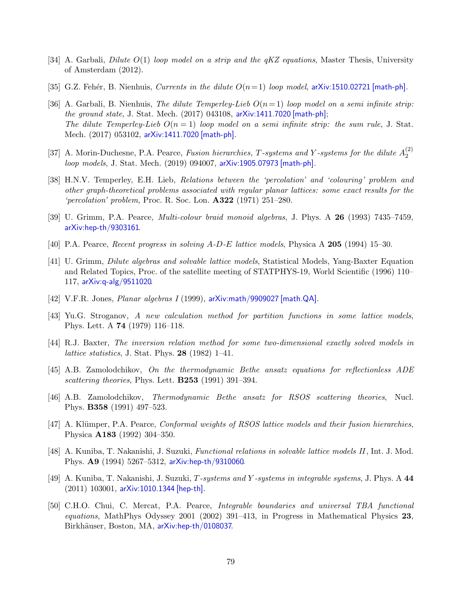- [34] A. Garbali, *Dilute*  $O(1)$  loop model on a strip and the  $qKZ$  equations, Master Thesis, University of Amsterdam (2012).
- [35] G.Z. Fehér, B. Nienhuis, *Currents in the dilute*  $O(n=1)$  *loop model*, [arXiv:1510.02721 \[math-ph\]](http://arxiv.org/abs/1510.02721).
- [36] A. Garbali, B. Nienhuis, The dilute Temperley-Lieb  $O(n=1)$  loop model on a semi infinite strip: the ground state, J. Stat. Mech.  $(2017)$  043108, [arXiv:1411.7020 \[math-ph\]](http://arxiv.org/abs/1411.7020); The dilute Temperley-Lieb  $O(n=1)$  loop model on a semi infinite strip: the sum rule, J. Stat. Mech. (2017) 053102, [arXiv:1411.7020 \[math-ph\]](http://arxiv.org/abs/1411.7020).
- [37] A. Morin-Duchesne, P.A. Pearce, Fusion hierarchies, T-systems and Y-systems for the dilute  $A_2^{(2)}$ 2 loop models, J. Stat. Mech. (2019) 094007, [arXiv:1905.07973 \[math-ph\]](http://arxiv.org/abs/1905.07973).
- [38] H.N.V. Temperley, E.H. Lieb, Relations between the 'percolation' and 'colouring' problem and other graph-theoretical problems associated with regular planar lattices: some exact results for the 'percolation' problem, Proc. R. Soc. Lon. A322 (1971) 251–280.
- [39] U. Grimm, P.A. Pearce, Multi-colour braid monoid algebras, J. Phys. A 26 (1993) 7435–7459, [arXiv:hep-th/9303161](http://arxiv.org/abs/hep-th/9303161).
- [40] P.A. Pearce, Recent progress in solving A-D-E lattice models, Physica A 205 (1994) 15–30.
- [41] U. Grimm, Dilute algebras and solvable lattice models, Statistical Models, Yang-Baxter Equation and Related Topics, Proc. of the satellite meeting of STATPHYS-19, World Scientific (1996) 110– 117, [arXiv:q-alg/9511020](http://arxiv.org/abs/q-alg/9511020).
- [42] V.F.R. Jones, Planar algebras I (1999), [arXiv:math/9909027 \[math.QA\]](http://arxiv.org/abs/math/9909027).
- [43] Yu.G. Stroganov, A new calculation method for partition functions in some lattice models, Phys. Lett. A 74 (1979) 116–118.
- [44] R.J. Baxter, The inversion relation method for some two-dimensional exactly solved models in lattice statistics, J. Stat. Phys. 28 (1982) 1–41.
- [45] A.B. Zamolodchikov, On the thermodynamic Bethe ansatz equations for reflectionless ADE scattering theories, Phys. Lett. **B253** (1991) 391-394.
- [46] A.B. Zamolodchikov, Thermodynamic Bethe ansatz for RSOS scattering theories, Nucl. Phys. B358 (1991) 497–523.
- [47] A. Klümper, P.A. Pearce, *Conformal weights of RSOS lattice models and their fusion hierarchies*, Physica A183 (1992) 304–350.
- [48] A. Kuniba, T. Nakanishi, J. Suzuki, Functional relations in solvable lattice models II, Int. J. Mod. Phys. A9 (1994) 5267–5312, [arXiv:hep-th/9310060](http://arxiv.org/abs/hep-th/9310060).
- [49] A. Kuniba, T. Nakanishi, J. Suzuki, T-systems and Y -systems in integrable systems, J. Phys. A 44 (2011) 103001, [arXiv:1010.1344 \[hep-th\]](http://arxiv.org/abs/1010.1344).
- [50] C.H.O. Chui, C. Mercat, P.A. Pearce, Integrable boundaries and universal TBA functional equations, MathPhys Odyssey 2001 (2002) 391–413, in Progress in Mathematical Physics 23, Birkhäuser, Boston, MA, [arXiv:hep-th/0108037](http://arxiv.org/abs/hep-th/0108037).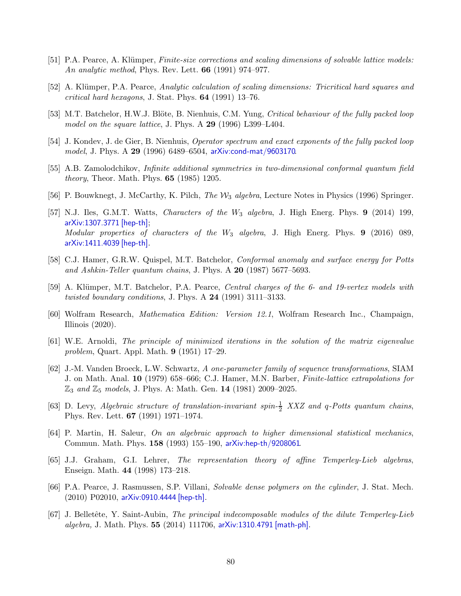- [51] P.A. Pearce, A. Klümper, Finite-size corrections and scaling dimensions of solvable lattice models: An analytic method, Phys. Rev. Lett. **66** (1991) 974–977.
- [52] A. Klümper, P.A. Pearce, Analytic calculation of scaling dimensions: Tricritical hard squares and critical hard hexagons, J. Stat. Phys. 64 (1991) 13–76.
- [53] M.T. Batchelor, H.W.J. Blöte, B. Nienhuis, C.M. Yung, Critical behaviour of the fully packed loop model on the square lattice, J. Phys. A 29 (1996) L399–L404.
- [54] J. Kondev, J. de Gier, B. Nienhuis, Operator spectrum and exact exponents of the fully packed loop model, J. Phys. A 29 (1996) 6489–6504, [arXiv:cond-mat/9603170](http://arxiv.org/abs/cond-mat/9603170).
- [55] A.B. Zamolodchikov, Infinite additional symmetries in two-dimensional conformal quantum field theory, Theor. Math. Phys. 65 (1985) 1205.
- [56] P. Bouwknegt, J. McCarthy, K. Pilch, *The W<sub>3</sub>* algebra, Lecture Notes in Physics (1996) Springer.
- [57] N.J. Iles, G.M.T. Watts, *Characters of the*  $W_3$  *algebra*, J. High Energ. Phys. **9** (2014) 199, [arXiv:1307.3771 \[hep-th\]](http://arxiv.org/abs/1307.3771); Modular properties of characters of the  $W_3$  algebra, J. High Energ. Phys. 9 (2016) 089, [arXiv:1411.4039 \[hep-th\]](http://arxiv.org/abs/1411.4039).
- [58] C.J. Hamer, G.R.W. Quispel, M.T. Batchelor, Conformal anomaly and surface energy for Potts and Ashkin-Teller quantum chains, J. Phys. A 20 (1987) 5677–5693.
- [59] A. Klümper, M.T. Batchelor, P.A. Pearce, Central charges of the 6- and 19-vertex models with twisted boundary conditions, J. Phys. A  $24$  (1991) 3111-3133.
- [60] Wolfram Research, Mathematica Edition: Version 12.1, Wolfram Research Inc., Champaign, Illinois (2020).
- [61] W.E. Arnoldi, The principle of minimized iterations in the solution of the matrix eigenvalue problem, Quart. Appl. Math. 9 (1951) 17–29.
- [62] J.-M. Vanden Broeck, L.W. Schwartz, A one-parameter family of sequence transformations, SIAM J. on Math. Anal. 10 (1979) 658–666; C.J. Hamer, M.N. Barber, Finite-lattice extrapolations for  $\mathbb{Z}_3$  and  $\mathbb{Z}_5$  models, J. Phys. A: Math. Gen. 14 (1981) 2009–2025.
- [63] D. Levy, Algebraic structure of translation-invariant spin- $\frac{1}{2}$  XXZ and q-Potts quantum chains, Phys. Rev. Lett. 67 (1991) 1971–1974.
- [64] P. Martin, H. Saleur, On an algebraic approach to higher dimensional statistical mechanics, Commun. Math. Phys. 158 (1993) 155–190, [arXiv:hep-th/9208061](http://arxiv.org/abs/hep-th/9208061).
- [65] J.J. Graham, G.I. Lehrer, The representation theory of affine Temperley-Lieb algebras, Enseign. Math. 44 (1998) 173–218.
- [66] P.A. Pearce, J. Rasmussen, S.P. Villani, Solvable dense polymers on the cylinder, J. Stat. Mech. (2010) P02010, [arXiv:0910.4444 \[hep-th\]](http://arxiv.org/abs/0910.4444).
- [67] J. Belletête, Y. Saint-Aubin, The principal indecomposable modules of the dilute Temperley-Lieb algebra, J. Math. Phys. 55 (2014) 111706, [arXiv:1310.4791 \[math-ph\]](http://arxiv.org/abs/1310.4791).